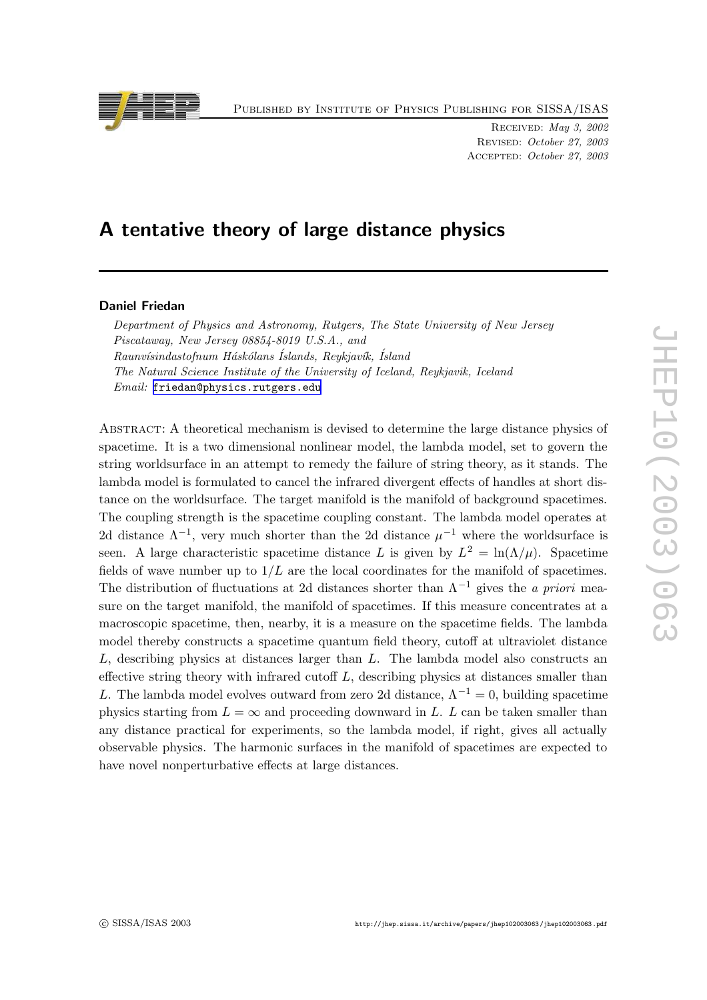Published by Institute of Physics Publishing for SISSA/ISAS

Received: May 3, 2002 Revised: October 27, 2003 Accepted: October 27, 2003

# A tentative theory of large distance physics

## Daniel Friedan

Department of Physics and Astronomy, Rutgers, The State University of New Jersey Piscataway, New Jersey 08854-8019 U.S.A., and Raunvísindastofnum Háskólans Íslands, Reykjavík, Ísland The Natural Scienc e Institute of the University of Iceland, Reykjavik, Iceland Email: [friedan@physics.rutgers.edu](mailto:friedan@physics.rutgers.edu)

ABSTRACT: A theoretical mechanism is devised to determine the large distance physics of spacetime. It is a two dimensional nonlinear model, the lambda model, set to govern the string worldsurface in an attempt to remedy the failure of string theory , as it stands. The lam bda model is formulated to cancel the infrared divergen t effects of handles at short distance on the worldsurface. The target manifold is the manifold of background spacetimes. The coupling strength is the spacetime coupling constant. The lambda model operates at 2d distance  $\Lambda^{-1}$ , very much shorter than the 2d distance  $\mu^{-1}$  where the worldsurface is seen. A large characteristic spacetime distance L is given by  $L^2 = \ln(\Lambda/\mu)$ . Spacetime fields of wave number up to  $1/L$  are the local coordinates for the manifold of spacetimes. The distribution of fluctuations at 2d distances shorter than  $\Lambda^{-1}$  gives the *a priori* measure on the target manifold, the manifold of spacetimes. If this measure concentrates at a macroscopic spacetime, then, nearb y , it is a measure on the spacetime fields. The lam bda model thereb y constructs a spacetime quantum field theory , cutoff at ultraviolet distance L, describing physics at distances larger than L. The lambda model also constructs an effective string theory with infrared cutoff  $L$ , describing physics at distances smaller than L. The lambda model evolves outward from zero 2d distance,  $\Lambda^{-1} = 0$ , building spacetime physics starting from  $L = \infty$  and proceeding downward in L. L can be taken smaller than an y distance practical for experiments, so the lam bda model, if right, gives all actually observable physics. The harmonic surfaces in the manifold of spacetimes are expected to have novel nonperturbative effects at large distances.

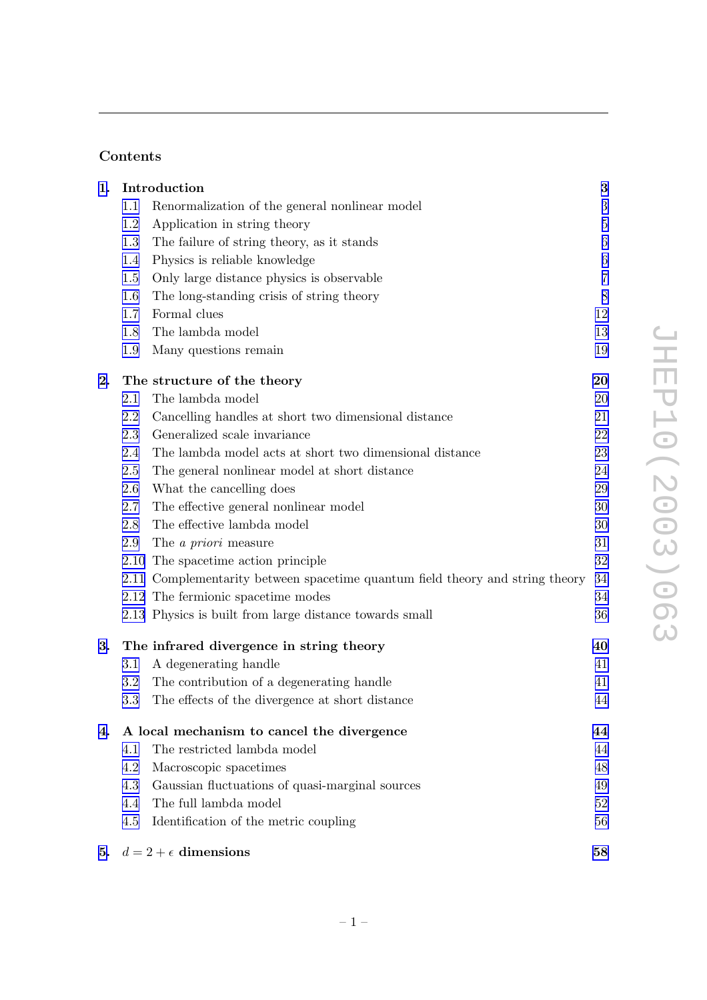# Contents

| 1. |                                            | Introduction                                                                  | $\bf{3}$         |
|----|--------------------------------------------|-------------------------------------------------------------------------------|------------------|
|    | 1.1                                        | Renormalization of the general nonlinear model                                | $\boldsymbol{3}$ |
|    | 1.2                                        | Application in string theory                                                  | $\bf 5$          |
|    | 1.3                                        | The failure of string theory, as it stands                                    | $\,6$            |
|    | 1.4                                        | Physics is reliable knowledge                                                 | $\,6\,$          |
|    | 1.5                                        | Only large distance physics is observable                                     | $\overline{7}$   |
|    | 1.6                                        | The long-standing crisis of string theory                                     | $8\,$            |
|    | 1.7                                        | Formal clues                                                                  | 12               |
|    | 1.8                                        | The lambda model                                                              | 13               |
|    | 1.9                                        | Many questions remain                                                         | 19               |
| 2. |                                            | The structure of the theory                                                   | 20               |
|    | 2.1                                        | The lambda model                                                              | 20               |
|    | 2.2                                        | Cancelling handles at short two dimensional distance                          | 21               |
|    | 2.3                                        | Generalized scale invariance                                                  | 22               |
|    | 2.4                                        | The lambda model acts at short two dimensional distance                       | 23               |
|    | 2.5                                        | The general nonlinear model at short distance                                 | 24               |
|    | 2.6                                        | What the cancelling does                                                      | 29               |
|    | 2.7                                        | The effective general nonlinear model                                         | 30               |
|    | 2.8                                        | The effective lambda model                                                    | 30               |
|    | 2.9                                        | The <i>a priori</i> measure                                                   | 31               |
|    |                                            | 2.10 The spacetime action principle                                           | $32\,$           |
|    |                                            | 2.11 Complementarity between spacetime quantum field theory and string theory | 34               |
|    |                                            | 2.12 The fermionic spacetime modes                                            | 34               |
|    |                                            | 2.13 Physics is built from large distance towards small                       | 36               |
| 3. | The infrared divergence in string theory   |                                                                               |                  |
|    | 3.1                                        | A degenerating handle                                                         | 41               |
|    | 3.2                                        | The contribution of a degenerating handle                                     | 41               |
|    | 3.3                                        | The effects of the divergence at short distance                               | 44               |
| 4. | A local mechanism to cancel the divergence |                                                                               |                  |
|    | 4.1                                        | The restricted lambda model                                                   | 44               |
|    | 4.2                                        | Macroscopic spacetimes                                                        | 48               |
|    | 4.3                                        | Gaussian fluctuations of quasi-marginal sources                               | 49               |
|    | 4.4                                        | The full lambda model                                                         | 52               |
|    | 4.5                                        | Identification of the metric coupling                                         | 56               |
| 5. |                                            | $d=2+\epsilon$ dimensions                                                     | 58               |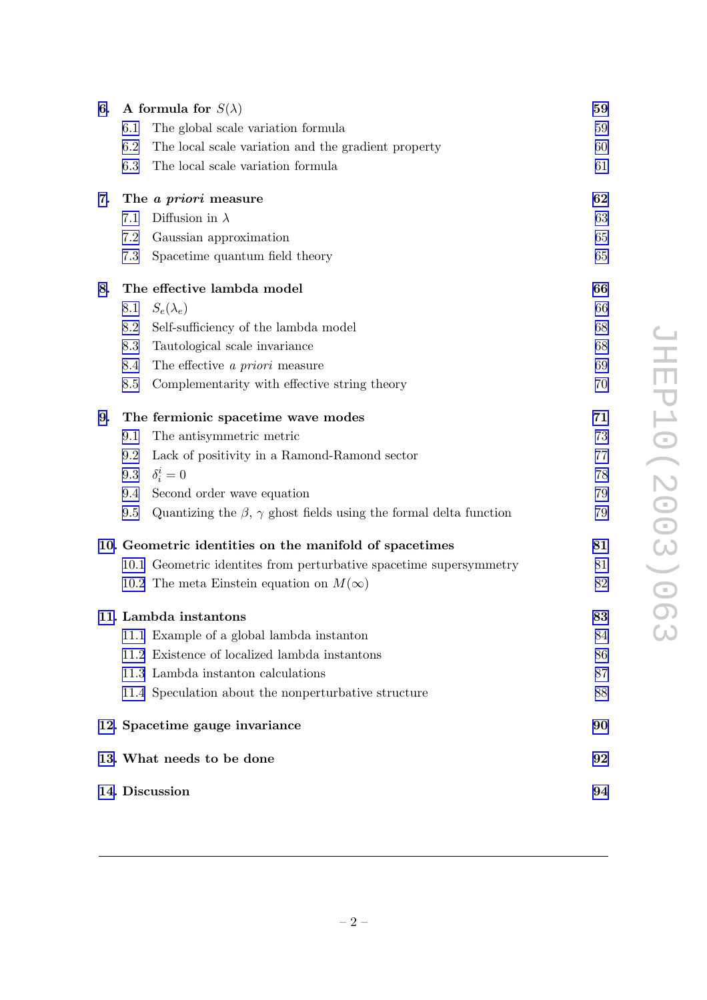| 6.                          | A formula for $S(\lambda)$ |                                                                                |    |  |
|-----------------------------|----------------------------|--------------------------------------------------------------------------------|----|--|
|                             | 6.1                        | The global scale variation formula                                             | 59 |  |
|                             | 6.2                        | The local scale variation and the gradient property                            | 60 |  |
|                             | 6.3                        | The local scale variation formula                                              | 61 |  |
| 7.                          |                            | The <i>a priori</i> measure                                                    | 62 |  |
|                             | 7.1                        | Diffusion in $\lambda$                                                         | 63 |  |
|                             | 7.2                        | Gaussian approximation                                                         | 65 |  |
|                             | 7.3                        | Spacetime quantum field theory                                                 | 65 |  |
| 8.                          |                            | The effective lambda model                                                     | 66 |  |
|                             | 8.1                        | $S_e(\lambda_e)$                                                               | 66 |  |
|                             | 8.2                        | Self-sufficiency of the lambda model                                           | 68 |  |
|                             | 8.3                        | Tautological scale invariance                                                  | 68 |  |
|                             | 8.4                        | The effective <i>a priori</i> measure                                          | 69 |  |
|                             | 8.5                        | Complementarity with effective string theory                                   | 70 |  |
| 9.                          |                            | The fermionic spacetime wave modes                                             | 71 |  |
|                             | $9.1\,$                    | The antisymmetric metric                                                       | 73 |  |
|                             | 9.2                        | Lack of positivity in a Ramond-Ramond sector                                   | 77 |  |
|                             | 9.3                        | $\delta_i^i=0$                                                                 | 78 |  |
|                             | 9.4                        | Second order wave equation                                                     | 79 |  |
|                             | 9.5                        | Quantizing the $\beta$ , $\gamma$ ghost fields using the formal delta function | 79 |  |
|                             |                            | 10. Geometric identities on the manifold of spacetimes                         | 81 |  |
|                             |                            | 10.1 Geometric identites from perturbative spacetime supersymmetry             | 81 |  |
|                             |                            | 10.2 The meta Einstein equation on $M(\infty)$                                 | 82 |  |
| 11. Lambda instantons<br>83 |                            |                                                                                |    |  |
|                             |                            | 11.1 Example of a global lambda instanton                                      | 84 |  |
|                             |                            | 11.2 Existence of localized lambda instantons                                  | 86 |  |
|                             |                            | 11.3 Lambda instanton calculations                                             | 87 |  |
|                             |                            | 11.4 Speculation about the nonperturbative structure                           | 88 |  |
|                             |                            | 12. Spacetime gauge invariance                                                 | 90 |  |
|                             |                            | 13. What needs to be done                                                      | 92 |  |
|                             |                            | 14. Discussion                                                                 | 94 |  |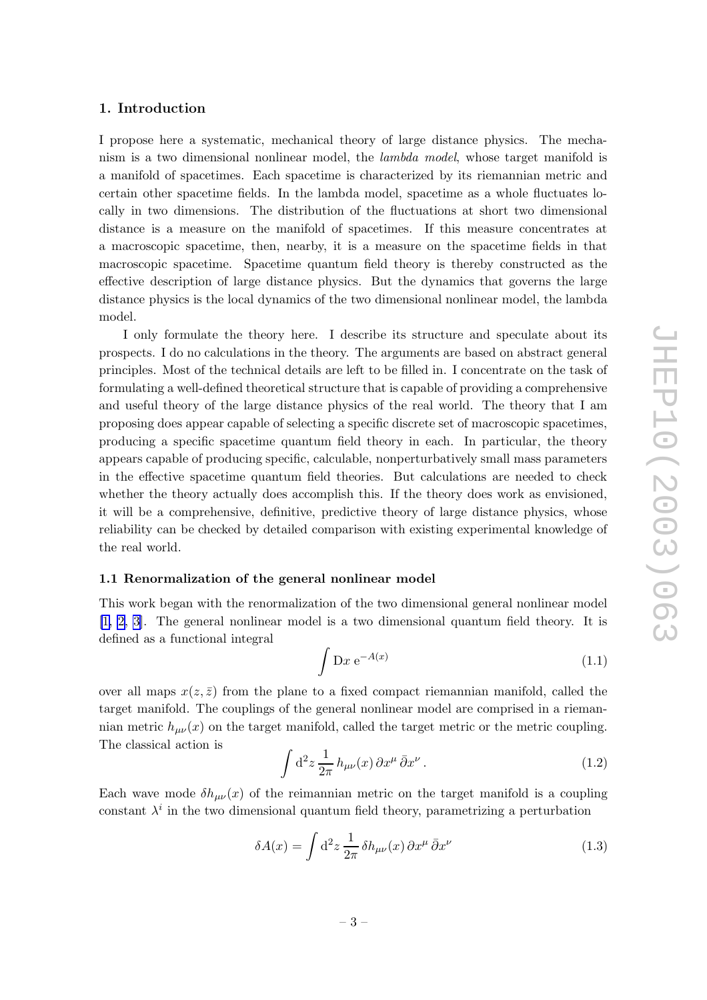## <span id="page-3-0"></span>1. Introduction

I propose here a systematic, mechanical theory of large distance physics. The mechanism is a two dimensional nonlinear model, the lambda model, whose target manifold is a manifold of spacetimes. Each spacetime is characterized by its riemannian metric and certain other spacetime fields. In the lam bda model, spacetime as a whole fluctuates locally in two dimensions. The distribution of the fluctuations at short two dimensional distance is a measure on the manifold of spacetimes. If this measure concentrates at a macroscopic spacetime, then, nearb y , it is a measure on the spacetime fields in that macroscopic spacetime. Spacetime quantum field theory is thereb y constructed as the effectiv e description of large distance physics. But the dynamics that go verns the large distance physics is the local dynamics of the two dimensional nonlinear model, the lambda model.

I only formulate the theory here. I describ e its structure and speculate about its prospects. I do no calculations in the theory . The arguments are based on abstract general principles. Most of the technical details are left to b e filled in. I concentrate on the task of formulating a well-defined theoretical structure that is capable of providing a comprehensiv e and useful theory of the large distance physics of the real world. The theory that I am proposing does appear capable of selecting a specific discrete set of macroscopic spacetimes, producing a specific spacetime quantum field theory in each. In particular, the theory appears capable of producing specific, calculable, nonperturbatively small mass parameters in the effectiv e spacetime quantum field theories. But calculations are needed to chec k whether the theory actually does accomplish this. If the theory does work as envisioned, it will b e a comprehensive, definitive, predictiv e theory of large distance physics, whose reliabilit y can b e chec ked b y detailed comparison with existing experimental knowledge of the real world.

## 1.1 Renormalization of the general nonlinear model

This work began with the renormalization of the t w o dimensional general nonlinear model [\[1](#page-97-0) , [2](#page-97-0) , [3\]](#page-97-0). The general nonlinear model is a t w o dimensional quantum field theory . It is defined as a functional integral

$$
\int \mathcal{D}x \, \mathrm{e}^{-A(x)} \tag{1.1}
$$

over all maps  $x(z, \bar{z})$  from the plane to a fixed compact riemannian manifold, called the target manifold. The couplings of the general nonlinear model are comprised in a riemannian metric  $h_{\mu\nu}(x)$  on the target manifold, called the target metric or the metric coupling. The classical action is

$$
\int d^2 z \frac{1}{2\pi} h_{\mu\nu}(x) \partial x^{\mu} \bar{\partial} x^{\nu} . \tag{1.2}
$$

Each wave mode  $\delta h_{\mu\nu}(x)$  of the reimannian metric on the target manifold is a coupling constant  $\lambda^i$  in the two dimensional quantum field theory, parametrizing a perturbation

$$
\delta A(x) = \int d^2 z \frac{1}{2\pi} \delta h_{\mu\nu}(x) \partial x^{\mu} \bar{\partial} x^{\nu}
$$
 (1.3)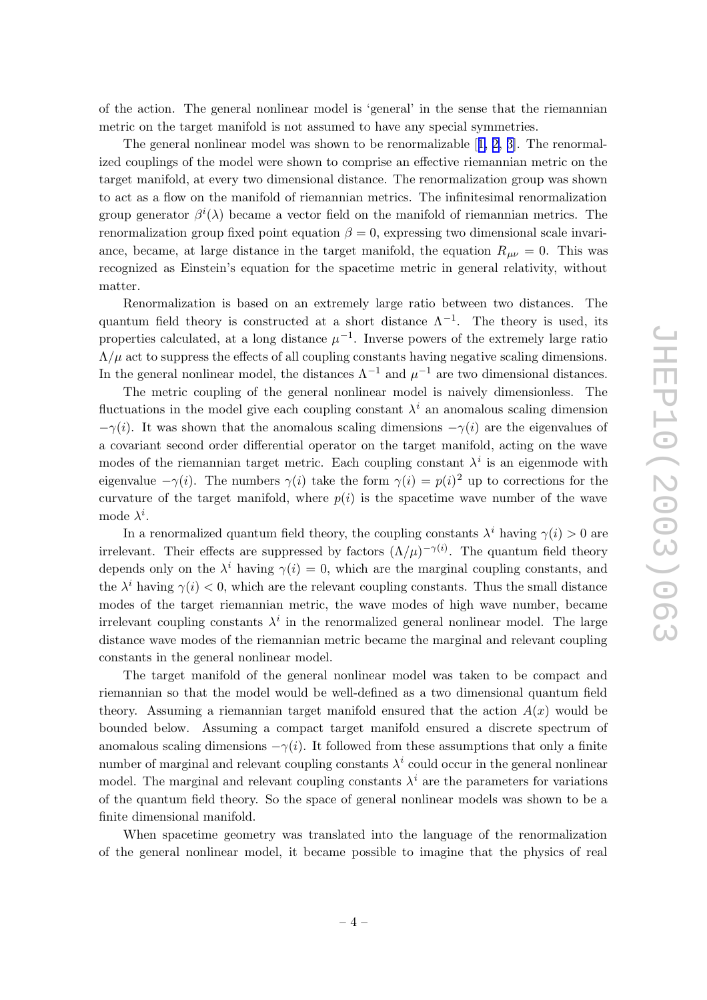of the action. The general nonlinear model is 'general' in the sense that the riemannian metric on the target manifold is not assumed to hav e an y special symmetries.

The general nonlinear model was shown to b e renormalizable [[1](#page-97-0) , [2](#page-97-0) , [3\]](#page-97-0). The renormalized couplings of the model were shown to comprise an effective riemannian metric on the target manifold, at every t w o dimensional distance. The renormalization group was shown to act as a flo w on the manifold of riemannian metrics. The infinitesimal renormalization group generator  $\beta^i(\lambda)$  became a vector field on the manifold of riemannian metrics. The renormalization group fixed point equation  $\beta = 0$ , expressing two dimensional scale invariance, became, at large distance in the target manifold, the equation  $R_{\mu\nu} = 0$ . This was recognized as Einstein's equation for the spacetime metric in general relativity, without matter.

Renormalization is based on an extremely large ratio bet ween t w o distances. The quantum field theory is constructed at a short distance  $\Lambda^{-1}$ . The theory is used, its properties calculated, at a long distance  $\mu^{-1}$ . Inverse powers of the extremely large ratio  $\Lambda/\mu$  act to suppress the effects of all coupling constants having negative scaling dimensions. In the general nonlinear model, the distances  $\Lambda^{-1}$  and  $\mu^{-1}$  are two dimensional distances.

The metric coupling of the general nonlinear model is naively dimensionless. The fluctuations in the model give each coupling constant  $\lambda^i$  an anomalous scaling dimension  $-\gamma(i)$ . It was shown that the anomalous scaling dimensions  $-\gamma(i)$  are the eigenvalues of a covariant second order differential operator on the target manifold, acting on the wave modes of the riemannian target metric. Each coupling constant  $\lambda^i$  is an eigenmode with eigenvalue  $-\gamma(i)$ . The numbers  $\gamma(i)$  take the form  $\gamma(i) = p(i)^2$  up to corrections for the curvature of the target manifold, where  $p(i)$  is the spacetime wave number of the wave mode  $\lambda^i$ .

In a renormalized quantum field theory, the coupling constants  $\lambda^i$  having  $\gamma(i) > 0$  are irrelevant. Their effects are suppressed by factors  $(\Lambda/\mu)^{-\gamma(i)}$ . The quantum field theory depends only on the  $\lambda^i$  having  $\gamma(i) = 0$ , which are the marginal coupling constants, and the  $\lambda^i$  having  $\gamma(i) < 0$ , which are the relevant coupling constants. Thus the small distance modes of the target riemannian metric, the wave modes of high wave number, became irrelevant coupling constants  $\lambda^i$  in the renormalized general nonlinear model. The large distance wave modes of the riemannian metric became the marginal and relevant coupling constants in the general nonlinear model.

The target manifold of the general nonlinear model was taken to b e compact and riemannian so that the model would b e well-defined as a t w o dimensional quantum field theory. Assuming a riemannian target manifold ensured that the action  $A(x)$  would be bounded below. Assuming a compact target manifold ensured a discrete spectrum of anomalous scaling dimensions  $-\gamma(i)$ . It followed from these assumptions that only a finite number of marginal and relevant coupling constants  $\lambda^i$  could occur in the general nonlinear model. The marginal and relevant coupling constants  $\lambda^{i}$  are the parameters for variations of the quantum field theory . So the space of general nonlinear models was shown to b e a finite dimensional manifold.

When spacetime geometry was translated into the language of the renormalization of the general nonlinear model, it became possible to imagine that the physics of real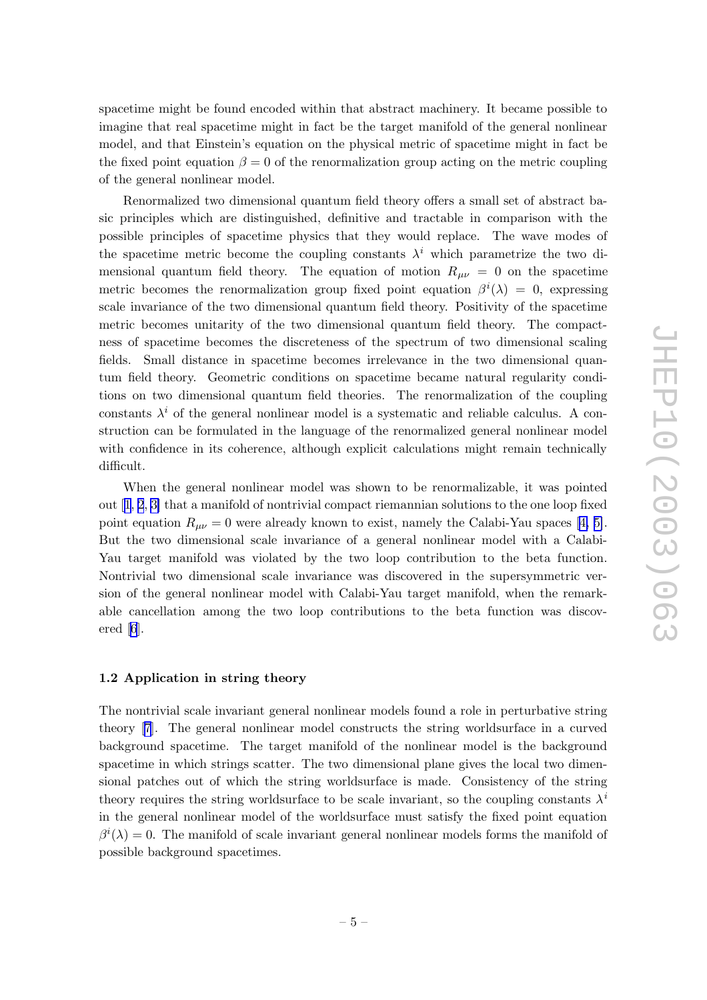<span id="page-5-0"></span>spacetime migh t b e found encoded within that abstract machinery . It became possible to imagine that real spacetime might in fact be the target manifold of the general nonlinear model, and that Einstein's equation on the physical metric of spacetime might in fact be the fixed point equation  $\beta = 0$  of the renormalization group acting on the metric coupling of the general nonlinear model.

Renormalized t w o dimensional quantum field theory offers a small set of abstract basic principles which are distinguished, definitive and tractable in comparison with the possible principles of spacetime physics that they would replace. The wave modes of the spacetime metric become the coupling constants  $\lambda^i$  which parametrize the two dimensional quantum field theory. The equation of motion  $R_{\mu\nu} = 0$  on the spacetime metric becomes the renormalization group fixed point equation  $\beta^{i}(\lambda) = 0$ , expressing scale invariance of the two dimensional quantum field theory. Positivity of the spacetime metric becomes unitarit y of the t w o dimensional quantum field theory . The compactness of spacetime becomes the discreteness of the spectrum of two dimensional scaling fields. Small distance in spacetime becomes irrelevance in the two dimensional quantum field theory. Geometric conditions on spacetime became natural regularity conditions on two dimensional quantum field theories. The renormalization of the coupling constants  $\lambda^i$  of the general nonlinear model is a systematic and reliable calculus. A construction can be formulated in the language of the renormalized general nonlinear model with confidence in its coherence, although explicit calculations might remain technically difficult.

When the general nonlinear model was shown to b e renormalizable, it was pointed out [[1](#page-97-0) , [2](#page-97-0) , [3](#page-97-0) ] that a manifold of nontrivial compact riemannian solutions to the one loop fixed point equation  $R_{\mu\nu} = 0$  were already known to exist, namely the Calabi-Yau spaces [[4](#page-97-0), [5\]](#page-97-0). But the t w o dimensional scale in variance of a general nonlinear model with a Calabi-Yau target manifold was violated by the two loop contribution to the beta function. Nontrivial t w o dimensional scale in variance was disco vered in the supersymmetric version of the general nonlinear model with Calabi-Yau target manifold, when the remarkable cancellation among the two loop contributions to the beta function was discovered [[6](#page-97-0)].

## 1.2 Application in string theory

The nontrivial scale in varian t general nonlinear models found a role in perturbativ e string theory [[7](#page-97-0)]. The general nonlinear model constructs the string worldsurface in a curved background spacetime. The target manifold of the nonlinear model is the background spacetime in which strings scatter. The two dimensional plane gives the local two dimensional patches out of which the string worldsurface is made. Consistency of the string theory requires the string worldsurface to be scale invariant, so the coupling constants  $\lambda^i$ in the general nonlinear model of the worldsurface must satisfy the fixed poin t equation  $\beta^{i}(\lambda) = 0$ . The manifold of scale invariant general nonlinear models forms the manifold of possible background spacetimes.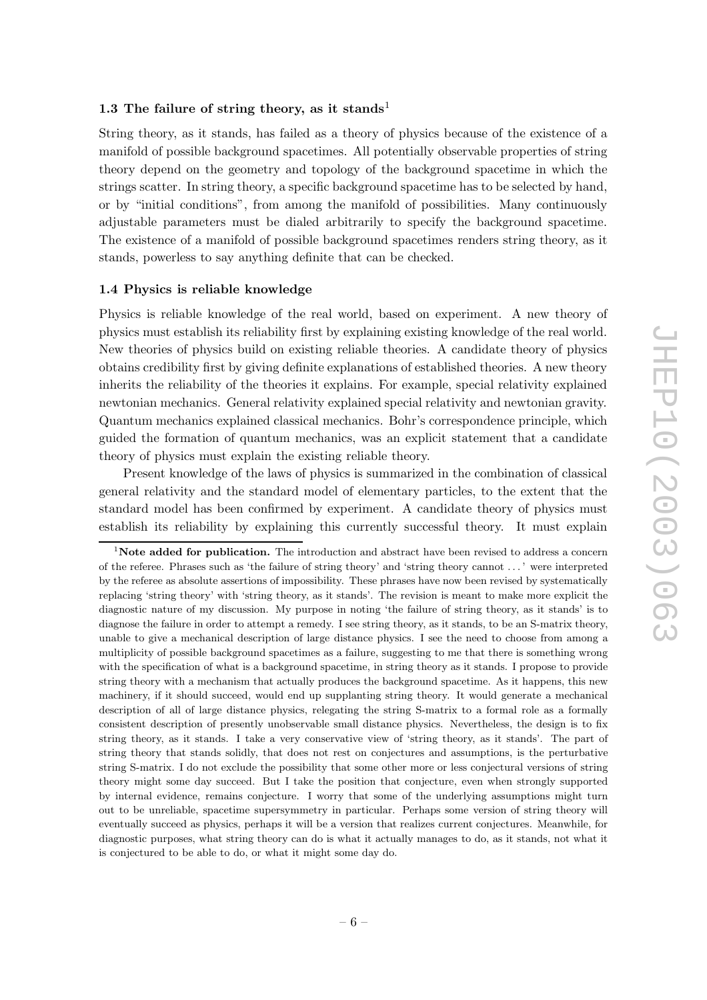## <span id="page-6-0"></span>1.3 The failure of string theory, as it stands<sup>1</sup>

String theory , as it stands, has failed as a theory of physics because of the existence of a manifold of possible background spacetimes. All potentially observable properties of string theory depend on the geometry and topology of the background spacetime in whic h the strings scatter. In string theory, a specific background spacetime has to be selected by hand, or b y "initial conditions", from among the manifold of possibilities. Man y continuously adjustable parameters must b e dialed arbitrarily to specify the background spacetime. The existence of a manifold of possible background spacetimes renders string theory , as it stands, p o werless to say anything definite that can b e chec ked.

#### 1.4 Physics is reliable knowledge

Physics is reliable knowledge of the real world, based on experiment. A new theory of physics must establish its reliabilit y first b y explaining existing knowledge of the real world. New theories of physics build on existing reliable theories. A candidate theory of physics obtains credibilit y first b y giving definite explanations of established theories. A new theory inherits the reliabilit y of the theories it explains. For example, special relativit y explained newtonian mechanics. General relativity explained special relativity and newtonian gravity. Quantum mechanics explained classical mechanics. Bohr's correspondence principle, whic h guided the formation of quantum mechanics, was an explicit statemen t that a candidate theory of physics must explain the existing reliable theory .

Presen t knowledge of the laws of physics is summarized in the combination of classical general relativit y and the standard model of elementary particles, to the exten t that the standard model has been confirmed b y experiment. A candidate theory of physics must establish its reliability by explaining this currently successful theory. It must explain

 ${}^{1}$ Note added for publication. The introduction and abstract have been revised to address a concern of the referee. Phrases such as 'the failure of string theory' and 'string theory cannot ...' were interpreted b y the referee as absolute assertions of impossibilit y . These phrases hav e no w been revised b y systematically replacing 'string theory' with 'string theory, as it stands'. The revision is meant to make more explicit the diagnostic nature of my discussion. My purpose in noting 'the failure of string theory, as it stands' is to diagnose the failure in order to attempt a remedy. I see string theory, as it stands, to be an S-matrix theory, unable to give a mechanical description of large distance physics. I see the need to choose from among a multiplicit y of possible background spacetimes as a failure, suggesting to me that there is something wrong with the specification of what is a background spacetime, in string theory as it stands. I propose to provide string theory with a mechanism that actually produces the background spacetime. As it happens, this new machinery , if it should succeed, would end up supplanting string theory . It would generate a mechanical description of all of large distance physics, relegating the string S-matrix to a formal role as a formally consisten t description of presently unobservable small distance physics. Nevertheless, the design is to fix string theory, as it stands. I take a very conservative view of 'string theory, as it stands'. The part of string theory that stands solidly , that does not rest on conjectures and assumptions, is the perturbativ e string S-matrix. I do not exclude the possibility that some other more or less conjectural versions of string theory migh t some day succeed. But I tak e the position that conjecture, even when strongly supported b y internal evidence, remains conjecture. I worry that some of the underlying assumptions migh t turn out to b e unreliable, spacetime supersymmetry in particular. Perhaps some version of string theory will eventually succeed as physics, perhaps it will b e a version that realizes curren t conjectures. Meanwhile, for diagnostic purposes, what string theory can do is what it actually manages to do, as it stands, not what it is conjectured to b e able to do, or what it migh t some day do.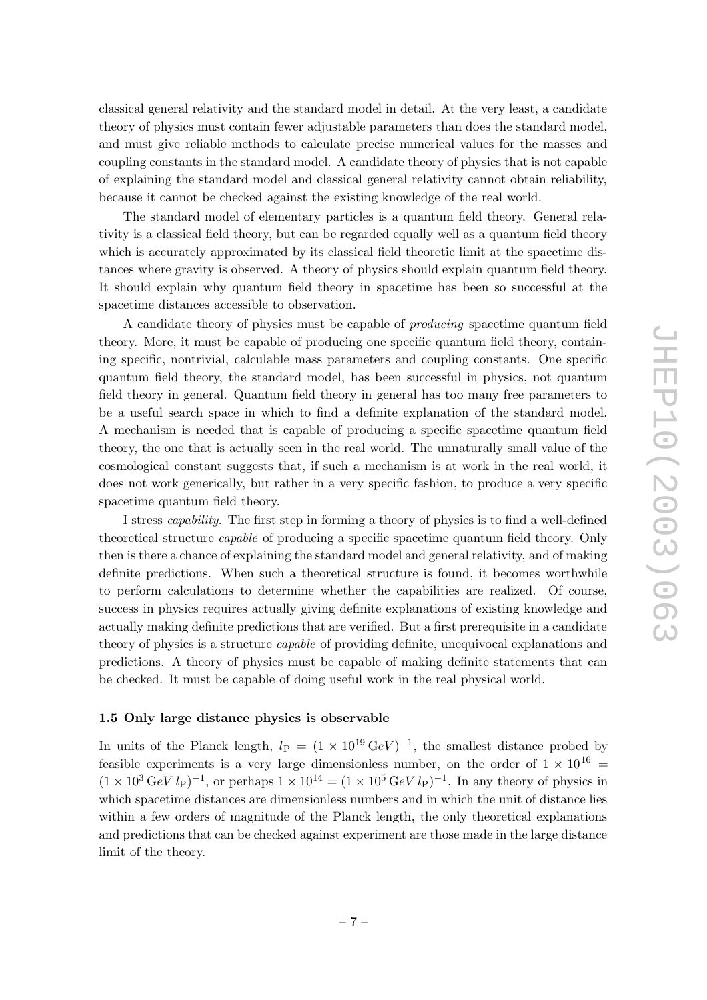<span id="page-7-0"></span>classical general relativit y and the standard model in detail. A t the very least, a candidate theory of physics must contain fewer adjustable parameters than does the standard model, and must giv e reliable methods to calculate precise numerical values for the masses and coupling constants in the standard model. A candidate theory of physics that is not capable of explaining the standard model and classical general relativity cannot obtain reliability, because it cannot b e chec ked against the existing knowledge of the real world.

The standard model of elementary particles is a quantum field theory . General relativity is a classical field theory, but can be regarded equally well as a quantum field theory which is accurately approximated by its classical field theoretic limit at the spacetime distances where gravity is observed. A theory of physics should explain quantum field theory. It should explain wh y quantum field theory in spacetime has been so successful at the spacetime distances accessible to observation.

A candidate theory of physics must be capable of producing spacetime quantum field theory . More, it must b e capable of producing one specific quantum field theory , containing specific, nontrivial, calculable mass parameters and coupling constants. One specific quantum field theory , the standard model, has been successful in physics, not quantum field theory in general. Quantum field theory in general has to o man y free parameters to b e a useful searc h space in whic h to find a definite explanation of the standard model. A mechanism is needed that is capable of producing a specific spacetime quantum field theory , the one that is actually seen in the real world. The unnaturally small value of the cosmological constan t suggests that, if suc h a mechanism is at work in the real world, it does not work generically , but rather in a very specific fashion, to produce a very specific spacetime quantum field theory .

I stress *capability*. The first step in forming a theory of physics is to find a well-defined theoretical structure *capable* of producing a specific spacetime quantum field theory. Only then is there a chance of explaining the standard model and general relativity, and of making definite predictions. When suc h a theoretical structure is found, it becomes worthwhile to perform calculations to determine whether the capabilities are realized. Of course, success in physics requires actually giving definite explanations of existing knowledge and actually making definite predictions that are verified. But a first prerequisite in a candidate theory of physics is a structure *capable* of providing definite, unequivocal explanations and predictions. A theory of physics must b e capable of making definite statements that can b e chec ked. It must b e capable of doing useful work in the real physical world.

## 1.5 Only large distance physics is observable

In units of the Planck length,  $l_P = (1 \times 10^{19} \text{ GeV})^{-1}$ , the smallest distance probed by feasible experiments is a very large dimensionless number, on the order of  $1 \times 10^{16}$  =  $(1 \times 10^3 \text{ GeV } l_P)^{-1}$ , or perhaps  $1 \times 10^{14} = (1 \times 10^5 \text{ GeV } l_P)^{-1}$ . In any theory of physics in whic h spacetime distances are dimensionless num bers and in whic h the unit of distance lies within a few orders of magnitude of the Planck length, the only theoretical explanations and predictions that can b e chec ked against experimen t are those made in the large distance limit of the theory .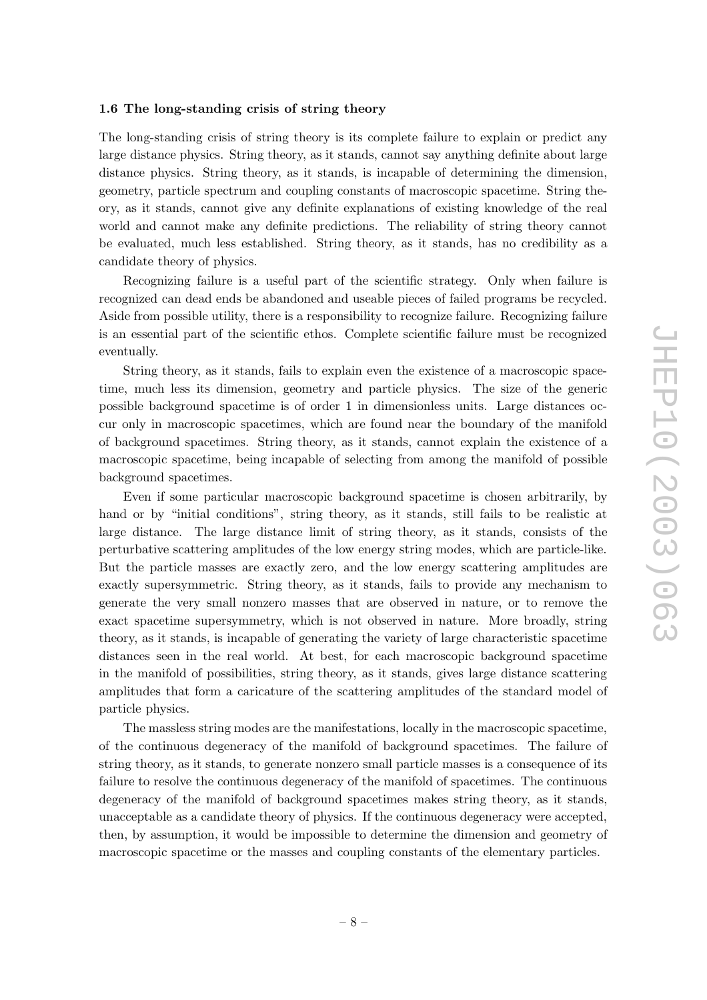## <span id="page-8-0"></span>1.6 The long-standing crisis of string theory

The long-standing crisis of string theory is its complete failure to explain or predict an y large distance physics. String theory , as it stands, cannot say anything definite about large distance physics. String theory , as it stands, is incapable of determining the dimension, geometry , particle spectrum and coupling constants of macroscopic spacetime. String theory, as it stands, cannot give any definite explanations of existing knowledge of the real world and cannot make any definite predictions. The reliability of string theory cannot be evaluated, much less established. String theory, as it stands, has no credibility as a candidate theory of physics.

Recognizing failure is a useful part of the scientific strategy . Only when failure is recognized can dead ends b e abandoned and useable pieces of failed programs b e recycled. Aside from possible utility, there is a responsibility to recognize failure. Recognizing failure is an essential part of the scientific ethos. Complete scientific failure must b e recognized eventually .

String theory , as it stands, fails to explain even the existence of a macroscopic spacetime, much less its dimension, geometry and particle physics. The size of the generic possible background spacetime is of order 1 in dimensionless units. Large distances occur only in macroscopic spacetimes, which are found near the boundary of the manifold of background spacetimes. String theory , as it stands, cannot explain the existence of a macroscopic spacetime, being incapable of selecting from among the manifold of possible background spacetimes.

Even if some particular macroscopic background spacetime is chosen arbitrarily, by hand or by "initial conditions", string theory, as it stands, still fails to be realistic at large distance. The large distance limit of string theory , as it stands, consists of the perturbativ e scattering amplitudes of the lo w energy string modes, whic h are particle-like. But the particle masses are exactly zero, and the lo w energy scattering amplitudes are exactly supersymmetric. String theory, as it stands, fails to provide any mechanism to generate the very small nonzero masses that are observed in nature, or to remove the exact spacetime supersymmetry , whic h is not observed in nature. More broadly , string theory , as it stands, is incapable of generating the variet y of large characteristic spacetime distances seen in the real world. At best, for each macroscopic background spacetime in the manifold of possibilities, string theory , as it stands, gives large distance scattering amplitudes that form a caricature of the scattering amplitudes of the standard model of particle physics.

The massless string modes are the manifestations, locally in the macroscopic spacetime, of the continuous degeneracy of the manifold of background spacetimes. The failure of string theory , as it stands, to generate nonzero small particle masses is a consequence of its failure to resolv e the continuous degeneracy of the manifold of spacetimes. The continuous degeneracy of the manifold of background spacetimes makes string theory , as it stands, unacceptable as a candidate theory of physics. If the continuous degeneracy were accepted, then, b y assumption, it would b e impossible to determine the dimension and geometry of macroscopic spacetime or the masses and coupling constants of the elementary particles.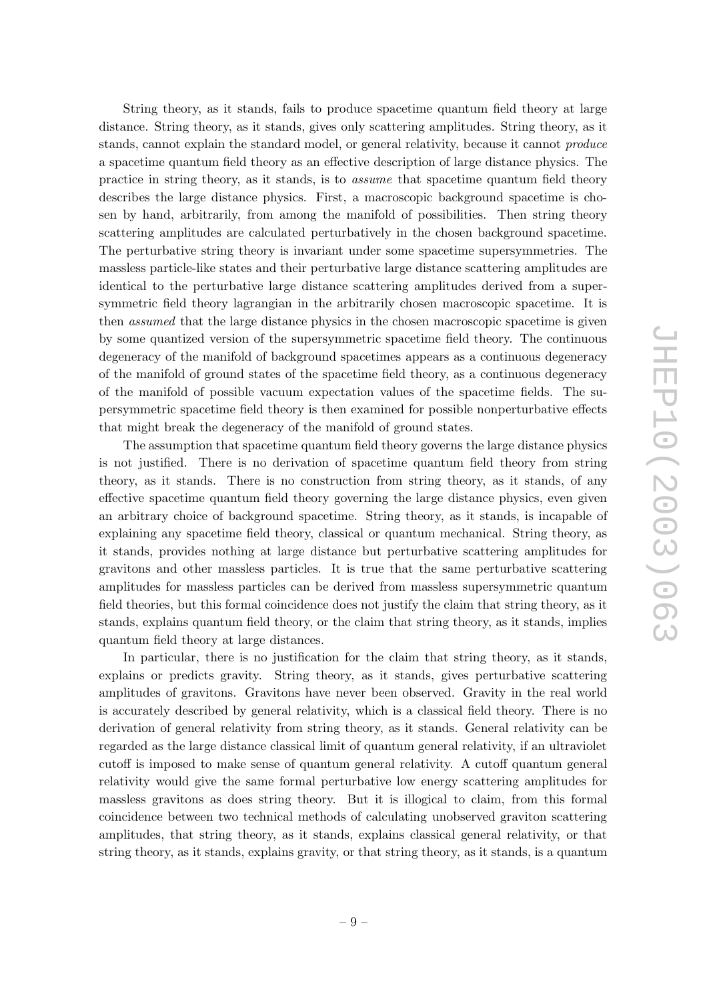String theory , as it stands, fails to produce spacetime quantum field theory at large distance. String theory, as it stands, gives only scattering amplitudes. String theory, as it stands, cannot explain the standard model, or general relativity, because it cannot *produce* a spacetime quantum field theory as an effectiv e description of large distance physics. The practice in string theory , as it stands, is to assume that spacetime quantum field theory describes the large distance physics. First, a macroscopic background spacetime is chosen by hand, arbitrarily, from among the manifold of possibilities. Then string theory scattering amplitudes are calculated perturbatively in the chosen background spacetime. The perturbativ e string theory is in varian t under some spacetime supersymmetries. The massless particle-lik e states and their perturbativ e large distance scattering amplitudes are identical to the perturbativ e large distance scattering amplitudes derived from a supersymmetric field theory lagrangian in the arbitrarily chosen macroscopic spacetime. It is then *assumed* that the large distance physics in the chosen macroscopic spacetime is given b y some quantized version of the supersymmetric spacetime field theory . The continuous degeneracy of the manifold of background spacetimes appears as a continuous degeneracy of the manifold of ground states of the spacetime field theory , as a continuous degeneracy of the manifold of possible vacuum expectation values of the spacetime fields. The supersymmetric spacetime field theory is then examined for possible nonperturbative effects that migh t break the degeneracy of the manifold of ground states.

The assumption that spacetime quantum field theory go verns the large distance physics is not justified. There is no derivation of spacetime quantum field theory from string theory, as it stands. There is no construction from string theory, as it stands, of any effectiv e spacetime quantum field theory go verning the large distance physics, even given an arbitrary choice of background spacetime. String theory , as it stands, is incapable of explaining any spacetime field theory, classical or quantum mechanical. String theory, as it stands, provides nothing at large distance but perturbativ e scattering amplitudes for gravitons and other massless particles. It is true that the same perturbativ e scattering amplitudes for massless particles can b e derived from massless supersymmetric quantum field theories, but this formal coincidence does not justify the claim that string theory , as it stands, explains quantum field theory , or the claim that string theory , as it stands, implies quantum field theory at large distances.

In particular, there is no justification for the claim that string theory , as it stands, explains or predicts gravit y . String theory , as it stands, gives perturbativ e scattering amplitudes of gravitons. Gravitons have never been observed. Gravity in the real world is accurately described b y general relativit y , whic h is a classical field theory . There is no derivation of general relativity from string theory, as it stands. General relativity can be regarded as the large distance classical limit of quantum general relativit y , if an ultraviolet cutoff is imposed to mak e sense of quantum general relativit y . A cutoff quantum general relativit y would giv e the same formal perturbativ e lo w energy scattering amplitudes for massless gravitons as does string theory . But it is illogical to claim, from this formal coincidence bet ween t w o technical methods of calculating unobserved graviton scattering amplitudes, that string theory, as it stands, explains classical general relativity, or that string theory, as it stands, explains gravity, or that string theory, as it stands, is a quantum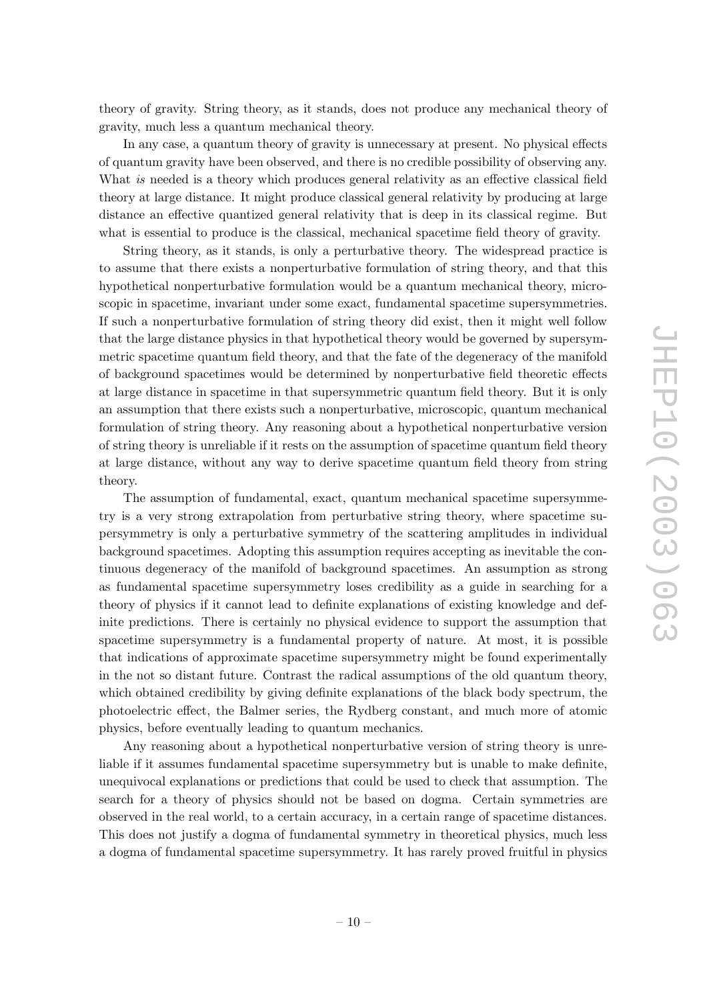theory of gravit y . String theory , as it stands, does not produce an y mechanical theory of gravit y , muc h less a quantum mechanical theory .

In an y case, a quantum theory of gravit y is unnecessary at present. No physical effects of quantum gravity have been observed, and there is no credible possibility of observing any. What *is* needed is a theory which produces general relativity as an effective classical field theory at large distance. It might produce classical general relativity by producing at large distance an effective quantized general relativity that is deep in its classical regime. But what is essential to produce is the classical, mechanical spacetime field theory of gravity.

String theory , as it stands, is only a perturbativ e theory . The widespread practice is to assume that there exists a nonperturbativ e formulation of string theory , and that this hypothetical nonperturbative formulation would be a quantum mechanical theory, microscopic in spacetime, invariant under some exact, fundamental spacetime supersymmetries. If suc h a nonperturbativ e formulation of string theory did exist, then it migh t well follo w that the large distance physics in that hypothetical theory would be governed by supersymmetric spacetime quantum field theory, and that the fate of the degeneracy of the manifold of background spacetimes would b e determined b y nonperturbativ e field theoretic effects at large distance in spacetime in that supersymmetric quantum field theory . But it is only an assumption that there exists suc h a nonperturbative, microscopic, quantum mechanical formulation of string theory . An y reasoning about a hypothetical nonperturbativ e version of string theory is unreliable if it rests on the assumption of spacetime quantum field theory at large distance, without an y w ay to deriv e spacetime quantum field theory from string theory .

The assumption of fundamental, exact, quantum mechanical spacetime supersymmetry is a very strong extrapolation from perturbative string theory, where spacetime su persymmetry is only a perturbative symmetry of the scattering amplitudes in individual background spacetimes. Adopting this assumption requires accepting as inevitable the continuous degeneracy of the manifold of background spacetimes. An assumption as strong as fundamental spacetime supersymmetry loses credibilit y as a guide in searching for a theory of physics if it cannot lead to definite explanations of existing knowledge and definite predictions. There is certainly no physical evidence to support the assumption that spacetime supersymmetry is a fundamental property of nature. At most, it is possible that indications of approximate spacetime supersymmetry migh t b e found experimentally in the not so distan t future. Contrast the radical assumptions of the old quantum theory , which obtained credibility by giving definite explanations of the black body spectrum, the photoelectric effect, the Balmer series, the Rydberg constant, and muc h more of atomic physics, before eventually leading to quantum mechanics.

An y reasoning about a hypothetical nonperturbativ e version of string theory is unreliable if it assumes fundamental spacetime supersymmetry but is unable to make definite, unequiv ocal explanations or predictions that could b e used to chec k that assumption. The searc h for a theory of physics should not b e based on dogma. Certain symmetries are observed in the real world, to a certain accuracy , in a certain range of spacetime distances. This does not justify a dogma of fundamental symmetry in theoretical physics, muc h less a dogma of fundamental spacetime supersymmetry. It has rarely proved fruitful in physics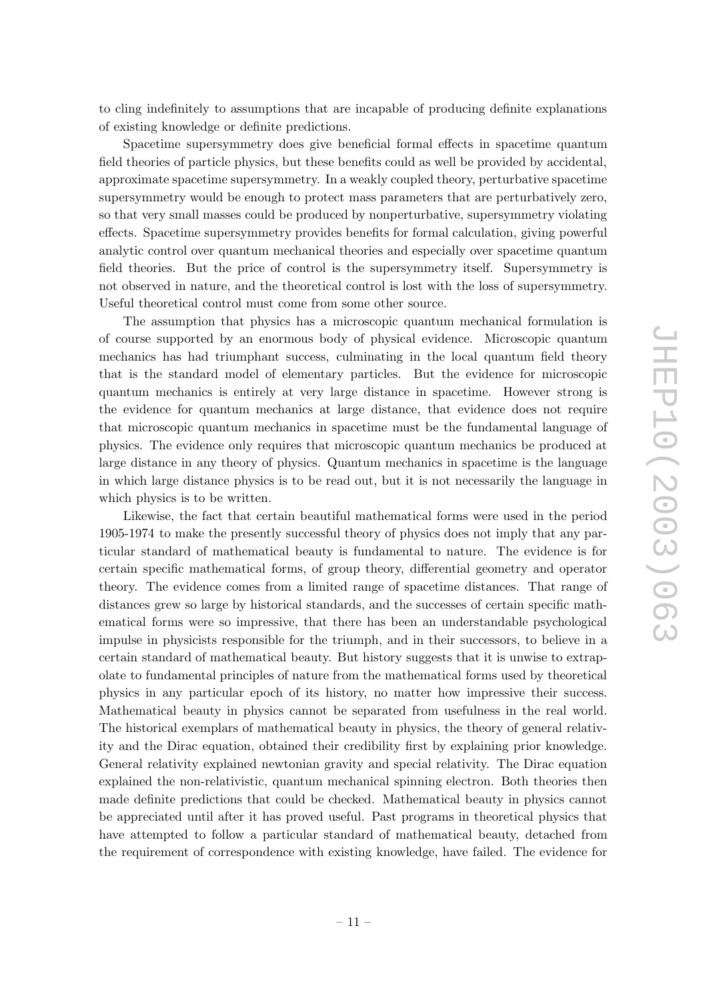to cling indefinitely to assumptions that are incapable of producing definite explanations of existing knowledge or definite predictions.

Spacetime supersymmetry does giv e beneficial formal effects in spacetime quantum field theories of particle physics, but these benefits could as well be provided by accidental, approximate spacetime supersymmetry . In a weakly coupled theory , perturbativ e spacetime supersymmetry would b e enough to protect mass parameters that are perturbatively zero, so that very small masses could b e produced b y nonperturbative, supersymmetry violating effects. Spacetime supersymmetry provides benefits for formal calculation, giving p o werful analytic control o ver quantum mechanical theories and especially o ver spacetime quantum field theories. But the price of control is the supersymmetry itself. Supersymmetry is not observed in nature, and the theoretical control is lost with the loss of supersymmetry . Useful theoretical control must come from some other source.

The assumption that physics has a microscopic quantum mechanical formulation is of course supported b y an enormous b ody of physical evidence. Microscopic quantum mechanics has had triumphan t success, culminating in the local quantum field theory that is the standard model of elementary particles. But the evidence for microscopic quantum mechanics is entirely at very large distance in spacetime. Ho wever strong is the evidence for quantum mechanics at large distance, that evidence does not require that microscopic quantum mechanics in spacetime must b e the fundamental language of physics. The evidence only requires that microscopic quantum mechanics b e produced at large distance in an y theory of physics. Quantum mechanics in spacetime is the language in whic h large distance physics is to b e read out, but it is not necessarily the language in whic h physics is to b e written.

Likewise, the fact that certain beautiful mathematical forms were used in the period 1905-1974 to mak e the presently successful theory of physics does not imply that an y particular standard of mathematical beauty is fundamental to nature. The evidence is for certain specific mathematical forms, of group theory , differential geometry and operator theory . The evidence comes from a limited range of spacetime distances. That range of distances grew so large by historical standards, and the successes of certain specific mathematical forms were so impressive, that there has been an understandable psychological impulse in physicists responsible for the triumph, and in their successors, to believe in a certain standard of mathematical beaut y . But history suggests that it is unwise to extrapolate to fundamental principles of nature from the mathematical forms used by theoretical physics in any particular epoch of its history, no matter how impressive their success. Mathematical beaut y in physics cannot b e separated from usefulness in the real world. The historical exemplars of mathematical beaut y in physics, the theory of general relativity and the Dirac equation, obtained their credibility first by explaining prior knowledge. General relativity explained newtonian gravity and special relativity. The Dirac equation explained the non-relativistic, quantum mechanical spinning electron. Both theories then made definite predictions that could b e chec ked. Mathematical beaut y in physics cannot be appreciated until after it has proved useful. Past programs in theoretical physics that have attempted to follow a particular standard of mathematical beauty, detached from the requiremen t of correspondence with existing knowledge, hav e failed. The evidence for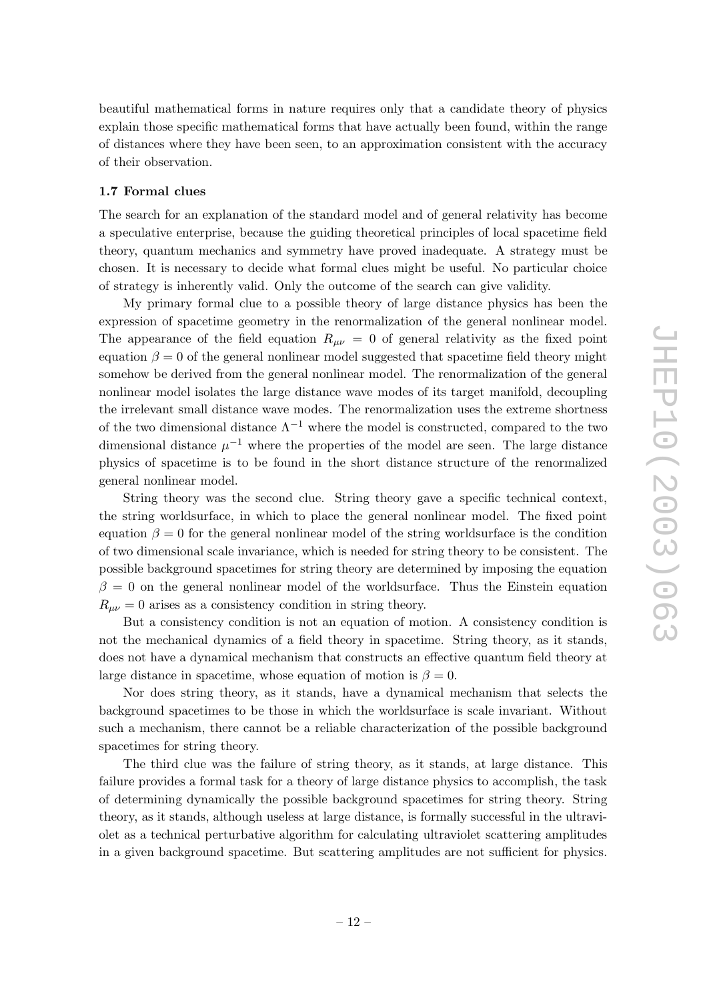<span id="page-12-0"></span>beautiful mathematical forms in nature requires only that a candidate theory of physics explain those specific mathematical forms that hav e actually been found, within the range of distances where they hav e been seen, to an approximation consisten t with the accuracy of their observation.

## 1.7 Formal clues

The search for an explanation of the standard model and of general relativity has become a speculativ e enterprise, because the guiding theoretical principles of local spacetime field theory, quantum mechanics and symmetry have proved inadequate. A strategy must be chosen. It is necessary to decide what formal clues migh t b e useful. No particular choice of strategy is inherently valid. Only the outcome of the search can give validity.

My primary formal clue to a possible theory of large distance physics has been the expression of spacetime geometry in the renormalization of the general nonlinear model. The appearance of the field equation  $R_{\mu\nu} = 0$  of general relativity as the fixed point equation  $\beta = 0$  of the general nonlinear model suggested that spacetime field theory might someho w b e derived from the general nonlinear model. The renormalization of the general nonlinear model isolates the large distance wave modes of its target manifold, decoupling the irrelevan t small distance w av e modes. The renormalization uses the extreme shortness of the two dimensional distance  $\Lambda^{-1}$  where the model is constructed, compared to the two dimensional distance  $\mu^{-1}$  where the properties of the model are seen. The large distance physics of spacetime is to b e found in the short distance structure of the renormalized general nonlinear model.

String theory was the second clue. String theory gav e a specific technical context, the string worldsurface, in which to place the general nonlinear model. The fixed point equation  $\beta = 0$  for the general nonlinear model of the string worldsurface is the condition of t w o dimensional scale in variance, whic h is needed for string theory to b e consistent. The possible background spacetimes for string theory are determined by imposing the equation  $\beta = 0$  on the general nonlinear model of the worldsurface. Thus the Einstein equation  $R_{\mu\nu} = 0$  arises as a consistency condition in string theory.

But a consistency condition is not an equation of motion. A consistency condition is not the mechanical dynamics of a field theory in spacetime. String theory , as it stands, does not hav e a dynamical mechanism that constructs an effectiv e quantum field theory at large distance in spacetime, whose equation of motion is  $\beta = 0$ .

Nor does string theory , as it stands, hav e a dynamical mechanism that selects the background spacetimes to b e those in whic h the worldsurface is scale in variant. Without such a mechanism, there cannot be a reliable characterization of the possible background spacetimes for string theory .

The third clue was the failure of string theory , as it stands, at large distance. This failure provides a formal task for a theory of large distance physics to accomplish, the task of determining dynamically the possible background spacetimes for string theory . String theory , as it stands, although useless at large distance, is formally successful in the ultraviolet as a technical perturbative algorithm for calculating ultraviolet scattering amplitudes in a given background spacetime. But scattering amplitudes are not sufficien t for physics.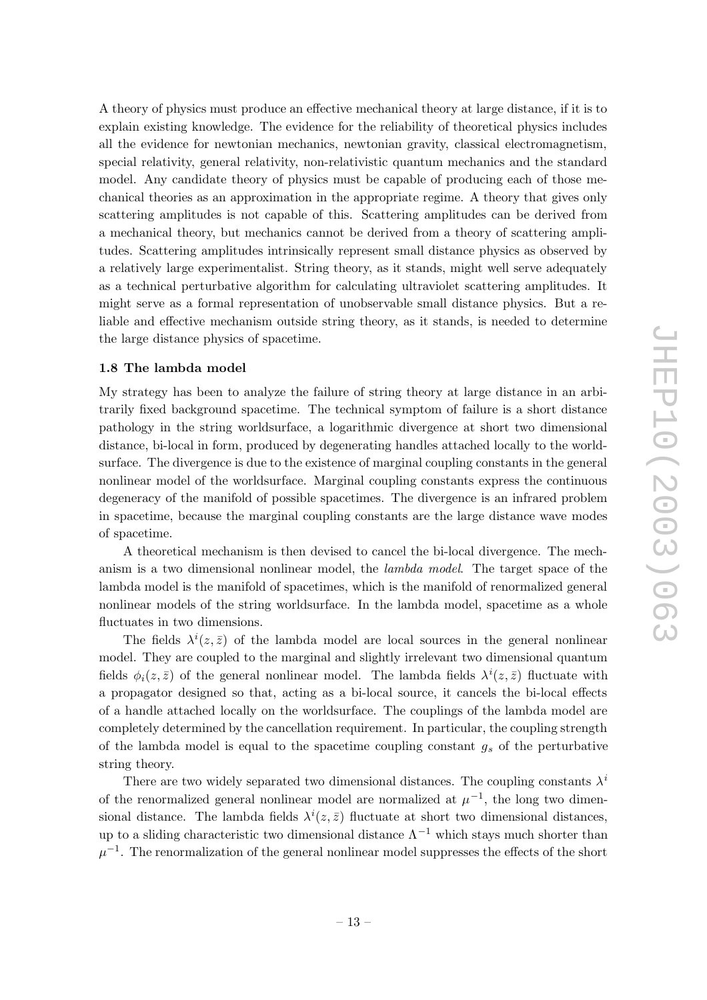<span id="page-13-0"></span>A theory of physics must produce an effectiv e mechanical theory at large distance, if it is to explain existing knowledge. The evidence for the reliability of theoretical physics includes all the evidence for newtonian mechanics, newtonian gravity, classical electromagnetism, special relativity, general relativity, non-relativistic quantum mechanics and the standard model. An y candidate theory of physics must b e capable of producing eac h of those mechanical theories as an approximation in the appropriate regime. A theory that gives only scattering amplitudes is not capable of this. Scattering amplitudes can be derived from a mechanical theory , but mechanics cannot b e derived from a theory of scattering amplitudes. Scattering amplitudes intrinsically represent small distance physics as observed by a relatively large experimentalist. String theory, as it stands, might well serve adequately as a technical perturbativ e algorithm for calculating ultraviolet scattering amplitudes. It migh t serv e as a formal representation of unobservable small distance physics. But a reliable and effective mechanism outside string theory, as it stands, is needed to determine the large distance physics of spacetime.

#### 1.8 The lam bda model

My strategy has been to analyze the failure of string theory at large distance in an arbitrarily fixed background spacetime. The technical symptom of failure is a short distance pathology in the string worldsurface, a logarithmic divergence at short t w o dimensional distance, bi-local in form, produced by degenerating handles attached locally to the worldsurface. The divergence is due to the existence of marginal coupling constants in the general nonlinear model of the worldsurface. Marginal coupling constants express the continuous degeneracy of the manifold of possible spacetimes. The divergence is an infrared problem in spacetime, because the marginal coupling constants are the large distance w av e modes of spacetime.

A theoretical mechanism is then devised to cancel the bi-local divergence. The mechanism is a two dimensional nonlinear model, the lambda model. The target space of the lam bda model is the manifold of spacetimes, whic h is the manifold of renormalized general nonlinear models of the string worldsurface. In the lam bda model, spacetime as a whole fluctuates in t w o dimensions.

The fields  $\lambda^{i}(z,\bar{z})$  of the lambda model are local sources in the general nonlinear model. They are coupled to the marginal and slightly irrelevant two dimensional quantum fields  $\phi_i(z,\bar{z})$  of the general nonlinear model. The lambda fields  $\lambda^i(z,\bar{z})$  fluctuate with a propagator designed so that, acting as a bi-local source, it cancels the bi-local effects of a handle attached locally on the worldsurface. The couplings of the lam bda model are completely determined b y the cancellation requirement. In particular, the coupling strength of the lambda model is equal to the spacetime coupling constant  $g_s$  of the perturbative string theory .

There are two widely separated two dimensional distances. The coupling constants  $\lambda^i$ of the renormalized general nonlinear model are normalized at  $\mu^{-1}$ , the long two dimensional distance. The lambda fields  $\lambda^{i}(z, \bar{z})$  fluctuate at short two dimensional distances, up to a sliding characteristic two dimensional distance  $\Lambda^{-1}$  which stays much shorter than  $\mu^{-1}$ . The renormalization of the general nonlinear model suppresses the effects of the short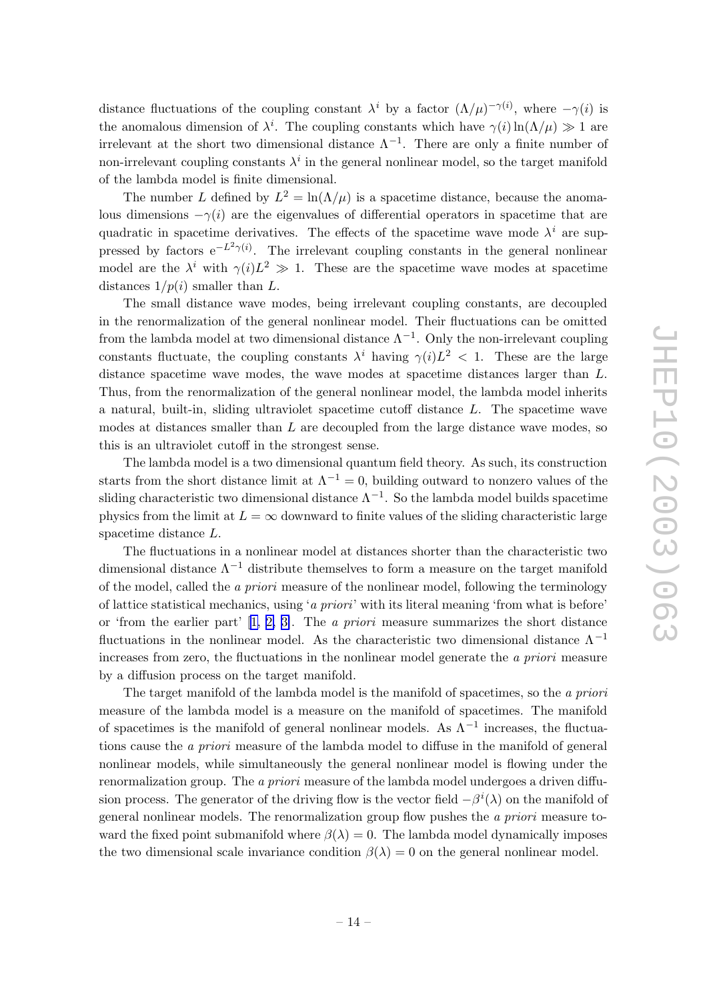distance fluctuations of the coupling constant  $\lambda^i$  by a factor  $(\Lambda/\mu)^{-\gamma(i)}$ , where  $-\gamma(i)$  is the anomalous dimension of  $\lambda^i$ . The coupling constants which have  $\gamma(i) \ln(\Lambda/\mu) \gg 1$  are irrelevant at the short two dimensional distance  $\Lambda^{-1}$ . There are only a finite number of non-irrelevant coupling constants  $\lambda^i$  in the general nonlinear model, so the target manifold of the lam bda model is finite dimensional.

The number L defined by  $L^2 = \ln(\Lambda/\mu)$  is a spacetime distance, because the anomalous dimensions  $-\gamma(i)$  are the eigenvalues of differential operators in spacetime that are quadratic in spacetime derivatives. The effects of the spacetime wave mode  $\lambda^{i}$  are suppressed by factors  $e^{-L^2\gamma(i)}$ . The irrelevant coupling constants in the general nonlinear model are the  $\lambda^i$  with  $\gamma(i) L^2 \gg 1$ . These are the spacetime wave modes at spacetime distances  $1/p(i)$  smaller than L.

The small distance w av e modes, being irrelevan t coupling constants, are decoupled in the renormalization of the general nonlinear model. Their fluctuations can b e omitted from the lambda model at two dimensional distance  $\Lambda^{-1}$ . Only the non-irrelevant coupling constants fluctuate, the coupling constants  $\lambda^i$  having  $\gamma(i) L^2 < 1$ . These are the large distance spacetime wave modes, the wave modes at spacetime distances larger than L. Thus, from the renormalization of the general nonlinear model, the lam bda model inherits a natural, built-in, sliding ultraviolet spacetime cutoff distance L. The spacetime wave modes at distances smaller than  $L$  are decoupled from the large distance wave modes, so this is an ultraviolet cutoff in the strongest sense.

The lam bda model is a t w o dimensional quantum field theory . As such, its construction starts from the short distance limit at  $\Lambda^{-1} = 0$ , building outward to nonzero values of the sliding characteristic two dimensional distance  $\Lambda^{-1}$ . So the lambda model builds spacetime physics from the limit at  $L = \infty$  downward to finite values of the sliding characteristic large spacetime distance L.

The fluctuations in a nonlinear model at distances shorter than the characteristic two dimensional distance  $\Lambda^{-1}$  distribute themselves to form a measure on the target manifold of the model, called the *a priori* measure of the nonlinear model, following the terminology of lattice statistical mechanics, using '*a priori*' with its literal meaning 'from what is before' or 'from the earlier part' [\[1](#page-97-0), [2](#page-97-0), [3\]](#page-97-0). The *a priori* measure summarizes the short distance fluctuations in the nonlinear model. As the characteristic two dimensional distance  $\Lambda^{-1}$ increases from zero, the fluctuations in the nonlinear model generate the a priori measure b y a diffusion process on the target manifold.

The target manifold of the lambda model is the manifold of spacetimes, so the a priori measure of the lam bda model is a measure on the manifold of spacetimes. The manifold of spacetimes is the manifold of general nonlinear models. As  $\Lambda^{-1}$  increases, the fluctuations cause the a priori measure of the lambda model to diffuse in the manifold of general nonlinear models, while simultaneously the general nonlinear model is flowing under the renormalization group. The *a priori* measure of the lambda model undergoes a driven diffusion process. The generator of the driving flow is the vector field  $-\beta^{i}(\lambda)$  on the manifold of general nonlinear models. The renormalization group flow pushes the *a priori* measure toward the fixed point submanifold where  $\beta(\lambda) = 0$ . The lambda model dynamically imposes the two dimensional scale invariance condition  $\beta(\lambda) = 0$  on the general nonlinear model.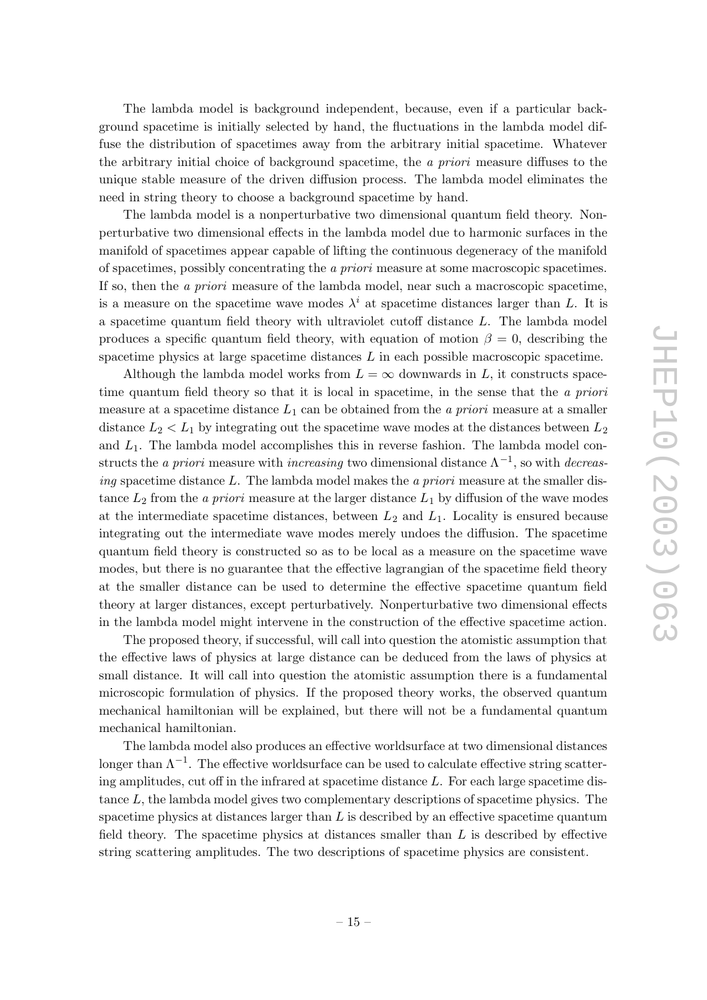The lam bda model is background independent, because, even if a particular background spacetime is initially selected by hand, the fluctuations in the lambda model diffuse the distribution of spacetimes away from the arbitrary initial spacetime. Whatever the arbitrary initial choice of background spacetime, the a priori measure diffuses to the unique stable measure of the driven diffusion process. The lam bda model eliminates the need in string theory to choose a background spacetime b y hand.

The lam bda model is a nonperturbativ e t w o dimensional quantum field theory . Nonperturbative two dimensional effects in the lambda model due to harmonic surfaces in the manifold of spacetimes appear capable of lifting the continuous degeneracy of the manifold of spacetimes, possibly concentrating the a priori measure at some macroscopic spacetimes. If so, then the *a priori* measure of the lambda model, near such a macroscopic spacetime, is a measure on the spacetime wave modes  $\lambda^{i}$  at spacetime distances larger than L. It is a spacetime quantum field theory with ultraviolet cutoff distance L. The lambda model produces a specific quantum field theory, with equation of motion  $\beta = 0$ , describing the spacetime physics at large spacetime distances L in each possible macroscopic spacetime.

Although the lambda model works from  $L = \infty$  downwards in L, it constructs spacetime quantum field theory so that it is local in spacetime, in the sense that the a priori measure at a spacetime distance  $L_1$  can be obtained from the *a priori* measure at a smaller distance  $L_2 < L_1$  by integrating out the spacetime wave modes at the distances between  $L_2$ and  $L_1$ . The lambda model accomplishes this in reverse fashion. The lambda model constructs the a priori measure with increasing two dimensional distance  $\Lambda^{-1}$ , so with decreasing spacetime distance  $L$ . The lambda model makes the *a priori* measure at the smaller distance  $L_2$  from the *a priori* measure at the larger distance  $L_1$  by diffusion of the wave modes at the intermediate spacetime distances, between  $L_2$  and  $L_1$ . Locality is ensured because integrating out the intermediate w av e modes merely undoes the diffusion. The spacetime quantum field theory is constructed so as to b e local as a measure on the spacetime w av e modes, but there is no guarantee that the effectiv e lagrangian of the spacetime field theory at the smaller distance can b e used to determine the effectiv e spacetime quantum field theory at larger distances, except perturbatively . Nonperturbativ e t w o dimensional effects in the lam bda model migh t intervene in the construction of the effectiv e spacetime action.

The proposed theory , if successful, will call into question the atomistic assumption that the effectiv e laws of physics at large distance can b e deduced from the laws of physics at small distance. It will call into question the atomistic assumption there is a fundamental microscopic formulation of physics. If the proposed theory works, the observed quantum mechanical hamiltonian will b e explained, but there will not b e a fundamental quantum mechanical hamiltonian.

The lam bda model also produces an effectiv e worldsurface at t w o dimensional distances longer than  $\Lambda^{-1}$ . The effective worldsurface can be used to calculate effective string scattering amplitudes, cut off in the infrared at spacetime distance L. For each large spacetime distance L, the lambda model gives two complementary descriptions of spacetime physics. The spacetime physics at distances larger than  $L$  is described by an effective spacetime quantum field theory. The spacetime physics at distances smaller than  $L$  is described by effective string scattering amplitudes. The t w o descriptions of spacetime physics are consistent.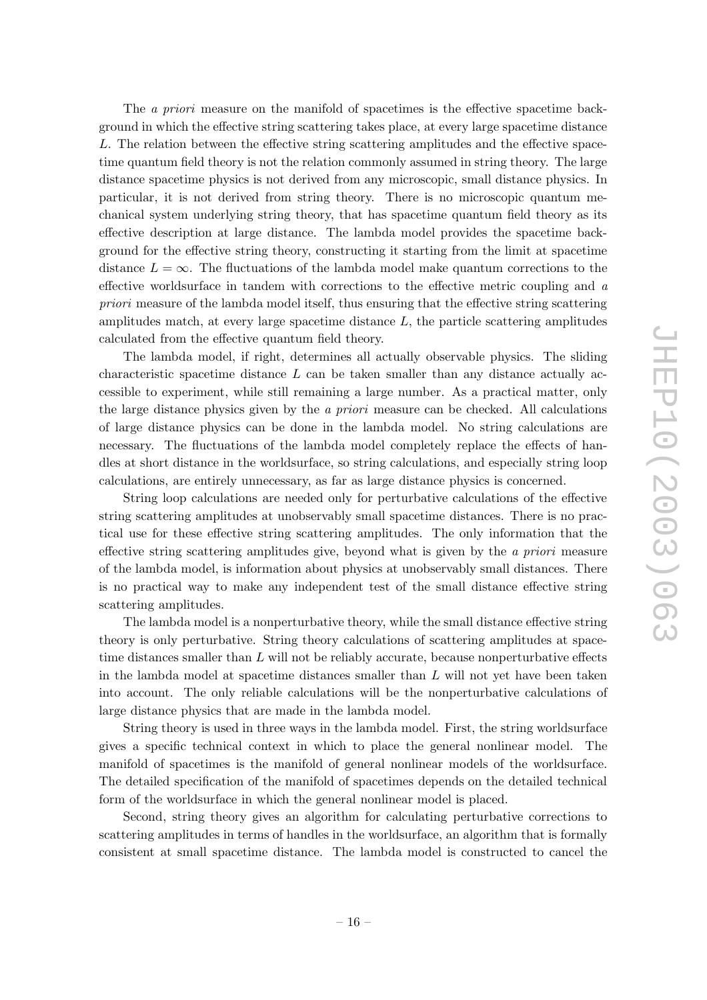The *a priori* measure on the manifold of spacetimes is the effective spacetime background in which the effective string scattering takes place, at every large spacetime distance L. The relation between the effective string scattering amplitudes and the effective spacetime quantum field theory is not the relation commonly assumed in string theory. The large distance spacetime physics is not derived from an y microscopic, small distance physics. In particular, it is not derived from string theory . There is no microscopic quantum mechanical system underlying string theory, that has spacetime quantum field theory as its effectiv e description at large distance. The lam bda model provides the spacetime background for the effective string theory, constructing it starting from the limit at spacetime distance  $L = \infty$ . The fluctuations of the lambda model make quantum corrections to the effective worldsurface in tandem with corrections to the effective metric coupling and a priori measure of the lambda model itself, thus ensuring that the effective string scattering amplitudes match, at every large spacetime distance L , the particle scattering amplitudes calculated from the effectiv e quantum field theory .

The lam bda model, if right, determines all actually observable physics. The sliding characteristic spacetime distance  $L$  can be taken smaller than any distance actually accessible to experiment, while still remaining a large number. As a practical matter, only the large distance physics given by the *a priori* measure can be checked. All calculations of large distance physics can b e done in the lam bda model. No string calculations are necessary . The fluctuations of the lam bda model completely replace the effects of handles at short distance in the worldsurface, so string calculations, and especially string loop calculations, are entirely unnecessary , as far as large distance physics is concerned.

String loop calculations are needed only for perturbative calculations of the effective string scattering amplitudes at unobservably small spacetime distances. There is no practical use for these effective string scattering amplitudes. The only information that the effective string scattering amplitudes give, beyond what is given by the *a priori* measure of the lam bda model, is information about physics at unobservably small distances. There is no practical w ay to mak e an y independen t test of the small distance effectiv e string scattering amplitudes.

The lam bda model is a nonperturbativ e theory , while the small distance effectiv e string theory is only perturbative. String theory calculations of scattering amplitudes at spacetime distances smaller than  $L$  will not be reliably accurate, because nonperturbative effects in the lambda model at spacetime distances smaller than  $L$  will not yet have been taken into account. The only reliable calculations will b e the nonperturbativ e calculations of large distance physics that are made in the lam bda model.

String theory is used in three w ays in the lam bda model. First, the string worldsurface gives a specific technical context in whic h to place the general nonlinear model. The manifold of spacetimes is the manifold of general nonlinear models of the worldsurface. The detailed specification of the manifold of spacetimes depends on the detailed technical form of the worldsurface in whic h the general nonlinear model is placed.

Second, string theory gives an algorithm for calculating perturbativ e corrections to scattering amplitudes in terms of handles in the worldsurface, an algorithm that is formally consisten t at small spacetime distance. The lam bda model is constructed to cancel the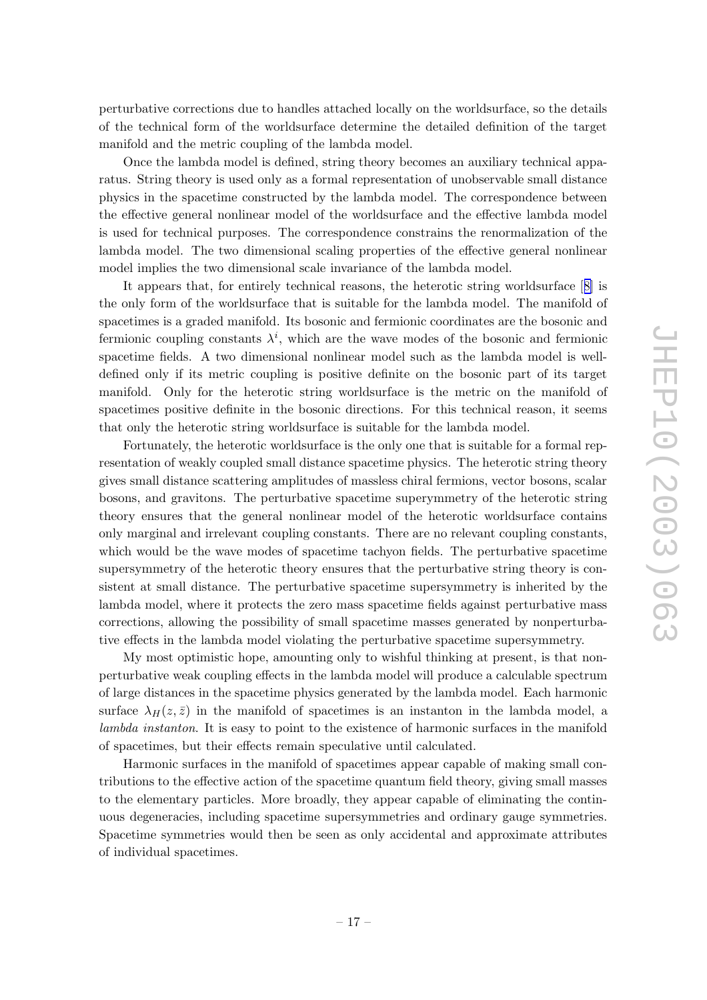perturbativ e corrections due to handles attached locally on the worldsurface, so the details of the technical form of the worldsurface determine the detailed definition of the target manifold and the metric coupling of the lam bda model.

Once the lam bda model is defined, string theory becomes an auxiliary technical apparatus. String theory is used only as a formal representation of unobservable small distance physics in the spacetime constructed b y the lam bda model. The correspondence bet ween the effective general nonlinear model of the worldsurface and the effective lambda model is used for technical purposes. The correspondence constrains the renormalization of the lam bda model. The t w o dimensional scaling properties of the effectiv e general nonlinear model implies the t w o dimensional scale in variance of the lam bda model.

It appears that, for entirely technical reasons, the heterotic string worldsurface [[8](#page-97-0)] is the only form of the worldsurface that is suitable for the lam bda model. The manifold of spacetimes is a graded manifold. Its bosonic and fermionic coordinates are the bosonic and fermionic coupling constants  $\lambda^i$ , which are the wave modes of the bosonic and fermionic spacetime fields. A two dimensional nonlinear model such as the lambda model is welldefined only if its metric coupling is positive definite on the bosonic part of its target manifold. Only for the heterotic string worldsurface is the metric on the manifold of spacetimes positive definite in the bosonic directions. For this technical reason, it seems that only the heterotic string worldsurface is suitable for the lam bda model.

Fortunately , the heterotic worldsurface is the only one that is suitable for a formal representation of weakly coupled small distance spacetime physics. The heterotic string theory gives small distance scattering amplitudes of massless chiral fermions, vector bosons, scalar bosons, and gravitons. The perturbativ e spacetime superymmetry of the heterotic string theory ensures that the general nonlinear model of the heterotic worldsurface contains only marginal and irrelevan t coupling constants. There are no relevan t coupling constants, which would be the wave modes of spacetime tachyon fields. The perturbative spacetime supersymmetry of the heterotic theory ensures that the perturbativ e string theory is consistent at small distance. The perturbative spacetime supersymmetry is inherited by the lam bda model, where it protects the zero mass spacetime fields against perturbativ e mass corrections, allowing the possibilit y of small spacetime masses generated b y nonperturbative effects in the lambda model violating the perturbative spacetime supersymmetry.

My most optimistic hope, amounting only to wishful thinking at present, is that nonperturbative weak coupling effects in the lambda model will produce a calculable spectrum of large distances in the spacetime physics generated b y the lam bda model. Eac h harmonic surface  $\lambda_H(z,\bar{z})$  in the manifold of spacetimes is an instanton in the lambda model, a lambda instanton. It is easy to point to the existence of harmonic surfaces in the manifold of spacetimes, but their effects remain speculativ e until calculated.

Harmonic surfaces in the manifold of spacetimes appear capable of making small contributions to the effective action of the spacetime quantum field theory, giving small masses to the elementary particles. More broadly , they appear capable of eliminating the continuous degeneracies, including spacetime supersymmetries and ordinary gauge symmetries. Spacetime symmetries would then b e seen as only accidental and approximate attributes of individual spacetimes.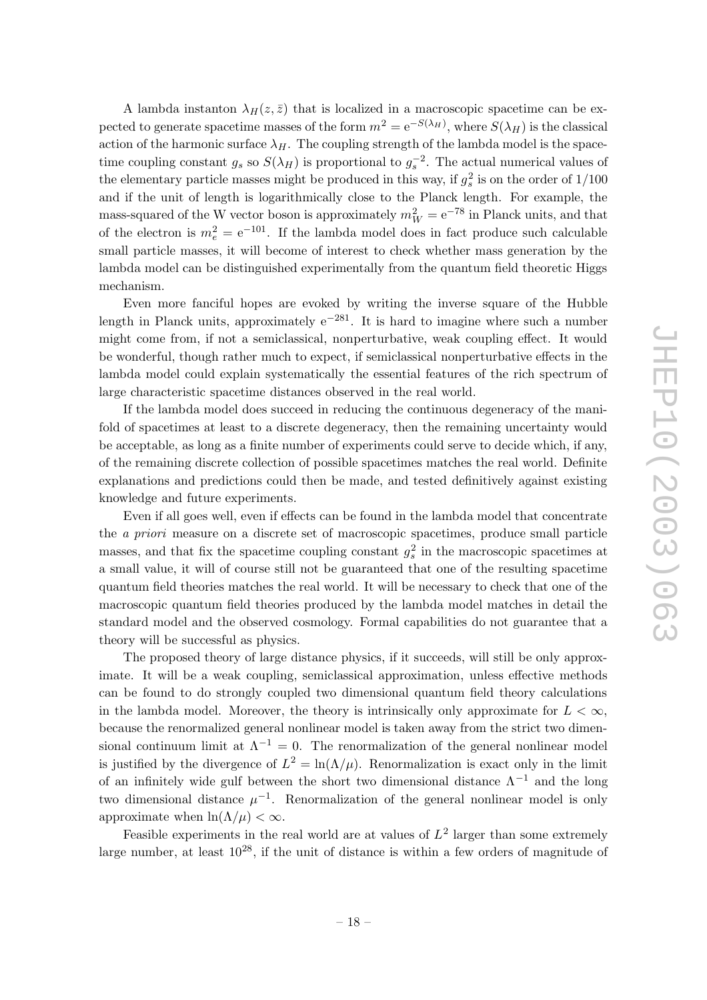A lambda instanton  $\lambda_H(z,\bar{z})$  that is localized in a macroscopic spacetime can be expected to generate spacetime masses of the form  $m^2 = e^{-S(\lambda_H)}$ , where  $S(\lambda_H)$  is the classical action of the harmonic surface  $\lambda_H$ . The coupling strength of the lambda model is the spacetime coupling constant  $g_s$  so  $S(\lambda_H)$  is proportional to  $g_s^{-2}$ . The actual numerical values of the elementary particle masses might be produced in this way, if  $g_s^2$  is on the order of  $1/100$ and if the unit of length is logarithmically close to the Planc k length. For example, the mass-squared of the W vector boson is approximately  $m_W^2 = e^{-78}$  in Planck units, and that of the electron is  $m_e^2 = e^{-101}$ . If the lambda model does in fact produce such calculable small particle masses, it will become of interest to check whether mass generation by the lam bda model can b e distinguished experimentally from the quantum field theoretic Higgs mechanism.

Even more fanciful hopes are evoked b y writing the in verse square of the Hubble length in Planck units, approximately  $e^{-281}$ . It is hard to imagine where such a number migh t come from, if not a semiclassical, nonperturbative, weak coupling effect. It would b e wonderful, though rather muc h to expect, if semiclassical nonperturbativ e effects in the lam bda model could explain systematically the essential features of the ric h spectrum of large characteristic spacetime distances observed in the real world.

If the lam bda model does succeed in reducing the continuous degeneracy of the manifold of spacetimes at least to a discrete degeneracy, then the remaining uncertainty would be acceptable, as long as a finite number of experiments could serve to decide which, if any, of the remaining discrete collection of possible spacetimes matches the real world. Definite explanations and predictions could then b e made, and tested definitively against existing knowledge and future experiments.

Even if all goes well, even if effects can b e found in the lam bda model that concentrate the a priori measure on a discrete set of macroscopic spacetimes, produce small particle masses, and that fix the spacetime coupling constant  $g_s^2$  in the macroscopic spacetimes at a small value, it will of course still not b e guaranteed that one of the resulting spacetime quantum field theories matches the real world. It will b e necessary to chec k that one of the macroscopic quantum field theories produced b y the lam bda model matches in detail the standard model and the observed cosmology . Formal capabilities do not guarantee that a theory will b e successful as physics.

The proposed theory of large distance physics, if it succeeds, will still be only approximate. It will be a weak coupling, semiclassical approximation, unless effective methods can b e found to do strongly coupled t w o dimensional quantum field theory calculations in the lambda model. Moreover, the theory is intrinsically only approximate for  $L < \infty$ , because the renormalized general nonlinear model is taken away from the strict two dimensional continuum limit at  $\Lambda^{-1} = 0$ . The renormalization of the general nonlinear model is justified by the divergence of  $L^2 = \ln(\Lambda/\mu)$ . Renormalization is exact only in the limit of an infinitely wide gulf between the short two dimensional distance  $\Lambda^{-1}$  and the long two dimensional distance  $\mu^{-1}$ . Renormalization of the general nonlinear model is only approximate when  $\ln(\Lambda/\mu) < \infty$ .

Feasible experiments in the real world are at values of  $L^2$  larger than some extremely large number, at least  $10^{28}$ , if the unit of distance is within a few orders of magnitude of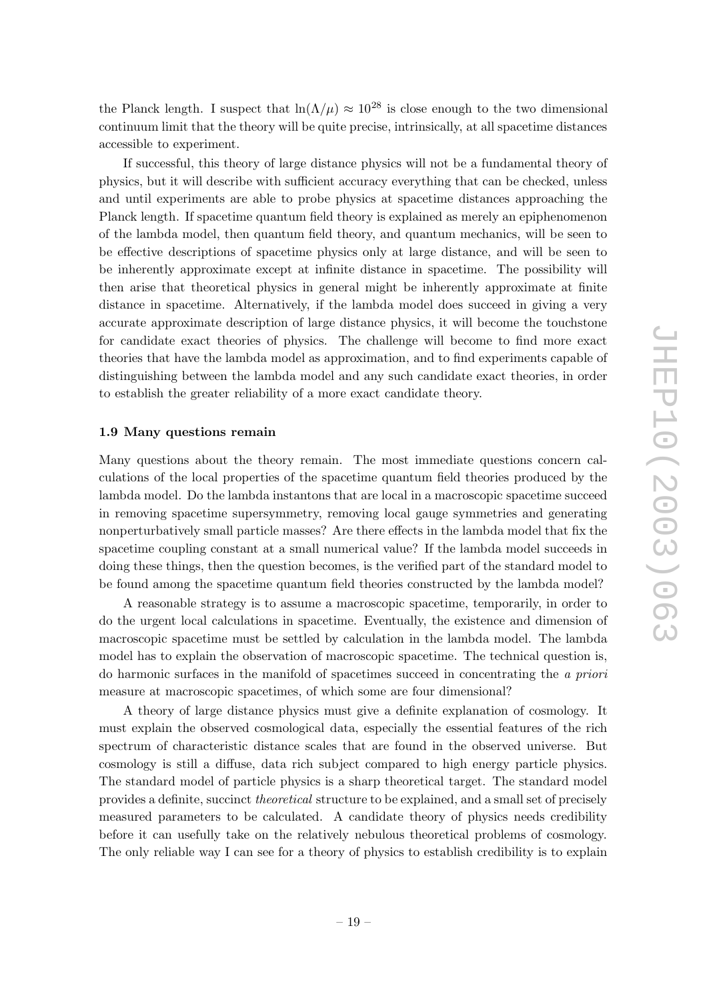<span id="page-19-0"></span>the Planck length. I suspect that  $\ln(\Lambda/\mu) \approx 10^{28}$  is close enough to the two dimensional continuum limit that the theory will b e quite precise, intrinsically , at all spacetime distances accessible to experiment.

If successful, this theory of large distance physics will not b e a fundamental theory of physics, but it will describe with sufficient accuracy everything that can be checked, unless and until experiments are able to prob e physics at spacetime distances approaching the Planc k length. If spacetime quantum field theory is explained as merely an epiphenomenon of the lam bda model, then quantum field theory , and quantum mechanics, will b e seen to b e effectiv e descriptions of spacetime physics only at large distance, and will b e seen to be inherently approximate except at infinite distance in spacetime. The possibility will then arise that theoretical physics in general migh t b e inherently approximate at finite distance in spacetime. Alternatively, if the lambda model does succeed in giving a very accurate approximate description of large distance physics, it will become the touchstone for candidate exact theories of physics. The challenge will become to find more exact theories that hav e the lam bda model as approximation, and to find experiments capable of distinguishing bet ween the lam bda model and an y suc h candidate exact theories, in order to establish the greater reliabilit y of a more exact candidate theory .

#### 1.9 Man y questions remain

Man y questions about the theory remain. The most immediate questions concern calculations of the local properties of the spacetime quantum field theories produced by the lam bda model. Do the lam bda instantons that are local in a macroscopic spacetime succeed in removing spacetime supersymmetry , removing local gauge symmetries and generating nonperturbatively small particle masses? Are there effects in the lam bda model that fix the spacetime coupling constant at a small numerical value? If the lambda model succeeds in doing these things, then the question becomes, is the verified part of the standard model to be found among the spacetime quantum field theories constructed by the lambda model?

A reasonable strategy is to assume a macroscopic spacetime, temporarily , in order to do the urgen t local calculations in spacetime. Eventually , the existence and dimension of macroscopic spacetime must b e settled b y calculation in the lam bda model. The lam bda model has to explain the observation of macroscopic spacetime. The technical question is, do harmonic surfaces in the manifold of spacetimes succeed in concentrating the *a priori* measure at macroscopic spacetimes, of whic h some are four dimensional?

A theory of large distance physics must giv e a definite explanation of cosmology . It must explain the observed cosmological data, especially the essential features of the ric h spectrum of characteristic distance scales that are found in the observed universe. But cosmology is still a diffuse, data ric h subject compared to high energy particle physics. The standard model of particle physics is a sharp theoretical target. The standard model provides a definite, succinct *theoretical* structure to be explained, and a small set of precisely measured parameters to b e calculated. A candidate theory of physics needs credibilit y before it can usefully tak e on the relatively nebulous theoretical problems of cosmology . The only reliable way I can see for a theory of physics to establish credibility is to explain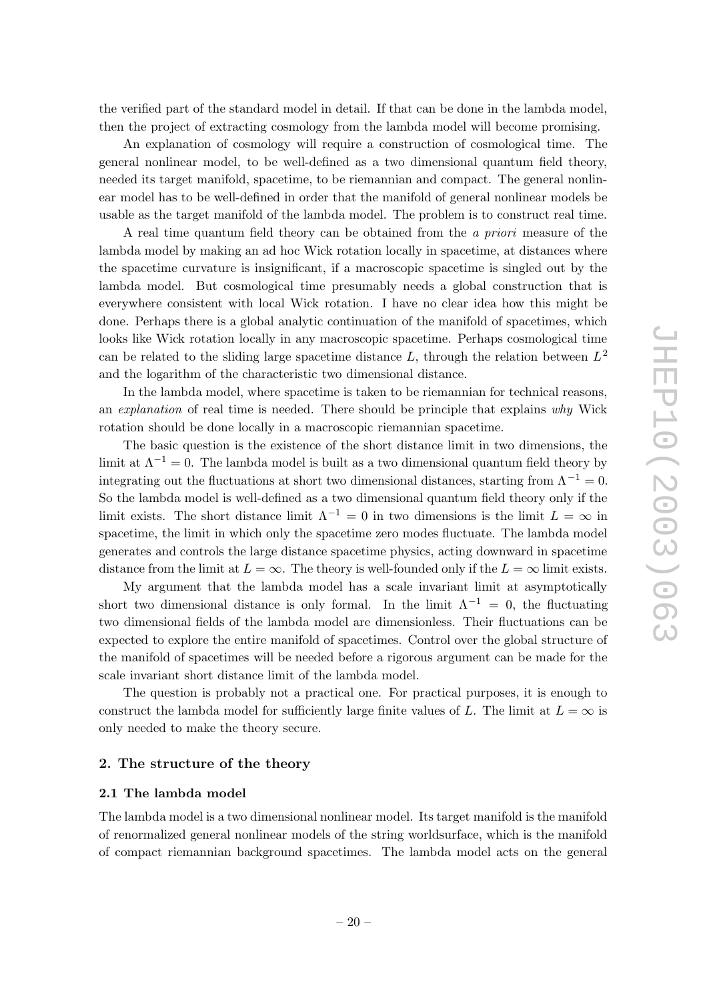<span id="page-20-0"></span>the verified part of the standard model in detail. If that can be done in the lambda model, then the project of extracting cosmology from the lambda model will become promising.

An explanation of cosmology will require a construction of cosmological time. The general nonlinear model, to b e well-defined as a t w o dimensional quantum field theory , needed its target manifold, spacetime, to b e riemannian and compact. The general nonlinear model has to be well-defined in order that the manifold of general nonlinear models be usable as the target manifold of the lam bda model. The problem is to construct real time.

A real time quantum field theory can be obtained from the *a priori* measure of the lam bda model b y making an ad ho c Wic k rotation locally in spacetime, at distances where the spacetime curvature is insignificant, if a macroscopic spacetime is singled out b y the lam bda model. But cosmological time presumably needs a global construction that is everywhere consistent with local Wick rotation. I have no clear idea how this might be done. Perhaps there is a global analytic continuation of the manifold of spacetimes, whic h looks lik e Wic k rotation locally in an y macroscopic spacetime. Perhaps cosmological time can be related to the sliding large spacetime distance L, through the relation between  $L^2$ and the logarithm of the characteristic t w o dimensional distance.

In the lam bda model, where spacetime is taken to b e riemannian for technical reasons, an *explanation* of real time is needed. There should be principle that explains why Wick rotation should b e done locally in a macroscopic riemannian spacetime.

The basic question is the existence of the short distance limit in t w o dimensions, the limit at  $\Lambda^{-1} = 0$ . The lambda model is built as a two dimensional quantum field theory by integrating out the fluctuations at short two dimensional distances, starting from  $\Lambda^{-1} = 0$ . So the lam bda model is well-defined as a t w o dimensional quantum field theory only if the limit exists. The short distance limit  $\Lambda^{-1} = 0$  in two dimensions is the limit  $L = \infty$  in spacetime, the limit in which only the spacetime zero modes fluctuate. The lambda model generates and controls the large distance spacetime physics, acting down ward in spacetime distance from the limit at  $L = \infty$ . The theory is well-founded only if the  $L = \infty$  limit exists.

My argumen t that the lam bda model has a scale in varian t limit at asymptotically short two dimensional distance is only formal. In the limit  $\Lambda^{-1} = 0$ , the fluctuating two dimensional fields of the lambda model are dimensionless. Their fluctuations can be expected to explore the entire manifold of spacetimes. Control over the global structure of the manifold of spacetimes will b e needed before a rigorous argumen t can b e made for the scale in varian t short distance limit of the lam bda model.

The question is probably not a practical one. For practical purposes, it is enough to construct the lambda model for sufficiently large finite values of L. The limit at  $L = \infty$  is only needed to mak e the theory secure.

## 2. The structure of the theory

## 2.1 The lam bda model

The lam bda model is a t w o dimensional nonlinear model. Its target manifold is the manifold of renormalized general nonlinear models of the string worldsurface, whic h is the manifold of compact riemannian background spacetimes. The lam bda model acts on the general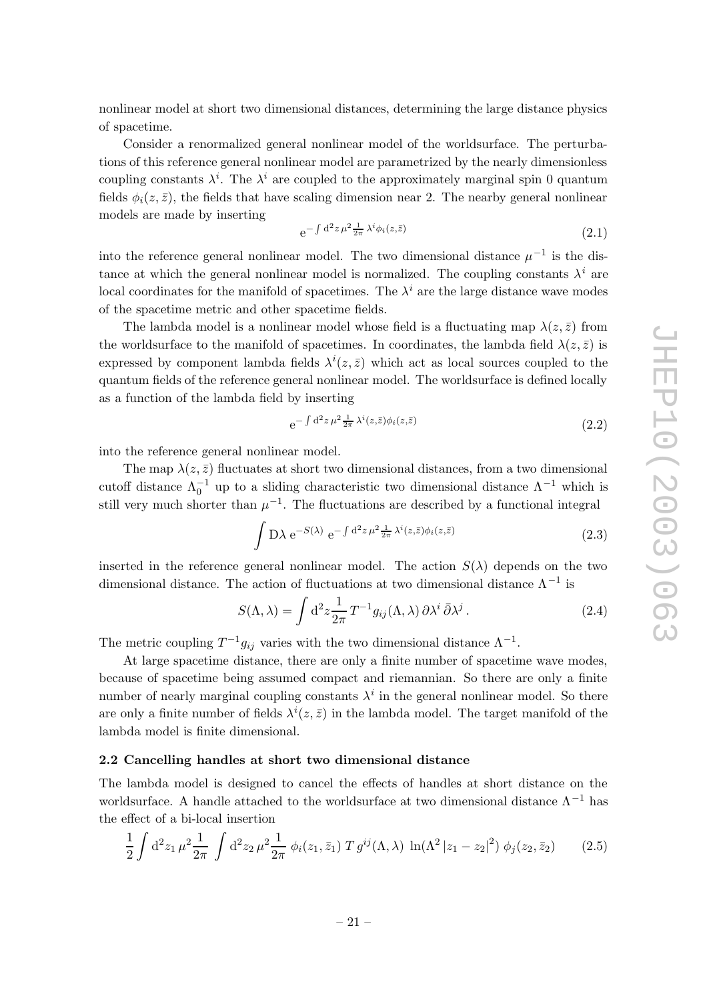<span id="page-21-0"></span>nonlinear model at short t w o dimensional distances, determining the large distance physics of spacetime.

Consider a renormalized general nonlinear model of the worldsurface. The perturbations of this reference general nonlinear model are parametrized by the nearly dimensionless coupling constants  $\lambda^i$ . The  $\lambda^i$  are coupled to the approximately marginal spin 0 quantum fields  $\phi_i(z, \bar{z})$ , the fields that have scaling dimension near 2. The nearby general nonlinear models are made b y inserting

$$
e^{-\int d^2z \,\mu^2 \frac{1}{2\pi} \,\lambda^i \phi_i(z,\bar{z})} \tag{2.1}
$$

into the reference general nonlinear model. The two dimensional distance  $\mu^{-1}$  is the distance at which the general nonlinear model is normalized. The coupling constants  $\lambda^{i}$  are local coordinates for the manifold of spacetimes. The  $\lambda^i$  are the large distance wave modes of the spacetime metric and other spacetime fields.

The lambda model is a nonlinear model whose field is a fluctuating map  $\lambda(z,\bar{z})$  from the worldsurface to the manifold of spacetimes. In coordinates, the lambda field  $\lambda(z,\bar{z})$  is expressed by component lambda fields  $\lambda^{i}(z,\bar{z})$  which act as local sources coupled to the quantum fields of the reference general nonlinear model. The worldsurface is defined locally as a function of the lam bda field b y inserting

$$
e^{-\int d^2z \,\mu^2 \frac{1}{2\pi} \,\lambda^i(z,\bar{z})\phi_i(z,\bar{z})}\tag{2.2}
$$

into the reference general nonlinear model.

The map  $\lambda(z,\bar{z})$  fluctuates at short two dimensional distances, from a two dimensional cutoff distance  $\Lambda_0^{-1}$  up to a sliding characteristic two dimensional distance  $\Lambda^{-1}$  which is still very much shorter than  $\mu^{-1}$ . The fluctuations are described by a functional integral

$$
\int \mathcal{D}\lambda \, e^{-S(\lambda)} \, e^{-\int d^2 z \, \mu^2 \frac{1}{2\pi} \, \lambda^i(z,\bar{z}) \phi_i(z,\bar{z})} \tag{2.3}
$$

inserted in the reference general nonlinear model. The action  $S(\lambda)$  depends on the two dimensional distance. The action of fluctuations at two dimensional distance  $\Lambda^{-1}$  is

$$
S(\Lambda, \lambda) = \int d^2 z \frac{1}{2\pi} T^{-1} g_{ij}(\Lambda, \lambda) \, \partial \lambda^i \, \bar{\partial} \lambda^j \,. \tag{2.4}
$$

The metric coupling  $T^{-1}g_{ij}$  varies with the two dimensional distance  $\Lambda^{-1}$ .

A t large spacetime distance, there are only a finite num ber of spacetime w av e modes, because of spacetime being assumed compact and riemannian. So there are only a finite number of nearly marginal coupling constants  $\lambda^i$  in the general nonlinear model. So there are only a finite number of fields  $\lambda^{i}(z,\bar{z})$  in the lambda model. The target manifold of the lam bda model is finite dimensional.

#### 2.2 Cancelling handles at short t w o dimensional distance

The lam bda model is designed to cancel the effects of handles at short distance on the worldsurface. A handle attached to the worldsurface at two dimensional distance  $\Lambda^{-1}$  has the effect of a bi-local insertion

$$
\frac{1}{2} \int d^2 z_1 \,\mu^2 \frac{1}{2\pi} \int d^2 z_2 \,\mu^2 \frac{1}{2\pi} \,\phi_i(z_1, \bar{z}_1) \, T \, g^{ij}(\Lambda, \lambda) \, \ln(\Lambda^2 \, |z_1 - z_2|^2) \, \phi_j(z_2, \bar{z}_2) \tag{2.5}
$$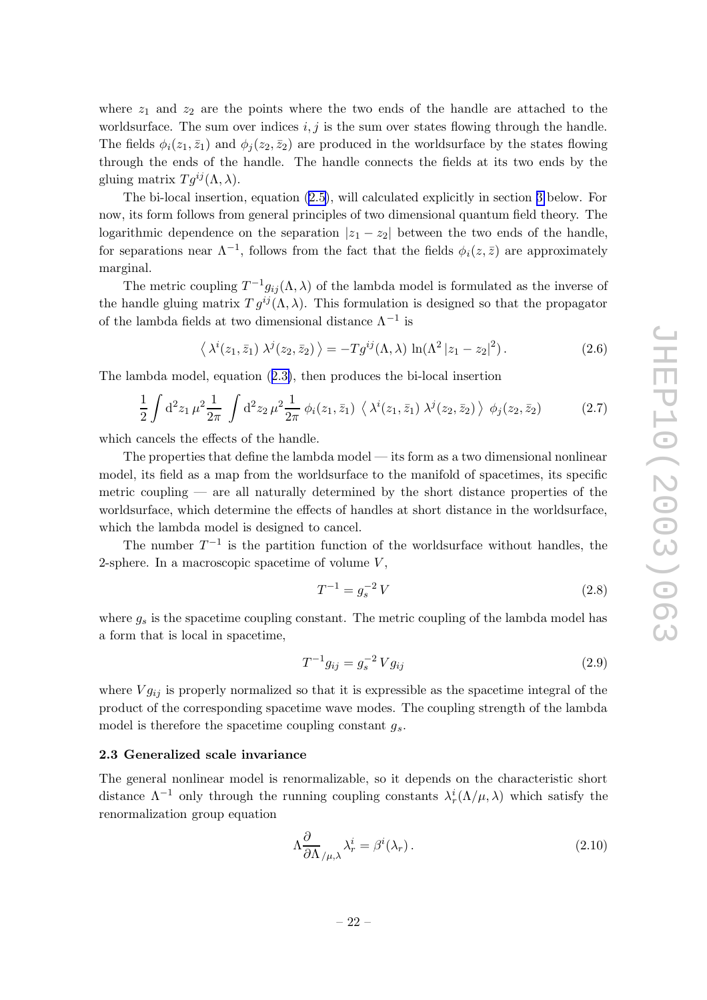<span id="page-22-0"></span>where  $z_1$  and  $z_2$  are the points where the two ends of the handle are attached to the worldsurface. The sum over indices  $i, j$  is the sum over states flowing through the handle. The fields  $\phi_i(z_1, \bar{z}_1)$  and  $\phi_j(z_2, \bar{z}_2)$  are produced in the worldsurface by the states flowing through the ends of the handle. The handle connects the fields at its two ends by the gluing matrix  $Tg^{ij}(\Lambda, \lambda)$ .

The bi-local insertion, equation ([2.5\)](#page-21-0), will calculated explicitly in section [3](#page-40-0) below. For now, its form follows from general principles of t w o dimensional quantum field theory . The logarithmic dependence on the separation  $|z_1 - z_2|$  between the two ends of the handle, for separations near  $\Lambda^{-1}$ , follows from the fact that the fields  $\phi_i(z,\bar{z})$  are approximately marginal.

The metric coupling  $T^{-1}g_{ij}(\Lambda,\lambda)$  of the lambda model is formulated as the inverse of the handle gluing matrix  $T g^{ij}(\Lambda, \lambda)$ . This formulation is designed so that the propagator of the lambda fields at two dimensional distance  $\Lambda^{-1}$  is

$$
\langle \lambda^{i}(z_1,\bar{z}_1) \lambda^{j}(z_2,\bar{z}_2) \rangle = -Tg^{ij}(\Lambda,\lambda) \ln(\Lambda^2 |z_1 - z_2|^2). \tag{2.6}
$$

The lam bda model, equation ([2.3\)](#page-21-0), then produces the bi-local insertion

$$
\frac{1}{2} \int d^2 z_1 \, \mu^2 \frac{1}{2\pi} \int d^2 z_2 \, \mu^2 \frac{1}{2\pi} \, \phi_i(z_1, \bar{z}_1) \, \left\langle \, \lambda^i(z_1, \bar{z}_1) \, \lambda^j(z_2, \bar{z}_2) \, \right\rangle \, \phi_j(z_2, \bar{z}_2) \tag{2.7}
$$

whic h cancels the effects of the handle.

The properties that define the lam bda model — its form as a t w o dimensional nonlinear model, its field as a map from the worldsurface to the manifold of spacetimes, its specific metric coupling — are all naturally determined b y the short distance properties of the worldsurface, whic h determine the effects of handles at short distance in the worldsurface, whic h the lam bda model is designed to cancel.

The number  $T^{-1}$  is the partition function of the worldsurface without handles, the 2-sphere. In a macroscopic spacetime of volume V ,

$$
T^{-1} = g_s^{-2} V \tag{2.8}
$$

where  $g_s$  is the spacetime coupling constant. The metric coupling of the lambda model has a form that is local in spacetime,

$$
T^{-1}g_{ij} = g_s^{-2} V g_{ij}
$$
\n(2.9)

where  $Vg_{ij}$  is properly normalized so that it is expressible as the spacetime integral of the product of the corresponding spacetime w av e modes. The coupling strength of the lam bda model is therefore the spacetime coupling constant  $g_s$ .

## 2.3 Generalized scale in variance

The general nonlinear model is renormalizable, so it depends on the characteristic short distance  $\Lambda^{-1}$  only through the running coupling constants  $\lambda_r^i(\Lambda/\mu,\lambda)$  which satisfy the renormalization group equation

$$
\Lambda \frac{\partial}{\partial \Lambda}_{/\mu,\lambda} \lambda_r^i = \beta^i(\lambda_r). \tag{2.10}
$$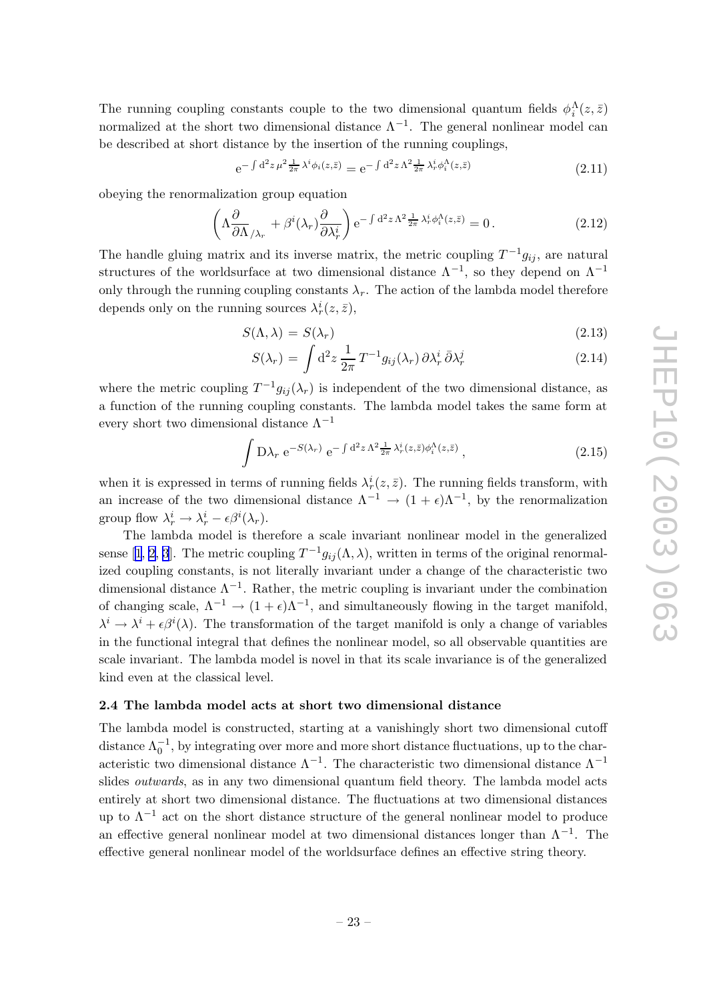<span id="page-23-0"></span>The running coupling constants couple to the two dimensional quantum fields  $\phi_i^{\Lambda}(z,\bar{z})$ normalized at the short two dimensional distance  $\Lambda^{-1}$ . The general nonlinear model can b e described at short distance b y the insertion of the running couplings,

$$
e^{-\int d^2 z \,\mu^2 \frac{1}{2\pi} \,\lambda^i \phi_i(z,\bar{z})} = e^{-\int d^2 z \,\Lambda^2 \frac{1}{2\pi} \,\lambda^i \phi_i^{\Lambda}(z,\bar{z})}
$$
\n(2.11)

obeying the renormalization group equation

$$
\left(\Lambda \frac{\partial}{\partial \Lambda_{/\lambda_r}} + \beta^i (\lambda_r) \frac{\partial}{\partial \lambda_r^i} \right) e^{-\int d^2 z \Lambda^2 \frac{1}{2\pi} \lambda_r^i \phi_i^\Lambda(z,\bar{z})} = 0. \tag{2.12}
$$

The handle gluing matrix and its inverse matrix, the metric coupling  $T^{-1}g_{ij}$ , are natural structures of the worldsurface at two dimensional distance  $\Lambda^{-1}$ , so they depend on  $\Lambda^{-1}$ only through the running coupling constants  $\lambda_r$ . The action of the lambda model therefore depends only on the running sources  $\lambda_r^i(z,\bar{z}),$ 

$$
S(\Lambda, \lambda) = S(\lambda_r) \tag{2.13}
$$

$$
S(\lambda_r) = \int d^2 z \frac{1}{2\pi} T^{-1} g_{ij}(\lambda_r) \partial \lambda_r^i \bar{\partial} \lambda_r^j
$$
 (2.14)

where the metric coupling  $T^{-1}g_{ij}(\lambda_r)$  is independent of the two dimensional distance, as a function of the running coupling constants. The lam bda model takes the same form at every short two dimensional distance  $\Lambda^{-1}$ 

$$
\int \mathcal{D}\lambda_r \; e^{-S(\lambda_r)} \; e^{-\int d^2 z \, \Lambda^2 \frac{1}{2\pi} \, \lambda_r^i(z,\bar{z}) \phi_i^{\Lambda}(z,\bar{z})} \;, \tag{2.15}
$$

when it is expressed in terms of running fields  $\lambda_r^i(z,\bar{z})$ . The running fields transform, with an increase of the two dimensional distance  $\Lambda^{-1} \to (1+\epsilon)\Lambda^{-1}$ , by the renormalization group flow  $\lambda_r^i \to \lambda_r^i - \epsilon \beta^i(\lambda_r)$ .

The lam bda model is therefore a scale in varian t nonlinear model in the generalized sense [[1](#page-97-0), [2](#page-97-0), [3](#page-97-0)]. The metric coupling  $T^{-1}g_{ij}(\Lambda,\lambda)$ , written in terms of the original renormalized coupling constants, is not literally invariant under a change of the characteristic two dimensional distance  $\Lambda^{-1}$ . Rather, the metric coupling is invariant under the combination of changing scale,  $\Lambda^{-1} \to (1 + \epsilon)\Lambda^{-1}$ , and simultaneously flowing in the target manifold,  $\lambda^i \to \lambda^i + \epsilon \beta^i(\lambda)$ . The transformation of the target manifold is only a change of variables in the functional integral that defines the nonlinear model, so all observable quantities are scale invariant. The lambda model is novel in that its scale invariance is of the generalized kind even at the classical level.

#### 2.4 The lam bda model acts at short t w o dimensional distance

The lam bda model is constructed, starting at a vanishingly short t w o dimensional cutoff distance  $\Lambda_0^{-1}$ , by integrating over more and more short distance fluctuations, up to the characteristic two dimensional distance  $\Lambda^{-1}$ . The characteristic two dimensional distance  $\Lambda^{-1}$ slides *outwards*, as in any two dimensional quantum field theory. The lambda model acts entirely at short t w o dimensional distance. The fluctuations at t w o dimensional distances up to  $\Lambda^{-1}$  act on the short distance structure of the general nonlinear model to produce an effective general nonlinear model at two dimensional distances longer than  $\Lambda^{-1}$ . The effective general nonlinear model of the worldsurface defines an effective string theory.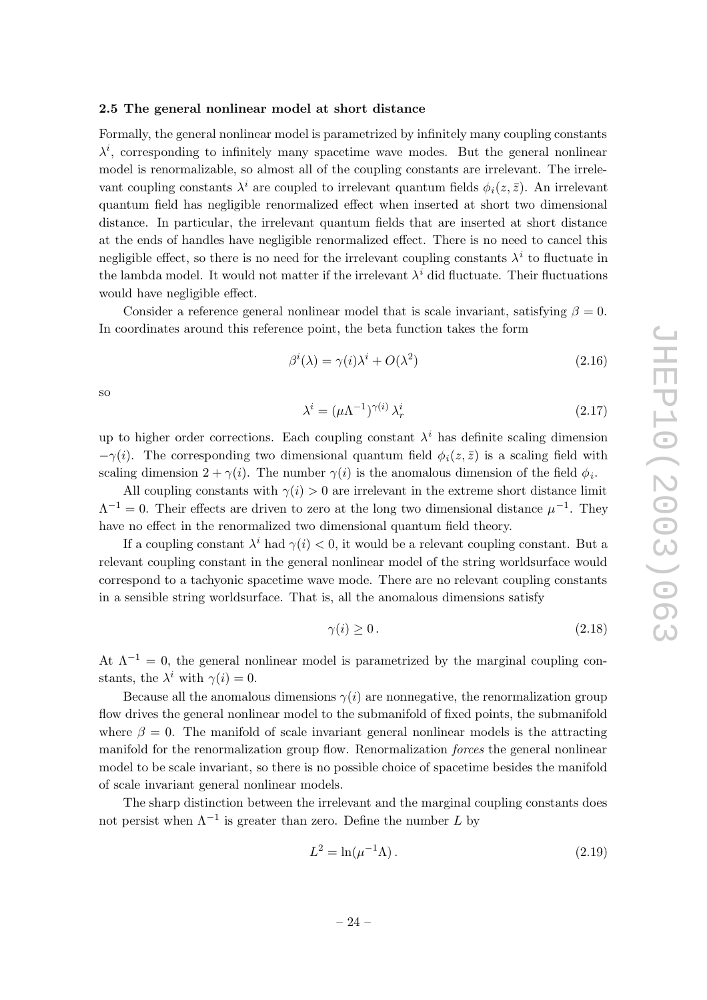#### <span id="page-24-0"></span>2.5 The general nonlinear model at short distance

Formally, the general nonlinear model is parametrized by infinitely man y coupling constants  $\lambda^{i}$ , corresponding to infinitely many spacetime wave modes. But the general nonlinear model is renormalizable, so almost all of the coupling constants are irrelevant. The irrele vant coupling constants  $\lambda^{i}$  are coupled to irrelevant quantum fields  $\phi_{i}(z,\bar{z})$ . An irrelevant quantum field has negligible renormalized effect when inserted at short t w o dimensional distance. In particular, the irrelevan t quantum fields that are inserted at short distance at the ends of handles hav e negligible renormalized effect. There is no need to cancel this negligible effect, so there is no need for the irrelevant coupling constants  $\lambda^i$  to fluctuate in the lambda model. It would not matter if the irrelevant  $\lambda^{i}$  did fluctuate. Their fluctuations would hav e negligible effect.

Consider a reference general nonlinear model that is scale invariant, satisfying  $\beta = 0$ . In coordinates around this reference point, the beta function takes the form

$$
\beta^i(\lambda) = \gamma(i)\lambda^i + O(\lambda^2)
$$
\n(2.16)

so

$$
\lambda^i = (\mu \Lambda^{-1})^{\gamma(i)} \lambda^i_r \tag{2.17}
$$

up to higher order corrections. Each coupling constant  $\lambda^i$  has definite scaling dimension  $-\gamma(i)$ . The corresponding two dimensional quantum field  $\phi_i(z,\bar{z})$  is a scaling field with scaling dimension  $2 + \gamma(i)$ . The number  $\gamma(i)$  is the anomalous dimension of the field  $\phi_i$ .

All coupling constants with  $\gamma(i) > 0$  are irrelevant in the extreme short distance limit  $\Lambda^{-1} = 0$ . Their effects are driven to zero at the long two dimensional distance  $\mu^{-1}$ . They have no effect in the renormalized two dimensional quantum field theory.

If a coupling constant  $\lambda^i$  had  $\gamma(i) < 0$ , it would be a relevant coupling constant. But a relevant coupling constant in the general nonlinear model of the string worldsurface would correspond to a tac h yonic spacetime w av e mode. There are no relevan t coupling constants in a sensible string worldsurface. That is, all the anomalous dimensions satisfy

$$
\gamma(i) \ge 0. \tag{2.18}
$$

At  $\Lambda^{-1} = 0$ , the general nonlinear model is parametrized by the marginal coupling constants, the  $\lambda^i$  with  $\gamma(i) = 0$ .

Because all the anomalous dimensions  $\gamma(i)$  are nonnegative, the renormalization group flo w drives the general nonlinear model to the submanifold of fixed points, the submanifold where  $\beta = 0$ . The manifold of scale invariant general nonlinear models is the attracting manifold for the renormalization group flow. Renormalization forces the general nonlinear model to b e scale in variant, so there is no possible choice of spacetime besides the manifold of scale in varian t general nonlinear models.

The sharp distinction bet ween the irrelevan t and the marginal coupling constants does not persist when  $\Lambda^{-1}$  is greater than zero. Define the number L by

$$
L^2 = \ln(\mu^{-1}\Lambda). \tag{2.19}
$$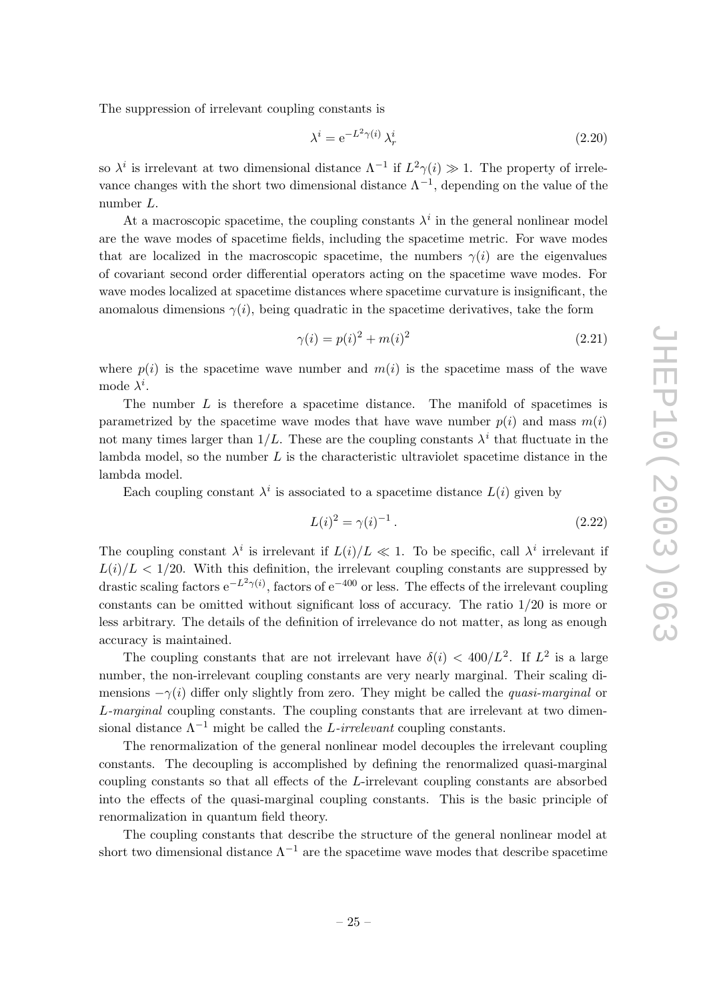<span id="page-25-0"></span>The suppression of irrelevan t coupling constants is

$$
\lambda^i = e^{-L^2 \gamma(i)} \lambda^i_r \tag{2.20}
$$

so  $\lambda^i$  is irrelevant at two dimensional distance  $\Lambda^{-1}$  if  $L^2\gamma(i) \gg 1$ . The property of irrelevance changes with the short two dimensional distance  $\Lambda^{-1}$ , depending on the value of the number L.

At a macroscopic spacetime, the coupling constants  $\lambda^i$  in the general nonlinear model are the w av e modes of spacetime fields, including the spacetime metric. For w av e modes that are localized in the macroscopic spacetime, the numbers  $\gamma(i)$  are the eigenvalues of co varian t second order differential operators acting on the spacetime w av e modes. For w av e modes localized at spacetime distances where spacetime curvature is insignificant, the anomalous dimensions  $\gamma(i)$ , being quadratic in the spacetime derivatives, take the form

$$
\gamma(i) = p(i)^2 + m(i)^2 \tag{2.21}
$$

where  $p(i)$  is the spacetime wave number and  $m(i)$  is the spacetime mass of the wave mode  $\lambda^i$ .

The num ber L is therefore a spacetime distance. The manifold of spacetimes is parametrized by the spacetime wave modes that have wave number  $p(i)$  and mass  $m(i)$ not many times larger than  $1/L$ . These are the coupling constants  $\lambda^{i}$  that fluctuate in the lambda model, so the number  $L$  is the characteristic ultraviolet spacetime distance in the lam bda model.

Each coupling constant  $\lambda^i$  is associated to a spacetime distance  $L(i)$  given by

$$
L(i)^2 = \gamma(i)^{-1} \,. \tag{2.22}
$$

The coupling constant  $\lambda^i$  is irrelevant if  $L(i)/L \ll 1$ . To be specific, call  $\lambda^i$  irrelevant if  $L(i)/L < 1/20$ . With this definition, the irrelevant coupling constants are suppressed by drastic scaling factors  $e^{-L^2 \gamma(i)}$ , factors of  $e^{-400}$  or less. The effects of the irrelevant coupling constants can b e omitted without significan t loss of accuracy . The ratio 1 /20 is more or less arbitrary . The details of the definition of irrelevance do not matter, as long as enough accuracy is maintained.

The coupling constants that are not irrelevant have  $\delta(i) < 400/L^2$ . If  $L^2$  is a large num ber, the non-irrelevan t coupling constants are very nearly marginal. Their scaling dimensions  $-\gamma(i)$  differ only slightly from zero. They might be called the *quasi-marginal* or L-marginal coupling constants. The coupling constants that are irrelevant at two dimensional distance  $\Lambda^{-1}$  might be called the *L*-irrelevant coupling constants.

The renormalization of the general nonlinear model decouples the irrelevan t coupling constants. The decoupling is accomplished b y defining the renormalized quasi-marginal coupling constants so that all effects of the L-irrelevan t coupling constants are absorbed into the effects of the quasi-marginal coupling constants. This is the basic principle of renormalization in quantum field theory .

The coupling constants that describ e the structure of the general nonlinear model at short two dimensional distance  $\Lambda^{-1}$  are the spacetime wave modes that describe spacetime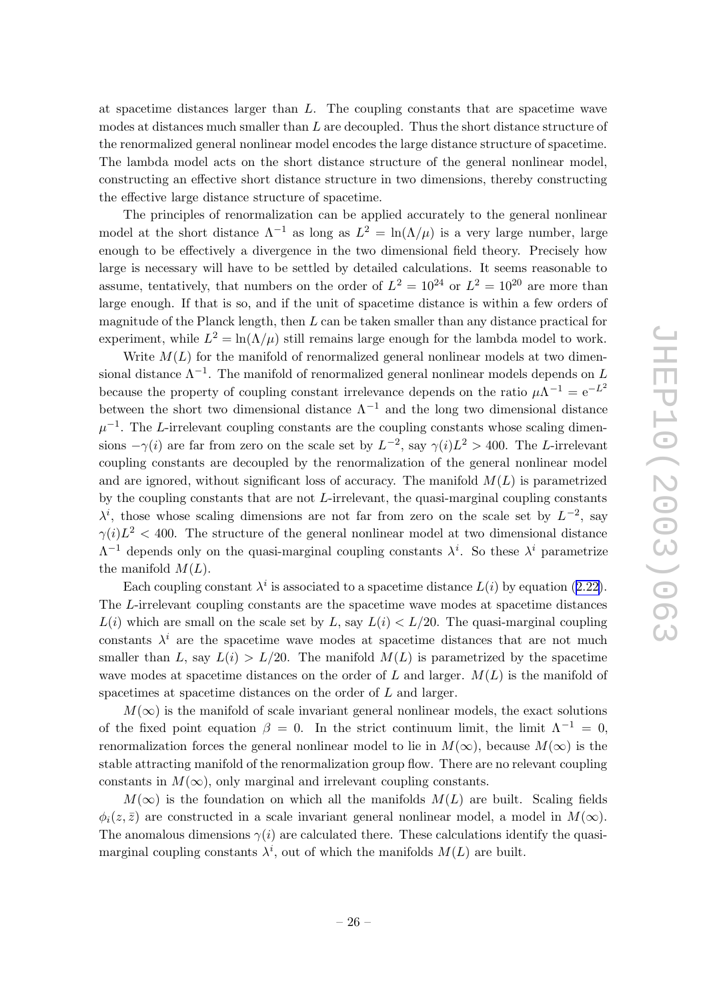at spacetime distances larger than L . The coupling constants that are spacetime w av e modes at distances much smaller than  $L$  are decoupled. Thus the short distance structure of the renormalized general nonlinear model encodes the large distance structure of spacetime. The lam bda model acts on the short distance structure of the general nonlinear model, constructing an effectiv e short distance structure in t w o dimensions, thereb y constructing the effectiv e large distance structure of spacetime.

The principles of renormalization can b e applied accurately to the general nonlinear model at the short distance  $\Lambda^{-1}$  as long as  $L^2 = \ln(\Lambda/\mu)$  is a very large number, large enough to be effectively a divergence in the two dimensional field theory. Precisely how large is necessary will hav e to b e settled b y detailed calculations. It seems reasonable to assume, tentatively, that numbers on the order of  $L^2 = 10^{24}$  or  $L^2 = 10^{20}$  are more than large enough. If that is so, and if the unit of spacetime distance is within a few orders of magnitude of the Planck length, then  $L$  can be taken smaller than any distance practical for experiment, while  $L^2 = \ln(\Lambda/\mu)$  still remains large enough for the lambda model to work.

Write  $M(L)$  for the manifold of renormalized general nonlinear models at two dimensional distance  $\Lambda^{-1}$ . The manifold of renormalized general nonlinear models depends on L because the property of coupling constant irrelevance depends on the ratio  $\mu \Lambda^{-1} = e^{-L^2}$ between the short two dimensional distance  $\Lambda^{-1}$  and the long two dimensional distance  $\mu^{-1}$ . The L-irrelevant coupling constants are the coupling constants whose scaling dimensions  $-\gamma(i)$  are far from zero on the scale set by  $L^{-2}$ , say  $\gamma(i)L^2 > 400$ . The L-irrelevant coupling constants are decoupled b y the renormalization of the general nonlinear model and are ignored, without significant loss of accuracy. The manifold  $M(L)$  is parametrized b y the coupling constants that are not L-irrelevant, the quasi-marginal coupling constants  $\lambda^{i}$ , those whose scaling dimensions are not far from zero on the scale set by  $L^{-2}$ , say  $\gamma(i) L^2 < 400$ . The structure of the general nonlinear model at two dimensional distance  $\Lambda^{-1}$  depends only on the quasi-marginal coupling constants  $\lambda^{i}$ . So these  $\lambda^{i}$  parametrize the manifold  $M(L)$ .

Each coupling constant  $\lambda^i$  is associated to a spacetime distance  $L(i)$  by equation ([2.22\)](#page-25-0). The L-irrelevan t coupling constants are the spacetime w av e modes at spacetime distances  $L(i)$  which are small on the scale set by L, say  $L(i) < L/20$ . The quasi-marginal coupling constants  $\lambda^{i}$  are the spacetime wave modes at spacetime distances that are not much smaller than L, say  $L(i) > L/20$ . The manifold  $M(L)$  is parametrized by the spacetime wave modes at spacetime distances on the order of L and larger.  $M(L)$  is the manifold of spacetimes at spacetime distances on the order of L and larger.

 $M(\infty)$  is the manifold of scale invariant general nonlinear models, the exact solutions of the fixed point equation  $\beta = 0$ . In the strict continuum limit, the limit  $\Lambda^{-1} = 0$ , renormalization forces the general nonlinear model to lie in  $M(\infty)$ , because  $M(\infty)$  is the stable attracting manifold of the renormalization group flow. There are no relevan t coupling constants in  $M(\infty)$ , only marginal and irrelevant coupling constants.

 $M(\infty)$  is the foundation on which all the manifolds  $M(L)$  are built. Scaling fields  $\phi_i(z,\bar{z})$  are constructed in a scale invariant general nonlinear model, a model in  $M(\infty)$ . The anomalous dimensions  $\gamma(i)$  are calculated there. These calculations identify the quasimarginal coupling constants  $\lambda^{i}$ , out of which the manifolds  $M(L)$  are built.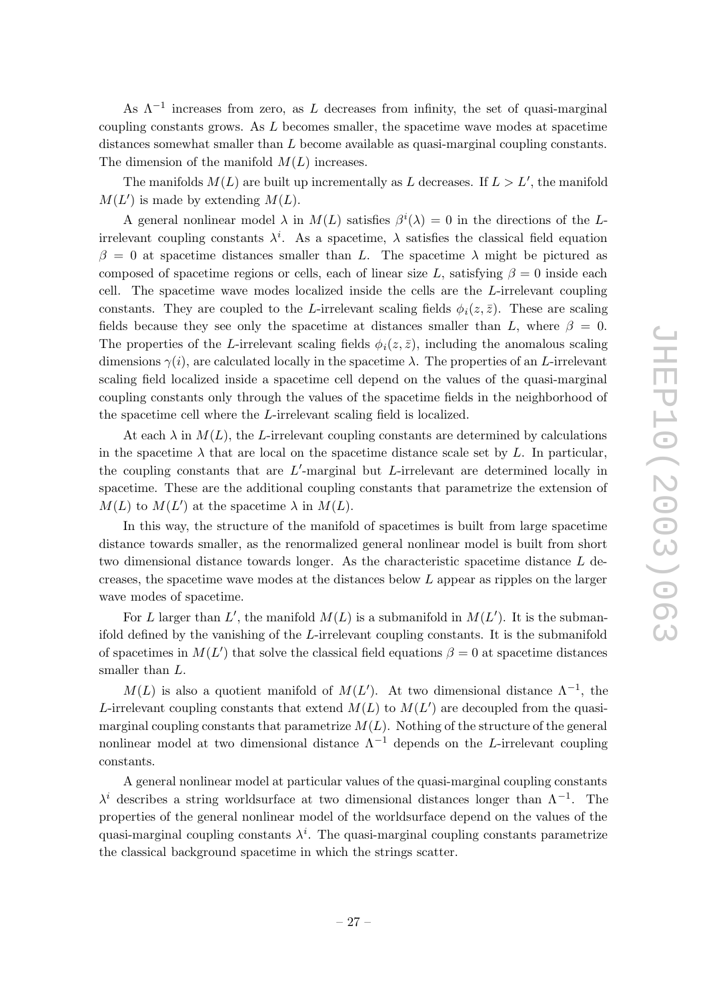As  $\Lambda^{-1}$  increases from zero, as L decreases from infinity, the set of quasi-marginal coupling constants grows. As L becomes smaller, the spacetime w av e modes at spacetime distances somewhat smaller than L become available as quasi-marginal coupling constants. The dimension of the manifold  $M(L)$  increases.

The manifolds  $M(L)$  are built up incrementally as L decreases. If  $L > L'$ , the manifold  $M(L')$  is made by extending  $M(L)$ .

A general nonlinear model  $\lambda$  in  $M(L)$  satisfies  $\beta^{i}(\lambda) = 0$  in the directions of the Lirrelevant coupling constants  $\lambda^i$ . As a spacetime,  $\lambda$  satisfies the classical field equation  $\beta = 0$  at spacetime distances smaller than L. The spacetime  $\lambda$  might be pictured as composed of spacetime regions or cells, each of linear size L, satisfying  $\beta = 0$  inside each cell. The spacetime w av e modes localized inside the cells are the L-irrelevan t coupling constants. They are coupled to the L-irrelevant scaling fields  $\phi_i(z,\bar{z})$ . These are scaling fields because they see only the spacetime at distances smaller than L, where  $\beta = 0$ . The properties of the L-irrelevant scaling fields  $\phi_i(z,\bar{z})$ , including the anomalous scaling dimensions  $\gamma(i)$ , are calculated locally in the spacetime  $\lambda$ . The properties of an L-irrelevant scaling field localized inside a spacetime cell depend on the values of the quasi-marginal coupling constants only through the values of the spacetime fields in the neigh borho o d of the spacetime cell where the L-irrelevan t scaling field is localized.

At each  $\lambda$  in  $M(L)$ , the L-irrelevant coupling constants are determined by calculations in the spacetime  $\lambda$  that are local on the spacetime distance scale set by L. In particular, the coupling constants that are  $L'$ -marginal but  $L$ -irrelevant are determined locally in spacetime. These are the additional coupling constants that parametrize the extension of  $M(L)$  to  $M(L')$  at the spacetime  $\lambda$  in  $M(L)$ .

In this w ay , the structure of the manifold of spacetimes is built from large spacetime distance to wards smaller, as the renormalized general nonlinear model is built from short two dimensional distance towards longer. As the characteristic spacetime distance L decreases, the spacetime wave modes at the distances below L appear as ripples on the larger wave modes of spacetime.

For L larger than L', the manifold  $M(L)$  is a submanifold in  $M(L')$ . It is the submanifold defined by the vanishing of the L-irrelevant coupling constants. It is the submanifold of spacetimes in  $M(L')$  that solve the classical field equations  $\beta = 0$  at spacetime distances smaller than L.

 $M(L)$  is also a quotient manifold of  $M(L')$ . At two dimensional distance  $\Lambda^{-1}$ , the L-irrelevant coupling constants that extend  $M(L)$  to  $M(L')$  are decoupled from the quasimarginal coupling constants that parametrize  $M(L)$ . Nothing of the structure of the general nonlinear model at two dimensional distance  $\Lambda^{-1}$  depends on the *L*-irrelevant coupling constants.

A general nonlinear model at particular values of the quasi-marginal coupling constants  $\lambda^{i}$  describes a string worldsurface at two dimensional distances longer than  $\Lambda^{-1}$ . The properties of the general nonlinear model of the worldsurface depend on the values of the quasi-marginal coupling constants  $\lambda^i$ . The quasi-marginal coupling constants parametrize the classical background spacetime in whic h the strings scatter.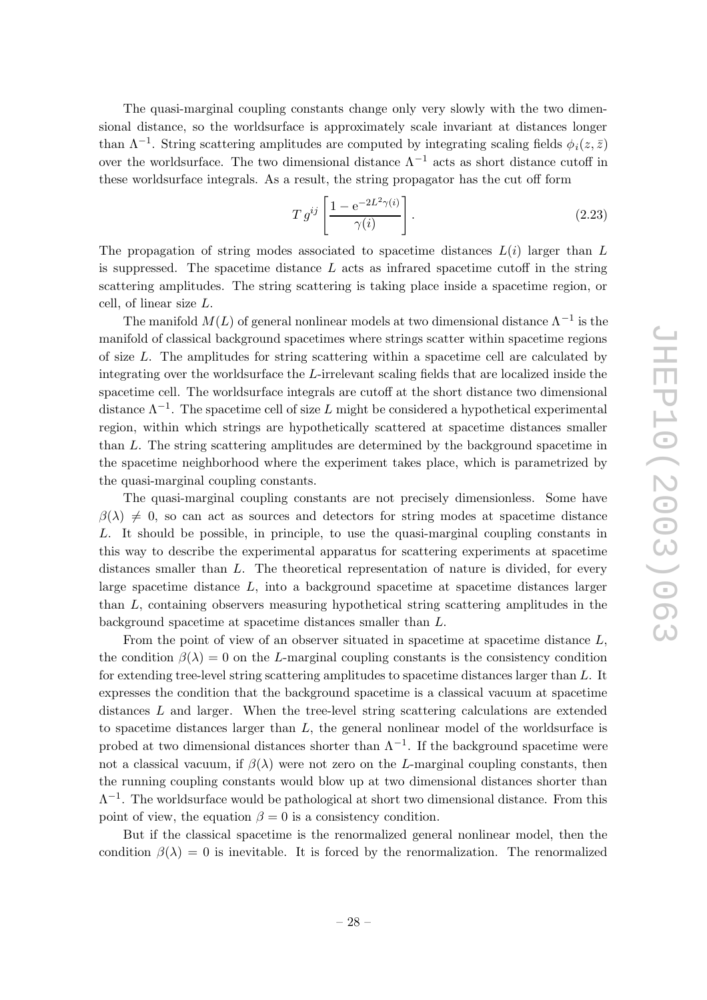The quasi-marginal coupling constants change only very slowly with the two dimensional distance, so the worldsurface is approximately scale invariant at distances longer than  $\Lambda^{-1}$ . String scattering amplitudes are computed by integrating scaling fields  $\phi_i(z,\bar{z})$ over the worldsurface. The two dimensional distance  $\Lambda^{-1}$  acts as short distance cutoff in these worldsurface integrals. As a result, the string propagator has the cut off form

$$
T g^{ij} \left[ \frac{1 - e^{-2L^2 \gamma(i)}}{\gamma(i)} \right]. \tag{2.23}
$$

The propagation of string modes associated to spacetime distances  $L(i)$  larger than L is suppressed. The spacetime distance L acts as infrared spacetime cutoff in the string scattering amplitudes. The string scattering is taking place inside a spacetime region, or cell, of linear size L .

The manifold  $M(L)$  of general nonlinear models at two dimensional distance  $\Lambda^{-1}$  is the manifold of classical background spacetimes where strings scatter within spacetime regions of size L. The amplitudes for string scattering within a spacetime cell are calculated by integrating over the worldsurface the L-irrelevant scaling fields that are localized inside the spacetime cell. The worldsurface integrals are cutoff at the short distance two dimensional distance  $\Lambda^{-1}$ . The spacetime cell of size L might be considered a hypothetical experimental region, within whic h strings are hypothetically scattered at spacetime distances smaller than L. The string scattering amplitudes are determined by the background spacetime in the spacetime neigh borho o d where the experimen t takes place, whic h is parametrized b y the quasi-marginal coupling constants.

The quasi-marginal coupling constants are not precisely dimensionless. Some hav e  $\beta(\lambda) \neq 0$ , so can act as sources and detectors for string modes at spacetime distance L . It should b e possible, in principle, to use the quasi-marginal coupling constants in this w ay to describ e the experimental apparatus for scattering experiments at spacetime distances smaller than L. The theoretical representation of nature is divided, for every large spacetime distance L , into a background spacetime at spacetime distances larger than L , containing observers measuring hypothetical string scattering amplitudes in the background spacetime at spacetime distances smaller than L.

From the point of view of an observer situated in spacetime at spacetime distance  $L$ , the condition  $\beta(\lambda) = 0$  on the L-marginal coupling constants is the consistency condition for extending tree-level string scattering amplitudes to spacetime distances larger than  $L$ . It expresses the condition that the background spacetime is a classical vacuum at spacetime distances L and larger. When the tree-level string scattering calculations are extended to spacetime distances larger than L , the general nonlinear model of the worldsurface is probed at two dimensional distances shorter than  $\Lambda^{-1}$ . If the background spacetime were not a classical vacuum, if  $\beta(\lambda)$  were not zero on the L-marginal coupling constants, then the running coupling constants would blo w up at t w o dimensional distances shorter than  $\Lambda^{-1}$ . The worldsurface would be pathological at short two dimensional distance. From this point of view, the equation  $\beta = 0$  is a consistency condition.

But if the classical spacetime is the renormalized general nonlinear model, then the condition  $\beta(\lambda) = 0$  is inevitable. It is forced by the renormalization. The renormalized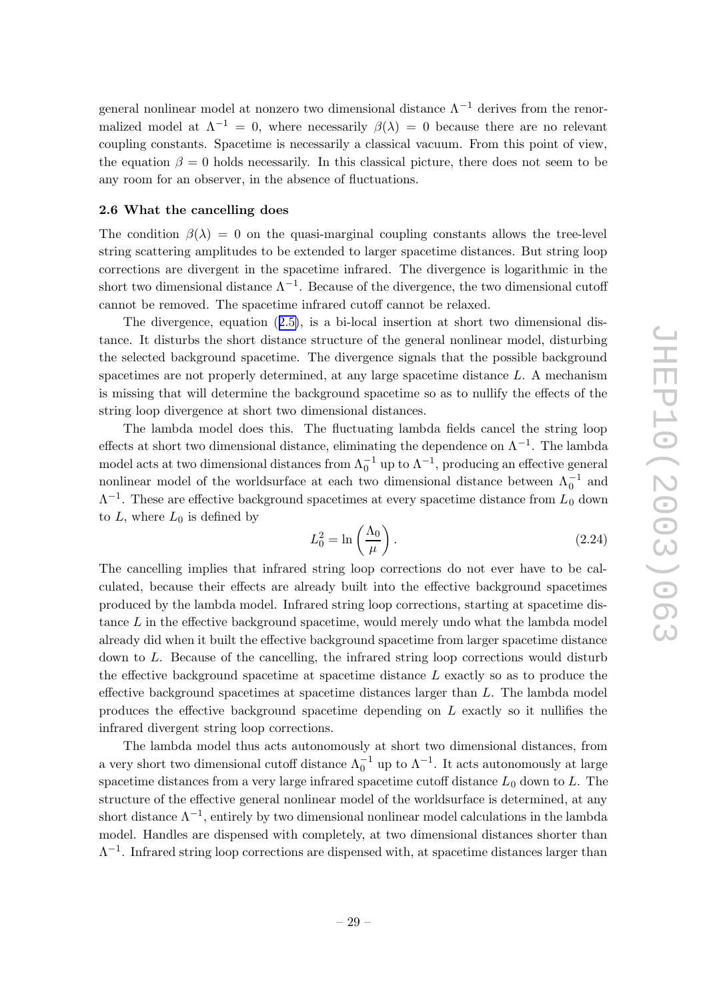<span id="page-29-0"></span>general nonlinear model at nonzero two dimensional distance  $\Lambda^{-1}$  derives from the renormalized model at  $\Lambda^{-1} = 0$ , where necessarily  $\beta(\lambda) = 0$  because there are no relevant coupling constants. Spacetime is necessarily a classical vacuum. From this poin t of view, the equation  $\beta = 0$  holds necessarily. In this classical picture, there does not seem to be an y room for an observer, in the absence of fluctuations.

#### 2.6 What the cancelling does

The condition  $\beta(\lambda) = 0$  on the quasi-marginal coupling constants allows the tree-level string scattering amplitudes to b e extended to larger spacetime distances. But string loop corrections are divergen t in the spacetime infrared. The divergence is logarithmic in the short two dimensional distance  $\Lambda^{-1}$ . Because of the divergence, the two dimensional cutoff cannot b e remo ved. The spacetime infrared cutoff cannot b e relaxed.

The divergence, equation  $(2.5)$  $(2.5)$ , is a bi-local insertion at short two dimensional distance. It disturbs the short distance structure of the general nonlinear model, disturbing the selected background spacetime. The divergence signals that the possible background spacetimes are not properly determined, at any large spacetime distance L. A mechanism is missing that will determine the background spacetime so as to nullify the effects of the string loop divergence at short t w o dimensional distances.

The lam bda model does this. The fluctuating lam bda fields cancel the string loop effects at short two dimensional distance, eliminating the dependence on  $\Lambda^{-1}$ . The lambda model acts at two dimensional distances from  $\Lambda_0^{-1}$  up to  $\Lambda^{-1}$ , producing an effective general nonlinear model of the worldsurface at each two dimensional distance between  $\Lambda_0^{-1}$  and  $\Lambda^{-1}$ . These are effective background spacetimes at every spacetime distance from  $L_0$  down to  $L$ , where  $L_0$  is defined by

$$
L_0^2 = \ln\left(\frac{\Lambda_0}{\mu}\right). \tag{2.24}
$$

The cancelling implies that infrared string loop corrections do not ever have to be calculated, because their effects are already built into the effective background spacetimes produced b y the lam bda model. Infrared string loop corrections, starting at spacetime distance L in the effective background spacetime, would merely undo what the lambda model already did when it built the effectiv e background spacetime from larger spacetime distance down to L. Because of the cancelling, the infrared string loop corrections would disturb the effectiv e background spacetime at spacetime distance L exactly so as to produce the effective background spacetimes at spacetime distances larger than L. The lambda model produces the effectiv e background spacetime depending on L exactly so it nullifies the infrared divergen t string loop corrections.

The lam bda model thus acts autonomously at short t w o dimensional distances, from a very short two dimensional cutoff distance  $\Lambda_0^{-1}$  up to  $\Lambda^{-1}$ . It acts autonomously at large spacetime distances from a very large infrared spacetime cutoff distance  $L_0$  down to L. The structure of the effective general nonlinear model of the worldsurface is determined, at any short distance  $\Lambda^{-1}$ , entirely by two dimensional nonlinear model calculations in the lambda model. Handles are dispensed with completely , at t w o dimensional distances shorter than  $\Lambda^{-1}$ . Infrared string loop corrections are dispensed with, at spacetime distances larger than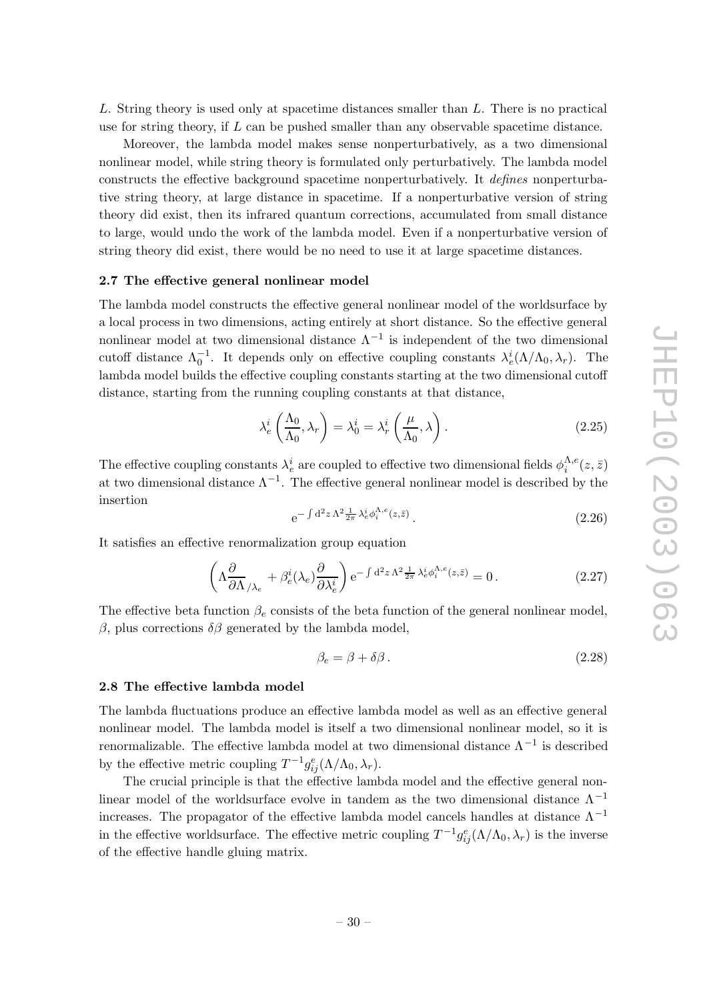<span id="page-30-0"></span>L . String theory is used only at spacetime distances smaller than L . There is no practical use for string theory, if L can be pushed smaller than any observable spacetime distance.

Moreover, the lambda model makes sense nonperturbatively, as a two dimensional nonlinear model, while string theory is formulated only perturbatively. The lambda model constructs the effective background spacetime nonperturbatively. It *defines* nonperturbative string theory, at large distance in spacetime. If a nonperturbative version of string theory did exist, then its infrared quantum corrections, accumulated from small distance to large, would undo the work of the lam bda model. Even if a nonperturbativ e version of string theory did exist, there would b e no need to use it at large spacetime distances.

#### 2.7 The effectiv e general nonlinear model

The lambda model constructs the effective general nonlinear model of the worldsurface by a local process in t w o dimensions, acting entirely at short distance. So the effectiv e general nonlinear model at two dimensional distance  $\Lambda^{-1}$  is independent of the two dimensional cutoff distance  $\Lambda_0^{-1}$ . It depends only on effective coupling constants  $\lambda_e^i(\Lambda/\Lambda_0,\lambda_r)$ . The lam bda model builds the effectiv e coupling constants starting at the t w o dimensional cutoff distance, starting from the running coupling constants at that distance,

$$
\lambda_e^i \left( \frac{\Lambda_0}{\Lambda_0}, \lambda_r \right) = \lambda_0^i = \lambda_r^i \left( \frac{\mu}{\Lambda_0}, \lambda \right). \tag{2.25}
$$

The effective coupling constants  $\lambda_e^i$  are coupled to effective two dimensional fields  $\phi_i^{\Lambda, e}$  $i^{A,e}(z,\bar{z})$ at two dimensional distance  $\Lambda^{-1}$ . The effective general nonlinear model is described by the insertion

$$
e^{-\int d^2z \Lambda^2 \frac{1}{2\pi} \lambda_e^i \phi_i^{\Lambda, e}(z, \bar{z})}.
$$
 (2.26)

It satisfies an effectiv e renormalization group equation

$$
\left(\Lambda \frac{\partial}{\partial \Lambda_{/\lambda_e}} + \beta_e^i(\lambda_e) \frac{\partial}{\partial \lambda_e^i}\right) e^{-\int d^2 z \Lambda^2 \frac{1}{2\pi} \lambda_e^i \phi_i^{\Lambda, e}(z, \bar{z})} = 0. \tag{2.27}
$$

The effective beta function  $\beta_e$  consists of the beta function of the general nonlinear model, β, plus corrections  $\delta\beta$  generated by the lambda model,

$$
\beta_e = \beta + \delta\beta. \tag{2.28}
$$

#### 2.8 The effectiv e lam bda model

The lam bda fluctuations produce an effectiv e lam bda model as well as an effectiv e general nonlinear model. The lam bda model is itself a t w o dimensional nonlinear model, so it is renormalizable. The effective lambda model at two dimensional distance  $\Lambda^{-1}$  is described by the effective metric coupling  $T^{-1} g_{ij}^e(\Lambda/\Lambda_0, \lambda_r)$ .

The crucial principle is that the effectiv e lam bda model and the effectiv e general nonlinear model of the worldsurface evolve in tandem as the two dimensional distance  $\Lambda^{-1}$ increases. The propagator of the effective lambda model cancels handles at distance  $\Lambda^{-1}$ in the effective worldsurface. The effective metric coupling  $T^{-1} g_{ij}^e(\Lambda/\Lambda_0, \lambda_r)$  is the inverse of the effectiv e handle gluing matrix.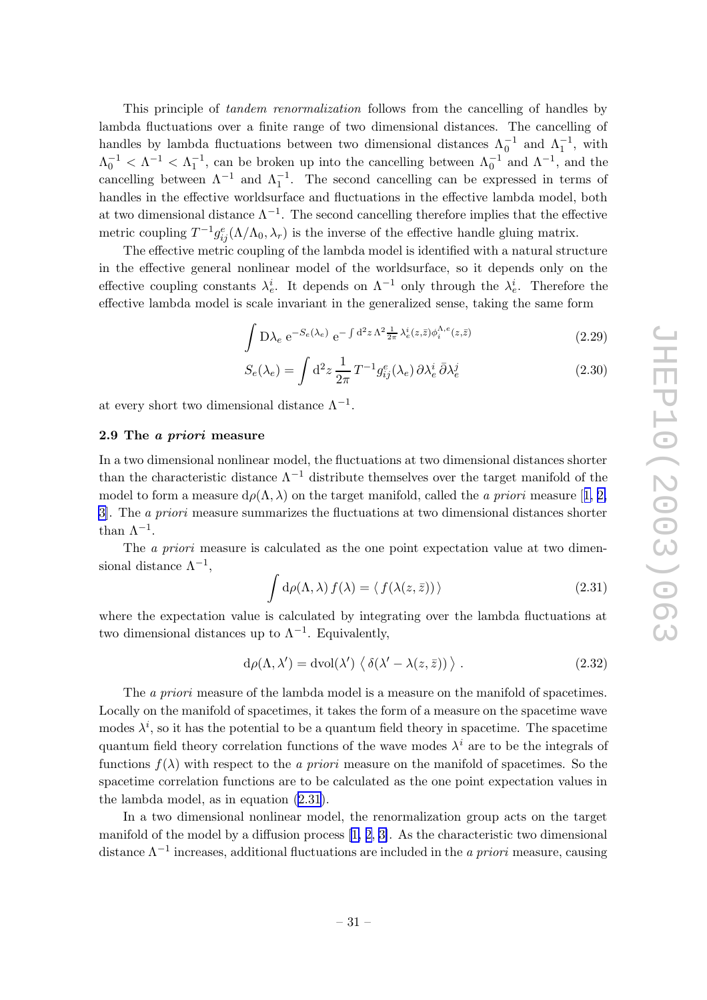<span id="page-31-0"></span>This principle of *tandem renormalization* follows from the cancelling of handles by lam bda fluctuations o ver a finite range of t w o dimensional distances. The cancelling of handles by lambda fluctuations between two dimensional distances  $\Lambda_0^{-1}$  and  $\Lambda_1^{-1}$ , with  $\Lambda_0^{-1} < \Lambda_1^{-1}$ , can be broken up into the cancelling between  $\Lambda_0^{-1}$  and  $\Lambda^{-1}$ , and the cancelling between  $\Lambda^{-1}$  and  $\Lambda^{-1}$ . The second cancelling can be expressed in terms of handles in the effective worldsurface and fluctuations in the effective lambda model, both at two dimensional distance  $\Lambda^{-1}$ . The second cancelling therefore implies that the effective metric coupling  $T^{-1} g_{ij}^e(\Lambda/\Lambda_0, \lambda_r)$  is the inverse of the effective handle gluing matrix.

The effectiv e metric coupling of the lam bda model is identified with a natural structure in the effectiv e general nonlinear model of the worldsurface, so it depends only on the effective coupling constants  $\lambda_e^i$ . It depends on  $\Lambda^{-1}$  only through the  $\lambda_e^i$ . Therefore the effectiv e lam bda model is scale in varian t in the generalized sense, taking the same form

$$
\int \mathcal{D}\lambda_e \, e^{-S_e(\lambda_e)} \, e^{-\int d^2 z \, \Lambda^2 \frac{1}{2\pi} \, \lambda_e^i(z,\bar{z}) \phi_i^{\Lambda,e}(z,\bar{z})} \tag{2.29}
$$

$$
S_e(\lambda_e) = \int d^2 z \frac{1}{2\pi} T^{-1} g_{ij}^e(\lambda_e) \, \partial \lambda_e^i \, \bar{\partial} \lambda_e^j \tag{2.30}
$$

at every short two dimensional distance  $\Lambda^{-1}$ .

## 2.9 The *a priori* measure

In a t w o dimensional nonlinear model, the fluctuations at t w o dimensional distances shorter than the characteristic distance  $\Lambda^{-1}$  distribute themselves over the target manifold of the model to form a measure  $d\rho(\Lambda, \lambda)$  on the target manifold, called the *a priori* measure [[1](#page-97-0), [2](#page-97-0), 3. The *a priori* measure summarizes the fluctuations at two dimensional distances shorter than  $\Lambda^{-1}$ .

The *a priori* measure is calculated as the one point expectation value at two dimensional distance  $\Lambda^{-1}$ .

$$
\int d\rho(\Lambda,\lambda) f(\lambda) = \langle f(\lambda(z,\bar{z})) \rangle
$$
\n(2.31)

where the expectation value is calculated by integrating over the lambda fluctuations at two dimensional distances up to  $\Lambda^{-1}$ . Equivalently,

$$
d\rho(\Lambda, \lambda') = \text{dvol}(\lambda') \langle \delta(\lambda' - \lambda(z, \bar{z})) \rangle.
$$
 (2.32)

The *a priori* measure of the lambda model is a measure on the manifold of spacetimes. Locally on the manifold of spacetimes, it takes the form of a measure on the spacetime wave modes  $\lambda^i$ , so it has the potential to be a quantum field theory in spacetime. The spacetime quantum field theory correlation functions of the wave modes  $\lambda^{i}$  are to be the integrals of functions  $f(\lambda)$  with respect to the *a priori* measure on the manifold of spacetimes. So the spacetime correlation functions are to be calculated as the one point expectation values in the lam bda model, as in equation (2.31).

In a two dimensional nonlinear model, the renormalization group acts on the target manifold of the model by a diffusion process [[1](#page-97-0), [2](#page-97-0), [3\]](#page-97-0). As the characteristic two dimensional distance  $\Lambda^{-1}$  increases, additional fluctuations are included in the *a priori* measure, causing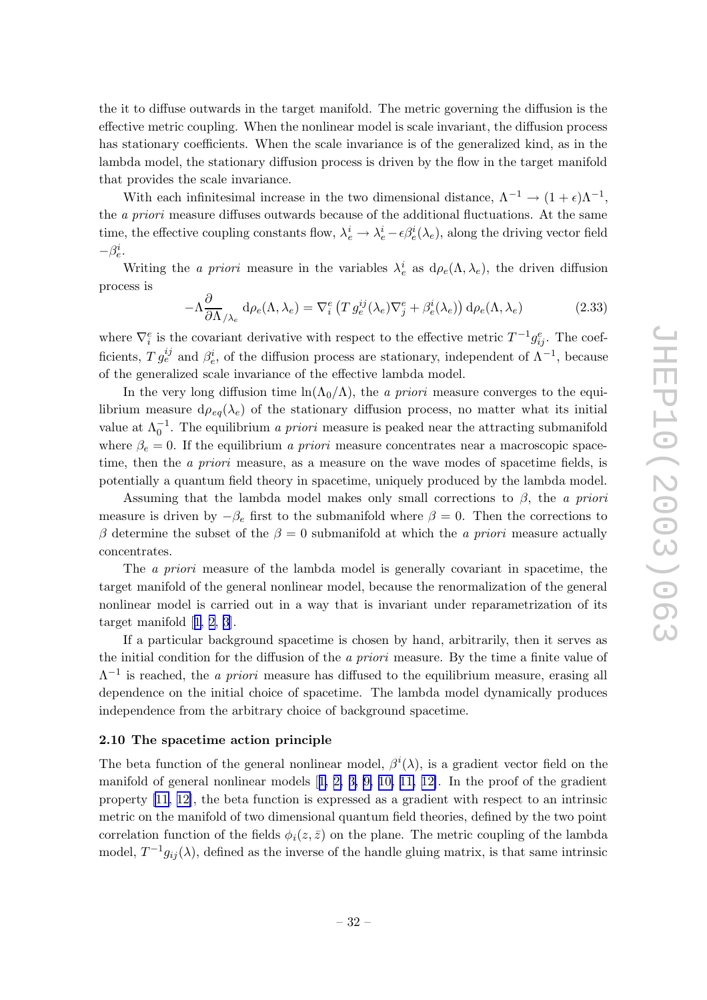<span id="page-32-0"></span>the it to diffuse out wards in the target manifold. The metric go verning the diffusion is the effectiv e metric coupling. When the nonlinear model is scale in variant, the diffusion process has stationary coefficients. When the scale in variance is of the generalized kind, as in the lambda model, the stationary diffusion process is driven by the flow in the target manifold that provides the scale in variance.

With each infinitesimal increase in the two dimensional distance,  $\Lambda^{-1} \to (1 + \epsilon)\Lambda^{-1}$ , the *a priori* measure diffuses outwards because of the additional fluctuations. At the same time, the effective coupling constants flow,  $\lambda_e^i \to \lambda_e^i - \epsilon \beta_e^i(\lambda_e)$ , along the driving vector field  $-\beta_e^i$ 

.<br>Writing the *a priori* measure in the variables  $\lambda_e^i$  as  $d\rho_e(\Lambda, \lambda_e)$ , the driven diffusion process is

$$
-\Lambda \frac{\partial}{\partial \Lambda_{/\lambda_e}} d\rho_e(\Lambda, \lambda_e) = \nabla_i^e \left( T g_e^{ij}(\lambda_e) \nabla_j^e + \beta_e^i(\lambda_e) \right) d\rho_e(\Lambda, \lambda_e)
$$
(2.33)

where  $\nabla_i^e$  is the covariant derivative with respect to the effective metric  $T^{-1} g_{ij}^e$ . The coefficients,  $T g_e^{ij}$  and  $\beta_e^i$ , of the diffusion process are stationary, independent of  $\Lambda^{-1}$ , because of the generalized scale in variance of the effectiv e lam bda model.

In the very long diffusion time  $\ln(\Lambda_0/\Lambda)$ , the *a priori* measure converges to the equilibrium measure  $d\rho_{eq}(\lambda_e)$  of the stationary diffusion process, no matter what its initial value at  $\Lambda_0^{-1}$ . The equilibrium a priori measure is peaked near the attracting submanifold where  $\beta_e = 0$ . If the equilibrium *a priori* measure concentrates near a macroscopic spacetime, then the *a priori* measure, as a measure on the wave modes of spacetime fields, is potentially a quantum field theory in spacetime, uniquely produced by the lambda model.

Assuming that the lambda model makes only small corrections to  $\beta$ , the *a priori* measure is driven by  $-\beta_e$  first to the submanifold where  $\beta = 0$ . Then the corrections to  $\beta$  determine the subset of the  $\beta = 0$  submanifold at which the *a priori* measure actually concentrates.

The *a priori* measure of the lambda model is generally covariant in spacetime, the target manifold of the general nonlinear model, because the renormalization of the general nonlinear model is carried out in a way that is invariant under reparametrization of its target manifold  $[1, 2, 3]$  $[1, 2, 3]$  $[1, 2, 3]$  $[1, 2, 3]$  $[1, 2, 3]$  $[1, 2, 3]$  $[1, 2, 3]$ .

If a particular background spacetime is chosen b y hand, arbitrarily , then it serves as the initial condition for the diffusion of the *a priori* measure. By the time a finite value of  $\Lambda^{-1}$  is reached, the *a priori* measure has diffused to the equilibrium measure, erasing all dependence on the initial choice of spacetime. The lam bda model dynamically produces independence from the arbitrary choice of background spacetime.

#### 2.10 The spacetime action principle

The beta function of the general nonlinear model,  $\beta^i(\lambda)$ , is a gradient vector field on the manifold of general nonlinear models  $[1, 2, 3, 9, 10, 11, 12]$  $[1, 2, 3, 9, 10, 11, 12]$  $[1, 2, 3, 9, 10, 11, 12]$  $[1, 2, 3, 9, 10, 11, 12]$  $[1, 2, 3, 9, 10, 11, 12]$  $[1, 2, 3, 9, 10, 11, 12]$  $[1, 2, 3, 9, 10, 11, 12]$  $[1, 2, 3, 9, 10, 11, 12]$  $[1, 2, 3, 9, 10, 11, 12]$  $[1, 2, 3, 9, 10, 11, 12]$  $[1, 2, 3, 9, 10, 11, 12]$  $[1, 2, 3, 9, 10, 11, 12]$  $[1, 2, 3, 9, 10, 11, 12]$  $[1, 2, 3, 9, 10, 11, 12]$ . In the proof of the gradient propert y [[11](#page-97-0) , [12\]](#page-97-0), the beta function is expressed as a gradien t with respect to an intrinsic metric on the manifold of two dimensional quantum field theories, defined by the two point correlation function of the fields  $\phi_i(z,\bar{z})$  on the plane. The metric coupling of the lambda model,  $T^{-1}g_{ij}(\lambda)$ , defined as the inverse of the handle gluing matrix, is that same intrinsic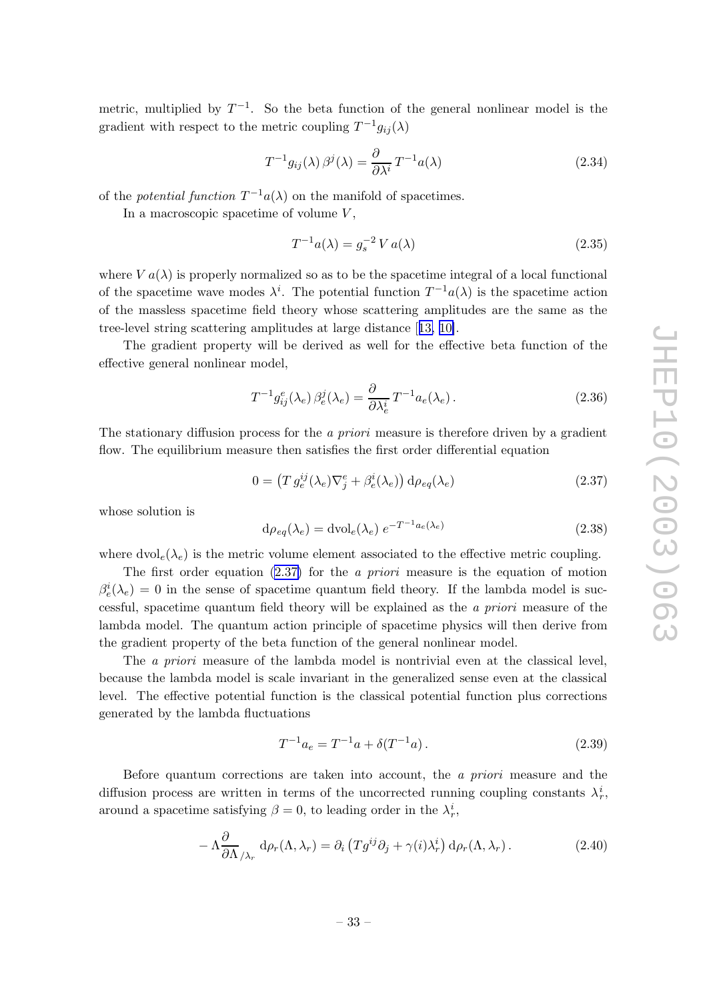metric, multiplied by  $T^{-1}$ . So the beta function of the general nonlinear model is the gradient with respect to the metric coupling  $T^{-1}g_{ij}(\lambda)$ 

$$
T^{-1}g_{ij}(\lambda)\beta^j(\lambda) = \frac{\partial}{\partial \lambda^i}T^{-1}a(\lambda)
$$
\n(2.34)

of the *potential function*  $T^{-1}a(\lambda)$  on the manifold of spacetimes.

In a macroscopic spacetime of volume  $V$ ,

$$
T^{-1}a(\lambda) = g_s^{-2} V a(\lambda)
$$
 (2.35)

where  $V a(\lambda)$  is properly normalized so as to be the spacetime integral of a local functional of the spacetime wave modes  $\lambda^i$ . The potential function  $T^{-1}a(\lambda)$  is the spacetime action of the massless spacetime field theory whose scattering amplitudes are the same as the tree-level string scattering amplitudes at large distance [[13](#page-98-0) , [10\]](#page-97-0).

The gradien t propert y will b e derived as well for the effectiv e beta function of the effectiv e general nonlinear model,

$$
T^{-1} g_{ij}^e(\lambda_e) \beta_e^j(\lambda_e) = \frac{\partial}{\partial \lambda_e^i} T^{-1} a_e(\lambda_e).
$$
 (2.36)

The stationary diffusion process for the *a priori* measure is therefore driven by a gradient flow. The equilibrium measure then satisfies the first order differential equation

$$
0 = \left(T g_e^{ij}(\lambda_e) \nabla_j^e + \beta_e^i(\lambda_e)\right) d\rho_{eq}(\lambda_e)
$$
\n(2.37)

whose solution is

$$
d\rho_{eq}(\lambda_e) = dvol_e(\lambda_e) e^{-T^{-1}a_e(\lambda_e)}
$$
\n(2.38)

where  $dvol_e(\lambda_e)$  is the metric volume element associated to the effective metric coupling.

The first order equation  $(2.37)$  for the *a priori* measure is the equation of motion  $\beta_e^i(\lambda_e) = 0$  in the sense of spacetime quantum field theory. If the lambda model is successful, spacetime quantum field theory will be explained as the a priori measure of the lam bda model. The quantum action principle of spacetime physics will then deriv e from the gradien t propert y of the beta function of the general nonlinear model.

The *a priori* measure of the lambda model is nontrivial even at the classical level, because the lam bda model is scale in varian t in the generalized sense even at the classical level. The effectiv e potential function is the classical potential function plus corrections generated b y the lam bda fluctuations

$$
T^{-1}a_e = T^{-1}a + \delta(T^{-1}a). \tag{2.39}
$$

Before quantum corrections are taken into account, the a priori measure and the diffusion process are written in terms of the uncorrected running coupling constants  $\lambda_r^i$ , around a spacetime satisfying  $\beta = 0$ , to leading order in the  $\lambda_r^i$ ,

$$
-\Lambda \frac{\partial}{\partial \Lambda_{/\lambda_r}} d\rho_r(\Lambda, \lambda_r) = \partial_i \left( T g^{ij} \partial_j + \gamma(i) \lambda_r^i \right) d\rho_r(\Lambda, \lambda_r).
$$
 (2.40)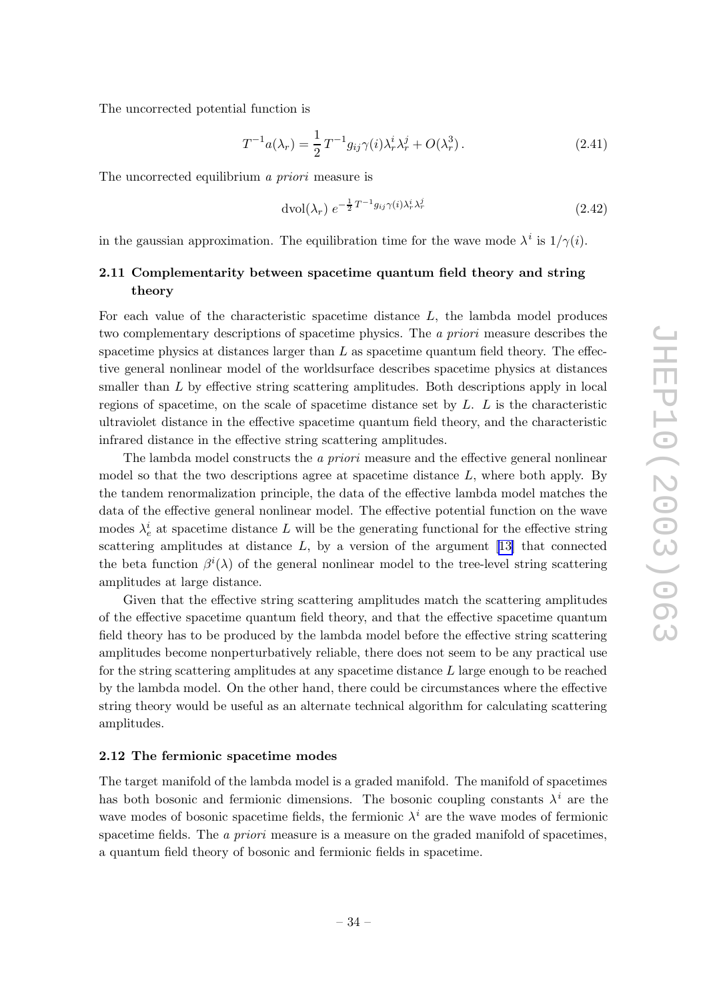<span id="page-34-0"></span>The uncorrected potential function is

$$
T^{-1}a(\lambda_r) = \frac{1}{2}T^{-1}g_{ij}\gamma(i)\lambda_r^i\lambda_r^j + O(\lambda_r^3).
$$
 (2.41)

The uncorrected equilibrium *a priori* measure is

$$
\mathrm{dvol}(\lambda_r) \; e^{-\frac{1}{2}T^{-1}g_{ij}\gamma(i)\lambda_r^i\lambda_r^j} \tag{2.42}
$$

in the gaussian approximation. The equilibration time for the wave mode  $\lambda^i$  is  $1/\gamma(i)$ .

## 2.11 Complementarit y bet ween spacetime quantum field theory and string theory

For each value of the characteristic spacetime distance L, the lambda model produces two complementary descriptions of spacetime physics. The *a priori* measure describes the spacetime physics at distances larger than  $L$  as spacetime quantum field theory. The effective general nonlinear model of the worldsurface describes spacetime physics at distances smaller than L by effective string scattering amplitudes. Both descriptions apply in local regions of spacetime, on the scale of spacetime distance set by  $L$ .  $L$  is the characteristic ultraviolet distance in the effectiv e spacetime quantum field theory , and the characteristic infrared distance in the effectiv e string scattering amplitudes.

The lambda model constructs the *a priori* measure and the effective general nonlinear model so that the two descriptions agree at spacetime distance L, where both apply. By the tandem renormalization principle, the data of the effectiv e lam bda model matches the data of the effective general nonlinear model. The effective potential function on the wave modes  $\lambda_e^i$  at spacetime distance L will be the generating functional for the effective string scattering amplitudes at distance  $L$ , by a version of the argument [[13](#page-98-0)] that connected the beta function  $\beta^{i}(\lambda)$  of the general nonlinear model to the tree-level string scattering amplitudes at large distance.

Given that the effective string scattering amplitudes match the scattering amplitudes of the effectiv e spacetime quantum field theory , and that the effectiv e spacetime quantum field theory has to be produced by the lambda model before the effective string scattering amplitudes become nonperturbatively reliable, there does not seem to b e an y practical use for the string scattering amplitudes at any spacetime distance  $L$  large enough to be reached by the lambda model. On the other hand, there could be circumstances where the effective string theory would b e useful as an alternate technical algorithm for calculating scattering amplitudes.

#### 2.12 The fermionic spacetime modes

The target manifold of the lam bda model is a graded manifold. The manifold of spacetimes has both bosonic and fermionic dimensions. The bosonic coupling constants  $\lambda^i$  are the wave modes of bosonic spacetime fields, the fermionic  $\lambda^{i}$  are the wave modes of fermionic spacetime fields. The *a priori* measure is a measure on the graded manifold of spacetimes, a quantum field theory of bosonic and fermionic fields in spacetime.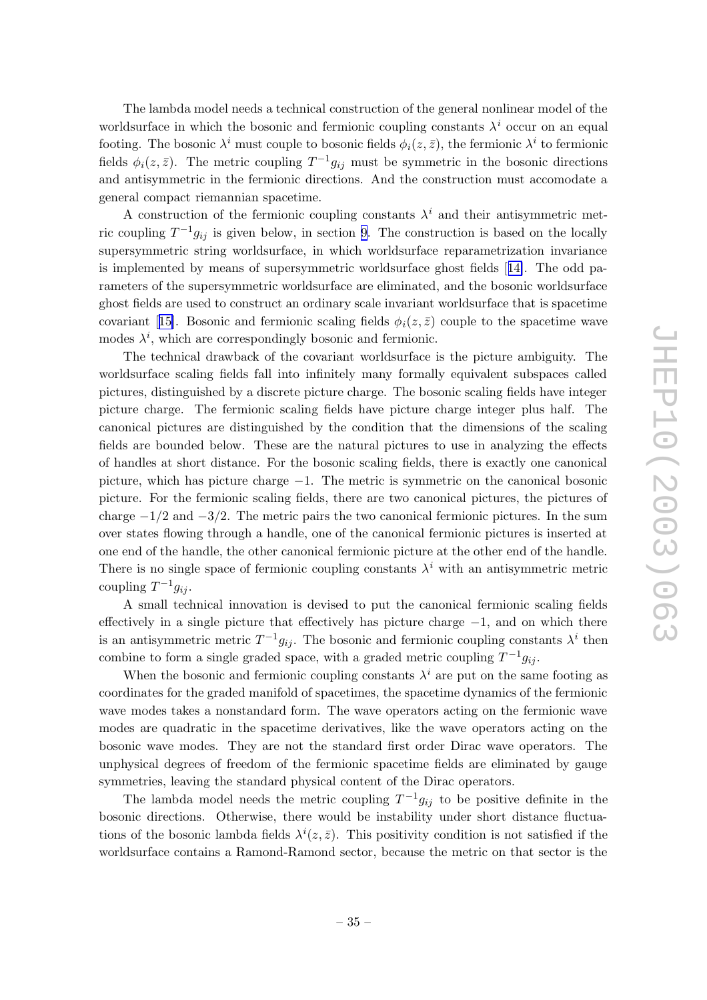The lam bda model needs a technical construction of the general nonlinear model of the worldsurface in which the bosonic and fermionic coupling constants  $\lambda^i$  occur on an equal footing. The bosonic  $\lambda^i$  must couple to bosonic fields  $\phi_i(z, \bar{z})$ , the fermionic  $\lambda^i$  to fermionic fields  $\phi_i(z,\bar{z})$ . The metric coupling  $T^{-1}g_{ij}$  must be symmetric in the bosonic directions and antisymmetric in the fermionic directions. And the construction must accomodate a general compact riemannian spacetime.

A construction of the fermionic coupling constants  $\lambda^{i}$  and their antisymmetric metric coupling  $T^{-1}g_{ij}$  is given below, in section [9](#page-71-0). The construction is based on the locally supersymmetric string worldsurface, in whic h worldsurface reparametrization in variance is implemented b y means of supersymmetric worldsurface ghost fields [[14\]](#page-98-0). The odd parameters of the supersymmetric worldsurface are eliminated, and the bosonic worldsurface ghost fields are used to construct an ordinary scale in varian t worldsurface that is spacetime covariant [[15\]](#page-98-0). Bosonic and fermionic scaling fields  $\phi_i(z,\bar{z})$  couple to the spacetime wave modes  $\lambda^i$ , which are correspondingly bosonic and fermionic.

The technical drawback of the covariant worldsurface is the picture ambiguity. The worldsurface scaling fields fall into infinitely man y formally equivalen t subspaces called pictures, distinguished b y a discrete picture charge. The bosonic scaling fields hav e integer picture charge. The fermionic scaling fields hav e picture charge integer plus half. The canonical pictures are distinguished b y the condition that the dimensions of the scaling fields are bounded below. These are the natural pictures to use in analyzing the effects of handles at short distance. For the bosonic scaling fields, there is exactly one canonical picture, which has picture charge −1. The metric is symmetric on the canonical bosonic picture. For the fermionic scaling fields, there are t w o canonical pictures, the pictures of charge  $-1/2$  and  $-3/2$ . The metric pairs the two canonical fermionic pictures. In the sum o ver states flowing through a handle, one of the canonical fermionic pictures is inserted at one end of the handle, the other canonical fermionic picture at the other end of the handle. There is no single space of fermionic coupling constants  $\lambda^{i}$  with an antisymmetric metric coupling  $T^{-1}g_{ij}$ .

A small technical inno vation is devised to put the canonical fermionic scaling fields effectively in a single picture that effectively has picture charge  $-1$ , and on which there is an antisymmetric metric  $T^{-1}g_{ij}$ . The bosonic and fermionic coupling constants  $\lambda^i$  then combine to form a single graded space, with a graded metric coupling  $T^{-1}g_{ij}$ .

When the bosonic and fermionic coupling constants  $\lambda^{i}$  are put on the same footing as coordinates for the graded manifold of spacetimes, the spacetime dynamics of the fermionic wave modes takes a nonstandard form. The wave operators acting on the fermionic wave modes are quadratic in the spacetime derivatives, lik e the w av e operators acting on the bosonic w av e modes. They are not the standard first order Dirac w av e operators. The unphysical degrees of freedom of the fermionic spacetime fields are eliminated b y gauge symmetries, leaving the standard physical conten t of the Dirac operators.

The lambda model needs the metric coupling  $T^{-1}g_{ij}$  to be positive definite in the bosonic directions. Otherwise, there would be instability under short distance fluctuations of the bosonic lambda fields  $\lambda^{i}(z, \bar{z})$ . This positivity condition is not satisfied if the worldsurface contains a Ramond-Ramond sector, because the metric on that sector is the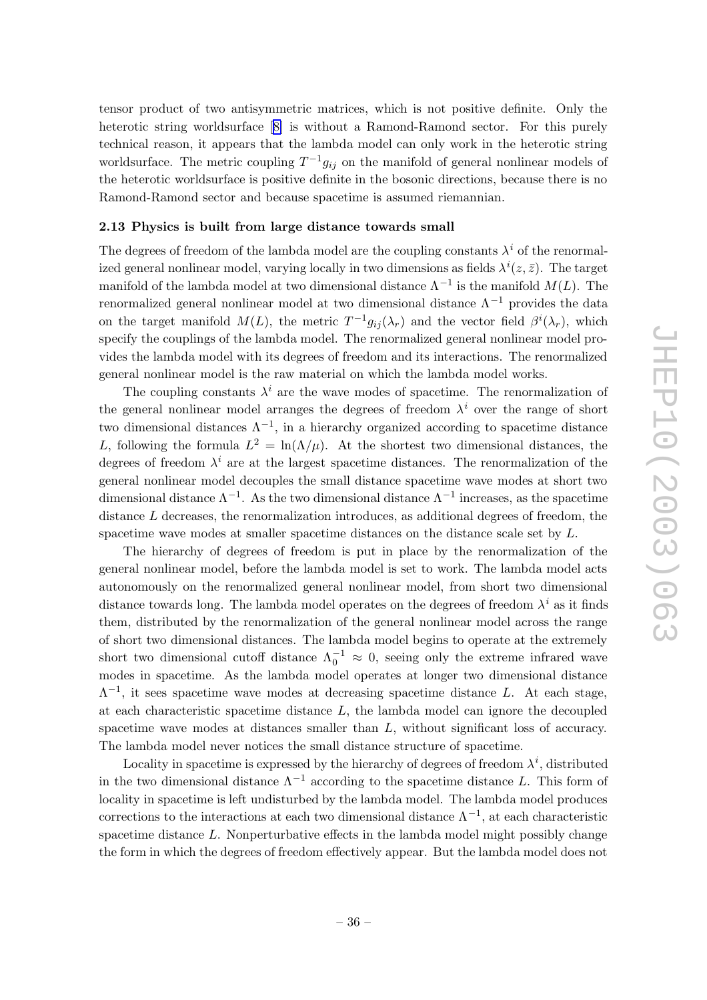tensor product of t w o antisymmetric matrices, whic h is not positiv e definite. Only the heterotic string worldsurface [[8](#page-97-0)] is without a Ramond-Ramond sector. For this purely technical reason, it appears that the lam bda model can only work in the heterotic string worldsurface. The metric coupling  $T^{-1}g_{ij}$  on the manifold of general nonlinear models of the heterotic worldsurface is positiv e definite in the bosonic directions, because there is no Ramond-Ramond sector and because spacetime is assumed riemannian.

### 2.13 Physics is built from large distance to wards small

The degrees of freedom of the lambda model are the coupling constants  $\lambda^{i}$  of the renormalized general nonlinear model, varying locally in two dimensions as fields  $\lambda^{i}(z, \bar{z})$ . The target manifold of the lambda model at two dimensional distance  $\Lambda^{-1}$  is the manifold  $M(L)$ . The renormalized general nonlinear model at two dimensional distance  $\Lambda^{-1}$  provides the data on the target manifold  $M(L)$ , the metric  $T^{-1}g_{ij}(\lambda_r)$  and the vector field  $\beta^i(\lambda_r)$ , which specify the couplings of the lam bda model. The renormalized general nonlinear model provides the lambda model with its degrees of freedom and its interactions. The renormalized general nonlinear model is the raw material on whic h the lam bda model works.

The coupling constants  $\lambda^{i}$  are the wave modes of spacetime. The renormalization of the general nonlinear model arranges the degrees of freedom  $\lambda^i$  over the range of short two dimensional distances  $\Lambda^{-1}$ , in a hierarchy organized according to spacetime distance L, following the formula  $L^2 = \ln(\Lambda/\mu)$ . At the shortest two dimensional distances, the degrees of freedom  $\lambda^{i}$  are at the largest spacetime distances. The renormalization of the general nonlinear model decouples the small distance spacetime w av e modes at short t w o dimensional distance  $\Lambda^{-1}$ . As the two dimensional distance  $\Lambda^{-1}$  increases, as the spacetime distance L decreases, the renormalization introduces, as additional degrees of freedom, the spacetime wave modes at smaller spacetime distances on the distance scale set by  $L$ .

The hierarc h y of degrees of freedom is put in place b y the renormalization of the general nonlinear model, before the lam bda model is set to work. The lam bda model acts autonomously on the renormalized general nonlinear model, from short t w o dimensional distance towards long. The lambda model operates on the degrees of freedom  $\lambda^i$  as it finds them, distributed b y the renormalization of the general nonlinear model across the range of short t w o dimensional distances. The lam bda model begins to operate at the extremely short two dimensional cutoff distance  $\Lambda_0^{-1} \approx 0$ , seeing only the extreme infrared wave modes in spacetime. As the lam bda model operates at longer t w o dimensional distance  $\Lambda^{-1}$ , it sees spacetime wave modes at decreasing spacetime distance L. At each stage, at eac h characteristic spacetime distance L , the lam bda model can ignore the decoupled spacetime wave modes at distances smaller than L, without significant loss of accuracy. The lam bda model never notices the small distance structure of spacetime.

Locality in spacetime is expressed by the hierarchy of degrees of freedom  $\lambda^i$ , distributed in the two dimensional distance  $\Lambda^{-1}$  according to the spacetime distance L. This form of locality in spacetime is left undisturbed by the lambda model. The lambda model produces corrections to the interactions at each two dimensional distance  $\Lambda^{-1}$ , at each characteristic spacetime distance L. Nonperturbative effects in the lambda model might possibly change the form in which the degrees of freedom effectively appear. But the lambda model does not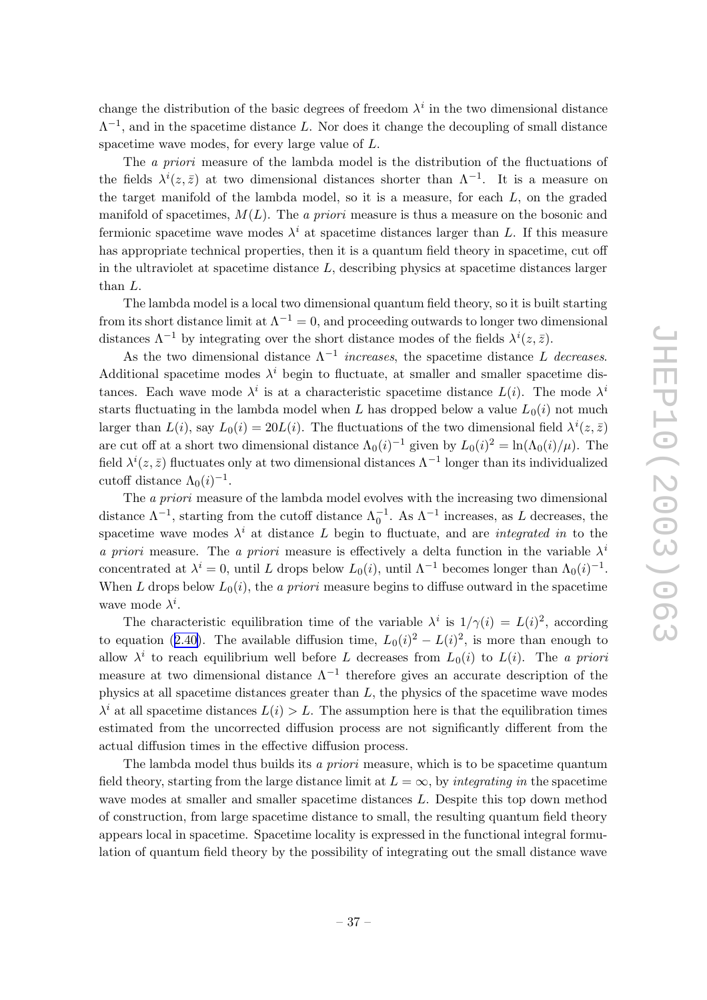change the distribution of the basic degrees of freedom  $\lambda^i$  in the two dimensional distance  $\Lambda^{-1}$ , and in the spacetime distance L. Nor does it change the decoupling of small distance spacetime wave modes, for every large value of L.

The *a priori* measure of the lambda model is the distribution of the fluctuations of the fields  $\lambda^{i}(z,\bar{z})$  at two dimensional distances shorter than  $\Lambda^{-1}$ . It is a measure on the target manifold of the lam bda model, so it is a measure, for eac h L , on the graded manifold of spacetimes,  $M(L)$ . The *a priori* measure is thus a measure on the bosonic and fermionic spacetime wave modes  $\lambda^{i}$  at spacetime distances larger than L. If this measure has appropriate technical properties, then it is a quantum field theory in spacetime, cut off in the ultraviolet at spacetime distance L , describing physics at spacetime distances larger than L .

The lam bda model is a local t w o dimensional quantum field theory , so it is built starting from its short distance limit at  $\Lambda^{-1} = 0$ , and proceeding outwards to longer two dimensional distances  $\Lambda^{-1}$  by integrating over the short distance modes of the fields  $\lambda^{i}(z, \bar{z})$ .

As the two dimensional distance  $\Lambda^{-1}$  increases, the spacetime distance L decreases. Additional spacetime modes  $\lambda^i$  begin to fluctuate, at smaller and smaller spacetime distances. Each wave mode  $\lambda^i$  is at a characteristic spacetime distance  $L(i)$ . The mode  $\lambda^i$ starts fluctuating in the lambda model when L has dropped below a value  $L_0(i)$  not much larger than  $L(i)$ , say  $L_0(i) = 20L(i)$ . The fluctuations of the two dimensional field  $\lambda^i(z, \bar{z})$ are cut off at a short two dimensional distance  $\Lambda_0(i)^{-1}$  given by  $L_0(i)^2 = \ln(\Lambda_0(i)/\mu)$ . The field  $\lambda^{i}(z, \bar{z})$  fluctuates only at two dimensional distances  $\Lambda^{-1}$  longer than its individualized cutoff distance  $\Lambda_0(i)^{-1}$ .

The *a priori* measure of the lambda model evolves with the increasing two dimensional distance  $\Lambda^{-1}$ , starting from the cutoff distance  $\Lambda_0^{-1}$ . As  $\Lambda^{-1}$  increases, as L decreases, the spacetime wave modes  $\lambda^i$  at distance L begin to fluctuate, and are *integrated in* to the a priori measure. The a priori measure is effectively a delta function in the variable  $\lambda^i$ concentrated at  $\lambda^i = 0$ , until L drops below  $L_0(i)$ , until  $\Lambda^{-1}$  becomes longer than  $\Lambda_0(i)^{-1}$ . When L drops below  $L_0(i)$ , the *a priori* measure begins to diffuse outward in the spacetime wave mode  $\lambda^i$ .

The characteristic equilibration time of the variable  $\lambda^i$  is  $1/\gamma(i) = L(i)^2$ , according to equation ([2.40\)](#page-33-0). The available diffusion time,  $L_0(i)^2 - L(i)^2$ , is more than enough to allow  $\lambda^i$  to reach equilibrium well before L decreases from  $L_0(i)$  to  $L(i)$ . The a priori measure at two dimensional distance  $\Lambda^{-1}$  therefore gives an accurate description of the physics at all spacetime distances greater than L , the physics of the spacetime w av e modes  $\lambda^{i}$  at all spacetime distances  $L(i) > L$ . The assumption here is that the equilibration times estimated from the uncorrected diffusion process are not significantly differen t from the actual diffusion times in the effectiv e diffusion process.

The lambda model thus builds its *a priori* measure, which is to be spacetime quantum field theory, starting from the large distance limit at  $L = \infty$ , by *integrating in* the spacetime wave modes at smaller and smaller spacetime distances L. Despite this top down method of construction, from large spacetime distance to small, the resulting quantum field theory appears local in spacetime. Spacetime localit y is expressed in the functional integral formulation of quantum field theory by the possibility of integrating out the small distance wave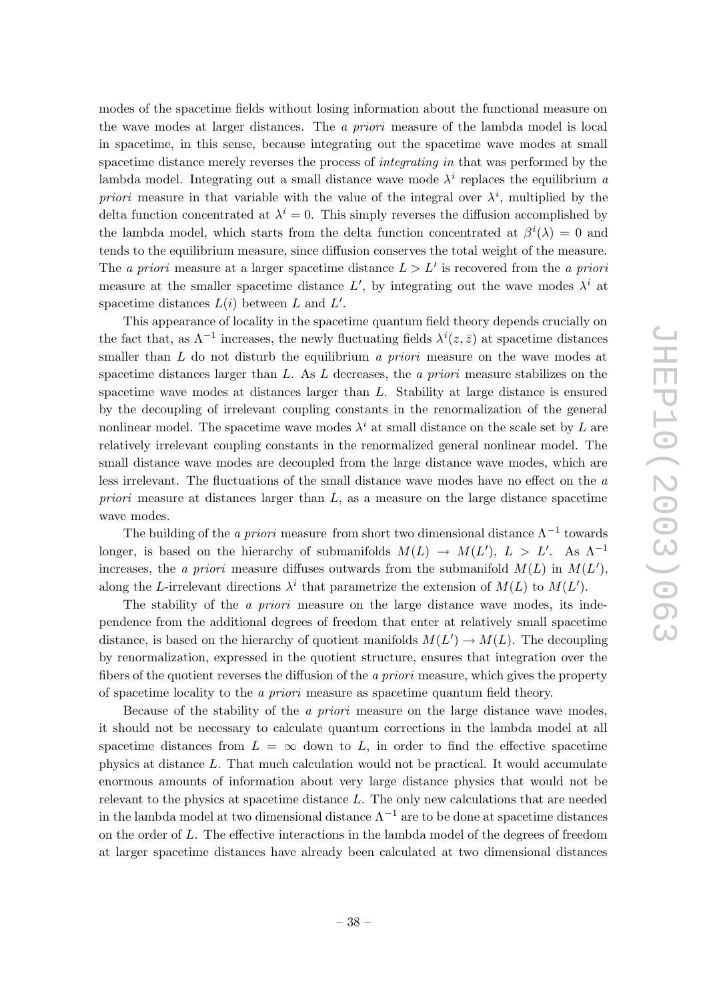modes of the spacetime fields without losing information about the functional measure on the wave modes at larger distances. The *a priori* measure of the lambda model is local in spacetime, in this sense, because integrating out the spacetime w av e modes at small spacetime distance merely reverses the process of *integrating in* that was performed by the lambda model. Integrating out a small distance wave mode  $\lambda^{i}$  replaces the equilibrium a priori measure in that variable with the value of the integral over  $\lambda^i$ , multiplied by the delta function concentrated at  $\lambda^{i} = 0$ . This simply reverses the diffusion accomplished by the lambda model, which starts from the delta function concentrated at  $\beta^{i}(\lambda) = 0$  and tends to the equilibrium measure, since diffusion conserves the total weight of the measure. The *a priori* measure at a larger spacetime distance  $L > L'$  is recovered from the *a priori* measure at the smaller spacetime distance L', by integrating out the wave modes  $\lambda^i$  at spacetime distances  $L(i)$  between L and  $L'$ .

This appearance of localit y in the spacetime quantum field theory depends crucially on the fact that, as  $\Lambda^{-1}$  increases, the newly fluctuating fields  $\lambda^{i}(z,\bar{z})$  at spacetime distances smaller than L do not disturb the equilibrium a priori measure on the wave modes at spacetime distances larger than  $L$ . As  $L$  decreases, the *a priori* measure stabilizes on the spacetime wave modes at distances larger than L. Stability at large distance is ensured b y the decoupling of irrelevan t coupling constants in the renormalization of the general nonlinear model. The spacetime wave modes  $\lambda^i$  at small distance on the scale set by L are relatively irrelevan t coupling constants in the renormalized general nonlinear model. The small distance wave modes are decoupled from the large distance wave modes, which are less irrelevant. The fluctuations of the small distance wave modes have no effect on the  $a$ priori measure at distances larger than L, as a measure on the large distance spacetime w av e modes.

The building of the *a priori* measure from short two dimensional distance  $\Lambda^{-1}$  towards longer, is based on the hierarchy of submanifolds  $M(L) \rightarrow M(L')$ ,  $L > L'$ . As  $\Lambda^{-1}$ increases, the *a priori* measure diffuses outwards from the submanifold  $M(L)$  in  $M(L')$ , along the L-irrelevant directions  $\lambda^i$  that parametrize the extension of  $M(L)$  to  $M(L')$ .

The stability of the *a priori* measure on the large distance wave modes, its independence from the additional degrees of freedom that enter at relatively small spacetime distance, is based on the hierarchy of quotient manifolds  $M(L') \to M(L)$ . The decoupling by renormalization, expressed in the quotient structure, ensures that integration over the fibers of the quotient reverses the diffusion of the *a priori* measure, which gives the property of spacetime locality to the *a priori* measure as spacetime quantum field theory.

Because of the stability of the *a priori* measure on the large distance wave modes, it should not b e necessary to calculate quantum corrections in the lam bda model at all spacetime distances from  $L = \infty$  down to L, in order to find the effective spacetime physics at distance L . That muc h calculation would not b e practical. It would accumulate enormous amounts of information about very large distance physics that would not b e relevant to the physics at spacetime distance L. The only new calculations that are needed in the lambda model at two dimensional distance  $\Lambda^{-1}$  are to be done at spacetime distances on the order of L . The effectiv e interactions in the lam bda model of the degrees of freedom at larger spacetime distances hav e already been calculated at t w o dimensional distances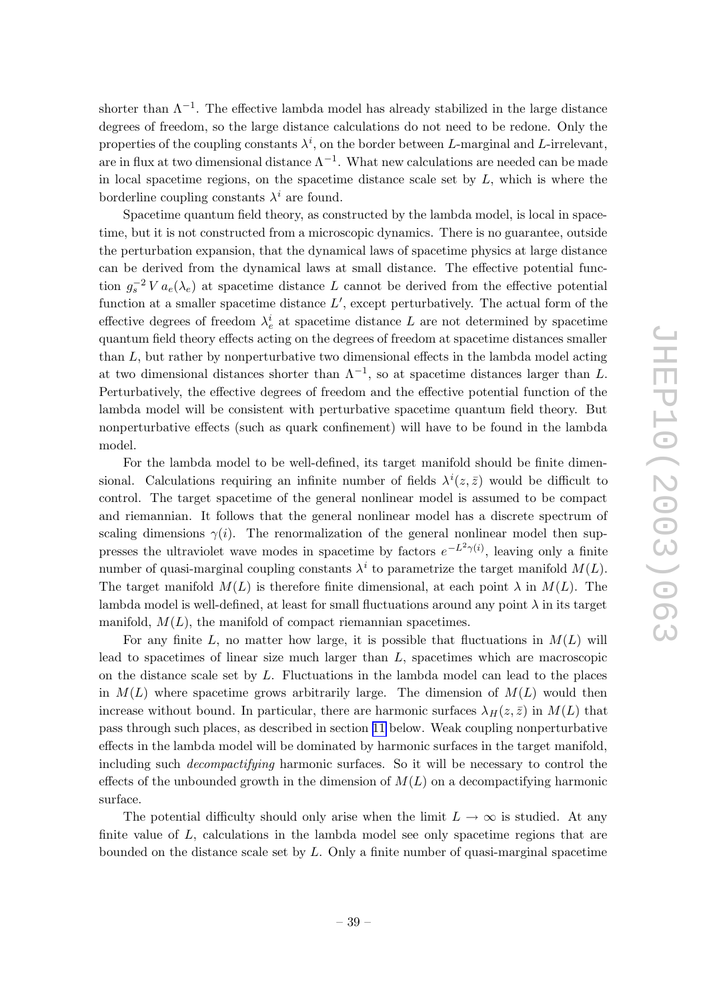shorter than  $\Lambda^{-1}$ . The effective lambda model has already stabilized in the large distance degrees of freedom, so the large distance calculations do not need to b e redone. Only the properties of the coupling constants  $\lambda^i$ , on the border between L-marginal and L-irrelevant, are in flux at two dimensional distance  $\Lambda^{-1}$ . What new calculations are needed can be made in local spacetime regions, on the spacetime distance scale set by  $L$ , which is where the borderline coupling constants  $\lambda^i$  are found.

Spacetime quantum field theory, as constructed by the lambda model, is local in spacetime, but it is not constructed from a microscopic dynamics. There is no guarantee, outside the perturbation expansion, that the dynamical laws of spacetime physics at large distance can b e derived from the dynamical laws at small distance. The effectiv e potential function  $g_{\rm s}^{-2} V a_e(\lambda_e)$  at spacetime distance L cannot be derived from the effective potential function at a smaller spacetime distance  $L'$ , except perturbatively. The actual form of the effective degrees of freedom  $\lambda_e^i$  at spacetime distance L are not determined by spacetime quantum field theory effects acting on the degrees of freedom at spacetime distances smaller than L, but rather by nonperturbative two dimensional effects in the lambda model acting at two dimensional distances shorter than  $\Lambda^{-1}$ , so at spacetime distances larger than L. Perturbatively, the effective degrees of freedom and the effective potential function of the lam bda model will b e consisten t with perturbativ e spacetime quantum field theory . But nonperturbativ e effects (suc h as quark confinement) will hav e to b e found in the lam bda model.

For the lambda model to be well-defined, its target manifold should be finite dimensional. Calculations requiring an infinite number of fields  $\lambda^{i}(z, \bar{z})$  would be difficult to control. The target spacetime of the general nonlinear model is assumed to b e compact and riemannian. It follows that the general nonlinear model has a discrete spectrum of scaling dimensions  $\gamma(i)$ . The renormalization of the general nonlinear model then suppresses the ultraviolet wave modes in spacetime by factors  $e^{-L^2\gamma(i)}$ , leaving only a finite number of quasi-marginal coupling constants  $\lambda^i$  to parametrize the target manifold  $M(L)$ . The target manifold  $M(L)$  is therefore finite dimensional, at each point  $\lambda$  in  $M(L)$ . The lambda model is well-defined, at least for small fluctuations around any point  $\lambda$  in its target manifold,  $M(L)$ , the manifold of compact riemannian spacetimes.

For any finite L, no matter how large, it is possible that fluctuations in  $M(L)$  will lead to spacetimes of linear size much larger than L, spacetimes which are macroscopic on the distance scale set b y L . Fluctuations in the lam bda model can lead to the places in  $M(L)$  where spacetime grows arbitrarily large. The dimension of  $M(L)$  would then increase without bound. In particular, there are harmonic surfaces  $\lambda_H(z,\bar{z})$  in  $M(L)$  that pass through suc h places, as described in section [11](#page-83-0) below. Weak coupling nonperturbativ e effects in the lam bda model will b e dominated b y harmonic surfaces in the target manifold, including suc h de compactifying harmonic surfaces. So it will b e necessary to control the effects of the unbounded growth in the dimension of  $M(L)$  on a decompactifying harmonic surface.

The potential difficulty should only arise when the limit  $L \to \infty$  is studied. At any finite value of L, calculations in the lambda model see only spacetime regions that are bounded on the distance scale set b y L . Only a finite num ber of quasi-marginal spacetime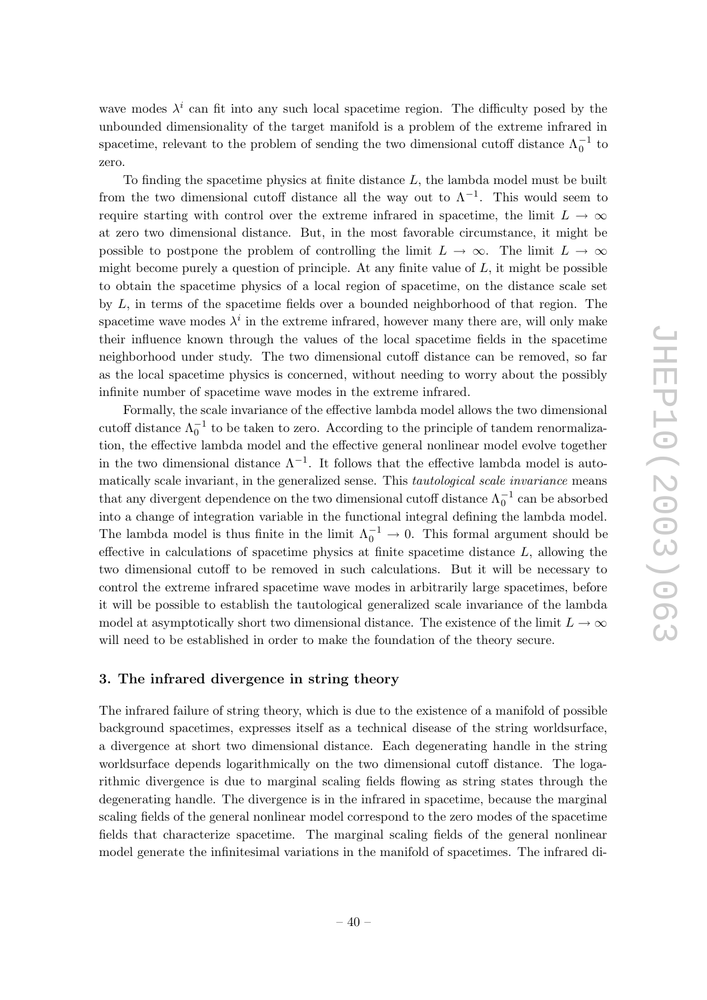wave modes  $\lambda^i$  can fit into any such local spacetime region. The difficulty posed by the un bounded dimensionalit y of the target manifold is a problem of the extreme infrared in spacetime, relevant to the problem of sending the two dimensional cutoff distance  $\Lambda_0^{-1}$  to zero.<br>To finding the spacetime physics at finite distance  $L$ , the lambda model must be built

from the two dimensional cutoff distance all the way out to  $\Lambda^{-1}$ . This would seem to require starting with control over the extreme infrared in spacetime, the limit  $L \to \infty$ at zero t w o dimensional distance. But, in the most favorable circumstance, it migh t b e possible to postpone the problem of controlling the limit  $L \to \infty$ . The limit  $L \to \infty$ might become purely a question of principle. At any finite value of L, it might be possible to obtain the spacetime physics of a local region of spacetime, on the distance scale set by L, in terms of the spacetime fields over a bounded neighborhood of that region. The spacetime wave modes  $\lambda^i$  in the extreme infrared, however many there are, will only make their influence known through the values of the local spacetime fields in the spacetime neigh borho o d under study . The t w o dimensional cutoff distance can b e remo ved, so far as the local spacetime physics is concerned, without needing to worry about the possibly infinite num ber of spacetime w av e modes in the extreme infrared.

Formally, the scale invariance of the effective lambda model allows the two dimensional cutoff distance  $\Lambda_0^{-1}$  to be taken to zero. According to the principle of tandem renormalization, the effective lambda model and the effective general nonlinear model evolve together in the two dimensional distance  $\Lambda^{-1}$ . It follows that the effective lambda model is automatically scale invariant, in the generalized sense. This *tautological scale invariance* means that any divergent dependence on the two dimensional cutoff distance  $\Lambda_0^{-1}$  can be absorbed into a change of integration variable in the functional integral defining the lam bda model. The lambda model is thus finite in the limit  $\Lambda_0^{-1} \to 0$ . This formal argument should be effectiv e in calculations of spacetime physics at finite spacetime distance L , allowing the t w o dimensional cutoff to b e remo ved in suc h calculations. But it will b e necessary to control the extreme infrared spacetime w av e modes in arbitrarily large spacetimes, before it will b e possible to establish the tautological generalized scale in variance of the lam bda model at asymptotically short two dimensional distance. The existence of the limit  $L \to \infty$ will need to b e established in order to mak e the foundation of the theory secure.

### 3. The infrared divergence in string theory

The infrared failure of string theory , whic h is due to the existence of a manifold of possible background spacetimes, expresses itself as a technical disease of the string worldsurface, a divergence at short t w o dimensional distance. Eac h degenerating handle in the string worldsurface depends logarithmically on the t w o dimensional cutoff distance. The logarithmic divergence is due to marginal scaling fields flowing as string states through the degenerating handle. The divergence is in the infrared in spacetime, because the marginal scaling fields of the general nonlinear model correspond to the zero modes of the spacetime fields that characterize spacetime. The marginal scaling fields of the general nonlinear model generate the infinitesimal variations in the manifold of spacetimes. The infrared di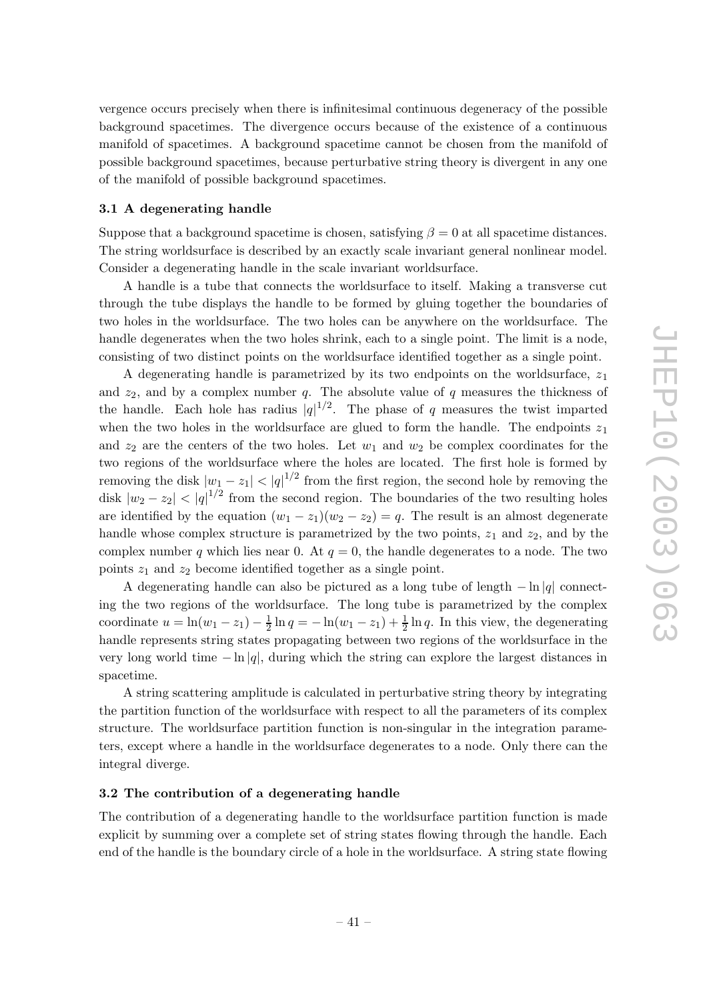vergence occurs precisely when there is infinitesimal continuous degeneracy of the possible background spacetimes. The divergence occurs because of the existence of a continuous manifold of spacetimes. A background spacetime cannot b e chosen from the manifold of possible background spacetimes, because perturbativ e string theory is divergen t in an y one of the manifold of possible background spacetimes.

### 3.1 A degenerating handle

Suppose that a background spacetime is chosen, satisfying  $\beta = 0$  at all spacetime distances. The string worldsurface is described b y an exactly scale in varian t general nonlinear model. Consider a degenerating handle in the scale in varian t worldsurface.

A handle is a tub e that connects the worldsurface to itself. Making a transverse cut through the tub e displays the handle to b e formed b y gluing together the boundaries of t w o holes in the worldsurface. The t w o holes can b e anywhere on the worldsurface. The handle degenerates when the two holes shrink, each to a single point. The limit is a node, consisting of two distinct points on the worldsurface identified together as a single point.

A degenerating handle is parametrized by its two endpoints on the worldsurface,  $z_1$ and  $z_2$ , and by a complex number q. The absolute value of q measures the thickness of the handle. Each hole has radius  $|q|^{1/2}$ . The phase of q measures the twist imparted when the two holes in the worldsurface are glued to form the handle. The endpoints  $z_1$ and  $z_2$  are the centers of the two holes. Let  $w_1$  and  $w_2$  be complex coordinates for the two regions of the worldsurface where the holes are located. The first hole is formed by removing the disk  $|w_1 - z_1| < |q|^{1/2}$  from the first region, the second hole by removing the disk  $|w_2 - z_2|$  <  $|q|^{1/2}$  from the second region. The boundaries of the two resulting holes are identified by the equation  $(w_1 - z_1)(w_2 - z_2) = q$ . The result is an almost degenerate handle whose complex structure is parametrized by the two points,  $z_1$  and  $z_2$ , and by the complex number q which lies near 0. At  $q = 0$ , the handle degenerates to a node. The two points z <sup>1</sup> and z 2 become identified together as a single point.

A degenerating handle can also be pictured as a long tube of length  $-\ln|q|$  connecting the two regions of the worldsurface. The long tube is parametrized by the complex coordinate  $u = \ln(w_1 - z_1) - \frac{1}{2} \ln q = -\ln(w_1 - z_1) + \frac{1}{2} \ln q$ . In this view, the degenerating handle represents string states propagating between two regions of the worldsurface in the very long world time  $-\ln|q|$ , during which the string can explore the largest distances in spacetime.

A string scattering amplitude is calculated in perturbativ e string theory b y integrating the partition function of the worldsurface with respect to all the parameters of its complex structure. The worldsurface partition function is non-singular in the integration parameters, except where a handle in the worldsurface degenerates to a node. Only there can the integral diverge.

### 3.2 The contribution of a degenerating handle

The contribution of a degenerating handle to the worldsurface partition function is made explicit by summing over a complete set of string states flowing through the handle. Each end of the handle is the boundary circle of a hole in the worldsurface. A string state flowing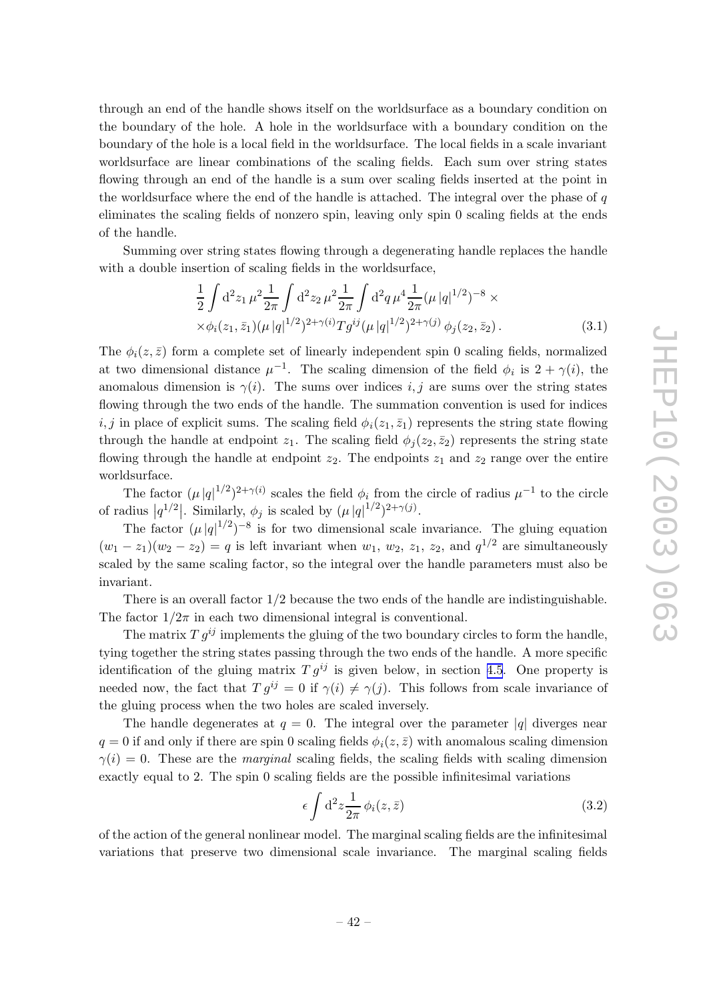<span id="page-42-0"></span>through an end of the handle shows itself on the worldsurface as a boundary condition on the boundary of the hole. A hole in the worldsurface with a boundary condition on the boundary of the hole is a local field in the worldsurface. The local fields in a scale in varian t worldsurface are linear combinations of the scaling fields. Each sum over string states flowing through an end of the handle is a sum over scaling fields inserted at the point in the worldsurface where the end of the handle is attached. The integral over the phase of  $q$ eliminates the scaling fields of nonzero spin, leaving only spin 0 scaling fields at the ends of the handle.

Summing over string states flowing through a degenerating handle replaces the handle with a double insertion of scaling fields in the worldsurface,

$$
\frac{1}{2} \int d^2 z_1 \,\mu^2 \frac{1}{2\pi} \int d^2 z_2 \,\mu^2 \frac{1}{2\pi} \int d^2 q \,\mu^4 \frac{1}{2\pi} (\mu |q|^{1/2})^{-8} \times \times \phi_i(z_1, \bar{z}_1) (\mu |q|^{1/2})^{2+\gamma(i)} T g^{ij} (\mu |q|^{1/2})^{2+\gamma(j)} \phi_j(z_2, \bar{z}_2).
$$
\n(3.1)

The  $\phi_i(z,\bar{z})$  form a complete set of linearly independent spin 0 scaling fields, normalized at two dimensional distance  $\mu^{-1}$ . The scaling dimension of the field  $\phi_i$  is  $2 + \gamma(i)$ , the anomalous dimension is  $\gamma(i)$ . The sums over indices  $i, j$  are sums over the string states flowing through the two ends of the handle. The summation convention is used for indices  $i, j$  in place of explicit sums. The scaling field  $\phi_i(z_1, \bar{z}_1)$  represents the string state flowing through the handle at endpoint  $z_1$ . The scaling field  $\phi_j(z_2, \bar{z}_2)$  represents the string state flowing through the handle at endpoint  $z_2$ . The endpoints  $z_1$  and  $z_2$  range over the entire worldsurface.

The factor  $(\mu |q|^{1/2})^{2+\gamma(i)}$  scales the field  $\phi_i$  from the circle of radius  $\mu^{-1}$  to the circle of radius  $|q^{1/2}|$ . Similarly,  $\phi_j$  is scaled by  $(\mu |q|^{1/2})^{2+\gamma(j)}$ .

The factor  $(\mu |q|^{1/2})^{-8}$  is for two dimensional scale invariance. The gluing equation  $(w_1 - z_1)(w_2 - z_2) = q$  is left invariant when  $w_1, w_2, z_1, z_2$ , and  $q^{1/2}$  are simultaneously scaled by the same scaling factor, so the integral over the handle parameters must also be in variant.

There is an overall factor  $1/2$  because the two ends of the handle are indistinguishable. The factor  $1/2\pi$  in each two dimensional integral is conventional.

The matrix  $T g^{ij}$  implements the gluing of the two boundary circles to form the handle, tying together the string states passing through the two ends of the handle. A more specific identification of the gluing matrix  $T g^{ij}$  is given below, in section [4.5](#page-56-0). One property is needed now, the fact that  $T g^{ij} = 0$  if  $\gamma(i) \neq \gamma(j)$ . This follows from scale invariance of the gluing process when the t w o holes are scaled in versely .

The handle degenerates at  $q = 0$ . The integral over the parameter |q| diverges near  $q = 0$  if and only if there are spin 0 scaling fields  $\phi_i(z, \bar{z})$  with anomalous scaling dimension  $\gamma(i) = 0$ . These are the *marginal* scaling fields, the scaling fields with scaling dimension exactly equal to 2. The spin 0 scaling fields are the possible infinitesimal variations

$$
\epsilon \int d^2 z \frac{1}{2\pi} \phi_i(z, \bar{z}) \tag{3.2}
$$

of the action of the general nonlinear model. The marginal scaling fields are the infinitesimal variations that preserve two dimensional scale invariance. The marginal scaling fields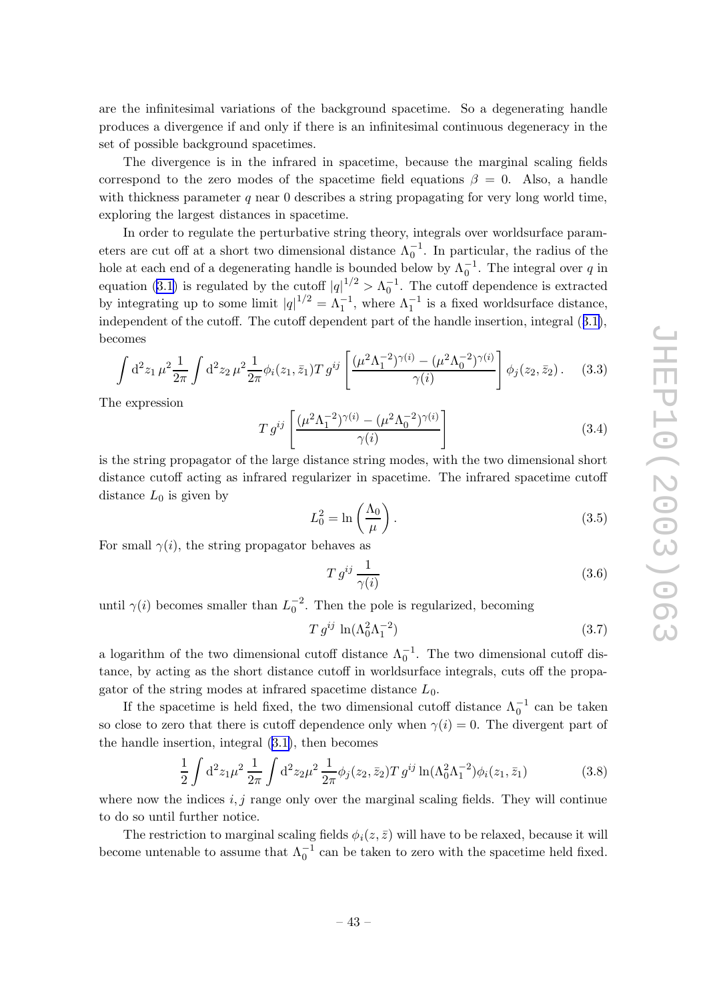<span id="page-43-0"></span>are the infinitesimal variations of the background spacetime. So a degenerating handle produces a divergence if and only if there is an infinitesimal continuous degeneracy in the set of possible background spacetimes.

The divergence is in the infrared in spacetime, because the marginal scaling fields correspond to the zero modes of the spacetime field equations  $\beta = 0$ . Also, a handle with thickness parameter q near 0 describes a string propagating for very long world time, exploring the largest distances in spacetime.

In order to regulate the perturbative string theory, integrals over worldsurface parameters are cut off at a short two dimensional distance  $\Lambda_0^{-1}$ . In particular, the radius of the hole at each end of a degenerating handle is bounded below by  $\Lambda_0^{-1}$ . The integral over q in equation [\(3.1](#page-42-0)) is regulated by the cutoff  $|q|^{1/2} > \Lambda_0^{-1}$ . The cutoff dependence is extracted by integrating up to some limit  $|q|^{1/2} = \Lambda_1^{-1}$ , where  $\Lambda_1^{-1}$  is a fixed worldsurface distance, independen t of the cutoff. The cutoff dependen t part of the handle insertion, integral ([3.1\)](#page-42-0), becomes

$$
\int d^2 z_1 \,\mu^2 \frac{1}{2\pi} \int d^2 z_2 \,\mu^2 \frac{1}{2\pi} \phi_i(z_1, \bar{z}_1) T \, g^{ij} \left[ \frac{(\mu^2 \Lambda_1^{-2})^{\gamma(i)} - (\mu^2 \Lambda_0^{-2})^{\gamma(i)}}{\gamma(i)} \right] \phi_j(z_2, \bar{z}_2). \tag{3.3}
$$

The expression

$$
T g^{ij} \left[ \frac{(\mu^2 \Lambda_1^{-2})^{\gamma(i)} - (\mu^2 \Lambda_0^{-2})^{\gamma(i)}}{\gamma(i)} \right]
$$
 (3.4)

is the string propagator of the large distance string modes, with the t w o dimensional short distance cutoff acting as infrared regularizer in spacetime. The infrared spacetime cutoff distance  $L_0$  is given by

$$
L_0^2 = \ln\left(\frac{\Lambda_0}{\mu}\right). \tag{3.5}
$$

For small  $\gamma(i)$ , the string propagator behaves as

$$
T g^{ij} \frac{1}{\gamma(i)}\tag{3.6}
$$

until  $\gamma(i)$  becomes smaller than  $L_0^{-2}$ . Then the pole is regularized, becoming

$$
T g^{ij} \, \ln(\Lambda_0^2 \Lambda_1^{-2}) \tag{3.7}
$$

a logarithm of the two dimensional cutoff distance  $\Lambda_0^{-1}$ . The two dimensional cutoff distance, by acting as the short distance cutoff in worldsurface integrals, cuts off the propagator of the string modes at infrared spacetime distance  $L_0$ .

If the spacetime is held fixed, the two dimensional cutoff distance  $\Lambda_0^{-1}$  can be taken so close to zero that there is cutoff dependence only when  $\gamma(i) = 0$ . The divergent part of the handle insertion, integral ([3.1\)](#page-42-0), then becomes

$$
\frac{1}{2} \int d^2 z_1 \mu^2 \frac{1}{2\pi} \int d^2 z_2 \mu^2 \frac{1}{2\pi} \phi_j(z_2, \bar{z}_2) T g^{ij} \ln(\Lambda_0^2 \Lambda_1^{-2}) \phi_i(z_1, \bar{z}_1)
$$
(3.8)

where now the indices  $i, j$  range only over the marginal scaling fields. They will continue to do so until further notice.

The restriction to marginal scaling fields  $\phi_i(z,\bar{z})$  will have to be relaxed, because it will become untenable to assume that  $\Lambda_0^{-1}$  can be taken to zero with the spacetime held fixed.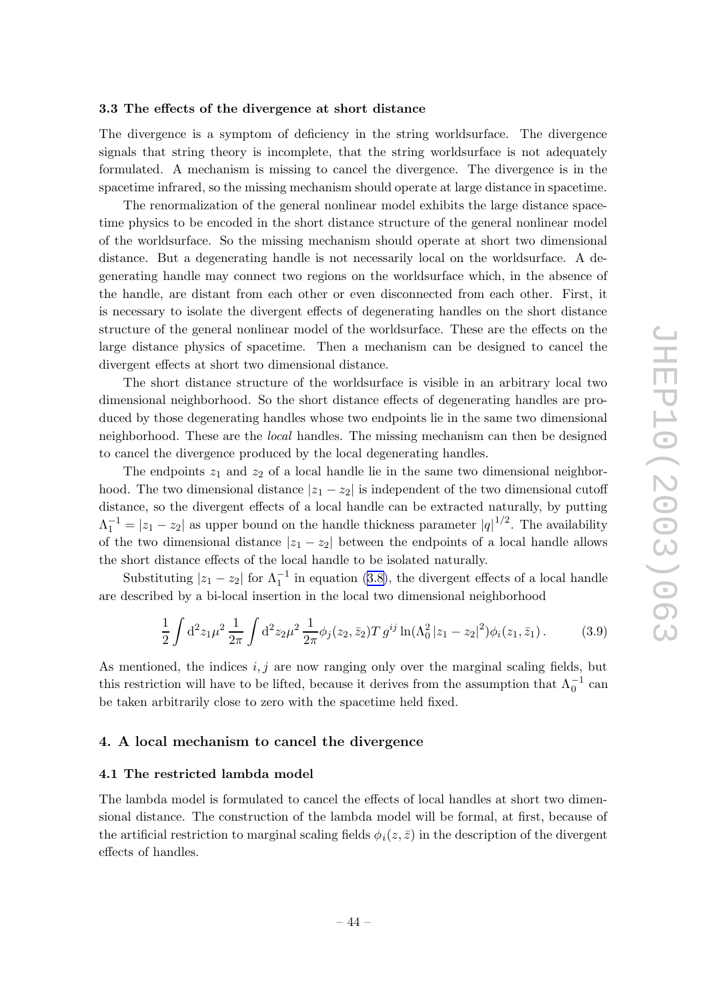#### 3.3 The effects of the divergence at short distance

The divergence is a symptom of deficiency in the string worldsurface. The divergence signals that string theory is incomplete, that the string worldsurface is not adequately formulated. A mechanism is missing to cancel the divergence. The divergence is in the spacetime infrared, so the missing mechanism should operate at large distance in spacetime.

The renormalization of the general nonlinear model exhibits the large distance spacetime physics to be encoded in the short distance structure of the general nonlinear model of the worldsurface. So the missing mechanism should operate at short t w o dimensional distance. But a degenerating handle is not necessarily local on the worldsurface. A degenerating handle may connect two regions on the worldsurface which, in the absence of the handle, are distant from each other or even disconnected from each other. First, it is necessary to isolate the divergen t effects of degenerating handles on the short distance structure of the general nonlinear model of the worldsurface. These are the effects on the large distance physics of spacetime. Then a mechanism can b e designed to cancel the divergen t effects at short t w o dimensional distance.

The short distance structure of the worldsurface is visible in an arbitrary local two dimensional neigh borho od. So the short distance effects of degenerating handles are produced by those degenerating handles whose two endpoints lie in the same two dimensional neighborhood. These are the *local* handles. The missing mechanism can then be designed to cancel the divergence produced b y the local degenerating handles.

The endpoints  $z_1$  and  $z_2$  of a local handle lie in the same two dimensional neighborhood. The two dimensional distance  $|z_1 - z_2|$  is independent of the two dimensional cutoff distance, so the divergen t effects of a local handle can b e extracted naturally , b y putting  $\Lambda_1^{-1} = |z_1 - z_2|$  as upper bound on the handle thickness parameter  $|q|^{1/2}$ . The availability of the two dimensional distance  $|z_1 - z_2|$  between the endpoints of a local handle allows the short distance effects of the local handle to b e isolated naturally .

Substituting  $|z_1 - z_2|$  for  $\Lambda_1^{-1}$  in equation ([3.8\)](#page-43-0), the divergent effects of a local handle are described b y a bi-local insertion in the local t w o dimensional neigh borho o d

$$
\frac{1}{2} \int d^2 z_1 \mu^2 \frac{1}{2\pi} \int d^2 z_2 \mu^2 \frac{1}{2\pi} \phi_j(z_2, \bar{z}_2) T g^{ij} \ln(\Lambda_0^2 |z_1 - z_2|^2) \phi_i(z_1, \bar{z}_1).
$$
 (3.9)

As mentioned, the indices  $i, j$  are now ranging only over the marginal scaling fields, but this restriction will have to be lifted, because it derives from the assumption that  $\Lambda_0^{-1}$  can b e taken arbitrarily close to zero with the spacetime held fixed.

# 4. A local mechanism to cancel the divergence

### 4.1 The restricted lam bda model

The lambda model is formulated to cancel the effects of local handles at short two dimensional distance. The construction of the lambda model will be formal, at first, because of the artificial restriction to marginal scaling fields  $\phi_i(z, \bar{z})$  in the description of the divergent effects of handles.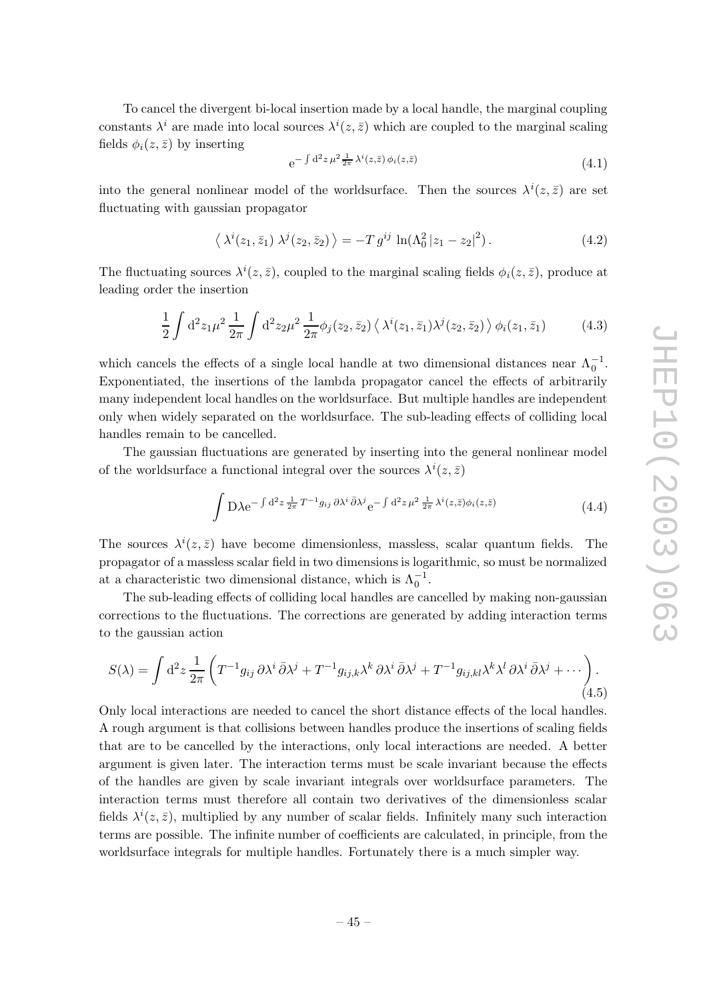<span id="page-45-0"></span>To cancel the divergent bi-local insertion made by a local handle, the marginal coupling constants  $\lambda^i$  are made into local sources  $\lambda^i(z,\bar{z})$  which are coupled to the marginal scaling fields  $\phi_i(z,\bar{z})$  by inserting

$$
e^{-\int d^2z \,\mu^2 \frac{1}{2\pi} \,\lambda^i(z,\bar{z}) \,\phi_i(z,\bar{z})} \tag{4.1}
$$

into the general nonlinear model of the worldsurface. Then the sources  $\lambda^{i}(z,\bar{z})$  are set fluctuating with gaussian propagator

$$
\langle \lambda^{i}(z_1, \bar{z}_1) \lambda^{j}(z_2, \bar{z}_2) \rangle = -T g^{ij} \ln(\Lambda_0^2 |z_1 - z_2|^2). \tag{4.2}
$$

The fluctuating sources  $\lambda^{i}(z, \bar{z})$ , coupled to the marginal scaling fields  $\phi_{i}(z, \bar{z})$ , produce at leading order the insertion

$$
\frac{1}{2} \int d^2 z_1 \mu^2 \frac{1}{2\pi} \int d^2 z_2 \mu^2 \frac{1}{2\pi} \phi_j(z_2, \bar{z}_2) \left\langle \lambda^i(z_1, \bar{z}_1) \lambda^j(z_2, \bar{z}_2) \right\rangle \phi_i(z_1, \bar{z}_1)
$$
(4.3)

which cancels the effects of a single local handle at two dimensional distances near  $\Lambda_0^{-1}$ . Exponentiated, the insertions of the lam bda propagator cancel the effects of arbitrarily man y independen t local handles on the worldsurface. But multiple handles are independen t only when widely separated on the worldsurface. The sub-leading effects of colliding local handles remain to b e cancelled.

The gaussian fluctuations are generated b y inserting into the general nonlinear model of the worldsurface a functional integral over the sources  $\lambda^{i}(z,\bar{z})$ 

$$
\int \mathcal{D}\lambda e^{-\int d^2 z \frac{1}{2\pi} T^{-1} g_{ij} \partial \lambda^i \bar{\partial} \lambda^j} e^{-\int d^2 z \mu^2 \frac{1}{2\pi} \lambda^i (z, \bar{z}) \phi_i (z, \bar{z})}
$$
(4.4)

The sources  $\lambda^{i}(z,\bar{z})$  have become dimensionless, massless, scalar quantum fields. The propagator of a massless scalar field in t w o dimensions is logarithmic, so must b e normalized at a characteristic two dimensional distance, which is  $\Lambda_0^{-1}$ .

The sub-leading effects of colliding local handles are cancelled b y making non-gaussian corrections to the fluctuations. The corrections are generated b y adding interaction terms to the gaussian action

$$
S(\lambda) = \int d^2 z \, \frac{1}{2\pi} \left( T^{-1} g_{ij} \, \partial \lambda^i \, \bar{\partial} \lambda^j + T^{-1} g_{ij,k} \lambda^k \, \partial \lambda^i \, \bar{\partial} \lambda^j + T^{-1} g_{ij,kl} \lambda^k \lambda^l \, \partial \lambda^i \, \bar{\partial} \lambda^j + \cdots \right). \tag{4.5}
$$

Only local interactions are needed to cancel the short distance effects of the local handles. A rough argument is that collisions between handles produce the insertions of scaling fields that are to b e cancelled b y the interactions, only local interactions are needed. A better argumen t is given later. The interaction terms must b e scale in varian t because the effects of the handles are given b y scale in varian t integrals o ver worldsurface parameters. The interaction terms must therefore all contain t w o derivatives of the dimensionless scalar fields  $\lambda^{i}(z, \bar{z})$ , multiplied by any number of scalar fields. Infinitely many such interaction terms are possible. The infinite num ber of coefficients are calculated, in principle, from the worldsurface integrals for multiple handles. Fortunately there is a much simpler way.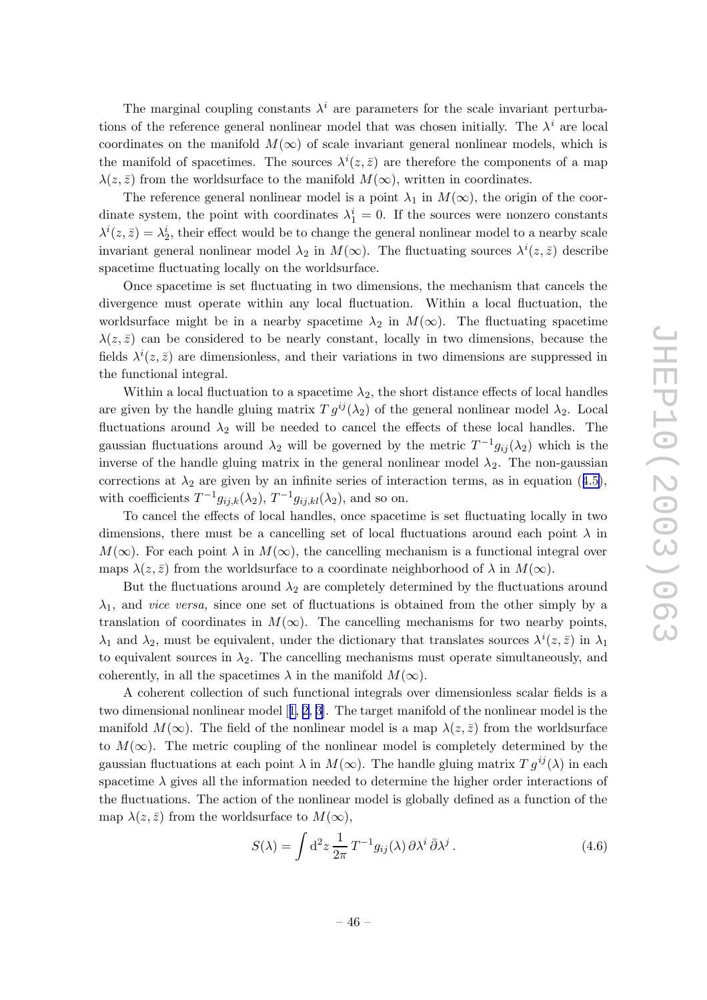<span id="page-46-0"></span>The marginal coupling constants  $\lambda^{i}$  are parameters for the scale invariant perturbations of the reference general nonlinear model that was chosen initially. The  $\lambda^{i}$  are local coordinates on the manifold  $M(\infty)$  of scale invariant general nonlinear models, which is the manifold of spacetimes. The sources  $\lambda^{i}(z,\bar{z})$  are therefore the components of a map  $\lambda(z,\bar{z})$  from the worldsurface to the manifold  $M(\infty)$ , written in coordinates.

The reference general nonlinear model is a point  $\lambda_1$  in  $M(\infty)$ , the origin of the coordinate system, the point with coordinates  $\lambda_1^i = 0$ . If the sources were nonzero constants  $\lambda^{i}(z,\bar{z}) = \lambda^{i}_{2}$ , their effect would be to change the general nonlinear model to a nearby scale invariant general nonlinear model  $\lambda_2$  in  $M(\infty)$ . The fluctuating sources  $\lambda^i(z,\bar{z})$  describe spacetime fluctuating locally on the worldsurface.

Once spacetime is set fluctuating in t w o dimensions, the mechanism that cancels the divergence must operate within an y local fluctuation. Within a local fluctuation, the worldsurface might be in a nearby spacetime  $\lambda_2$  in  $M(\infty)$ . The fluctuating spacetime  $\lambda(z,\bar{z})$  can be considered to be nearly constant, locally in two dimensions, because the fields  $\lambda^{i}(z,\bar{z})$  are dimensionless, and their variations in two dimensions are suppressed in the functional integral.

Within a local fluctuation to a spacetime  $\lambda_2$ , the short distance effects of local handles are given by the handle gluing matrix  $T g^{ij}(\lambda_2)$  of the general nonlinear model  $\lambda_2$ . Local fluctuations around  $\lambda_2$  will be needed to cancel the effects of these local handles. The gaussian fluctuations around  $\lambda_2$  will be governed by the metric  $T^{-1}g_{ij}(\lambda_2)$  which is the inverse of the handle gluing matrix in the general nonlinear model  $\lambda_2$ . The non-gaussian corrections at  $\lambda_2$  are given by an infinite series of interaction terms, as in equation ([4.5\)](#page-45-0), with coefficients  $T^{-1}g_{ij,k}(\lambda_2)$ ,  $T^{-1}g_{ij,kl}(\lambda_2)$ , and so on.

To cancel the effects of local handles, once spacetime is set fluctuating locally in t w o dimensions, there must be a cancelling set of local fluctuations around each point  $\lambda$  in  $M(\infty)$ . For each point  $\lambda$  in  $M(\infty)$ , the cancelling mechanism is a functional integral over maps  $\lambda(z, \bar{z})$  from the worldsurface to a coordinate neighborhood of  $\lambda$  in  $M(\infty)$ .

But the fluctuations around  $\lambda_2$  are completely determined by the fluctuations around  $\lambda_1$ , and *vice versa*, since one set of fluctuations is obtained from the other simply by a translation of coordinates in  $M(\infty)$ . The cancelling mechanisms for two nearby points,  $\lambda_1$  and  $\lambda_2$ , must be equivalent, under the dictionary that translates sources  $\lambda^i(z,\bar{z})$  in  $\lambda_1$ to equivalent sources in  $\lambda_2$ . The cancelling mechanisms must operate simultaneously, and coherently, in all the spacetimes  $\lambda$  in the manifold  $M(\infty)$ .

A coheren t collection of suc h functional integrals o ver dimensionless scalar fields is a t w o dimensional nonlinear model [[1](#page-97-0) , [2](#page-97-0) , [3](#page-97-0)]. The target manifold of the nonlinear model is the manifold  $M(\infty)$ . The field of the nonlinear model is a map  $\lambda(z,\bar{z})$  from the worldsurface to  $M(\infty)$ . The metric coupling of the nonlinear model is completely determined by the gaussian fluctuations at each point  $\lambda$  in  $M(\infty)$ . The handle gluing matrix  $T g^{ij}(\lambda)$  in each spacetime  $\lambda$  gives all the information needed to determine the higher order interactions of the fluctuations. The action of the nonlinear model is globally defined as a function of the map  $\lambda(z,\bar{z})$  from the worldsurface to  $M(\infty)$ ,

$$
S(\lambda) = \int d^2 z \, \frac{1}{2\pi} \, T^{-1} g_{ij}(\lambda) \, \partial \lambda^i \, \bar{\partial} \lambda^j \,. \tag{4.6}
$$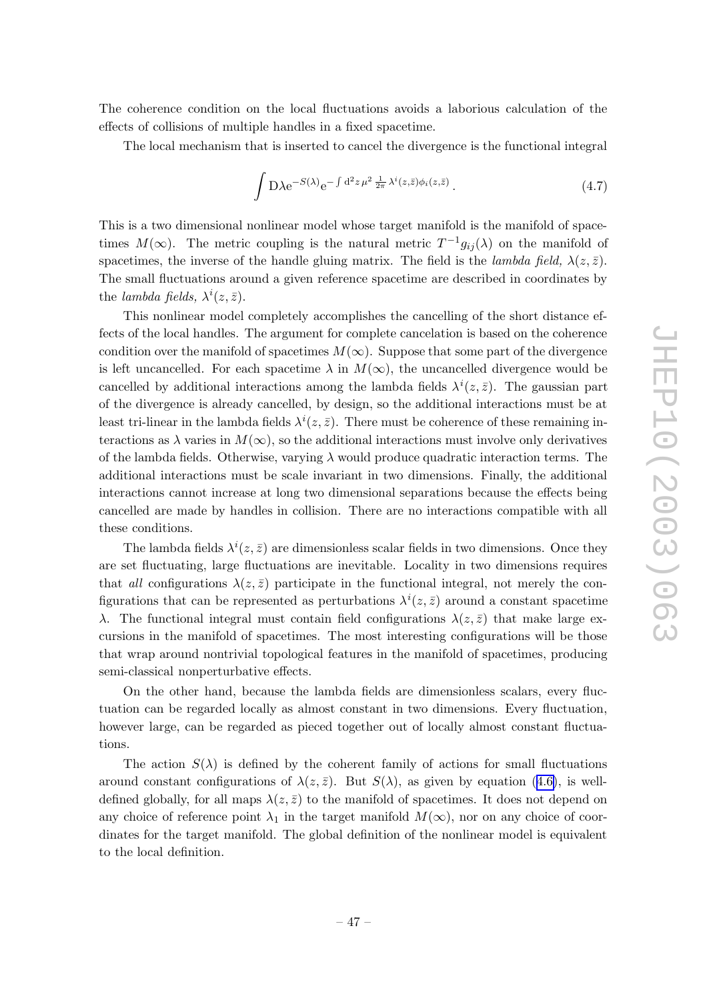<span id="page-47-0"></span>The coherence condition on the local fluctuations avoids a laborious calculation of the effects of collisions of multiple handles in a fixed spacetime.

The local mechanism that is inserted to cancel the divergence is the functional integral

$$
\int \mathcal{D}\lambda e^{-S(\lambda)} e^{-\int d^2 z \,\mu^2 \frac{1}{2\pi} \,\lambda^i(z,\bar{z}) \phi_i(z,\bar{z})}.
$$
 (4.7)

This is a t w o dimensional nonlinear model whose target manifold is the manifold of spacetimes  $M(\infty)$ . The metric coupling is the natural metric  $T^{-1}g_{ii}(\lambda)$  on the manifold of spacetimes, the inverse of the handle gluing matrix. The field is the *lambda field*,  $\lambda(z,\bar{z})$ . The small fluctuations around a given reference spacetime are described in coordinates by the lambda fields,  $\lambda^{i}(z,\bar{z})$ .

This nonlinear model completely accomplishes the cancelling of the short distance effects of the local handles. The argument for complete cancelation is based on the coherence condition over the manifold of spacetimes  $M(\infty)$ . Suppose that some part of the divergence is left uncancelled. For each spacetime  $\lambda$  in  $M(\infty)$ , the uncancelled divergence would be cancelled by additional interactions among the lambda fields  $\lambda^{i}(z,\bar{z})$ . The gaussian part of the divergence is already cancelled, b y design, so the additional interactions must b e at least tri-linear in the lambda fields  $\lambda^{i}(z, \bar{z})$ . There must be coherence of these remaining interactions as  $\lambda$  varies in  $M(\infty)$ , so the additional interactions must involve only derivatives of the lambda fields. Otherwise, varying  $\lambda$  would produce quadratic interaction terms. The additional interactions must b e scale in varian t in t w o dimensions. Finally , the additional interactions cannot increase at long t w o dimensional separations because the effects being cancelled are made b y handles in collision. There are no interactions compatible with all these conditions.

The lambda fields  $\lambda^{i}(z, \bar{z})$  are dimensionless scalar fields in two dimensions. Once they are set fluctuating, large fluctuations are inevitable. Locality in two dimensions requires that all configurations  $\lambda(z,\bar{z})$  participate in the functional integral, not merely the configurations that can be represented as perturbations  $\lambda^{i}(z,\bar{z})$  around a constant spacetime λ. The functional integral must contain field configurations  $\lambda(z,\bar{z})$  that make large excursions in the manifold of spacetimes. The most interesting configurations will be those that wrap around nontrivial topological features in the manifold of spacetimes, producing semi-classical nonperturbativ e effects.

On the other hand, because the lam bda fields are dimensionless scalars, every fluctuation can be regarded locally as almost constant in two dimensions. Every fluctuation, however large, can be regarded as pieced together out of locally almost constant fluctuations.

The action  $S(\lambda)$  is defined by the coherent family of actions for small fluctuations around constant configurations of  $\lambda(z,\bar{z})$ . But  $S(\lambda)$ , as given by equation ([4.6\)](#page-46-0), is welldefined globally, for all maps  $\lambda(z,\bar{z})$  to the manifold of spacetimes. It does not depend on any choice of reference point  $\lambda_1$  in the target manifold  $M(\infty)$ , nor on any choice of coordinates for the target manifold. The global definition of the nonlinear model is equivalent to the local definition.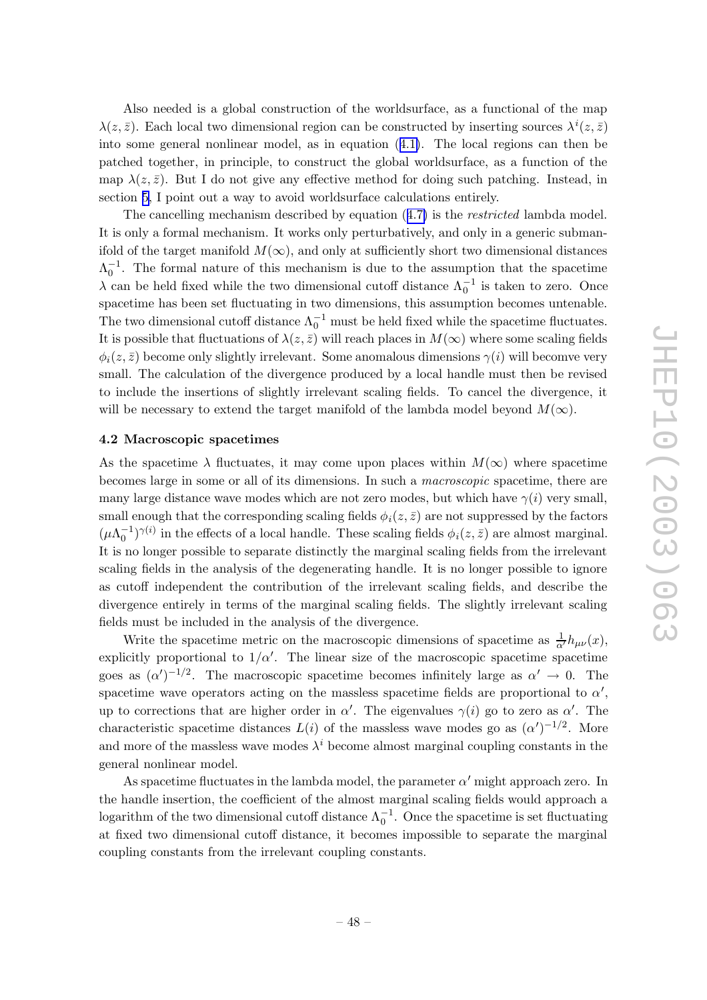Also needed is a global construction of the worldsurface, as a functional of the map  $\lambda(z,\bar{z})$ . Each local two dimensional region can be constructed by inserting sources  $\lambda^{i}(z,\bar{z})$ into some general nonlinear model, as in equation ([4.1\)](#page-45-0). The local regions can then b e patched together, in principle, to construct the global worldsurface, as a function of the map  $\lambda(z,\bar{z})$ . But I do not give any effective method for doing such patching. Instead, in section [5](#page-58-0), I point out a way to avoid worldsurface calculations entirely.

The cancelling mechanism described by equation  $(4.7)$  $(4.7)$  $(4.7)$  is the *restricted* lambda model. It is only a formal mechanism. It works only perturbatively , and only in a generic submanifold of the target manifold  $M(\infty)$ , and only at sufficiently short two dimensional distances  $\Lambda_0^{-1}$ . The formal nature of this mechanism is due to the assumption that the spacetime  $\lambda$  can be held fixed while the two dimensional cutoff distance  $\Lambda_0^{-1}$  is taken to zero. Once spacetime has been set fluctuating in t w o dimensions, this assumption becomes untenable. The two dimensional cutoff distance  $\Lambda_0^{-1}$  must be held fixed while the spacetime fluctuates. It is possible that fluctuations of  $\lambda(z,\bar{z})$  will reach places in  $M(\infty)$  where some scaling fields  $\phi_i(z, \bar{z})$  become only slightly irrelevant. Some anomalous dimensions  $\gamma(i)$  will becomve very small. The calculation of the divergence produced b y a local handle must then b e revised to include the insertions of slightly irrelevan t scaling fields. To cancel the divergence, it will be necessary to extend the target manifold of the lambda model beyond  $M(\infty)$ .

#### 4.2 Macroscopic spacetimes

As the spacetime  $\lambda$  fluctuates, it may come upon places within  $M(\infty)$  where spacetime becomes large in some or all of its dimensions. In suc h a macroscopic spacetime, there are many large distance wave modes which are not zero modes, but which have  $\gamma(i)$  very small, small enough that the corresponding scaling fields  $\phi_i(z, \bar{z})$  are not suppressed by the factors  $(\mu \Lambda_0^{-1})^{\gamma(i)}$  in the effects of a local handle. These scaling fields  $\phi_i(z, \bar{z})$  are almost marginal. It is no longer possible to separate distinctly the marginal scaling fields from the irrelevan t scaling fields in the analysis of the degenerating handle. It is no longer possible to ignore as cutoff independen t the contribution of the irrelevan t scaling fields, and describ e the divergence entirely in terms of the marginal scaling fields. The slightly irrelevan t scaling fields must b e included in the analysis of the divergence.

Write the spacetime metric on the macroscopic dimensions of spacetime as  $\frac{1}{\alpha}$  $\frac{1}{\alpha'}h_{\mu\nu}(x),$ explicitly proportional to  $1/\alpha'$ . The linear size of the macroscopic spacetime spacetime goes as  $(\alpha')^{-1/2}$ . The macroscopic spacetime becomes infinitely large as  $\alpha' \to 0$ . The spacetime wave operators acting on the massless spacetime fields are proportional to  $\alpha'$ , up to corrections that are higher order in  $\alpha'$ . The eigenvalues  $\gamma(i)$  go to zero as  $\alpha'$ . The characteristic spacetime distances  $L(i)$  of the massless wave modes go as  $(\alpha')^{-1/2}$ . More and more of the massless wave modes  $\lambda^{i}$  become almost marginal coupling constants in the general nonlinear model.

As spacetime fluctuates in the lambda model, the parameter  $\alpha'$  might approach zero. In the handle insertion, the coefficient of the almost marginal scaling fields would approach a logarithm of the two dimensional cutoff distance  $\Lambda_0^{-1}$ . Once the spacetime is set fluctuating at fixed t w o dimensional cutoff distance, it becomes impossible to separate the marginal coupling constants from the irrelevan t coupling constants.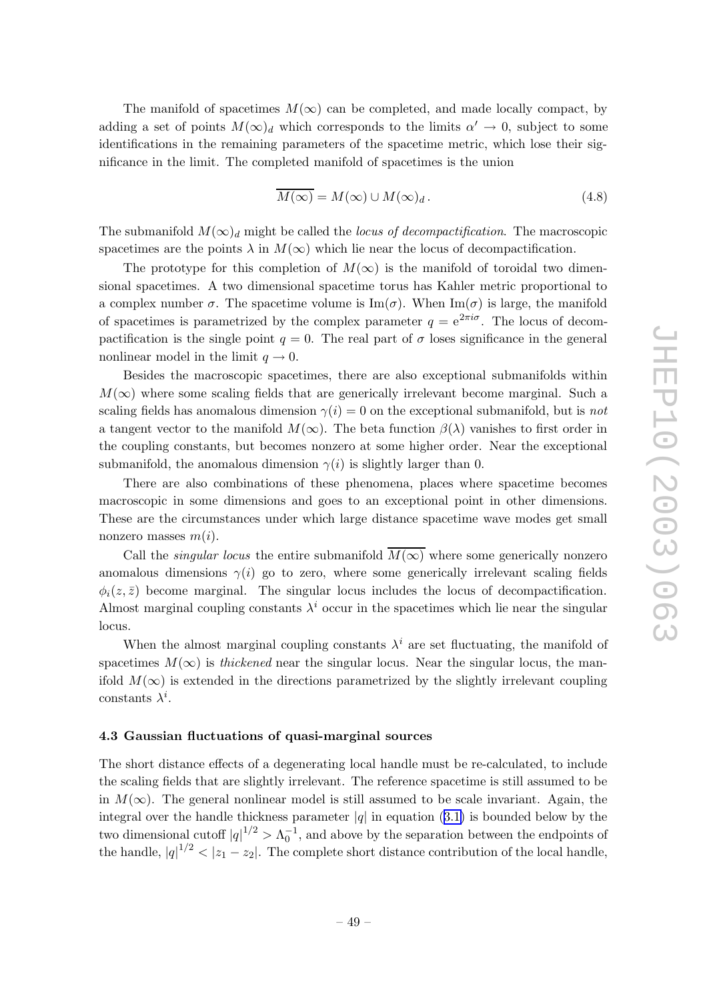The manifold of spacetimes  $M(\infty)$  can be completed, and made locally compact, by adding a set of points  $M(\infty)$ <sub>d</sub> which corresponds to the limits  $\alpha' \to 0$ , subject to some identifications in the remaining parameters of the spacetime metric, whic h lose their significance in the limit. The completed manifold of spacetimes is the union

$$
\overline{M(\infty)} = M(\infty) \cup M(\infty)_d.
$$
\n(4.8)

The submanifold  $M(\infty)$ <sub>d</sub> might be called the *locus of decompactification*. The macroscopic spacetimes are the points  $\lambda$  in  $M(\infty)$  which lie near the locus of decompactification.

The prototype for this completion of  $M(\infty)$  is the manifold of toroidal two dimensional spacetimes. A two dimensional spacetime torus has Kahler metric proportional to a complex number  $\sigma$ . The spacetime volume is  $\text{Im}(\sigma)$ . When  $\text{Im}(\sigma)$  is large, the manifold of spacetimes is parametrized by the complex parameter  $q = e^{2\pi i \sigma}$ . The locus of decompactification is the single point  $q = 0$ . The real part of  $\sigma$  loses significance in the general nonlinear model in the limit  $q \to 0$ .

Besides the macroscopic spacetimes, there are also exceptional submanifolds within  $M(\infty)$  where some scaling fields that are generically irrelevant become marginal. Such a scaling fields has anomalous dimension  $\gamma(i) = 0$  on the exceptional submanifold, but is not a tangent vector to the manifold  $M(\infty)$ . The beta function  $\beta(\lambda)$  vanishes to first order in the coupling constants, but becomes nonzero at some higher order. Near the exceptional submanifold, the anomalous dimension  $\gamma(i)$  is slightly larger than 0.

There are also combinations of these phenomena, places where spacetime becomes macroscopic in some dimensions and goes to an exceptional point in other dimensions. These are the circumstances under whic h large distance spacetime w av e modes get small nonzero masses  $m(i)$ .

Call the *singular locus* the entire submanifold  $M(\infty)$  where some generically nonzero anomalous dimensions  $\gamma(i)$  go to zero, where some generically irrelevant scaling fields  $\phi_i(z,\bar{z})$  become marginal. The singular locus includes the locus of decompactification. Almost marginal coupling constants  $\lambda^i$  occur in the spacetimes which lie near the singular locus.

When the almost marginal coupling constants  $\lambda^{i}$  are set fluctuating, the manifold of spacetimes  $M(\infty)$  is *thickened* near the singular locus. Near the singular locus, the manifold  $M(\infty)$  is extended in the directions parametrized by the slightly irrelevant coupling constants  $\lambda^i$ .

### 4.3 Gaussian fluctuations of quasi-marginal sources

The short distance effects of a degenerating local handle must b e re-calculated, to include the scaling fields that are slightly irrelevant. The reference spacetime is still assumed to b e in  $M(\infty)$ . The general nonlinear model is still assumed to be scale invariant. Again, the integral over the handle thickness parameter |q| in equation  $(3.1)$  $(3.1)$  $(3.1)$  is bounded below by the two dimensional cutoff  $|q|^{1/2} > \Lambda_0^{-1}$ , and above by the separation between the endpoints of the handle,  $|q|^{1/2} < |z_1 - z_2|$ . The complete short distance contribution of the local handle,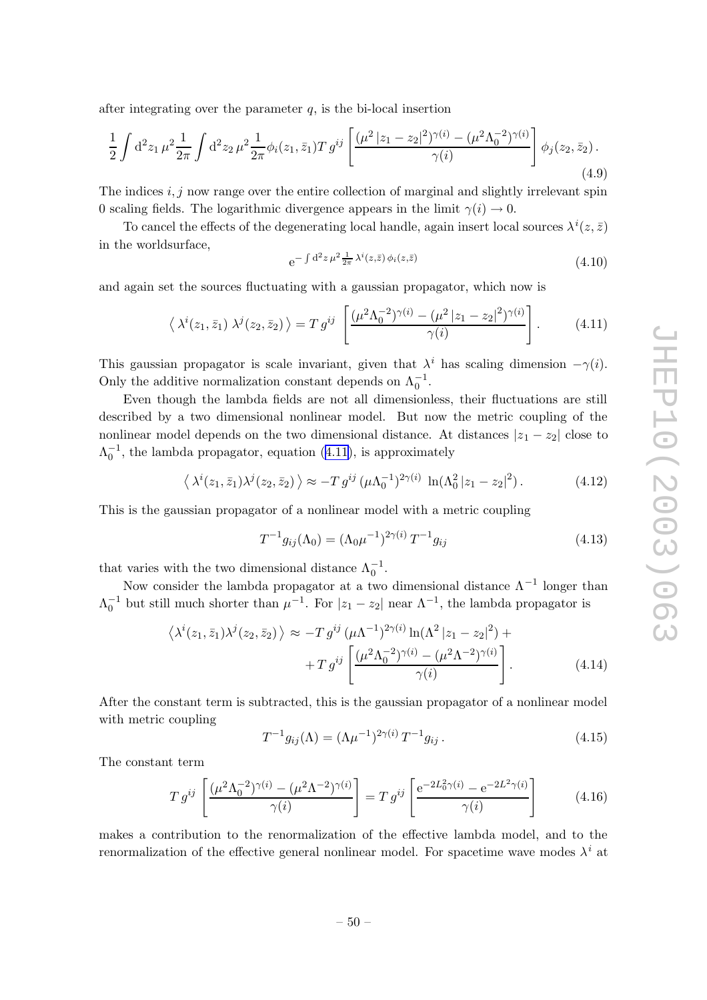after integrating over the parameter  $q$ , is the bi-local insertion

$$
\frac{1}{2} \int d^2 z_1 \,\mu^2 \frac{1}{2\pi} \int d^2 z_2 \,\mu^2 \frac{1}{2\pi} \phi_i(z_1, \bar{z}_1) T \, g^{ij} \left[ \frac{(\mu^2 \, |z_1 - z_2|^2)^{\gamma(i)} - (\mu^2 \Lambda_0^{-2})^{\gamma(i)}}{\gamma(i)} \right] \phi_j(z_2, \bar{z}_2).
$$
\n(4.9)

The indices  $i, j$  now range over the entire collection of marginal and slightly irrelevant spin 0 scaling fields. The logarithmic divergence appears in the limit  $\gamma(i) \to 0$ .

To cancel the effects of the degenerating local handle, again insert local sources  $\lambda^{i}(z,\bar{z})$ in the worldsurface,

$$
e^{-\int d^2 z \,\mu^2 \frac{1}{2\pi} \,\lambda^i(z,\bar{z}) \,\phi_i(z,\bar{z})} \tag{4.10}
$$

and again set the sources fluctuating with a gaussian propagator, whic h no w is

$$
\langle \lambda^{i}(z_1, \bar{z}_1) \lambda^{j}(z_2, \bar{z}_2) \rangle = T g^{ij} \left[ \frac{(\mu^2 \Lambda_0^{-2})^{\gamma(i)} - (\mu^2 |z_1 - z_2|^2)^{\gamma(i)}}{\gamma(i)} \right]. \tag{4.11}
$$

This gaussian propagator is scale invariant, given that  $\lambda^i$  has scaling dimension  $-\gamma(i)$ . Only the additive normalization constant depends on  $\Lambda_0^{-1}$ .

Even though the lam bda fields are not all dimensionless, their fluctuations are still described by a two dimensional nonlinear model. But now the metric coupling of the nonlinear model depends on the two dimensional distance. At distances  $|z_1 - z_2|$  close to  $\Lambda_0^{-1}$ , the lambda propagator, equation (4.11), is approximately

$$
\langle \lambda^{i}(z_1, \bar{z}_1) \lambda^{j}(z_2, \bar{z}_2) \rangle \approx -T g^{ij} (\mu \Lambda_0^{-1})^{2\gamma(i)} \ln(\Lambda_0^{2} |z_1 - z_2|^{2}). \tag{4.12}
$$

This is the gaussian propagator of a nonlinear model with a metric coupling

$$
T^{-1}g_{ij}(\Lambda_0) = (\Lambda_0 \mu^{-1})^{2\gamma(i)} T^{-1} g_{ij}
$$
\n(4.13)

that varies with the two dimensional distance  $\Lambda_0^{-1}$ .

Now consider the lambda propagator at a two dimensional distance  $\Lambda^{-1}$  longer than  $\Lambda_0^{-1}$  but still much shorter than  $\mu^{-1}$ . For  $|z_1 - z_2|$  near  $\Lambda^{-1}$ , the lambda propagator is

$$
\langle \lambda^{i}(z_1, \bar{z}_1) \lambda^{j}(z_2, \bar{z}_2) \rangle \approx -T g^{ij} (\mu \Lambda^{-1})^{2\gamma(i)} \ln(\Lambda^2 |z_1 - z_2|^2) +
$$
  
+ 
$$
T g^{ij} \left[ \frac{(\mu^2 \Lambda_0^{-2})^{\gamma(i)} - (\mu^2 \Lambda^{-2})^{\gamma(i)}}{\gamma(i)} \right].
$$
 (4.14)

After the constan t term is subtracted, this is the gaussian propagator of a nonlinear model with metric coupling

$$
T^{-1}g_{ij}(\Lambda) = (\Lambda \mu^{-1})^{2\gamma(i)} T^{-1} g_{ij}.
$$
\n(4.15)

The constan t term

$$
T g^{ij} \left[ \frac{(\mu^2 \Lambda_0^{-2})^{\gamma(i)} - (\mu^2 \Lambda^{-2})^{\gamma(i)}}{\gamma(i)} \right] = T g^{ij} \left[ \frac{e^{-2L_0^2 \gamma(i)} - e^{-2L^2 \gamma(i)}}{\gamma(i)} \right]
$$
(4.16)

makes a contribution to the renormalization of the effectiv e lam bda model, and to the renormalization of the effective general nonlinear model. For spacetime wave modes  $\lambda^i$  at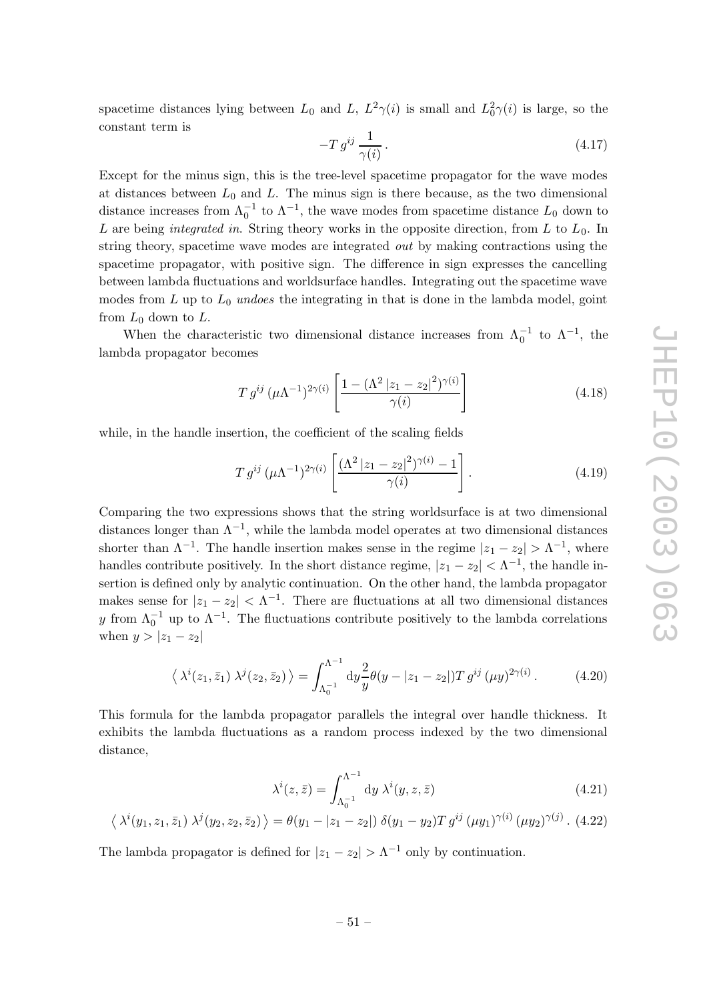<span id="page-51-0"></span>spacetime distances lying between  $L_0$  and  $L$ ,  $L^2\gamma(i)$  is small and  $L_0^2\gamma(i)$  is large, so the constan t term is

$$
-T g^{ij} \frac{1}{\gamma(i)}.
$$
\n
$$
(4.17)
$$

Except for the minus sign, this is the tree-level spacetime propagator for the wave modes at distances between  $L_0$  and  $L$ . The minus sign is there because, as the two dimensional distance increases from  $\Lambda_0^{-1}$  to  $\Lambda^{-1}$ , the wave modes from spacetime distance  $L_0$  down to L are being *integrated in*. String theory works in the opposite direction, from L to  $L_0$ . In string theory, spacetime wave modes are integrated *out* by making contractions using the spacetime propagator, with positiv e sign. The difference in sign expresses the cancelling between lambda fluctuations and worldsurface handles. Integrating out the spacetime wave modes from  $L$  up to  $L_0$  undoes the integrating in that is done in the lambda model, goint from  $L_0$  down to  $L$ .

When the characteristic two dimensional distance increases from  $\Lambda_0^{-1}$  to  $\Lambda^{-1}$ , the lam bda propagator becomes

$$
T g^{ij} (\mu \Lambda^{-1})^{2\gamma(i)} \left[ \frac{1 - (\Lambda^2 |z_1 - z_2|^2)^{\gamma(i)}}{\gamma(i)} \right]
$$
 (4.18)

while, in the handle insertion, the coefficien t of the scaling fields

$$
T g^{ij} \left(\mu \Lambda^{-1}\right)^{2\gamma(i)} \left[ \frac{(\Lambda^2 \left|z_1 - z_2\right|^2)^{\gamma(i)} - 1}{\gamma(i)} \right]. \tag{4.19}
$$

Comparing the two expressions shows that the string worldsurface is at two dimensional distances longer than  $\Lambda^{-1}$ , while the lambda model operates at two dimensional distances shorter than  $\Lambda^{-1}$ . The handle insertion makes sense in the regime  $|z_1 - z_2| > \Lambda^{-1}$ , where handles contribute positively. In the short distance regime,  $|z_1 - z_2| < \Lambda^{-1}$ , the handle insertion is defined only by analytic continuation. On the other hand, the lambda propagator makes sense for  $|z_1 - z_2| < \Lambda^{-1}$ . There are fluctuations at all two dimensional distances y from  $\Lambda_0^{-1}$  up to  $\Lambda^{-1}$ . The fluctuations contribute positively to the lambda correlations when  $y > |z_1 - z_2|$ 

$$
\langle \lambda^{i}(z_1, \bar{z}_1) \lambda^{j}(z_2, \bar{z}_2) \rangle = \int_{\Lambda_0^{-1}}^{\Lambda^{-1}} dy \frac{2}{y} \theta(y - |z_1 - z_2|) T g^{ij} (\mu y)^{2\gamma(i)}.
$$
 (4.20)

This formula for the lambda propagator parallels the integral over handle thickness. It exhibits the lambda fluctuations as a random process indexed by the two dimensional distance,

$$
\lambda^{i}(z,\bar{z}) = \int_{\Lambda_{0}^{-1}}^{\Lambda^{-1}} dy \lambda^{i}(y,z,\bar{z})
$$
\n(4.21)

$$
\langle \lambda^{i}(y_1, z_1, \bar{z}_1) \lambda^{j}(y_2, z_2, \bar{z}_2) \rangle = \theta(y_1 - |z_1 - z_2|) \delta(y_1 - y_2) T g^{ij} (\mu y_1)^{\gamma(i)} (\mu y_2)^{\gamma(j)}.
$$
 (4.22)

The lambda propagator is defined for  $|z_1 - z_2| > \Lambda^{-1}$  only by continuation.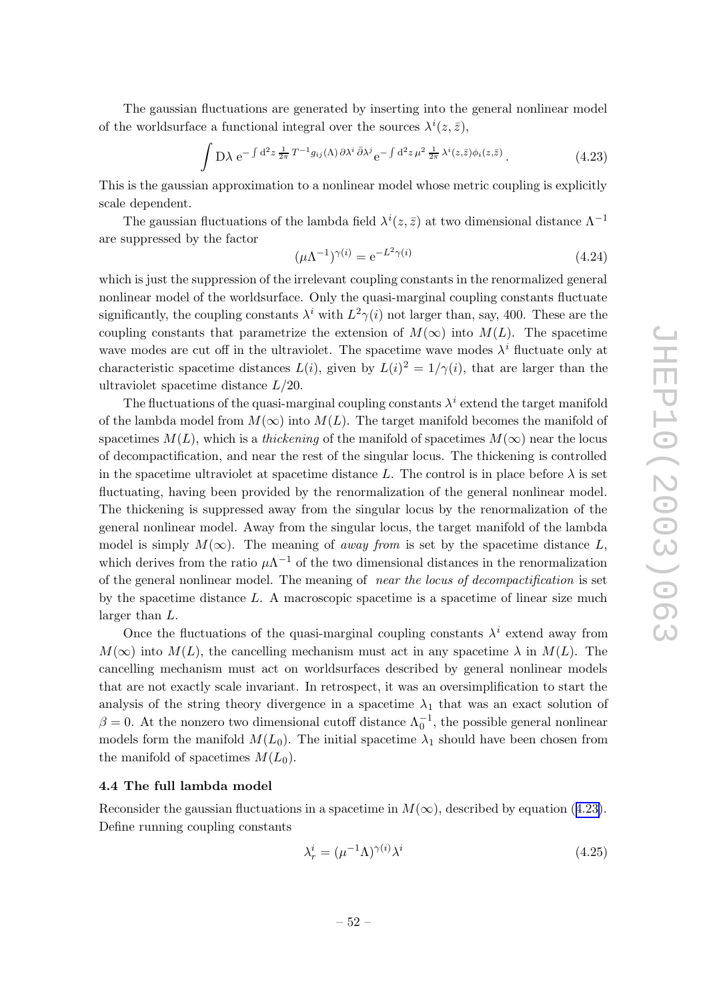The gaussian fluctuations are generated b y inserting into the general nonlinear model of the worldsurface a functional integral over the sources  $\lambda^{i}(z,\bar{z})$ ,

$$
\int \mathcal{D}\lambda \, e^{-\int d^2 z \frac{1}{2\pi} T^{-1} g_{ij}(\Lambda) \partial \lambda^i \bar{\partial} \lambda^j} e^{-\int d^2 z \, \mu^2 \frac{1}{2\pi} \lambda^i(z,\bar{z}) \phi_i(z,\bar{z})}.
$$
 (4.23)

This is the gaussian approximation to a nonlinear model whose metric coupling is explicitly scale dependent.

The gaussian fluctuations of the lambda field  $\lambda^{i}(z,\bar{z})$  at two dimensional distance  $\Lambda^{-1}$ are suppressed b y the factor

$$
(\mu \Lambda^{-1})^{\gamma(i)} = e^{-L^2 \gamma(i)} \tag{4.24}
$$

whic h is just the suppression of the irrelevan t coupling constants in the renormalized general nonlinear model of the worldsurface. Only the quasi-marginal coupling constants fluctuate significantly, the coupling constants  $\lambda^i$  with  $L^2\gamma(i)$  not larger than, say, 400. These are the coupling constants that parametrize the extension of  $M(\infty)$  into  $M(L)$ . The spacetime wave modes are cut off in the ultraviolet. The spacetime wave modes  $\lambda^{i}$  fluctuate only at characteristic spacetime distances  $L(i)$ , given by  $L(i)^2 = 1/\gamma(i)$ , that are larger than the ultraviolet spacetime distance L/20.

The fluctuations of the quasi-marginal coupling constants  $\lambda^{i}$  extend the target manifold of the lambda model from  $M(\infty)$  into  $M(L)$ . The target manifold becomes the manifold of spacetimes  $M(L)$ , which is a *thickening* of the manifold of spacetimes  $M(\infty)$  near the locus of decompactification, and near the rest of the singular locus. The thic kening is controlled in the spacetime ultraviolet at spacetime distance L. The control is in place before  $\lambda$  is set fluctuating, having been provided b y the renormalization of the general nonlinear model. The thic kening is suppressed aw ay from the singular locus b y the renormalization of the general nonlinear model. Aw ay from the singular locus, the target manifold of the lam bda model is simply  $M(\infty)$ . The meaning of *away from* is set by the spacetime distance L, which derives from the ratio  $\mu \Lambda^{-1}$  of the two dimensional distances in the renormalization of the general nonlinear model. The meaning of *near the locus of decompactification* is set by the spacetime distance L. A macroscopic spacetime is a spacetime of linear size much larger than L .

Once the fluctuations of the quasi-marginal coupling constants  $\lambda^i$  extend away from  $M(\infty)$  into  $M(L)$ , the cancelling mechanism must act in any spacetime  $\lambda$  in  $M(L)$ . The cancelling mechanism must act on worldsurfaces described b y general nonlinear models that are not exactly scale in variant. In retrospect, it was an o versimplification to start the analysis of the string theory divergence in a spacetime  $\lambda_1$  that was an exact solution of  $\beta = 0$ . At the nonzero two dimensional cutoff distance  $\Lambda_0^{-1}$ , the possible general nonlinear models form the manifold  $M(L_0)$ . The initial spacetime  $\lambda_1$  should have been chosen from the manifold of spacetimes  $M(L_0)$ .

### 4.4 The full lam bda model

Reconsider the gaussian fluctuations in a spacetime in  $M(\infty)$ , described by equation (4.23). Define running coupling constants

$$
\lambda_r^i = (\mu^{-1} \Lambda)^{\gamma(i)} \lambda^i \tag{4.25}
$$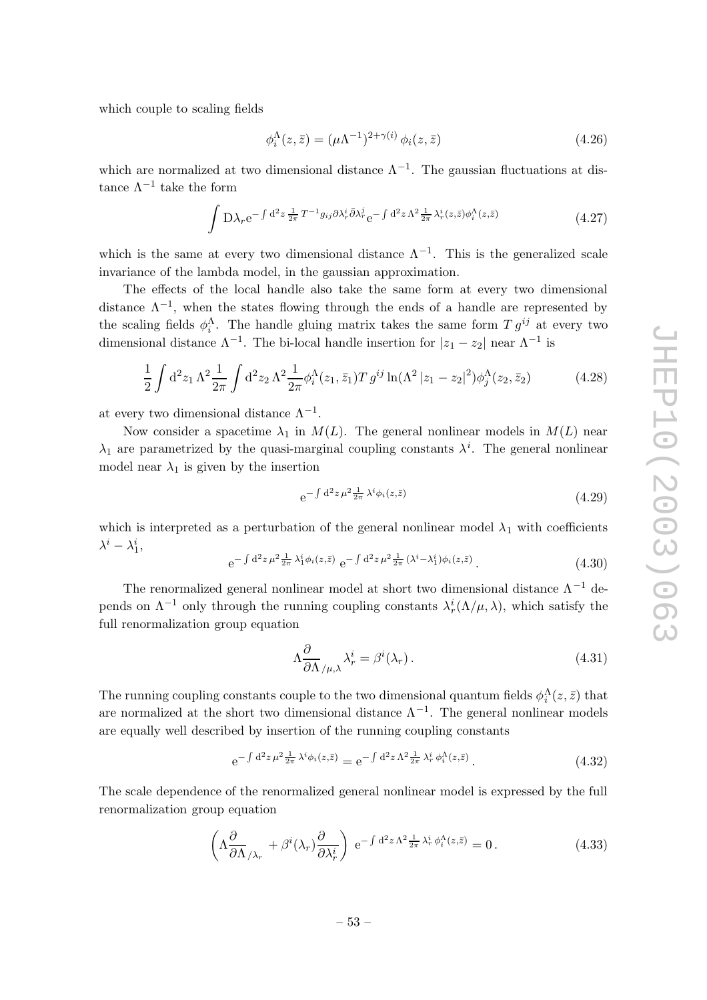whic h couple to scaling fields

$$
\phi_i^{\Lambda}(z,\bar{z}) = (\mu \Lambda^{-1})^{2+\gamma(i)} \phi_i(z,\bar{z})
$$
\n(4.26)

which are normalized at two dimensional distance  $\Lambda^{-1}$ . The gaussian fluctuations at distance  $\Lambda^{-1}$  take the form

$$
\int \mathcal{D}\lambda_r e^{-\int d^2 z \frac{1}{2\pi} T^{-1} g_{ij} \partial \lambda_r^i \bar{\partial} \lambda_r^j} e^{-\int d^2 z \Lambda^2 \frac{1}{2\pi} \lambda_r^i(z,\bar{z}) \phi_i^{\Lambda}(z,\bar{z})}
$$
(4.27)

which is the same at every two dimensional distance  $\Lambda^{-1}$ . This is the generalized scale in variance of the lam bda model, in the gaussian approximation.

The effects of the local handle also tak e the same form at every t w o dimensional distance  $\Lambda^{-1}$ , when the states flowing through the ends of a handle are represented by the scaling fields  $\phi_i^{\Lambda}$ . The handle gluing matrix takes the same form  $T g^{ij}$  at every two dimensional distance  $\Lambda^{-1}$ . The bi-local handle insertion for  $|z_1 - z_2|$  near  $\Lambda^{-1}$  is

$$
\frac{1}{2} \int d^2 z_1 \Lambda^2 \frac{1}{2\pi} \int d^2 z_2 \Lambda^2 \frac{1}{2\pi} \phi_i^{\Lambda}(z_1, \bar{z}_1) T g^{ij} \ln(\Lambda^2 |z_1 - z_2|^2) \phi_j^{\Lambda}(z_2, \bar{z}_2)
$$
(4.28)

at every two dimensional distance  $\Lambda^{-1}$ .

Now consider a spacetime  $\lambda_1$  in  $M(L)$ . The general nonlinear models in  $M(L)$  near  $\lambda_1$  are parametrized by the quasi-marginal coupling constants  $\lambda^i$ . The general nonlinear model near  $\lambda_1$  is given by the insertion

$$
e^{-\int d^2z \,\mu^2 \frac{1}{2\pi} \,\lambda^i \phi_i(z,\bar{z})} \tag{4.29}
$$

which is interpreted as a perturbation of the general nonlinear model  $\lambda_1$  with coefficients  $\lambda^i-\lambda_1^i,$ 

$$
e^{-\int d^2 z \,\mu^2 \frac{1}{2\pi} \,\lambda_1^i \phi_i(z,\bar{z})} \, e^{-\int d^2 z \,\mu^2 \frac{1}{2\pi} \,(\lambda^i - \lambda_1^i) \phi_i(z,\bar{z})} \,. \tag{4.30}
$$

The renormalized general nonlinear model at short two dimensional distance  $\Lambda^{-1}$  depends on  $\Lambda^{-1}$  only through the running coupling constants  $\lambda_r^i(\Lambda/\mu,\lambda)$ , which satisfy the full renormalization group equation

$$
\Lambda \frac{\partial}{\partial \Lambda}_{/\mu,\lambda} \lambda_r^i = \beta^i(\lambda_r). \tag{4.31}
$$

The running coupling constants couple to the two dimensional quantum fields  $\phi_i^{\Lambda}(z,\bar{z})$  that are normalized at the short two dimensional distance  $\Lambda^{-1}$ . The general nonlinear models are equally well described b y insertion of the running coupling constants

$$
e^{-\int d^2 z \,\mu^2 \frac{1}{2\pi} \,\lambda^i \phi_i(z,\bar{z})} = e^{-\int d^2 z \,\Lambda^2 \frac{1}{2\pi} \,\lambda^i_r \,\phi_i^{\Lambda}(z,\bar{z})}.
$$
 (4.32)

The scale dependence of the renormalized general nonlinear model is expressed by the full renormalization group equation

$$
\left(\Lambda \frac{\partial}{\partial \Lambda_{/\lambda_r}} + \beta^i (\lambda_r) \frac{\partial}{\partial \lambda_r^i}\right) e^{-\int d^2 z \Lambda^2 \frac{1}{2\pi} \lambda_r^i \phi_i^{\Lambda}(z,\bar{z})} = 0.
$$
 (4.33)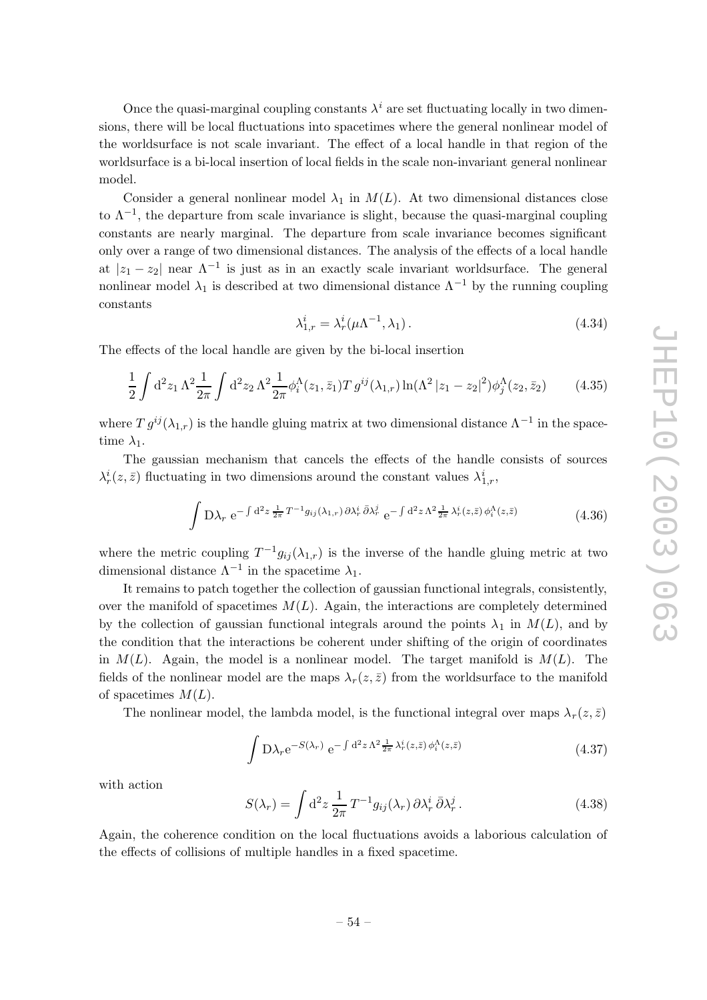Once the quasi-marginal coupling constants  $\lambda^{i}$  are set fluctuating locally in two dimensions, there will be local fluctuations into spacetimes where the general nonlinear model of the worldsurface is not scale in variant. The effect of a local handle in that region of the worldsurface is a bi-local insertion of local fields in the scale non-in varian t general nonlinear model.

Consider a general nonlinear model  $\lambda_1$  in  $M(L)$ . At two dimensional distances close to  $\Lambda^{-1}$ , the departure from scale invariance is slight, because the quasi-marginal coupling constants are nearly marginal. The departure from scale in variance becomes significan t only o ver a range of t w o dimensional distances. The analysis of the effects of a local handle at  $|z_1 - z_2|$  near  $\Lambda^{-1}$  is just as in an exactly scale invariant worldsurface. The general nonlinear model  $\lambda_1$  is described at two dimensional distance  $\Lambda^{-1}$  by the running coupling constants

$$
\lambda_{1,r}^i = \lambda_r^i (\mu \Lambda^{-1}, \lambda_1). \tag{4.34}
$$

The effects of the local handle are given b y the bi-local insertion

$$
\frac{1}{2} \int d^2 z_1 \Lambda^2 \frac{1}{2\pi} \int d^2 z_2 \Lambda^2 \frac{1}{2\pi} \phi_i^{\Lambda}(z_1, \bar{z}_1) T g^{ij}(\lambda_{1,r}) \ln(\Lambda^2 |z_1 - z_2|^2) \phi_j^{\Lambda}(z_2, \bar{z}_2)
$$
(4.35)

where  $T g^{ij}(\lambda_{1,r})$  is the handle gluing matrix at two dimensional distance  $\Lambda^{-1}$  in the spacetime  $\lambda_1$ .

The gaussian mechanism that cancels the effects of the handle consists of sources  $\lambda_r^i(z,\bar{z})$  fluctuating in two dimensions around the constant values  $\lambda_{1,r}^i$ ,

$$
\int \mathcal{D}\lambda_r \, \mathrm{e}^{-\int d^2 z \frac{1}{2\pi} T^{-1} g_{ij}(\lambda_{1,r}) \, \partial \lambda_r^i \, \bar{\partial} \lambda_r^j} \, \mathrm{e}^{-\int d^2 z \, \Lambda^2 \frac{1}{2\pi} \lambda_r^i(z,\bar{z}) \, \phi_i^{\Lambda}(z,\bar{z})} \tag{4.36}
$$

where the metric coupling  $T^{-1}g_{ij}(\lambda_{1,r})$  is the inverse of the handle gluing metric at two dimensional distance  $\Lambda^{-1}$  in the spacetime  $\lambda_1$ .

It remains to patch together the collection of gaussian functional integrals, consistently, over the manifold of spacetimes  $M(L)$ . Again, the interactions are completely determined by the collection of gaussian functional integrals around the points  $\lambda_1$  in  $M(L)$ , and by the condition that the interactions b e coheren t under shifting of the origin of coordinates in  $M(L)$ . Again, the model is a nonlinear model. The target manifold is  $M(L)$ . The fields of the nonlinear model are the maps  $\lambda_r(z,\bar{z})$  from the worldsurface to the manifold of spacetimes  $M(L)$ .

The nonlinear model, the lambda model, is the functional integral over maps  $\lambda_r(z,\bar{z})$ 

$$
\int \mathcal{D}\lambda_r e^{-S(\lambda_r)} e^{-\int d^2 z \Lambda^2 \frac{1}{2\pi} \lambda_r^i(z,\bar{z}) \phi_i^{\Lambda}(z,\bar{z})}
$$
 (4.37)

with action

$$
S(\lambda_r) = \int d^2 z \, \frac{1}{2\pi} \, T^{-1} g_{ij}(\lambda_r) \, \partial \lambda_r^i \, \bar{\partial} \lambda_r^j \,. \tag{4.38}
$$

Again, the coherence condition on the local fluctuations avoids a laborious calculation of the effects of collisions of multiple handles in a fixed spacetime.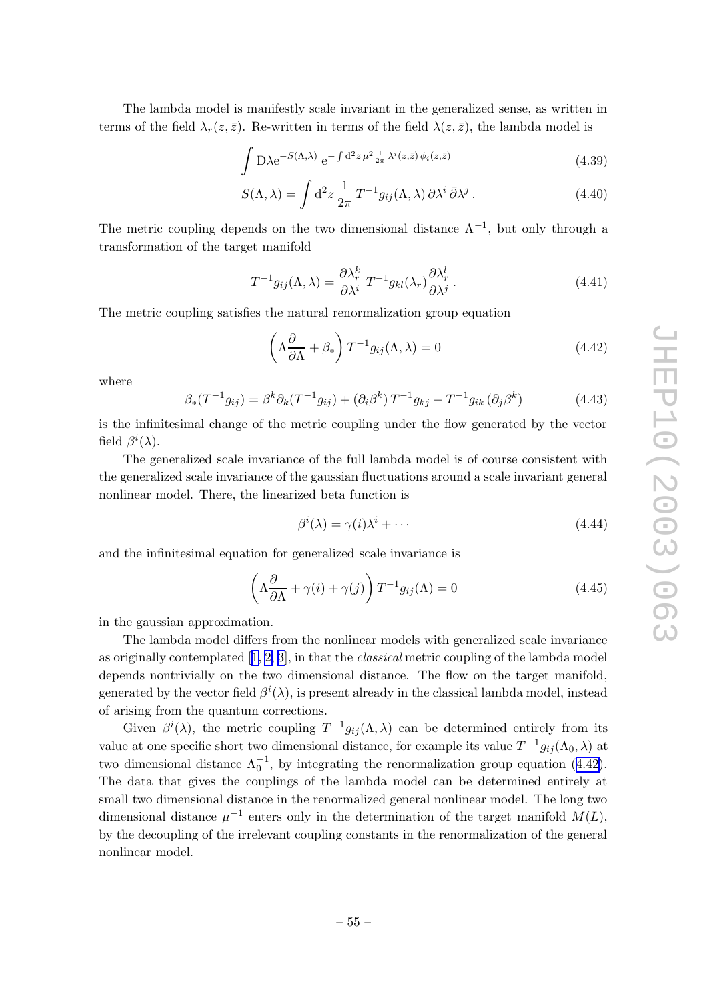<span id="page-55-0"></span>The lam bda model is manifestly scale in varian t in the generalized sense, as written in terms of the field  $\lambda_r(z,\bar{z})$ . Re-written in terms of the field  $\lambda(z,\bar{z})$ , the lambda model is

$$
\int \mathcal{D}\lambda e^{-S(\Lambda,\lambda)} e^{-\int d^2 z \,\mu^2 \frac{1}{2\pi} \,\lambda^i(z,\bar{z}) \,\phi_i(z,\bar{z})} \tag{4.39}
$$

$$
S(\Lambda, \lambda) = \int d^2 z \, \frac{1}{2\pi} \, T^{-1} g_{ij}(\Lambda, \lambda) \, \partial \lambda^i \, \bar{\partial} \lambda^j \,. \tag{4.40}
$$

The metric coupling depends on the two dimensional distance  $\Lambda^{-1}$ , but only through a transformation of the target manifold

$$
T^{-1}g_{ij}(\Lambda,\lambda) = \frac{\partial \lambda_r^k}{\partial \lambda^i} T^{-1}g_{kl}(\lambda_r) \frac{\partial \lambda_r^l}{\partial \lambda^j}.
$$
 (4.41)

The metric coupling satisfies the natural renormalization group equation

$$
\left(\Lambda \frac{\partial}{\partial \Lambda} + \beta_*\right) T^{-1} g_{ij}(\Lambda, \lambda) = 0 \tag{4.42}
$$

where

$$
\beta_*(T^{-1}g_{ij}) = \beta^k \partial_k (T^{-1}g_{ij}) + (\partial_i \beta^k) T^{-1} g_{kj} + T^{-1} g_{ik} (\partial_j \beta^k)
$$
(4.43)

is the infinitesimal change of the metric coupling under the flo w generated b y the vector field  $\beta^i(\lambda)$ .

The generalized scale in variance of the full lam bda model is of course consisten t with the generalized scale in variance of the gaussian fluctuations around a scale in varian t general nonlinear model. There, the linearized beta function is

$$
\beta^i(\lambda) = \gamma(i)\lambda^i + \cdots \tag{4.44}
$$

and the infinitesimal equation for generalized scale in variance is

$$
\left(\Lambda \frac{\partial}{\partial \Lambda} + \gamma(i) + \gamma(j)\right) T^{-1} g_{ij}(\Lambda) = 0 \tag{4.45}
$$

in the gaussian approximation.

The lam bda model differs from the nonlinear models with generalized scale in variance as originally contemplated  $[1, 2, 3]$  $[1, 2, 3]$  $[1, 2, 3]$  $[1, 2, 3]$  $[1, 2, 3]$  $[1, 2, 3]$ , in that the *classical* metric coupling of the lambda model depends nontrivially on the t w o dimensional distance. The flo w on the target manifold, generated by the vector field  $\beta^{i}(\lambda)$ , is present already in the classical lambda model, instead of arising from the quantum corrections.

Given  $\beta^i(\lambda)$ , the metric coupling  $T^{-1}g_{ij}(\Lambda,\lambda)$  can be determined entirely from its value at one specific short two dimensional distance, for example its value  $T^{-1}g_{ij}(\Lambda_0,\lambda)$  at two dimensional distance  $\Lambda_0^{-1}$ , by integrating the renormalization group equation (4.42). The data that gives the couplings of the lam bda model can b e determined entirely at small two dimensional distance in the renormalized general nonlinear model. The long two dimensional distance  $\mu^{-1}$  enters only in the determination of the target manifold  $M(L)$ , b y the decoupling of the irrelevan t coupling constants in the renormalization of the general nonlinear model.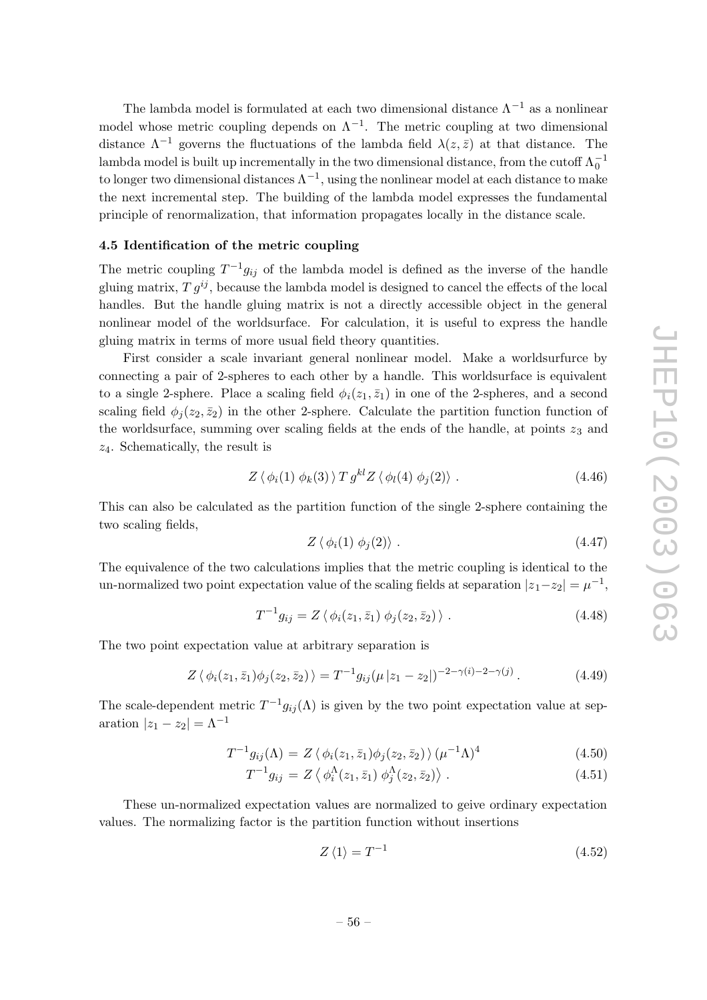<span id="page-56-0"></span>The lambda model is formulated at each two dimensional distance  $\Lambda^{-1}$  as a nonlinear model whose metric coupling depends on  $\Lambda^{-1}$ . The metric coupling at two dimensional distance  $\Lambda^{-1}$  governs the fluctuations of the lambda field  $\lambda(z,\bar{z})$  at that distance. The lambda model is built up incrementally in the two dimensional distance, from the cutoff  $\Lambda_0^{-1}$ to longer two dimensional distances  $\Lambda^{-1}$ , using the nonlinear model at each distance to make the next incremental step. The building of the lam bda model expresses the fundamental principle of renormalization, that information propagates locally in the distance scale.

#### 4.5 Identification of the metric coupling

The metric coupling  $T^{-1}g_{ij}$  of the lambda model is defined as the inverse of the handle gluing matrix,  $T g^{ij}$ , because the lambda model is designed to cancel the effects of the local handles. But the handle gluing matrix is not a directly accessible object in the general nonlinear model of the worldsurface. For calculation, it is useful to express the handle gluing matrix in terms of more usual field theory quantities.

First consider a scale invariant general nonlinear model. Make a worldsurfurce by connecting a pair of 2-spheres to eac h other b y a handle. This worldsurface is equivalen t to a single 2-sphere. Place a scaling field  $\phi_i(z_1, \bar{z}_1)$  in one of the 2-spheres, and a second scaling field  $\phi_j(z_2, \bar{z}_2)$  in the other 2-sphere. Calculate the partition function function of the worldsurface, summing over scaling fields at the ends of the handle, at points  $z_3$  and z 4 . Schematically , the result is

$$
Z \langle \phi_i(1) \phi_k(3) \rangle T g^{kl} Z \langle \phi_l(4) \phi_j(2) \rangle . \tag{4.46}
$$

This can also b e calculated as the partition function of the single 2-sphere containing the t w o scaling fields,

$$
Z \langle \phi_i(1) \phi_j(2) \rangle . \tag{4.47}
$$

The equivalence of the t w o calculations implies that the metric coupling is identical to the un-normalized two point expectation value of the scaling fields at separation  $|z_1 - z_2| = \mu^{-1}$ ,

$$
T^{-1}g_{ij} = Z \langle \phi_i(z_1, \bar{z}_1) \phi_j(z_2, \bar{z}_2) \rangle . \tag{4.48}
$$

The t w o poin t expectation value at arbitrary separation is

$$
Z \langle \phi_i(z_1, \bar{z}_1) \phi_j(z_2, \bar{z}_2) \rangle = T^{-1} g_{ij} (\mu |z_1 - z_2|)^{-2 - \gamma(i) - 2 - \gamma(j)}.
$$
 (4.49)

The scale-dependent metric  $T^{-1}g_{ij}(\Lambda)$  is given by the two point expectation value at separation  $|z_1 - z_2| = \Lambda^{-1}$ 

$$
T^{-1}g_{ij}(\Lambda) = Z \langle \phi_i(z_1, \bar{z}_1) \phi_j(z_2, \bar{z}_2) \rangle (\mu^{-1} \Lambda)^4
$$
\n(4.50)

$$
T^{-1}g_{ij} = Z \left\langle \phi_i^{\Lambda}(z_1, \bar{z}_1) \phi_j^{\Lambda}(z_2, \bar{z}_2) \right\rangle.
$$
 (4.51)

These un-normalized expectation values are normalized to geiv e ordinary expectation values. The normalizing factor is the partition function without insertions

$$
Z\langle 1\rangle = T^{-1} \tag{4.52}
$$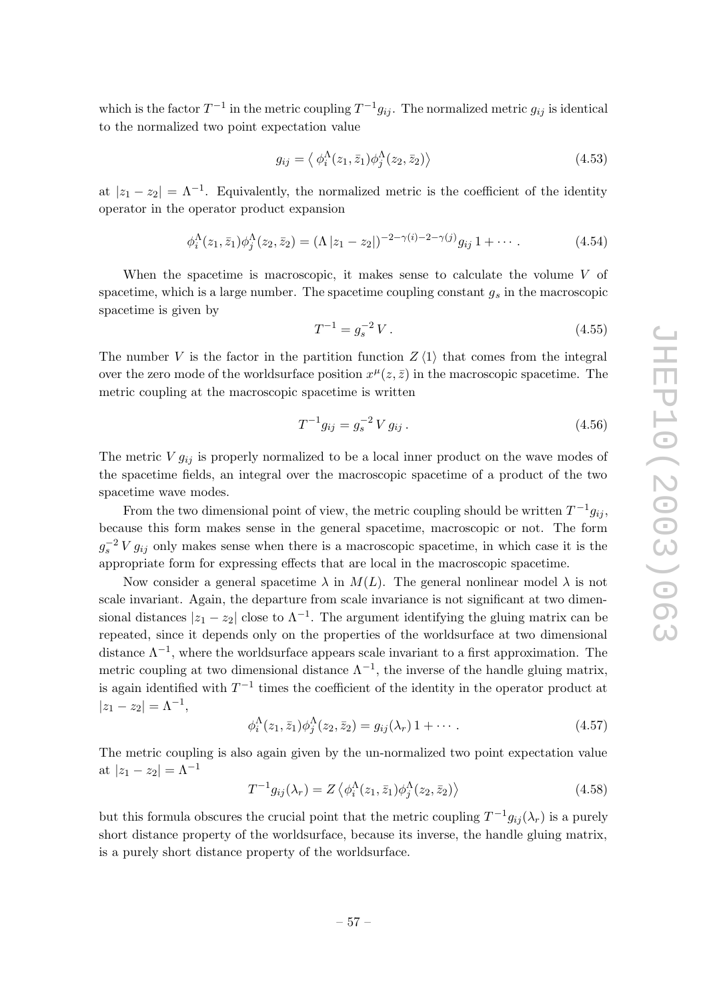which is the factor  $T^{-1}$  in the metric coupling  $T^{-1}g_{ij}$ . The normalized metric  $g_{ij}$  is identical to the normalized t w o poin t expectation value

$$
g_{ij} = \langle \phi_i^{\Lambda}(z_1, \bar{z}_1) \phi_j^{\Lambda}(z_2, \bar{z}_2) \rangle \tag{4.53}
$$

at  $|z_1 - z_2| = \Lambda^{-1}$ . Equivalently, the normalized metric is the coefficient of the identity operator in the operator product expansion

$$
\phi_i^{\Lambda}(z_1, \bar{z}_1) \phi_j^{\Lambda}(z_2, \bar{z}_2) = (\Lambda |z_1 - z_2|)^{-2 - \gamma(i) - 2 - \gamma(j)} g_{ij} \, 1 + \cdots \,. \tag{4.54}
$$

When the spacetime is macroscopic, it makes sense to calculate the volume  $V$  of spacetime, which is a large number. The spacetime coupling constant  $g_s$  in the macroscopic spacetime is given b y

$$
T^{-1} = g_s^{-2} V. \t\t(4.55)
$$

The number V is the factor in the partition function  $Z\langle 1\rangle$  that comes from the integral over the zero mode of the worldsurface position  $x^{\mu}(z,\bar{z})$  in the macroscopic spacetime. The metric coupling at the macroscopic spacetime is written

$$
T^{-1}g_{ij} = g_s^{-2} V g_{ij}.
$$
\n(4.56)

The metric  $V g_{ij}$  is properly normalized to be a local inner product on the wave modes of the spacetime fields, an integral over the macroscopic spacetime of a product of the two spacetime w av e modes.

From the two dimensional point of view, the metric coupling should be written  $T^{-1}g_{ij}$ , because this form makes sense in the general spacetime, macroscopic or not. The form  $g_s^{-2} V g_{ij}$  only makes sense when there is a macroscopic spacetime, in which case it is the appropriate form for expressing effects that are local in the macroscopic spacetime.

Now consider a general spacetime  $\lambda$  in  $M(L)$ . The general nonlinear model  $\lambda$  is not scale invariant. Again, the departure from scale invariance is not significant at two dimensional distances  $|z_1 - z_2|$  close to  $\Lambda^{-1}$ . The argument identifying the gluing matrix can be repeated, since it depends only on the properties of the worldsurface at t w o dimensional distance  $\Lambda^{-1}$ , where the worldsurface appears scale invariant to a first approximation. The metric coupling at two dimensional distance  $\Lambda^{-1}$ , the inverse of the handle gluing matrix, is again identified with  $T^{-1}$  times the coefficient of the identity in the operator product at  $|z_1 - z_2| = \Lambda^{-1},$ 

$$
\phi_i^{\Lambda}(z_1, \bar{z}_1)\phi_j^{\Lambda}(z_2, \bar{z}_2) = g_{ij}(\lambda_r)1 + \cdots
$$
\n(4.57)

The metric coupling is also again given by the un-normalized two point expectation value at  $|z_1 - z_2| = \Lambda^{-1}$ 

$$
T^{-1}g_{ij}(\lambda_r) = Z \left\langle \phi_i^{\Lambda}(z_1, \bar{z}_1) \phi_j^{\Lambda}(z_2, \bar{z}_2) \right\rangle \tag{4.58}
$$

but this formula obscures the crucial point that the metric coupling  $T^{-1}g_{ij}(\lambda_r)$  is a purely short distance propert y of the worldsurface, because its in verse, the handle gluing matrix, is a purely short distance propert y of the worldsurface.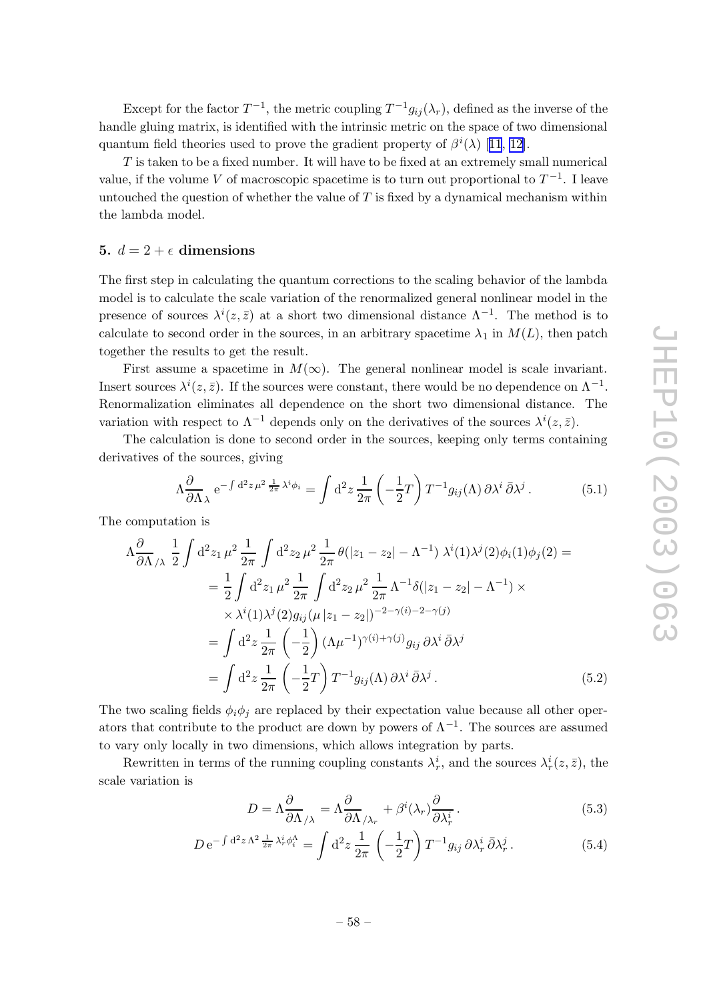<span id="page-58-0"></span>Except for the factor  $T^{-1}$ , the metric coupling  $T^{-1}g_{ij}(\lambda_r)$ , defined as the inverse of the handle gluing matrix, is identified with the intrinsic metric on the space of two dimensional quantum field theories used to prove the gradient property of  $\beta^{i}(\lambda)$  [[11](#page-97-0), [12](#page-97-0)].

 $T$  is taken to be a fixed number. It will have to be fixed at an extremely small numerical value, if the volume V of macroscopic spacetime is to turn out proportional to  $T^{-1}$ . I leave untouched the question of whether the value of  $T$  is fixed by a dynamical mechanism within the lam bda model.

# 5.  $d=2+\epsilon$  dimensions

The first step in calculating the quantum corrections to the scaling behavior of the lam bda model is to calculate the scale variation of the renormalized general nonlinear model in the presence of sources  $\lambda^{i}(z,\bar{z})$  at a short two dimensional distance  $\Lambda^{-1}$ . The method is to calculate to second order in the sources, in an arbitrary spacetime  $\lambda_1$  in  $M(L)$ , then patch together the results to get the result.

First assume a spacetime in  $M(\infty)$ . The general nonlinear model is scale invariant. Insert sources  $\lambda^{i}(z, \bar{z})$ . If the sources were constant, there would be no dependence on  $\Lambda^{-1}$ . Renormalization eliminates all dependence on the short t w o dimensional distance. The variation with respect to  $\Lambda^{-1}$  depends only on the derivatives of the sources  $\lambda^{i}(z,\bar{z})$ .

The calculation is done to second order in the sources, keeping only terms containing derivatives of the sources, giving

$$
\Lambda \frac{\partial}{\partial \Lambda_{\lambda}} e^{-\int d^2 z \,\mu^2 \frac{1}{2\pi} \,\lambda^i \phi_i} = \int d^2 z \,\frac{1}{2\pi} \left(-\frac{1}{2}T\right) T^{-1} g_{ij}(\Lambda) \,\partial \lambda^i \,\bar{\partial} \lambda^j \,. \tag{5.1}
$$

The computation is

$$
\Lambda \frac{\partial}{\partial \Lambda_{/\lambda}} \frac{1}{2} \int d^2 z_1 \mu^2 \frac{1}{2\pi} \int d^2 z_2 \mu^2 \frac{1}{2\pi} \theta(|z_1 - z_2| - \Lambda^{-1}) \lambda^i(1) \lambda^j(2) \phi_i(1) \phi_j(2) =
$$
  
\n
$$
= \frac{1}{2} \int d^2 z_1 \mu^2 \frac{1}{2\pi} \int d^2 z_2 \mu^2 \frac{1}{2\pi} \Lambda^{-1} \delta(|z_1 - z_2| - \Lambda^{-1}) \times
$$
  
\n
$$
\times \lambda^i(1) \lambda^j(2) g_{ij}(\mu |z_1 - z_2|)^{-2 - \gamma(i) - 2 - \gamma(j)}
$$
  
\n
$$
= \int d^2 z \frac{1}{2\pi} \left(-\frac{1}{2}\right) (\Lambda \mu^{-1})^{\gamma(i) + \gamma(j)} g_{ij} \partial \lambda^i \bar{\partial} \lambda^j
$$
  
\n
$$
= \int d^2 z \frac{1}{2\pi} \left(-\frac{1}{2}T\right) T^{-1} g_{ij}(\Lambda) \partial \lambda^i \bar{\partial} \lambda^j.
$$
 (5.2)

The two scaling fields  $\phi_i \phi_j$  are replaced by their expectation value because all other operators that contribute to the product are down by powers of  $\Lambda^{-1}$ . The sources are assumed to vary only locally in t w o dimensions, whic h allows integration b y parts.

Rewritten in terms of the running coupling constants  $\lambda_r^i$ , and the sources  $\lambda_r^i(z,\bar{z})$ , the scale variation is

$$
D = \Lambda \frac{\partial}{\partial \Lambda_{/\lambda}} = \Lambda \frac{\partial}{\partial \Lambda_{/\lambda_r}} + \beta^i (\lambda_r) \frac{\partial}{\partial \lambda_r^i}.
$$
 (5.3)

$$
D e^{-\int d^2 z \Lambda^2 \frac{1}{2\pi} \lambda_r^i \phi_i^{\Lambda}} = \int d^2 z \frac{1}{2\pi} \left( -\frac{1}{2} T \right) T^{-1} g_{ij} \, \partial \lambda_r^i \, \bar{\partial} \lambda_r^j \,. \tag{5.4}
$$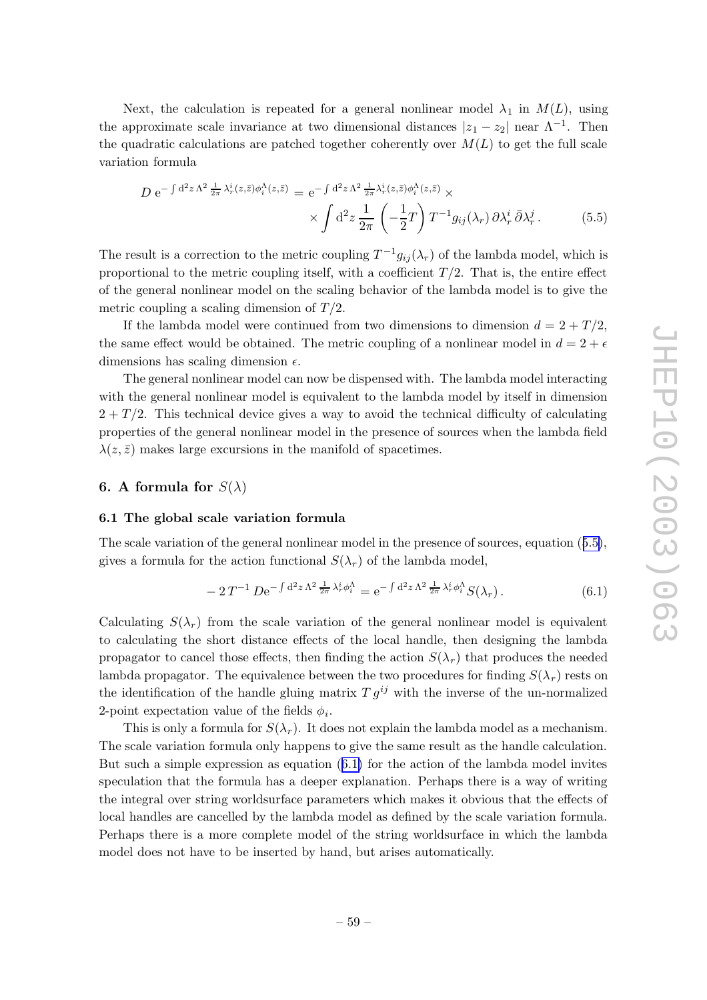Next, the calculation is repeated for a general nonlinear model  $\lambda_1$  in  $M(L)$ , using the approximate scale invariance at two dimensional distances  $|z_1 - z_2|$  near  $\Lambda^{-1}$ . Then the quadratic calculations are patched together coherently over  $M(L)$  to get the full scale variation formula

$$
D e^{-\int d^2 z \Lambda^2 \frac{1}{2\pi} \lambda_r^i(z,\bar{z}) \phi_i^{\Lambda}(z,\bar{z})} = e^{-\int d^2 z \Lambda^2 \frac{1}{2\pi} \lambda_r^i(z,\bar{z}) \phi_i^{\Lambda}(z,\bar{z})} \times \qquad \qquad \times \int d^2 z \frac{1}{2\pi} \left(-\frac{1}{2}T\right) T^{-1} g_{ij}(\lambda_r) \partial \lambda_r^i \bar{\partial} \lambda_r^j. \tag{5.5}
$$

The result is a correction to the metric coupling  $T^{-1}g_{ij}(\lambda_r)$  of the lambda model, which is proportional to the metric coupling itself, with a coefficient  $T/2$ . That is, the entire effect of the general nonlinear model on the scaling behavior of the lam bda model is to giv e the metric coupling a scaling dimension of  $T/2$ .

If the lambda model were continued from two dimensions to dimension  $d = 2 + T/2$ , the same effect would be obtained. The metric coupling of a nonlinear model in  $d = 2 + \epsilon$ dimensions has scaling dimension  $\epsilon$ .

The general nonlinear model can no w b e dispensed with. The lam bda model interacting with the general nonlinear model is equivalent to the lambda model by itself in dimension  $2+T/2$ . This technical device gives a way to avoid the technical difficulty of calculating properties of the general nonlinear model in the presence of sources when the lam bda field  $\lambda(z,\bar{z})$  makes large excursions in the manifold of spacetimes.

# 6. A formula for  $S(\lambda)$

### 6.1 The global scale variation formula

The scale variation of the general nonlinear model in the presence of sources, equation (5.5), gives a formula for the action functional  $S(\lambda_r)$  of the lambda model,

$$
-2T^{-1}De^{-\int d^2z\Lambda^2\frac{1}{2\pi}\lambda^i_r\phi_i^{\Lambda}} = e^{-\int d^2z\Lambda^2\frac{1}{2\pi}\lambda^i_r\phi_i^{\Lambda}}S(\lambda_r).
$$
 (6.1)

Calculating  $S(\lambda_r)$  from the scale variation of the general nonlinear model is equivalent to calculating the short distance effects of the local handle, then designing the lam bda propagator to cancel those effects, then finding the action  $S(\lambda_r)$  that produces the needed lambda propagator. The equivalence between the two procedures for finding  $S(\lambda_r)$  rests on the identification of the handle gluing matrix  $T g^{ij}$  with the inverse of the un-normalized 2-point expectation value of the fields  $\phi_i$ .

This is only a formula for  $S(\lambda_r)$ . It does not explain the lambda model as a mechanism. The scale variation formula only happens to giv e the same result as the handle calculation. But such a simple expression as equation  $(6.1)$  for the action of the lambda model invites speculation that the formula has a deeper explanation. Perhaps there is a w ay of writing the integral over string worldsurface parameters which makes it obvious that the effects of local handles are cancelled b y the lam bda model as defined b y the scale variation formula. Perhaps there is a more complete model of the string worldsurface in which the lambda model does not hav e to b e inserted b y hand, but arises automatically .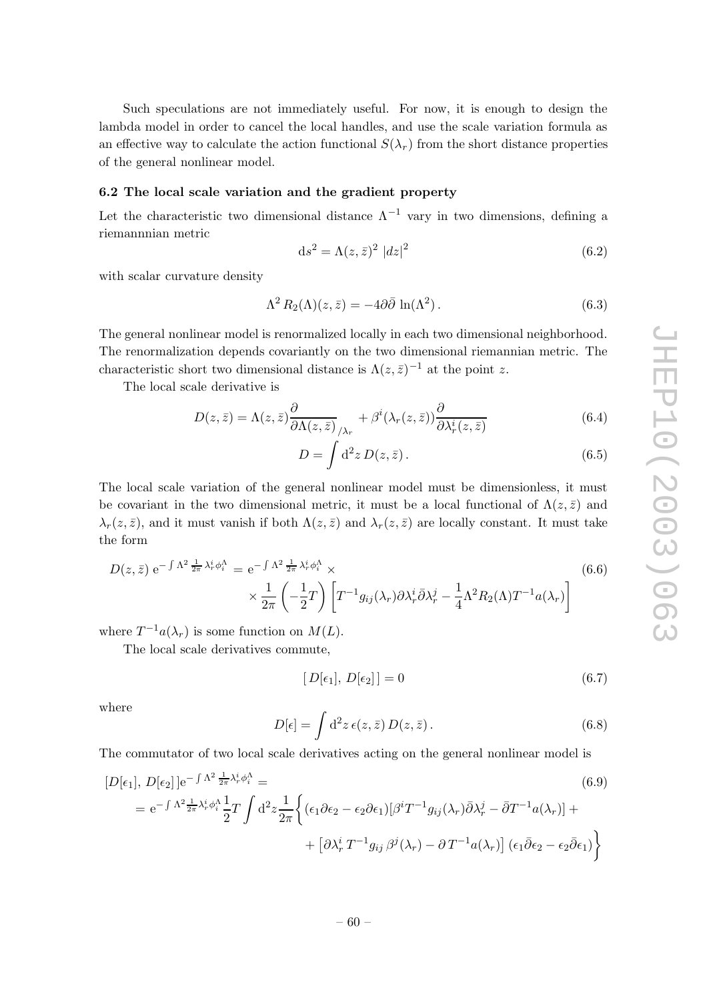<span id="page-60-0"></span>Suc h speculations are not immediately useful. For now, it is enough to design the lam bda model in order to cancel the local handles, and use the scale variation formula as an effective way to calculate the action functional  $S(\lambda_r)$  from the short distance properties of the general nonlinear model.

### 6.2 The local scale variation and the gradien t propert y

Let the characteristic two dimensional distance  $\Lambda^{-1}$  vary in two dimensions, defining a riemannnian metric

$$
ds^2 = \Lambda(z,\bar{z})^2 |dz|^2
$$
\n(6.2)

with scalar curvature densit y

$$
\Lambda^2 R_2(\Lambda)(z,\bar{z}) = -4\partial\bar{\partial} \ln(\Lambda^2). \tag{6.3}
$$

The general nonlinear model is renormalized locally in eac h t w o dimensional neigh borho od. The renormalization depends co variantly on the t w o dimensional riemannian metric. The characteristic short two dimensional distance is  $\Lambda(z,\bar{z})^{-1}$  at the point z.

The local scale derivativ e is

$$
D(z,\bar{z}) = \Lambda(z,\bar{z}) \frac{\partial}{\partial \Lambda(z,\bar{z})}_{/\lambda_r} + \beta^i (\lambda_r(z,\bar{z})) \frac{\partial}{\partial \lambda_r^i(z,\bar{z})}
$$
(6.4)

$$
D = \int d^2 z D(z, \bar{z}). \tag{6.5}
$$

The local scale variation of the general nonlinear model must b e dimensionless, it must be covariant in the two dimensional metric, it must be a local functional of  $\Lambda(z,\bar{z})$  and  $\lambda_r(z,\bar{z})$ , and it must vanish if both  $\Lambda(z,\bar{z})$  and  $\lambda_r(z,\bar{z})$  are locally constant. It must take the form

$$
D(z,\bar{z}) e^{-\int \Lambda^2 \frac{1}{2\pi} \lambda_r^i \phi_i^{\Lambda}} = e^{-\int \Lambda^2 \frac{1}{2\pi} \lambda_r^i \phi_i^{\Lambda}} \times \frac{1}{2\pi} \left( -\frac{1}{2} T \right) \left[ T^{-1} g_{ij}(\lambda_r) \partial \lambda_r^i \bar{\partial} \lambda_r^j - \frac{1}{4} \Lambda^2 R_2(\Lambda) T^{-1} a(\lambda_r) \right]
$$
(6.6)

where  $T^{-1}a(\lambda_r)$  is some function on  $M(L)$ .

The local scale derivatives commute,

$$
[D[\epsilon_1], D[\epsilon_2]] = 0 \tag{6.7}
$$

where

$$
D[\epsilon] = \int d^2 z \,\epsilon(z,\bar{z}) \, D(z,\bar{z}) \,. \tag{6.8}
$$

The commutator of t w o local scale derivatives acting on the general nonlinear model is

$$
[D[\epsilon_1], D[\epsilon_2]]e^{-\int \Lambda^2 \frac{1}{2\pi} \lambda_r^i \phi_i^{\Lambda}} =
$$
\n
$$
= e^{-\int \Lambda^2 \frac{1}{2\pi} \lambda_r^i \phi_i^{\Lambda} \frac{1}{2} T} \int d^2 z \frac{1}{2\pi} \left\{ (\epsilon_1 \partial \epsilon_2 - \epsilon_2 \partial \epsilon_1) [\beta^i T^{-1} g_{ij}(\lambda_r) \bar{\partial} \lambda_r^j - \bar{\partial} T^{-1} a(\lambda_r)] + \left[ \partial \lambda_r^i T^{-1} g_{ij} \beta^j (\lambda_r) - \partial T^{-1} a(\lambda_r) \right] (\epsilon_1 \bar{\partial} \epsilon_2 - \epsilon_2 \bar{\partial} \epsilon_1) \right\}
$$
\n(6.9)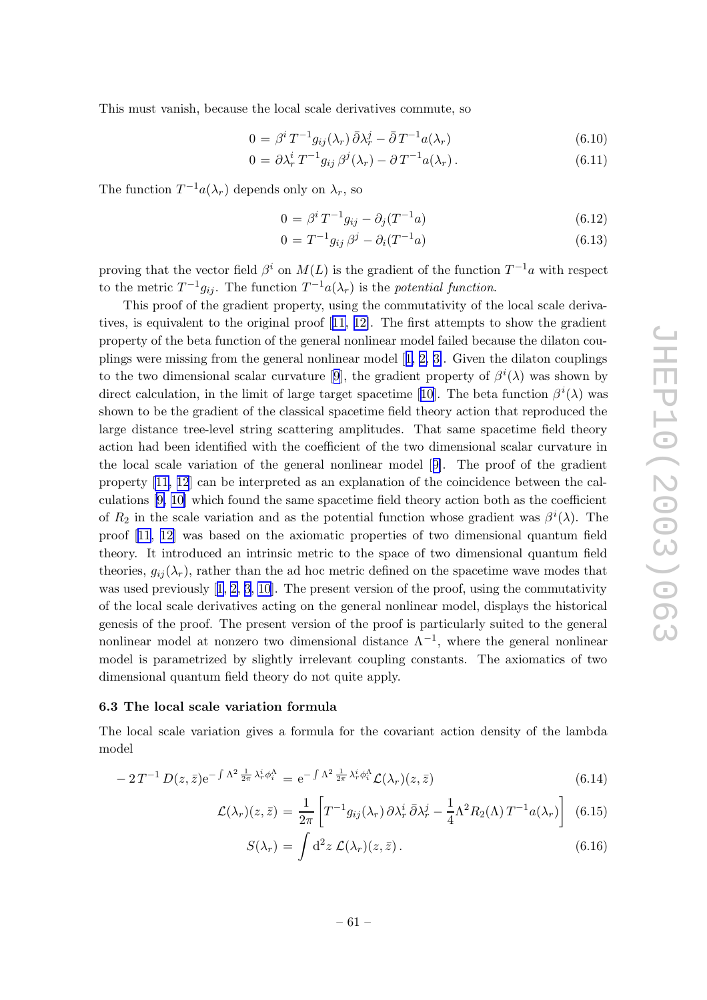<span id="page-61-0"></span>This must vanish, because the local scale derivatives commute, so

$$
0 = \beta^i T^{-1} g_{ij}(\lambda_r) \bar{\partial} \lambda_r^j - \bar{\partial} T^{-1} a(\lambda_r)
$$
\n(6.10)

$$
0 = \partial \lambda_r^i T^{-1} g_{ij} \beta^j(\lambda_r) - \partial T^{-1} a(\lambda_r).
$$
 (6.11)

The function  $T^{-1}a(\lambda_r)$  depends only on  $\lambda_r$ , so

$$
0 = \beta^{i} T^{-1} g_{ij} - \partial_{j} (T^{-1} a)
$$
\n(6.12)

$$
0 = T^{-1} g_{ij} \beta^j - \partial_i (T^{-1} a) \tag{6.13}
$$

proving that the vector field  $\beta^i$  on  $M(L)$  is the gradient of the function  $T^{-1}a$  with respect to the metric  $T^{-1}g_{ij}$ . The function  $T^{-1}a(\lambda_r)$  is the potential function.

This proof of the gradien t propert y , using the commutativit y of the local scale derivatives, is equivalent to the original proof [[11,](#page-97-0) [12\]](#page-97-0). The first attempts to show the gradient propert y of the beta function of the general nonlinear model failed because the dilaton couplings were missing from the general nonlinear model  $[1, 2, 3]$  $[1, 2, 3]$  $[1, 2, 3]$  $[1, 2, 3]$  $[1, 2, 3]$  $[1, 2, 3]$ . Given the dilaton couplings to the two dimensional scalar curvature [[9](#page-97-0)], the gradient property of  $\beta^i(\lambda)$  was shown by direct calculation, in the limit of large target spacetime [[10\]](#page-97-0). The beta function  $\beta^i(\lambda)$  was shown to be the gradient of the classical spacetime field theory action that reproduced the large distance tree-level string scattering amplitudes. That same spacetime field theory action had been identified with the coefficien t of the t w o dimensional scalar curvature in the local scale variation of the general nonlinear model [[9\]](#page-97-0). The proof of the gradien t propert y [[11](#page-97-0) , [12](#page-97-0) ] can b e interpreted as an explanation of the coincidence bet ween the calculations [\[9,](#page-97-0) [10\]](#page-97-0) which found the same spacetime field theory action both as the coefficient of  $R_2$  in the scale variation and as the potential function whose gradient was  $\beta^i(\lambda)$ . The proof [[11](#page-97-0) , [12](#page-97-0) ] was based on the axiomatic properties of t w o dimensional quantum field theory . It introduced an intrinsic metric to the space of t w o dimensional quantum field theories,  $g_{ij}(\lambda_r)$ , rather than the ad hoc metric defined on the spacetime wave modes that was used previously [[1](#page-97-0), [2](#page-97-0), [3](#page-97-0), [10](#page-97-0)]. The present version of the proof, using the commutativity of the local scale derivatives acting on the general nonlinear model, displays the historical genesis of the proof. The presen t version of the proof is particularly suited to the general nonlinear model at nonzero two dimensional distance  $\Lambda^{-1}$ , where the general nonlinear model is parametrized by slightly irrelevant coupling constants. The axiomatics of two dimensional quantum field theory do not quite apply .

### 6.3 The local scale variation formula

The local scale variation gives a formula for the co varian t action densit y of the lam bda model

$$
-2T^{-1}D(z,\bar{z})e^{-\int \Lambda^2 \frac{1}{2\pi}\lambda_r^i\phi_i^{\Lambda}} = e^{-\int \Lambda^2 \frac{1}{2\pi}\lambda_r^i\phi_i^{\Lambda}}\mathcal{L}(\lambda_r)(z,\bar{z})
$$
(6.14)

$$
\mathcal{L}(\lambda_r)(z,\bar{z}) = \frac{1}{2\pi} \left[ T^{-1} g_{ij}(\lambda_r) \, \partial \lambda_r^i \, \bar{\partial} \lambda_r^j - \frac{1}{4} \Lambda^2 R_2(\Lambda) \, T^{-1} a(\lambda_r) \right] \tag{6.15}
$$

$$
S(\lambda_r) = \int d^2 z \mathcal{L}(\lambda_r)(z, \bar{z}). \qquad (6.16)
$$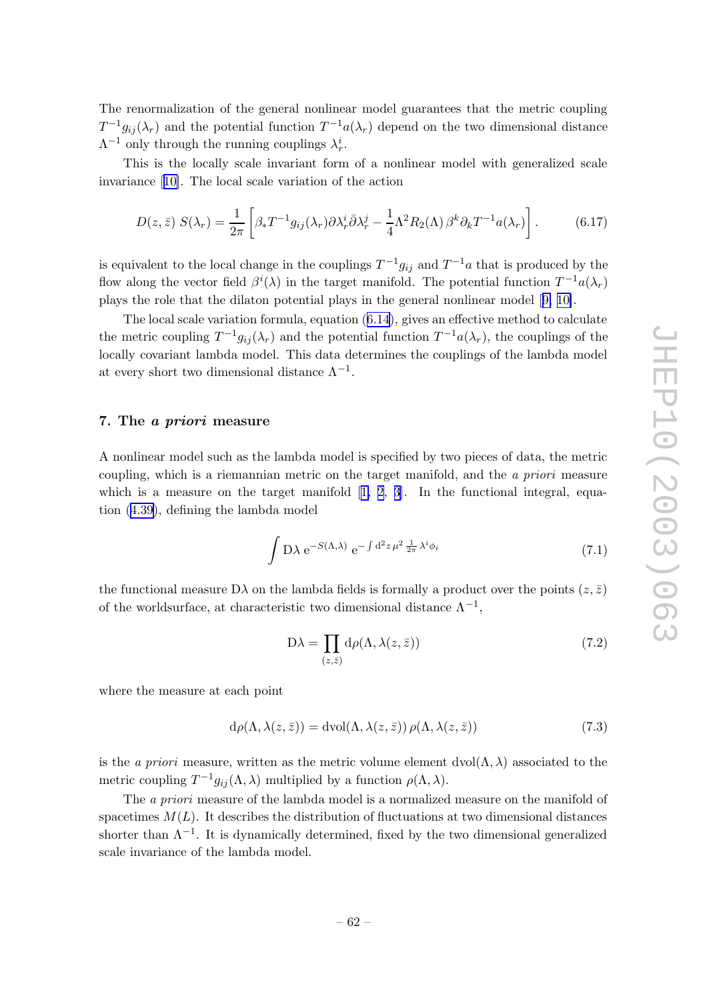The renormalization of the general nonlinear model guarantees that the metric coupling  $T^{-1}g_{ij}(\lambda_r)$  and the potential function  $T^{-1}a(\lambda_r)$  depend on the two dimensional distance  $\Lambda^{-1}$  only through the running couplings  $\lambda_r^i$ .

This is the locally scale in varian t form of a nonlinear model with generalized scale in variance [[10\]](#page-97-0). The local scale variation of the action

$$
D(z,\bar{z}) S(\lambda_r) = \frac{1}{2\pi} \left[ \beta_* T^{-1} g_{ij}(\lambda_r) \partial \lambda_r^i \bar{\partial} \lambda_r^j - \frac{1}{4} \Lambda^2 R_2(\Lambda) \beta^k \partial_k T^{-1} a(\lambda_r) \right]. \tag{6.17}
$$

is equivalent to the local change in the couplings  $T^{-1}g_{ij}$  and  $T^{-1}a$  that is produced by the flow along the vector field  $\beta^i(\lambda)$  in the target manifold. The potential function  $T^{-1}a(\lambda_r)$ plays the role that the dilaton potential plays in the general nonlinear model [[9](#page-97-0) , [10\]](#page-97-0).

The local scale variation formula, equation ([6.14\)](#page-61-0), gives an effectiv e metho d to calculate the metric coupling  $T^{-1}g_{ij}(\lambda_r)$  and the potential function  $T^{-1}a(\lambda_r)$ , the couplings of the locally covariant lambda model. This data determines the couplings of the lambda model at every short two dimensional distance  $\Lambda^{-1}$ .

# 7. The a priori measure

A nonlinear model suc h as the lam bda model is specified b y t w o pieces of data, the metric coupling, which is a riemannian metric on the target manifold, and the *a priori* measure which is a measure on the target manifold  $[1, 2, 3]$  $[1, 2, 3]$  $[1, 2, 3]$  $[1, 2, 3]$  $[1, 2, 3]$  $[1, 2, 3]$ . In the functional integral, equation ([4.39](#page-55-0)), defining the lambda model

$$
\int \mathcal{D}\lambda \, e^{-S(\Lambda,\lambda)} \, e^{-\int d^2 z \, \mu^2 \frac{1}{2\pi} \lambda^i \phi_i} \tag{7.1}
$$

the functional measure  $D\lambda$  on the lambda fields is formally a product over the points  $(z, \bar{z})$ of the worldsurface, at characteristic two dimensional distance  $\Lambda^{-1}$ ,

$$
D\lambda = \prod_{(z,\bar{z})} d\rho(\Lambda, \lambda(z,\bar{z}))
$$
\n(7.2)

where the measure at each point

$$
d\rho(\Lambda, \lambda(z, \bar{z})) = \text{dvol}(\Lambda, \lambda(z, \bar{z})) \,\rho(\Lambda, \lambda(z, \bar{z})) \tag{7.3}
$$

is the *a priori* measure, written as the metric volume element  $dvol(\Lambda, \lambda)$  associated to the metric coupling  $T^{-1}g_{ij}(\Lambda,\lambda)$  multiplied by a function  $\rho(\Lambda,\lambda)$ .

The *a priori* measure of the lambda model is a normalized measure on the manifold of spacetimes  $M(L)$ . It describes the distribution of fluctuations at two dimensional distances shorter than  $\Lambda^{-1}$ . It is dynamically determined, fixed by the two dimensional generalized scale in variance of the lam bda model.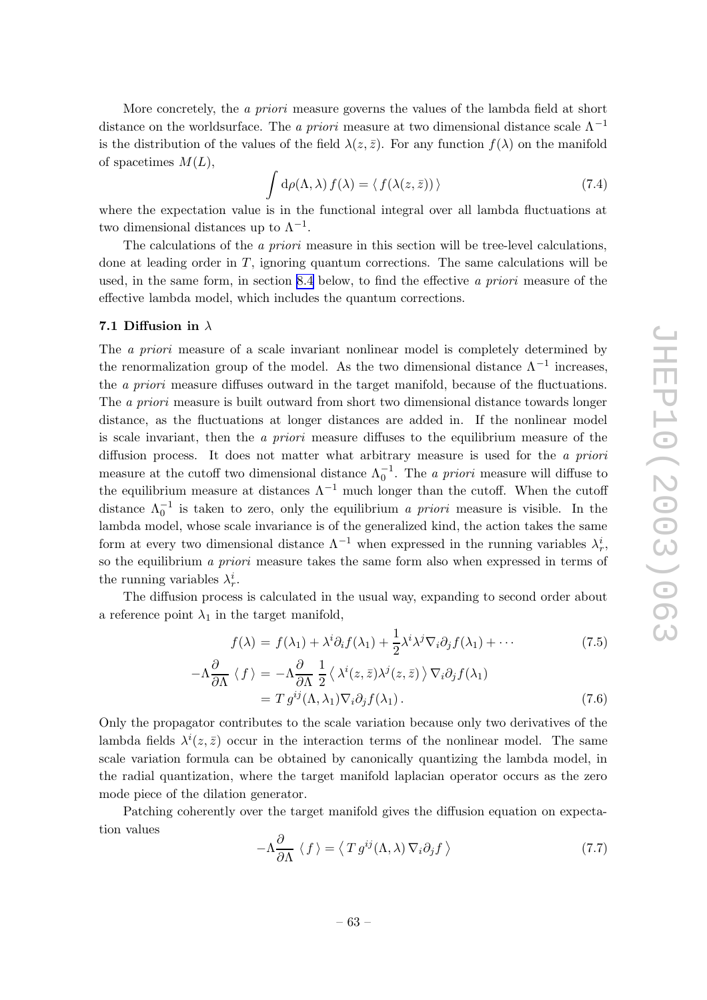More concretely, the *a priori* measure governs the values of the lambda field at short distance on the worldsurface. The *a priori* measure at two dimensional distance scale  $\Lambda^{-1}$ is the distribution of the values of the field  $\lambda(z,\bar{z})$ . For any function  $f(\lambda)$  on the manifold of spacetimes  $M(L)$ ,

$$
\int d\rho(\Lambda, \lambda) f(\lambda) = \langle f(\lambda(z, \bar{z})) \rangle \tag{7.4}
$$

where the expectation value is in the functional integral over all lambda fluctuations at two dimensional distances up to  $\Lambda^{-1}$ .

The calculations of the *a priori* measure in this section will be tree-level calculations, done at leading order in T, ignoring quantum corrections. The same calculations will be used, in the same form, in section [8.4](#page-69-0) below, to find the effective *a priori* measure of the effectiv e lam bda model, whic h includes the quantum corrections.

### 7.1 Diffusion in  $\lambda$

The *a priori* measure of a scale invariant nonlinear model is completely determined by the renormalization group of the model. As the two dimensional distance  $\Lambda^{-1}$  increases, the a priori measure diffuses out ward in the target manifold, because of the fluctuations. The *a priori* measure is built outward from short two dimensional distance towards longer distance, as the fluctuations at longer distances are added in. If the nonlinear model is scale in variant, then the a priori measure diffuses to the equilibrium measure of the diffusion process. It does not matter what arbitrary measure is used for the *a priori* measure at the cutoff two dimensional distance  $\Lambda_0^{-1}$ . The *a priori* measure will diffuse to the equilibrium measure at distances  $\Lambda^{-1}$  much longer than the cutoff. When the cutoff distance  $\Lambda_0^{-1}$  is taken to zero, only the equilibrium *a priori* measure is visible. In the lam bda model, whose scale in variance is of the generalized kind, the action takes the same form at every two dimensional distance  $\Lambda^{-1}$  when expressed in the running variables  $\lambda_r^i$ , so the equilibrium *a priori* measure takes the same form also when expressed in terms of the running variables  $\lambda_r^i$ .

The diffusion process is calculated in the usual w ay , expanding to second order about a reference point  $\lambda_1$  in the target manifold,

$$
f(\lambda) = f(\lambda_1) + \lambda^i \partial_i f(\lambda_1) + \frac{1}{2} \lambda^i \lambda^j \nabla_i \partial_j f(\lambda_1) + \cdots
$$
 (7.5)

$$
-\Lambda \frac{\partial}{\partial \Lambda} \langle f \rangle = -\Lambda \frac{\partial}{\partial \Lambda} \frac{1}{2} \langle \lambda^i(z, \bar{z}) \lambda^j(z, \bar{z}) \rangle \nabla_i \partial_j f(\lambda_1)
$$
  
=  $T g^{ij}(\Lambda, \lambda_1) \nabla_i \partial_j f(\lambda_1).$  (7.6)

Only the propagator contributes to the scale variation because only t w o derivatives of the lambda fields  $\lambda^{i}(z,\bar{z})$  occur in the interaction terms of the nonlinear model. The same scale variation formula can b e obtained b y canonically quantizing the lam bda model, in the radial quantization, where the target manifold laplacian operator occurs as the zero mode piece of the dilation generator.

Patching coherently over the target manifold gives the diffusion equation on expectation values

$$
-\Lambda \frac{\partial}{\partial \Lambda} \langle f \rangle = \langle T g^{ij} (\Lambda, \lambda) \nabla_i \partial_j f \rangle \tag{7.7}
$$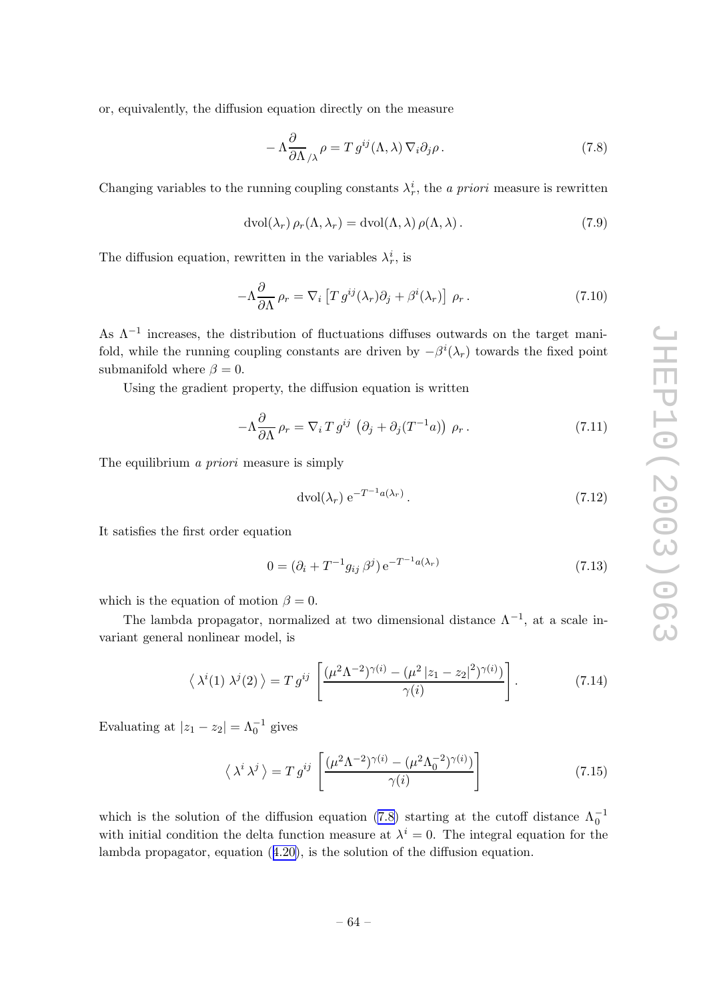or, equivalently , the diffusion equation directly on the measure

$$
-\Lambda \frac{\partial}{\partial \Lambda_{/\lambda}} \rho = T g^{ij}(\Lambda, \lambda) \nabla_i \partial_j \rho. \tag{7.8}
$$

Changing variables to the running coupling constants  $\lambda_r^i$ , the *a priori* measure is rewritten

$$
dvol(\lambda_r) \rho_r(\Lambda, \lambda_r) = dvol(\Lambda, \lambda) \rho(\Lambda, \lambda).
$$
 (7.9)

The diffusion equation, rewritten in the variables  $\lambda_r^i$ , is

$$
-\Lambda \frac{\partial}{\partial \Lambda} \rho_r = \nabla_i \left[ T g^{ij} (\lambda_r) \partial_j + \beta^i (\lambda_r) \right] \rho_r. \tag{7.10}
$$

As  $\Lambda^{-1}$  increases, the distribution of fluctuations diffuses outwards on the target manifold, while the running coupling constants are driven by  $-\beta^{i}(\lambda_{r})$  towards the fixed point submanifold where  $\beta = 0$ .

Using the gradien t propert y , the diffusion equation is written

$$
-\Lambda \frac{\partial}{\partial \Lambda} \rho_r = \nabla_i T g^{ij} \left( \partial_j + \partial_j (T^{-1} a) \right) \rho_r. \tag{7.11}
$$

The equilibrium *a priori* measure is simply

$$
\mathrm{dvol}(\lambda_r) \,\mathrm{e}^{-T^{-1}a(\lambda_r)}\,. \tag{7.12}
$$

It satisfies the first order equation

$$
0 = (\partial_i + T^{-1} g_{ij} \,\beta^j) e^{-T^{-1} a(\lambda_r)}
$$
\n(7.13)

which is the equation of motion  $\beta = 0$ .

The lambda propagator, normalized at two dimensional distance  $\Lambda^{-1}$ , at a scale invariant general nonlinear model, is

$$
\langle \lambda^{i}(1) \lambda^{j}(2) \rangle = T g^{ij} \left[ \frac{(\mu^{2} \Lambda^{-2})^{\gamma(i)} - (\mu^{2} |z_{1} - z_{2}|^{2})^{\gamma(i)}}{\gamma(i)} \right]. \tag{7.14}
$$

Evaluating at  $|z_1 - z_2| = \Lambda_0^{-1}$  gives

$$
\langle \lambda^i \lambda^j \rangle = T g^{ij} \left[ \frac{(\mu^2 \Lambda^{-2})^{\gamma(i)} - (\mu^2 \Lambda_0^{-2})^{\gamma(i)}}{\gamma(i)} \right] \tag{7.15}
$$

which is the solution of the diffusion equation (7.8) starting at the cutoff distance  $\Lambda_0^{-1}$ with initial condition the delta function measure at  $\lambda^{i} = 0$ . The integral equation for the lam bda propagator, equation ([4.20\)](#page-51-0), is the solution of the diffusion equation.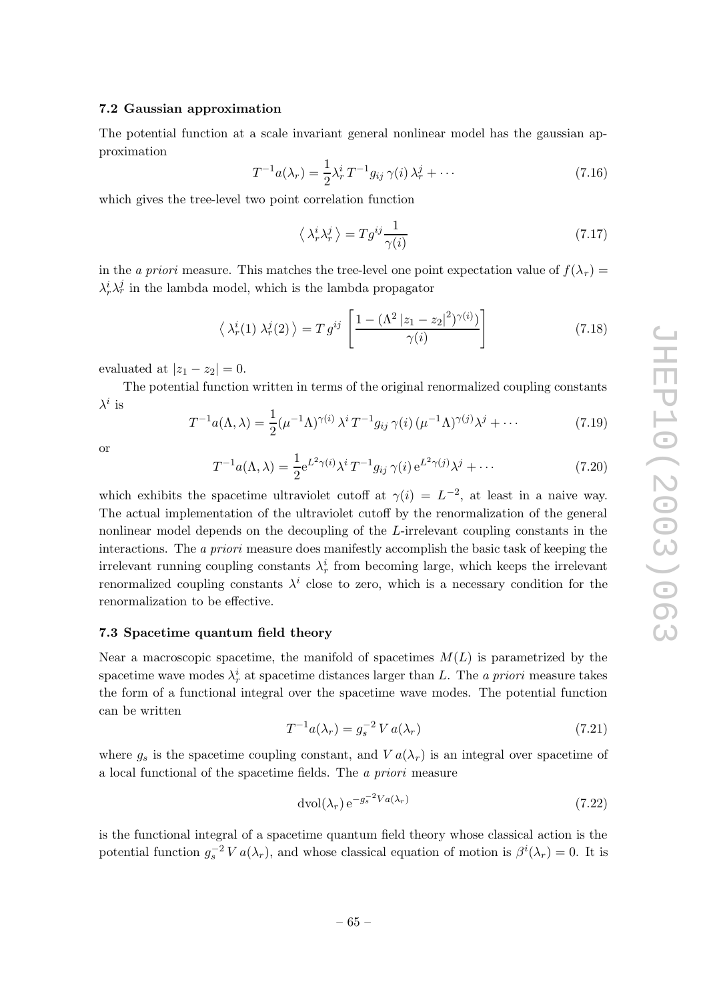# 7.2 Gaussian approximation

The potential function at a scale in varian t general nonlinear model has the gaussian approximation

$$
T^{-1}a(\lambda_r) = \frac{1}{2}\lambda_r^i T^{-1}g_{ij} \gamma(i) \lambda_r^j + \cdots
$$
\n(7.16)

which gives the tree-level two point correlation function

$$
\left\langle \lambda_r^i \lambda_r^j \right\rangle = T g^{ij} \frac{1}{\gamma(i)} \tag{7.17}
$$

in the *a priori* measure. This matches the tree-level one point expectation value of  $f(\lambda_r)$  =  $\lambda_r^i \lambda_r^j$  in the lambda model, which is the lambda propagator

$$
\left\langle \lambda_r^i(1) \lambda_r^j(2) \right\rangle = T g^{ij} \left[ \frac{1 - \left( \Lambda^2 |z_1 - z_2|^2 \right)^{\gamma(i)}}{\gamma(i)} \right] \tag{7.18}
$$

evaluated at  $|z_1 - z_2| = 0$ .

The potential function written in terms of the original renormalized coupling constants  $\lambda^i$  is

$$
T^{-1}a(\Lambda,\lambda) = \frac{1}{2}(\mu^{-1}\Lambda)^{\gamma(i)}\,\lambda^i\,T^{-1}g_{ij}\,\gamma(i)\,(\mu^{-1}\Lambda)^{\gamma(j)}\lambda^j + \cdots \tag{7.19}
$$

or

$$
T^{-1}a(\Lambda,\lambda) = \frac{1}{2}e^{L^2\gamma(i)}\lambda^i T^{-1}g_{ij}\gamma(i)e^{L^2\gamma(j)}\lambda^j + \cdots
$$
 (7.20)

which exhibits the spacetime ultraviolet cutoff at  $\gamma(i) = L^{-2}$ , at least in a naive way. The actual implementation of the ultraviolet cutoff b y the renormalization of the general nonlinear model depends on the decoupling of the L-irrelevan t coupling constants in the interactions. The a priori measure does manifestly accomplish the basic task of keeping the irrelevant running coupling constants  $\lambda_r^i$  from becoming large, which keeps the irrelevant renormalized coupling constants  $\lambda^i$  close to zero, which is a necessary condition for the renormalization to b e effective.

# 7.3 Spacetime quantum field theory

Near a macroscopic spacetime, the manifold of spacetimes  $M(L)$  is parametrized by the spacetime wave modes  $\lambda_r^i$  at spacetime distances larger than L. The *a priori* measure takes the form of a functional integral over the spacetime wave modes. The potential function can b e written

$$
T^{-1}a(\lambda_r) = g_s^{-2} V a(\lambda_r) \tag{7.21}
$$

where  $g_s$  is the spacetime coupling constant, and  $V a(\lambda_r)$  is an integral over spacetime of a local functional of the spacetime fields. The *a priori* measure

$$
\mathrm{dvol}(\lambda_r) \,\mathrm{e}^{-g_s^{-2}Va(\lambda_r)}\tag{7.22}
$$

is the functional integral of a spacetime quantum field theory whose classical action is the potential function  $g_s^{-2} V a(\lambda_r)$ , and whose classical equation of motion is  $\beta^i(\lambda_r) = 0$ . It is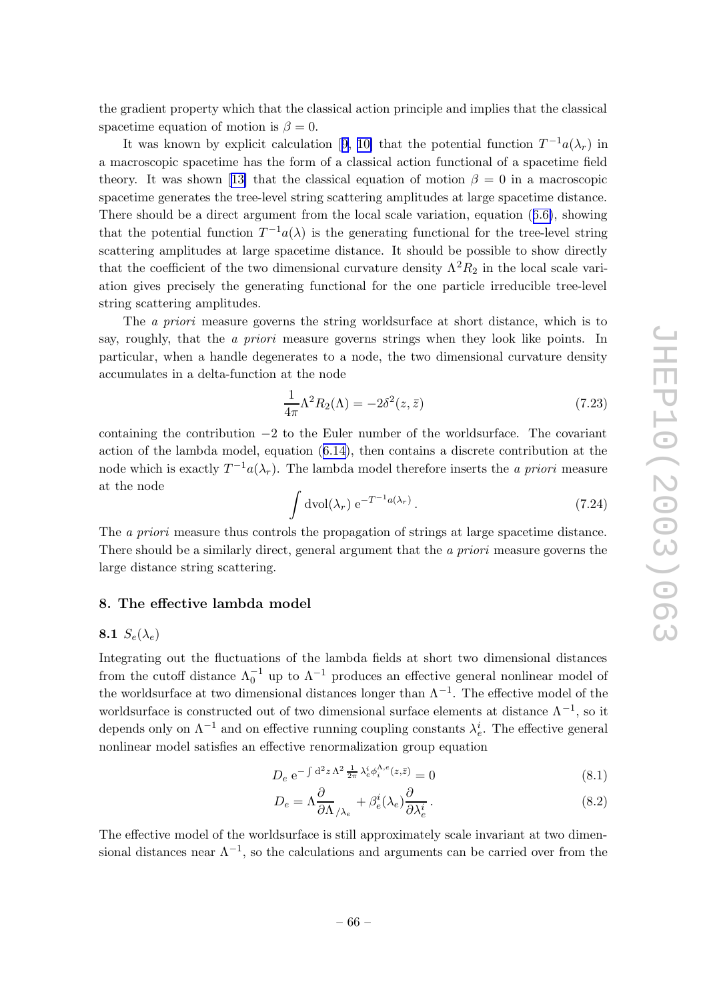the gradien t propert y whic h that the classical action principle and implies that the classical spacetime equation of motion is  $\beta = 0$ .

It was known by explicit calculation [[9](#page-97-0), [10](#page-97-0)] that the potential function  $T^{-1}a(\lambda_r)$  in a macroscopic spacetime has the form of a classical action functional of a spacetime field theory. It was shown [[13](#page-98-0)] that the classical equation of motion  $\beta = 0$  in a macroscopic spacetime generates the tree-level string scattering amplitudes at large spacetime distance. There should b e a direct argumen t from the local scale variation, equation ([6.6\)](#page-60-0), showing that the potential function  $T^{-1}a(\lambda)$  is the generating functional for the tree-level string scattering amplitudes at large spacetime distance. It should be possible to show directly that the coefficient of the two dimensional curvature density  $\Lambda^2 R_2$  in the local scale variation gives precisely the generating functional for the one particle irreducible tree-level string scattering amplitudes.

The *a priori* measure governs the string worldsurface at short distance, which is to say, roughly, that the *a priori* measure governs strings when they look like points. In particular, when a handle degenerates to a node, the t w o dimensional curvature densit y accumulates in a delta-function at the node

$$
\frac{1}{4\pi}\Lambda^2 R_2(\Lambda) = -2\delta^2(z,\bar{z})\tag{7.23}
$$

containing the contribution − 2 to the Euler num ber of the worldsurface. The co varian t action of the lam bda model, equation ([6.14\)](#page-61-0), then contains a discrete contribution at the node which is exactly  $T^{-1}a(\lambda_r)$ . The lambda model therefore inserts the *a priori* measure at the node

$$
\int \mathrm{d} \mathrm{vol}(\lambda_r) \, \mathrm{e}^{-T^{-1} a(\lambda_r)} \,. \tag{7.24}
$$

The *a priori* measure thus controls the propagation of strings at large spacetime distance. There should be a similarly direct, general argument that the *a priori* measure governs the large distance string scattering.

# 8. The effectiv e lam bda model

# $8.1\,\, S_e(\lambda_e)$

Integrating out the fluctuations of the lam bda fields at short t w o dimensional distances from the cutoff distance  $\Lambda_0^{-1}$  up to  $\Lambda^{-1}$  produces an effective general nonlinear model of the worldsurface at two dimensional distances longer than  $\Lambda^{-1}$ . The effective model of the worldsurface is constructed out of two dimensional surface elements at distance  $\Lambda^{-1}$ , so it depends only on  $\Lambda^{-1}$  and on effective running coupling constants  $\lambda_e^i$ . The effective general nonlinear model satisfies an effectiv e renormalization group equation

$$
D_e e^{-\int d^2 z \Lambda^2 \frac{1}{2\pi} \lambda_e^i \phi_i^{\Lambda, e}(z, \bar{z})} = 0
$$
\n(8.1)

$$
D_e = \Lambda \frac{\partial}{\partial \Lambda_{/\lambda_e}} + \beta_e^i(\lambda_e) \frac{\partial}{\partial \lambda_e^i}.
$$
 (8.2)

The effective model of the worldsurface is still approximately scale invariant at two dimensional distances near  $\Lambda^{-1}$ , so the calculations and arguments can be carried over from the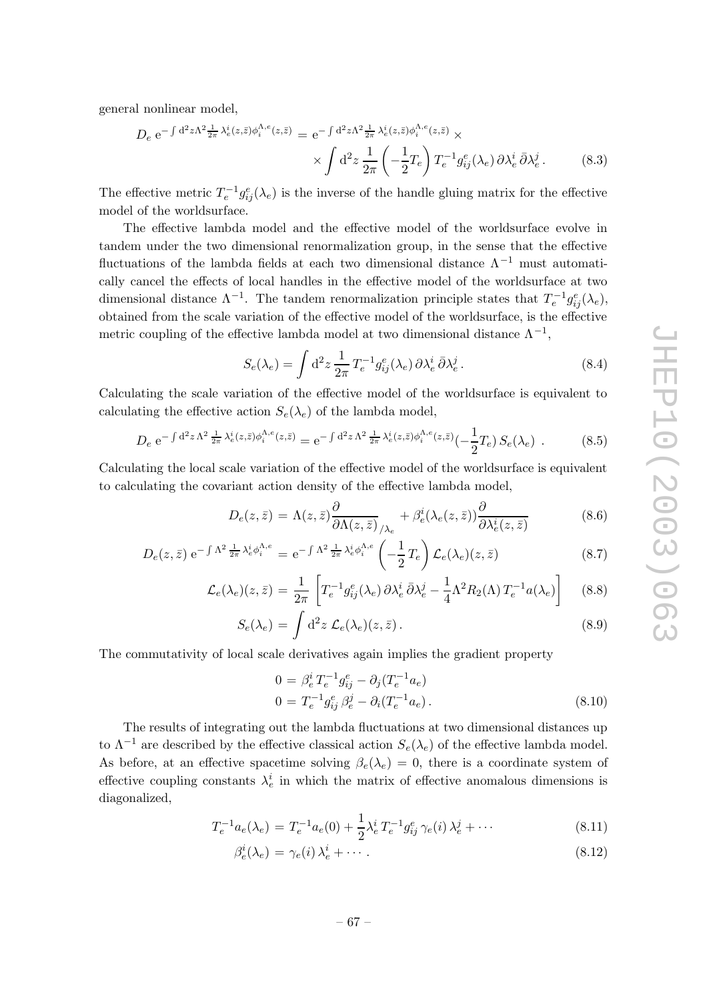<span id="page-67-0"></span>general nonlinear model,

$$
D_e e^{-\int d^2 z \Lambda^2 \frac{1}{2\pi} \lambda_e^i(z,\bar{z}) \phi_i^{\Lambda,e}(z,\bar{z})} = e^{-\int d^2 z \Lambda^2 \frac{1}{2\pi} \lambda_e^i(z,\bar{z}) \phi_i^{\Lambda,e}(z,\bar{z})} \times \sqrt{d^2 z \frac{1}{2\pi} \left(-\frac{1}{2}T_e\right) T_e^{-1} g_{ij}^e(\lambda_e) \partial \lambda_e^i \bar{\partial} \lambda_e^j}.
$$
 (8.3)

The effective metric  $T_e^{-1} g_{ij}^e(\lambda_e)$  is the inverse of the handle gluing matrix for the effective model of the worldsurface.

The effectiv e lam bda model and the effectiv e model of the worldsurface evolv e in tandem under the two dimensional renormalization group, in the sense that the effective fluctuations of the lambda fields at each two dimensional distance  $\Lambda^{-1}$  must automatically cancel the effects of local handles in the effective model of the worldsurface at two dimensional distance  $\Lambda^{-1}$ . The tandem renormalization principle states that  $T_e^{-1} g_{ij}^e(\lambda_e)$ , obtained from the scale variation of the effectiv e model of the worldsurface, is the effectiv e metric coupling of the effective lambda model at two dimensional distance  $\Lambda^{-1}$ ,

$$
S_e(\lambda_e) = \int d^2 z \, \frac{1}{2\pi} \, T_e^{-1} g_{ij}^e(\lambda_e) \, \partial \lambda_e^i \, \bar{\partial} \lambda_e^j \,. \tag{8.4}
$$

Calculating the scale variation of the effectiv e model of the worldsurface is equivalen t to calculating the effective action  $S_e(\lambda_e)$  of the lambda model,

$$
D_e e^{-\int d^2 z \Lambda^2 \frac{1}{2\pi} \lambda_e^i(z,\bar{z}) \phi_i^{\Lambda,e}(z,\bar{z})} = e^{-\int d^2 z \Lambda^2 \frac{1}{2\pi} \lambda_e^i(z,\bar{z}) \phi_i^{\Lambda,e}(z,\bar{z})} (-\frac{1}{2} T_e) S_e(\lambda_e) . \tag{8.5}
$$

Calculating the local scale variation of the effective model of the worldsurface is equivalent to calculating the covariant action density of the effective lambda model,

$$
D_e(z,\bar{z}) = \Lambda(z,\bar{z}) \frac{\partial}{\partial \Lambda(z,\bar{z})}_{/\lambda_e} + \beta_e^i(\lambda_e(z,\bar{z})) \frac{\partial}{\partial \lambda_e^i(z,\bar{z})}
$$
(8.6)

$$
D_e(z,\bar{z}) e^{-\int \Lambda^2 \frac{1}{2\pi} \lambda_e^i \phi_i^{\Lambda,e}} = e^{-\int \Lambda^2 \frac{1}{2\pi} \lambda_e^i \phi_i^{\Lambda,e}} \left(-\frac{1}{2}T_e\right) \mathcal{L}_e(\lambda_e)(z,\bar{z})
$$
(8.7)

$$
\mathcal{L}_e(\lambda_e)(z,\bar{z}) = \frac{1}{2\pi} \left[ T_e^{-1} g_{ij}^e(\lambda_e) \, \partial \lambda_e^i \, \bar{\partial} \lambda_e^j - \frac{1}{4} \Lambda^2 R_2(\Lambda) \, T_e^{-1} a(\lambda_e) \right] \tag{8.8}
$$

$$
S_e(\lambda_e) = \int d^2 z \mathcal{L}_e(\lambda_e)(z, \bar{z}). \qquad (8.9)
$$

The commutativity of local scale derivatives again implies the gradient property

$$
0 = \beta_e^i T_e^{-1} g_{ij}^e - \partial_j (T_e^{-1} a_e)
$$
  
\n
$$
0 = T_e^{-1} g_{ij}^e \beta_e^j - \partial_i (T_e^{-1} a_e).
$$
\n(8.10)

The results of integrating out the lam bda fluctuations at t w o dimensional distances up to  $\Lambda^{-1}$  are described by the effective classical action  $S_e(\lambda_e)$  of the effective lambda model. As before, at an effective spacetime solving  $\beta_e(\lambda_e) = 0$ , there is a coordinate system of effective coupling constants  $\lambda_e^i$  in which the matrix of effective anomalous dimensions is diagonalized,

$$
T_e^{-1}a_e(\lambda_e) = T_e^{-1}a_e(0) + \frac{1}{2}\lambda_e^i T_e^{-1}g_{ij}^e \gamma_e(i)\lambda_e^j + \cdots
$$
 (8.11)

$$
\beta_e^i(\lambda_e) = \gamma_e(i)\lambda_e^i + \cdots \tag{8.12}
$$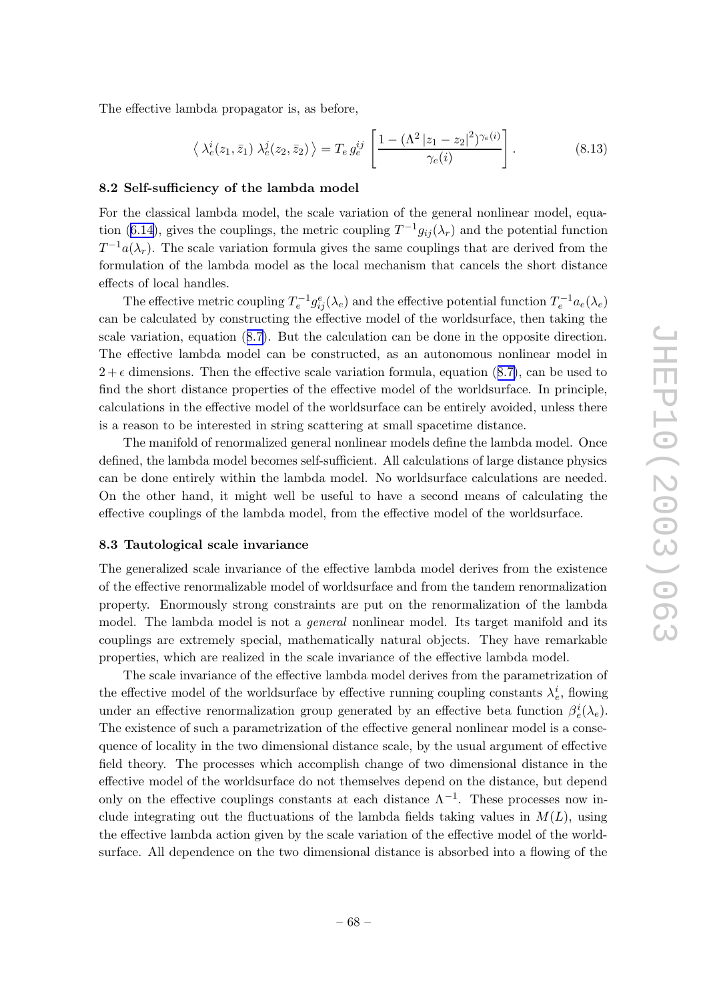<span id="page-68-0"></span>The effectiv e lam bda propagator is, as before,

$$
\langle \lambda_e^i(z_1, \bar{z}_1) \lambda_e^j(z_2, \bar{z}_2) \rangle = T_e g_e^{ij} \left[ \frac{1 - (\Lambda^2 |z_1 - z_2|^2)^{\gamma_e(i)}}{\gamma_e(i)} \right]. \tag{8.13}
$$

### 8.2 Self-sufficiency of the lam bda model

For the classical lam bda model, the scale variation of the general nonlinear model, equa-tion ([6.14](#page-61-0)), gives the couplings, the metric coupling  $T^{-1}g_{ij}(\lambda_r)$  and the potential function  $T^{-1}a(\lambda_r)$ . The scale variation formula gives the same couplings that are derived from the formulation of the lam bda model as the local mechanism that cancels the short distance effects of local handles.

The effective metric coupling  $T_e^{-1} g_{ij}^e(\lambda_e)$  and the effective potential function  $T_e^{-1} a_e(\lambda_e)$ can b e calculated b y constructing the effectiv e model of the worldsurface, then taking the scale variation, equation ([8.7](#page-67-0)). But the calculation can b e done in the opposite direction. The effectiv e lam bda model can b e constructed, as an autonomous nonlinear model in  $2+\epsilon$  dimensions. Then the effective scale variation formula, equation  $(8.7)$  $(8.7)$ , can be used to find the short distance properties of the effectiv e model of the worldsurface. In principle, calculations in the effectiv e model of the worldsurface can b e entirely avoided, unless there is a reason to b e interested in string scattering at small spacetime distance.

The manifold of renormalized general nonlinear models define the lambda model. Once defined, the lam bda model becomes self-sufficient. All calculations of large distance physics can b e done entirely within the lam bda model. No worldsurface calculations are needed. On the other hand, it migh t well b e useful to hav e a second means of calculating the effectiv e couplings of the lam bda model, from the effectiv e model of the worldsurface.

### 8.3 Tautological scale in variance

The generalized scale in variance of the effectiv e lam bda model derives from the existence of the effectiv e renormalizable model of worldsurface and from the tandem renormalization propert y . Enormously strong constraints are put on the renormalization of the lam bda model. The lambda model is not a *general* nonlinear model. Its target manifold and its couplings are extremely special, mathematically natural objects. They hav e remarkable properties, whic h are realized in the scale in variance of the effectiv e lam bda model.

The scale in variance of the effectiv e lam bda model derives from the parametrization of the effective model of the worldsurface by effective running coupling constants  $\lambda_e^i$ , flowing under an effective renormalization group generated by an effective beta function  $\beta_e^i(\lambda_e)$ . The existence of suc h a parametrization of the effectiv e general nonlinear model is a consequence of locality in the two dimensional distance scale, by the usual argument of effective field theory . The processes whic h accomplish change of t w o dimensional distance in the effectiv e model of the worldsurface do not themselves depend on the distance, but depend only on the effective couplings constants at each distance  $\Lambda^{-1}$ . These processes now include integrating out the fluctuations of the lambda fields taking values in  $M(L)$ , using the effective lambda action given by the scale variation of the effective model of the worldsurface. All dependence on the two dimensional distance is absorbed into a flowing of the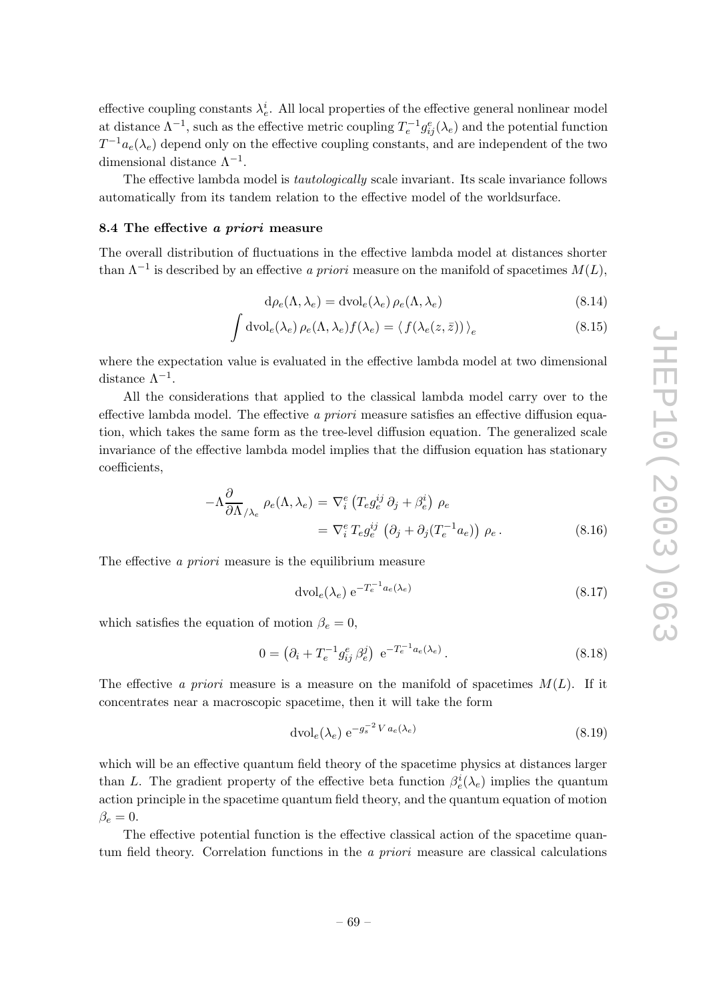<span id="page-69-0"></span>effective coupling constants  $\lambda_e^i$ . All local properties of the effective general nonlinear model at distance  $\Lambda^{-1}$ , such as the effective metric coupling  $T_e^{-1} g_{ij}^e(\lambda_e)$  and the potential function  $T^{-1}a_e(\lambda_e)$  depend only on the effective coupling constants, and are independent of the two dimensional distance  $\Lambda^{-1}$ .

The effective lambda model is *tautologically* scale invariant. Its scale invariance follows automatically from its tandem relation to the effectiv e model of the worldsurface.

### 8.4 The effective a priori measure

The o verall distribution of fluctuations in the effectiv e lam bda model at distances shorter than  $\Lambda^{-1}$  is described by an effective *a priori* measure on the manifold of spacetimes  $M(L)$ ,

$$
d\rho_e(\Lambda, \lambda_e) = dvol_e(\lambda_e) \rho_e(\Lambda, \lambda_e)
$$
\n(8.14)

$$
\int \mathrm{dvol}_e(\lambda_e) \,\rho_e(\Lambda, \lambda_e) f(\lambda_e) = \langle f(\lambda_e(z, \bar{z})) \rangle_e \tag{8.15}
$$

where the expectation value is evaluated in the effective lambda model at two dimensional distance  $\Lambda^{-1}$ .

All the considerations that applied to the classical lam bda model carry o ver to the effective lambda model. The effective *a priori* measure satisfies an effective diffusion equation, which takes the same form as the tree-level diffusion equation. The generalized scale in variance of the effectiv e lam bda model implies that the diffusion equation has stationary coefficients,

$$
-\Lambda \frac{\partial}{\partial \Lambda_{/\lambda_e}} \rho_e(\Lambda, \lambda_e) = \nabla_i^e \left( T_e g_e^{ij} \partial_j + \beta_e^i \right) \rho_e
$$
  
= 
$$
\nabla_i^e T_e g_e^{ij} \left( \partial_j + \partial_j (T_e^{-1} a_e) \right) \rho_e.
$$
 (8.16)

The effective *a priori* measure is the equilibrium measure

$$
\mathrm{dvol}_e(\lambda_e) \; \mathrm{e}^{-T_e^{-1} a_e(\lambda_e)} \tag{8.17}
$$

which satisfies the equation of motion  $\beta_e = 0$ ,

$$
0 = \left(\partial_i + T_e^{-1} g_{ij}^e \, \beta_e^j\right) \, e^{-T_e^{-1} a_e(\lambda_e)}.
$$
\n(8.18)

The effective *a priori* measure is a measure on the manifold of spacetimes  $M(L)$ . If it concentrates near a macroscopic spacetime, then it will tak e the form

$$
\mathrm{dvol}_e(\lambda_e) \; \mathrm{e}^{-g_s^{-2} \, V \, a_e(\lambda_e)} \tag{8.19}
$$

whic h will b e an effectiv e quantum field theory of the spacetime physics at distances larger than L. The gradient property of the effective beta function  $\beta_e^i(\lambda_e)$  implies the quantum action principle in the spacetime quantum field theory , and the quantum equation of motion  $\beta_e=0.$ 

The effectiv e potential function is the effectiv e classical action of the spacetime quantum field theory. Correlation functions in the a priori measure are classical calculations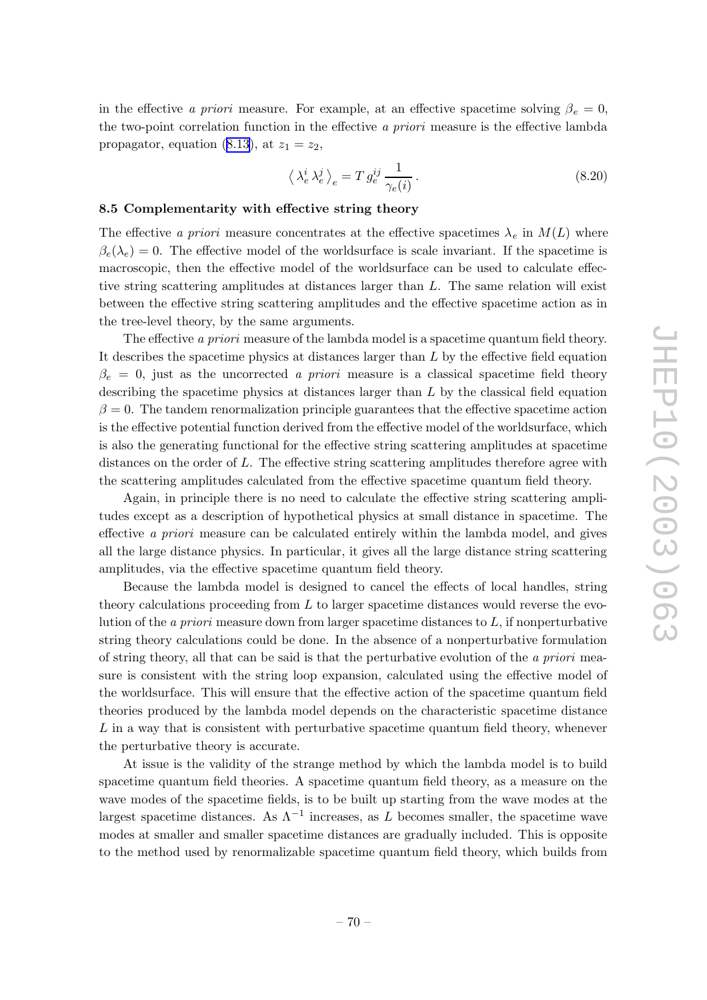in the effective *a priori* measure. For example, at an effective spacetime solving  $\beta_e = 0$ , the two-point correlation function in the effective *a priori* measure is the effective lambda propagator, equation ([8.13\)](#page-68-0), at  $z_1 = z_2$ ,

$$
\langle \lambda_e^i \lambda_e^j \rangle_e = T g_e^{ij} \frac{1}{\gamma_e(i)}.
$$
\n(8.20)

### 8.5 Complementarit y with effectiv e string theory

The effective a priori measure concentrates at the effective spacetimes  $\lambda_e$  in  $M(L)$  where  $\beta_e(\lambda_e) = 0$ . The effective model of the worldsurface is scale invariant. If the spacetime is macroscopic, then the effectiv e model of the worldsurface can b e used to calculate effective string scattering amplitudes at distances larger than L. The same relation will exist between the effective string scattering amplitudes and the effective spacetime action as in the tree-level theory , b y the same arguments.

The effective *a priori* measure of the lambda model is a spacetime quantum field theory. It describes the spacetime physics at distances larger than  $L$  by the effective field equation  $\beta_e = 0$ , just as the uncorrected *a priori* measure is a classical spacetime field theory describing the spacetime physics at distances larger than L by the classical field equation  $\beta = 0$ . The tandem renormalization principle guarantees that the effective spacetime action is the effectiv e potential function derived from the effectiv e model of the worldsurface, whic h is also the generating functional for the effectiv e string scattering amplitudes at spacetime distances on the order of L. The effective string scattering amplitudes therefore agree with the scattering amplitudes calculated from the effectiv e spacetime quantum field theory .

Again, in principle there is no need to calculate the effective string scattering amplitudes except as a description of hypothetical physics at small distance in spacetime. The effective *a priori* measure can be calculated entirely within the lambda model, and gives all the large distance physics. In particular, it gives all the large distance string scattering amplitudes, via the effectiv e spacetime quantum field theory .

Because the lam bda model is designed to cancel the effects of local handles, string theory calculations proceeding from  $L$  to larger spacetime distances would reverse the evolution of the *a priori* measure down from larger spacetime distances to  $L$ , if nonperturbative string theory calculations could b e done. In the absence of a nonperturbativ e formulation of string theory, all that can be said is that the perturbative evolution of the *a priori* measure is consistent with the string loop expansion, calculated using the effective model of the worldsurface. This will ensure that the effectiv e action of the spacetime quantum field theories produced b y the lam bda model depends on the characteristic spacetime distance L in a way that is consistent with perturbative spacetime quantum field theory, whenever the perturbativ e theory is accurate.

A t issue is the validit y of the strange metho d b y whic h the lam bda model is to build spacetime quantum field theories. A spacetime quantum field theory , as a measure on the wave modes of the spacetime fields, is to be built up starting from the wave modes at the largest spacetime distances. As  $\Lambda^{-1}$  increases, as L becomes smaller, the spacetime wave modes at smaller and smaller spacetime distances are gradually included. This is opposite to the metho d used b y renormalizable spacetime quantum field theory , whic h builds from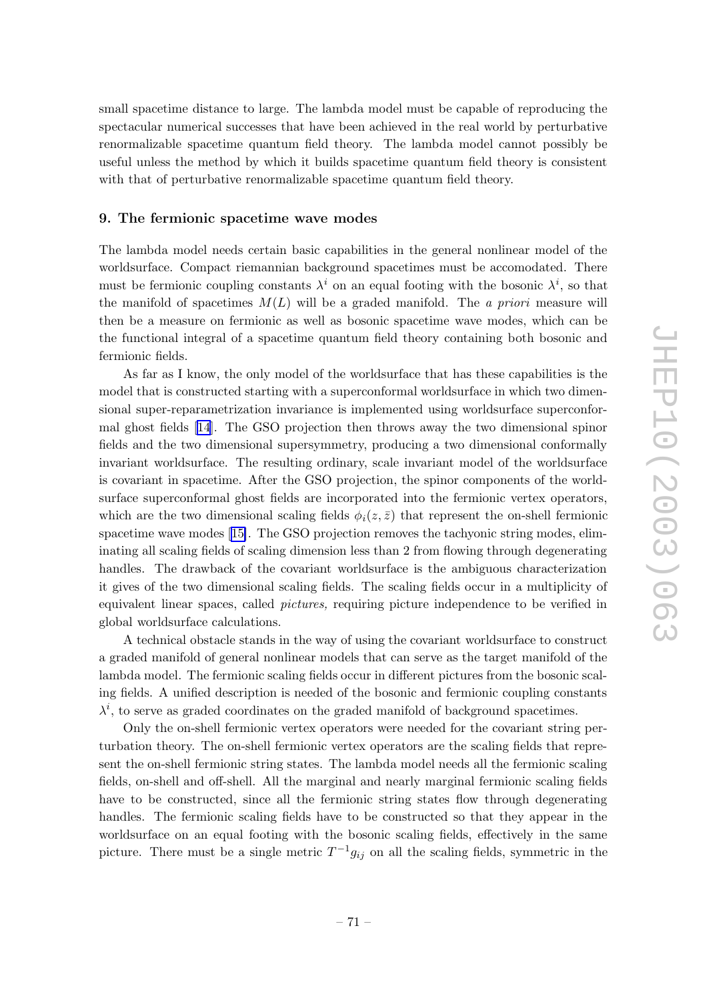small spacetime distance to large. The lam bda model must b e capable of reproducing the spectacular numerical successes that have been achieved in the real world by perturbative renormalizable spacetime quantum field theory. The lambda model cannot possibly be useful unless the metho d b y whic h it builds spacetime quantum field theory is consisten t with that of perturbative renormalizable spacetime quantum field theory.

# 9. The fermionic spacetime w av e modes

The lam bda model needs certain basic capabilities in the general nonlinear model of the worldsurface. Compact riemannian background spacetimes must b e accomodated. There must be fermionic coupling constants  $\lambda^i$  on an equal footing with the bosonic  $\lambda^i$ , so that the manifold of spacetimes  $M(L)$  will be a graded manifold. The *a priori* measure will then b e a measure on fermionic as well as bosonic spacetime w av e modes, whic h can b e the functional integral of a spacetime quantum field theory containing both bosonic and fermionic fields.

As far as I know, the only model of the worldsurface that has these capabilities is the model that is constructed starting with a superconformal worldsurface in whic h t w o dimensional super-reparametrization invariance is implemented using worldsurface superconformal ghost fields [\[14](#page-98-0)]. The GSO projection then throws away the two dimensional spinor fields and the two dimensional supersymmetry, producing a two dimensional conformally in varian t worldsurface. The resulting ordinary , scale in varian t model of the worldsurface is co varian t in spacetime. After the GSO projection, the spinor components of the worldsurface superconformal ghost fields are incorporated into the fermionic vertex operators, which are the two dimensional scaling fields  $\phi_i(z, \bar{z})$  that represent the on-shell fermionic spacetime wave modes [[15\]](#page-98-0). The GSO projection removes the tachyonic string modes, eliminating all scaling fields of scaling dimension less than 2 from flowing through degenerating handles. The drawback of the covariant worldsurface is the ambiguous characterization it gives of the t w o dimensional scaling fields. The scaling fields occur in a multiplicit y of equivalent linear spaces, called *pictures*, requiring picture independence to be verified in global worldsurface calculations.

A technical obstacle stands in the w ay of using the co varian t worldsurface to construct a graded manifold of general nonlinear models that can serv e as the target manifold of the lam bda model. The fermionic scaling fields occur in differen t pictures from the bosonic scaling fields. A unified description is needed of the bosonic and fermionic coupling constants  $\lambda^{i}$ , to serve as graded coordinates on the graded manifold of background spacetimes.

Only the on-shell fermionic vertex operators were needed for the covariant string perturbation theory. The on-shell fermionic vertex operators are the scaling fields that represent the on-shell fermionic string states. The lambda model needs all the fermionic scaling fields, on-shell and off-shell. All the marginal and nearly marginal fermionic scaling fields have to be constructed, since all the fermionic string states flow through degenerating handles. The fermionic scaling fields hav e to b e constructed so that they appear in the worldsurface on an equal footing with the bosonic scaling fields, effectively in the same picture. There must be a single metric  $T^{-1}g_{ij}$  on all the scaling fields, symmetric in the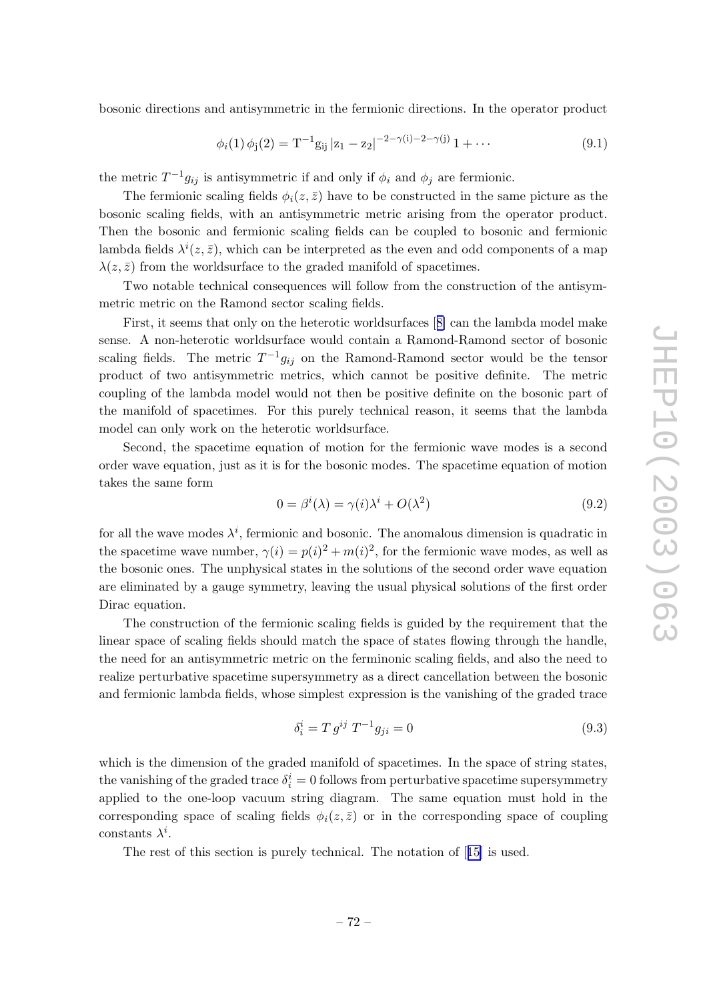bosonic directions and antisymmetric in the fermionic directions. In the operator product

$$
\phi_i(1)\,\phi_j(2) = T^{-1}g_{ij}\,|z_1 - z_2|^{-2 - \gamma(i) - 2 - \gamma(j)}\,1 + \cdots \tag{9.1}
$$

the metric  $T^{-1}g_{ij}$  is antisymmetric if and only if  $\phi_i$  and  $\phi_j$  are fermionic.

The fermionic scaling fields  $\phi_i(z,\bar{z})$  have to be constructed in the same picture as the bosonic scaling fields, with an antisymmetric metric arising from the operator product. Then the bosonic and fermionic scaling fields can b e coupled to bosonic and fermionic lambda fields  $\lambda^{i}(z,\bar{z})$ , which can be interpreted as the even and odd components of a map  $\lambda(z,\bar{z})$  from the worldsurface to the graded manifold of spacetimes.

Tw o notable technical consequences will follo w from the construction of the antisymmetric metric on the Ramond sector scaling fields.

First, it seems that only on the heterotic worldsurfaces [[8](#page-97-0)] can the lambda model make sense. A non-heterotic worldsurface would contain a Ramond-Ramond sector of bosonic scaling fields. The metric  $T^{-1}g_{ij}$  on the Ramond-Ramond sector would be the tensor product of t w o antisymmetric metrics, whic h cannot b e positiv e definite. The metric coupling of the lam bda model would not then b e positiv e definite on the bosonic part of the manifold of spacetimes. For this purely technical reason, it seems that the lam bda model can only work on the heterotic worldsurface.

Second, the spacetime equation of motion for the fermionic wave modes is a second order w av e equation, just as it is for the bosonic modes. The spacetime equation of motion takes the same form

$$
0 = \beta^{i}(\lambda) = \gamma(i)\lambda^{i} + O(\lambda^{2})
$$
\n(9.2)

for all the wave modes  $\lambda^i$ , fermionic and bosonic. The anomalous dimension is quadratic in the spacetime wave number,  $\gamma(i) = p(i)^2 + m(i)^2$ , for the fermionic wave modes, as well as the bosonic ones. The unphysical states in the solutions of the second order wave equation are eliminated b y a gauge symmetry , leaving the usual physical solutions of the first order Dirac equation.

The construction of the fermionic scaling fields is guided by the requirement that the linear space of scaling fields should matc h the space of states flowing through the handle, the need for an antisymmetric metric on the ferminonic scaling fields, and also the need to realize perturbativ e spacetime supersymmetry as a direct cancellation bet ween the bosonic and fermionic lam bda fields, whose simplest expression is the vanishing of the graded trace

$$
\delta_i^i = T g^{ij} T^{-1} g_{ji} = 0 \tag{9.3}
$$

whic h is the dimension of the graded manifold of spacetimes. In the space of string states, the vanishing of the graded trace  $\delta_i^i = 0$  follows from perturbative spacetime supersymmetry applied to the one-loop vacuum string diagram. The same equation must hold in the corresponding space of scaling fields  $\phi_i(z,\bar{z})$  or in the corresponding space of coupling constants  $\lambda^i$ .

The rest of this section is purely technical. The notation of [[15](#page-98-0) ] is used.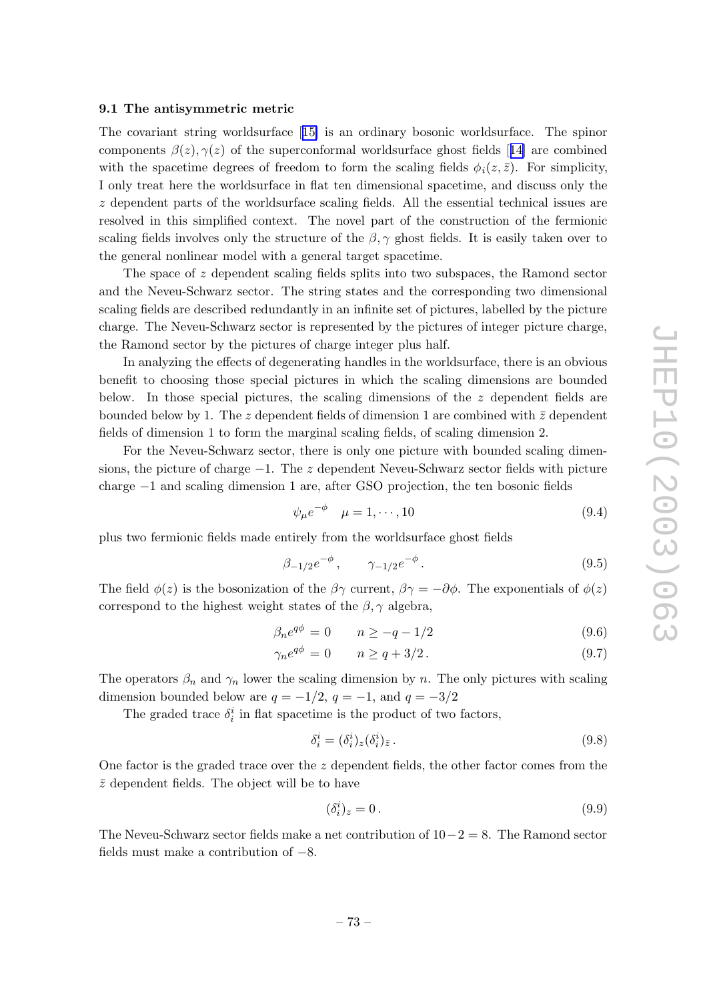#### 9.1 The antisymmetric metric

The co varian t string worldsurface [[15](#page-98-0) ] is an ordinary bosonic worldsurface. The spinor components  $\beta(z)$ ,  $\gamma(z)$  of the superconformal worldsurface ghost fields [[14](#page-98-0)] are combined with the spacetime degrees of freedom to form the scaling fields  $\phi_i(z,\bar{z})$ . For simplicity, I only treat here the worldsurface in flat ten dimensional spacetime, and discuss only the z dependen t parts of the worldsurface scaling fields. All the essential technical issues are resolved in this simplified context. The no vel part of the construction of the fermionic scaling fields involves only the structure of the  $\beta$ ,  $\gamma$  ghost fields. It is easily taken over to the general nonlinear model with a general target spacetime.

The space of z dependen t scaling fields splits into t w o subspaces, the Ramond sector and the Neveu-Sc h warz sector. The string states and the corresponding t w o dimensional scaling fields are described redundantly in an infinite set of pictures, labelled by the picture charge. The Neveu-Sc h warz sector is represented b y the pictures of integer picture charge, the Ramond sector b y the pictures of charge integer plus half.

In analyzing the effects of degenerating handles in the worldsurface, there is an obvious benefit to choosing those special pictures in whic h the scaling dimensions are bounded below. In those special pictures, the scaling dimensions of the z dependent fields are bounded below by 1. The z dependent fields of dimension 1 are combined with  $\bar{z}$  dependent fields of dimension 1 to form the marginal scaling fields, of scaling dimension 2.

For the Neveu-Sc h warz sector, there is only one picture with bounded scaling dimensions, the picture of charge  $-1$ . The z dependent Neveu-Schwarz sector fields with picture charge −1 and scaling dimension 1 are, after GSO projection, the ten bosonic fields

$$
\psi_{\mu}e^{-\phi} \quad \mu = 1, \cdots, 10 \tag{9.4}
$$

plus t w o fermionic fields made entirely from the worldsurface ghost fields

$$
\beta_{-1/2}e^{-\phi}, \qquad \gamma_{-1/2}e^{-\phi}.
$$
 (9.5)

The field  $\phi(z)$  is the bosonization of the  $\beta\gamma$  current,  $\beta\gamma = -\partial\phi$ . The exponentials of  $\phi(z)$ correspond to the highest weight states of the  $\beta$ ,  $\gamma$  algebra,

$$
\beta_n e^{q\phi} = 0 \qquad n \ge -q -1/2 \tag{9.6}
$$

$$
\gamma_n e^{q\phi} = 0 \qquad n \ge q + 3/2. \tag{9.7}
$$

The operators  $\beta_n$  and  $\gamma_n$  lower the scaling dimension by n. The only pictures with scaling dimension bounded below are  $q = -1/2$ ,  $q = -1$ , and  $q = -3/2$ 

The graded trace  $\delta_i^i$  in flat spacetime is the product of two factors,

$$
\delta_i^i = (\delta_i^i)_z (\delta_i^i)_{\bar{z}}.
$$
\n(9.8)

One factor is the graded trace o ver the z dependen t fields, the other factor comes from the  $\bar{z}$  dependent fields. The object will be to have

$$
(\delta_i^i)_z = 0. \tag{9.9}
$$

The Neveu-Schwarz sector fields make a net contribution of  $10-2=8$ . The Ramond sector fields must make a contribution of  $-8$ .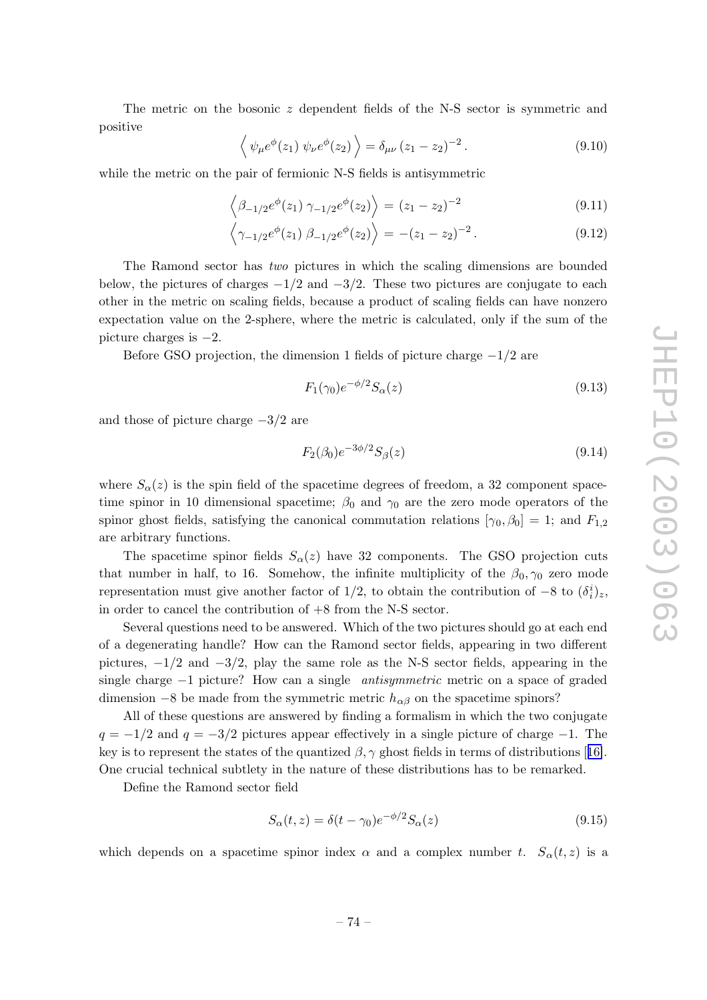The metric on the bosonic z dependen t fields of the N-S sector is symmetric and positiv e

$$
\langle \psi_{\mu} e^{\phi}(z_1) \psi_{\nu} e^{\phi}(z_2) \rangle = \delta_{\mu\nu} (z_1 - z_2)^{-2}.
$$
 (9.10)

while the metric on the pair of fermionic N-S fields is antisymmetric

$$
\left\langle \beta_{-1/2} e^{\phi}(z_1) \gamma_{-1/2} e^{\phi}(z_2) \right\rangle = (z_1 - z_2)^{-2} \tag{9.11}
$$

$$
\left\langle \gamma_{-1/2} e^{\phi}(z_1) \; \beta_{-1/2} e^{\phi}(z_2) \right\rangle = -(z_1 - z_2)^{-2} \,. \tag{9.12}
$$

The Ramond sector has two pictures in whic h the scaling dimensions are bounded below, the pictures of charges  $-1/2$  and  $-3/2$ . These two pictures are conjugate to each other in the metric on scaling fields, because a product of scaling fields can hav e nonzero expectation value on the 2-sphere, where the metric is calculated, only if the sum of the picture charges is  $-2$ .

Before GSO projection, the dimension 1 fields of picture charge −1/2 are

$$
F_1(\gamma_0)e^{-\phi/2}S_\alpha(z)\tag{9.13}
$$

and those of picture charge  $-3/2$  are

$$
F_2(\beta_0)e^{-3\phi/2}S_\beta(z) \tag{9.14}
$$

where  $S_{\alpha}(z)$  is the spin field of the spacetime degrees of freedom, a 32 component spacetime spinor in 10 dimensional spacetime;  $\beta_0$  and  $\gamma_0$  are the zero mode operators of the spinor ghost fields, satisfying the canonical commutation relations  $[\gamma_0, \beta_0] = 1$ ; and  $F_{1,2}$ are arbitrary functions.

The spacetime spinor fields  $S_{\alpha}(z)$  have 32 components. The GSO projection cuts that number in half, to 16. Somehow, the infinite multiplicity of the  $\beta_0, \gamma_0$  zero mode representation must give another factor of 1/2, to obtain the contribution of  $-8$  to  $(\delta_i^i)_z$ , in order to cancel the contribution of  $+8$  from the N-S sector.

Several questions need to b e answered. Whic h of the t w o pictures should go at eac h end of a degenerating handle? Ho w can the Ramond sector fields, appearing in t w o differen t pictures,  $-1/2$  and  $-3/2$ , play the same role as the N-S sector fields, appearing in the single charge  $-1$  picture? How can a single *antisymmetric* metric on a space of graded dimension  $-8$  be made from the symmetric metric  $h_{\alpha\beta}$  on the spacetime spinors?

All of these questions are answered by finding a formalism in which the two conjugate  $q = -1/2$  and  $q = -3/2$  pictures appear effectively in a single picture of charge  $-1$ . The key is to represent the states of the quantized  $\beta, \gamma$  ghost fields in terms of distributions [[16\]](#page-98-0). One crucial technical subtlet y in the nature of these distributions has to b e remarked.

Define the Ramond sector field

$$
S_{\alpha}(t,z) = \delta(t - \gamma_0)e^{-\phi/2}S_{\alpha}(z)
$$
\n(9.15)

which depends on a spacetime spinor index  $\alpha$  and a complex number t.  $S_{\alpha}(t, z)$  is a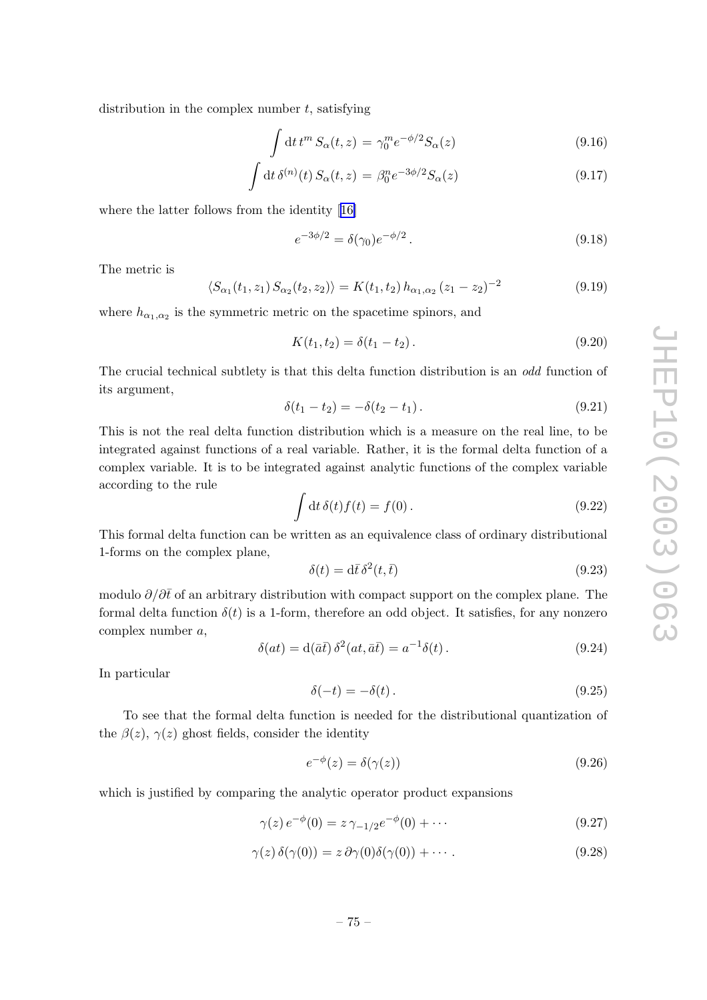<span id="page-75-0"></span>distribution in the complex number t, satisfying

$$
\int dt \, t^m \, S_\alpha(t, z) = \gamma_0^m e^{-\phi/2} S_\alpha(z) \tag{9.16}
$$

$$
\int dt \,\delta^{(n)}(t) S_{\alpha}(t,z) = \beta_0^n e^{-3\phi/2} S_{\alpha}(z) \tag{9.17}
$$

where the latter follows from the identity [[16](#page-98-0)]

$$
e^{-3\phi/2} = \delta(\gamma_0)e^{-\phi/2}.
$$
\n(9.18)

The metric is

$$
\langle S_{\alpha_1}(t_1, z_1) S_{\alpha_2}(t_2, z_2) \rangle = K(t_1, t_2) h_{\alpha_1, \alpha_2} (z_1 - z_2)^{-2}
$$
\n(9.19)

where  $h_{\alpha_1,\alpha_2}$  is the symmetric metric on the spacetime spinors, and

$$
K(t_1, t_2) = \delta(t_1 - t_2). \tag{9.20}
$$

The crucial technical subtlety is that this delta function distribution is an *odd* function of its argument,

$$
\delta(t_1 - t_2) = -\delta(t_2 - t_1). \tag{9.21}
$$

This is not the real delta function distribution which is a measure on the real line, to be integrated against functions of a real variable. Rather, it is the formal delta function of a complex variable. It is to b e integrated against analytic functions of the complex variable according to the rule

$$
\int dt \,\delta(t) f(t) = f(0). \tag{9.22}
$$

This formal delta function can b e written as an equivalence class of ordinary distributional 1-forms on the complex plane,

$$
\delta(t) = d\bar{t}\,\delta^2(t,\bar{t})\tag{9.23}
$$

modulo  $\partial/\partial \bar{t}$  of an arbitrary distribution with compact support on the complex plane. The formal delta function  $\delta(t)$  is a 1-form, therefore an odd object. It satisfies, for any nonzero complex num ber a ,

$$
\delta(at) = d(\bar{a}\bar{t})\,\delta^2(at,\bar{a}\bar{t}) = a^{-1}\delta(t). \tag{9.24}
$$

In particular

$$
\delta(-t) = -\delta(t) \,. \tag{9.25}
$$

To see that the formal delta function is needed for the distributional quantization of the  $\beta(z)$ ,  $\gamma(z)$  ghost fields, consider the identity

$$
e^{-\phi}(z) = \delta(\gamma(z))\tag{9.26}
$$

whic h is justified b y comparing the analytic operator product expansions

$$
\gamma(z) e^{-\phi}(0) = z \, \gamma_{-1/2} e^{-\phi}(0) + \cdots \tag{9.27}
$$

$$
\gamma(z)\,\delta(\gamma(0)) = z\,\partial\gamma(0)\delta(\gamma(0)) + \cdots \,. \tag{9.28}
$$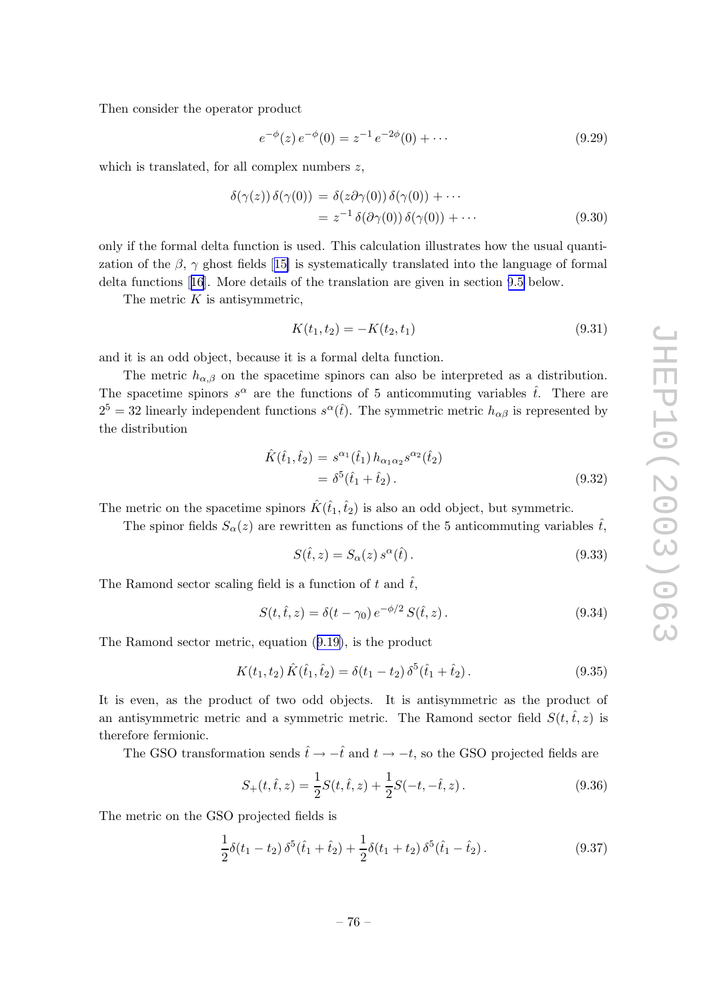<span id="page-76-0"></span>Then consider the operator product

$$
e^{-\phi}(z) e^{-\phi}(0) = z^{-1} e^{-2\phi}(0) + \cdots
$$
\n(9.29)

which is translated, for all complex numbers  $z$ ,

$$
\delta(\gamma(z))\,\delta(\gamma(0)) = \delta(z\partial\gamma(0))\,\delta(\gamma(0)) + \cdots
$$

$$
= z^{-1}\,\delta(\partial\gamma(0))\,\delta(\gamma(0)) + \cdots \tag{9.30}
$$

only if the formal delta function is used. This calculation illustrates ho w the usual quantization of the  $\beta$ ,  $\gamma$  ghost fields [[15\]](#page-98-0) is systematically translated into the language of formal delta functions [[16](#page-98-0)]. More details of the translation are given in section [9.5](#page-79-0) below.

The metric  $K$  is antisymmetric,

$$
K(t_1, t_2) = -K(t_2, t_1) \tag{9.31}
$$

and it is an odd object, because it is a formal delta function.

The metric  $h_{\alpha,\beta}$  on the spacetime spinors can also be interpreted as a distribution. The spacetime spinors  $s^{\alpha}$  are the functions of 5 anticommuting variables  $\hat{t}$ . There are  $2^5 = 32$  linearly independent functions  $s^{\alpha}(\hat{t})$ . The symmetric metric  $h_{\alpha\beta}$  is represented by the distribution

$$
\hat{K}(\hat{t}_1, \hat{t}_2) = s^{\alpha_1}(\hat{t}_1) h_{\alpha_1 \alpha_2} s^{\alpha_2}(\hat{t}_2)
$$
  
=  $\delta^5(\hat{t}_1 + \hat{t}_2).$  (9.32)

The metric on the spacetime spinors  $\hat{K}(\hat{t}_1, \hat{t}_2)$  is also an odd object, but symmetric.

The spinor fields  $S_{\alpha}(z)$  are rewritten as functions of the 5 anticommuting variables  $\hat{t}$ ,

$$
S(\hat{t}, z) = S_{\alpha}(z) s^{\alpha}(\hat{t}). \qquad (9.33)
$$

The Ramond sector scaling field is a function of  $t$  and  $\hat{t}$ ,

$$
S(t, \hat{t}, z) = \delta(t - \gamma_0) e^{-\phi/2} S(\hat{t}, z).
$$
 (9.34)

The Ramond sector metric, equation ([9.19\)](#page-75-0), is the product

$$
K(t_1, t_2) \hat{K}(\hat{t}_1, \hat{t}_2) = \delta(t_1 - t_2) \delta^5(\hat{t}_1 + \hat{t}_2).
$$
\n(9.35)

It is even, as the product of two odd objects. It is antisymmetric as the product of an antisymmetric metric and a symmetric metric. The Ramond sector field  $S(t, \hat{t}, z)$  is therefore fermionic.

The GSO transformation sends  $\hat{t} \rightarrow -\hat{t}$  and  $t \rightarrow -t$ , so the GSO projected fields are

$$
S_{+}(t, \hat{t}, z) = \frac{1}{2}S(t, \hat{t}, z) + \frac{1}{2}S(-t, -\hat{t}, z).
$$
 (9.36)

The metric on the GSO projected fields is

$$
\frac{1}{2}\delta(t_1 - t_2)\,\delta^5(\hat{t}_1 + \hat{t}_2) + \frac{1}{2}\delta(t_1 + t_2)\,\delta^5(\hat{t}_1 - \hat{t}_2). \tag{9.37}
$$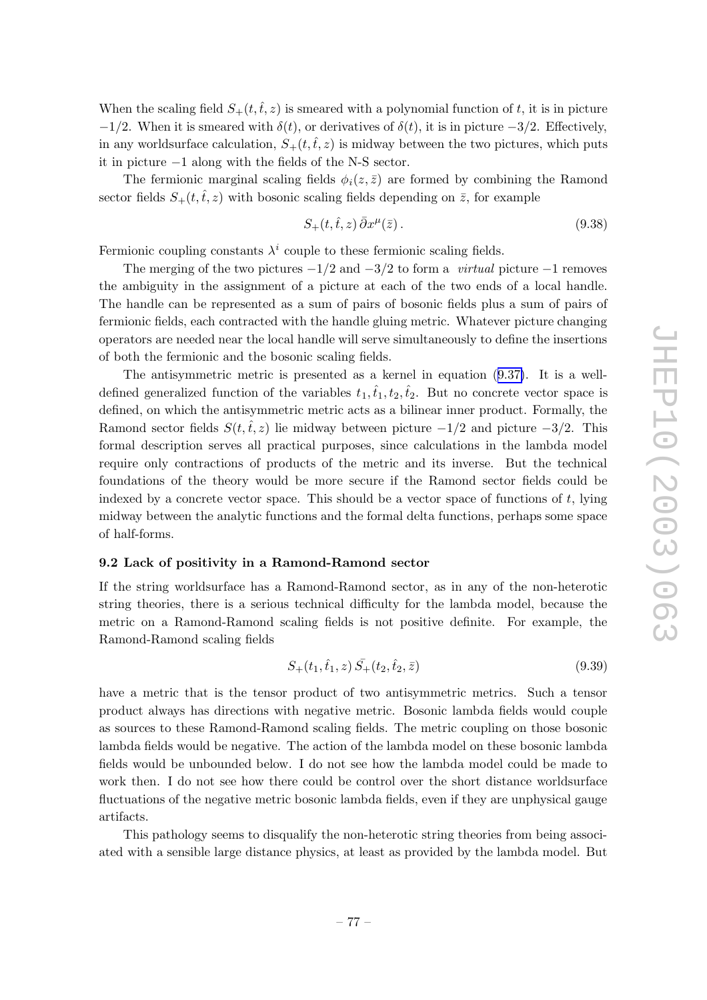When the scaling field  $S_+(t,\hat{t},z)$  is smeared with a polynomial function of t, it is in picture  $-1/2$ . When it is smeared with  $\delta(t)$ , or derivatives of  $\delta(t)$ , it is in picture  $-3/2$ . Effectively, in any worldsurface calculation,  $S_+(t,\hat{t},z)$  is midway between the two pictures, which puts it in picture − 1 along with the fields of the N-S sector.

The fermionic marginal scaling fields  $\phi_i(z,\bar{z})$  are formed by combining the Ramond sector fields  $S_+(t,\hat{t},z)$  with bosonic scaling fields depending on  $\bar{z}$ , for example

$$
S_{+}(t, \hat{t}, z) \bar{\partial} x^{\mu}(\bar{z}). \tag{9.38}
$$

Fermionic coupling constants  $\lambda^i$  couple to these fermionic scaling fields.

The merging of the two pictures  $-1/2$  and  $-3/2$  to form a *virtual* picture  $-1$  removes the ambiguity in the assignment of a picture at each of the two ends of a local handle. The handle can b e represented as a sum of pairs of bosonic fields plus a sum of pairs of fermionic fields, eac h contracted with the handle gluing metric. Whatever picture changing operators are needed near the local handle will serv e simultaneously to define the insertions of both the fermionic and the bosonic scaling fields.

The antisymmetric metric is presented as a kernel in equation ([9.37\)](#page-76-0). It is a welldefined generalized function of the variables  $t_1, \hat{t}_1, t_2, \hat{t}_2$ . But no concrete vector space is defined, on which the antisymmetric metric acts as a bilinear inner product. Formally, the Ramond sector fields  $S(t, \hat{t}, z)$  lie midway between picture  $-1/2$  and picture  $-3/2$ . This formal description serves all practical purposes, since calculations in the lam bda model require only contractions of products of the metric and its in verse. But the technical foundations of the theory would be more secure if the Ramond sector fields could be indexed by a concrete vector space. This should be a vector space of functions of  $t$ , lying midw ay bet ween the analytic functions and the formal delta functions, perhaps some space of half-forms.

#### 9.2 Lac k of positivit y in a Ramond-Ramond sector

If the string worldsurface has a Ramond-Ramond sector, as in an y of the non-heterotic string theories, there is a serious technical difficult y for the lam bda model, because the metric on a Ramond-Ramond scaling fields is not positiv e definite. For example, the Ramond-Ramond scaling fields

$$
S_{+}(t_1, \hat{t}_1, z) \bar{S}_{+}(t_2, \hat{t}_2, \bar{z}) \tag{9.39}
$$

have a metric that is the tensor product of two antisymmetric metrics. Such a tensor product alw ays has directions with negativ e metric. Bosonic lam bda fields would couple as sources to these Ramond-Ramond scaling fields. The metric coupling on those bosonic lam bda fields would b e negative. The action of the lam bda model on these bosonic lam bda fields would be unbounded below. I do not see how the lambda model could be made to work then. I do not see how there could be control over the short distance worldsurface fluctuations of the negative metric bosonic lambda fields, even if they are unphysical gauge artifacts.

This pathology seems to disqualify the non-heterotic string theories from being associated with a sensible large distance physics, at least as provided by the lambda model. But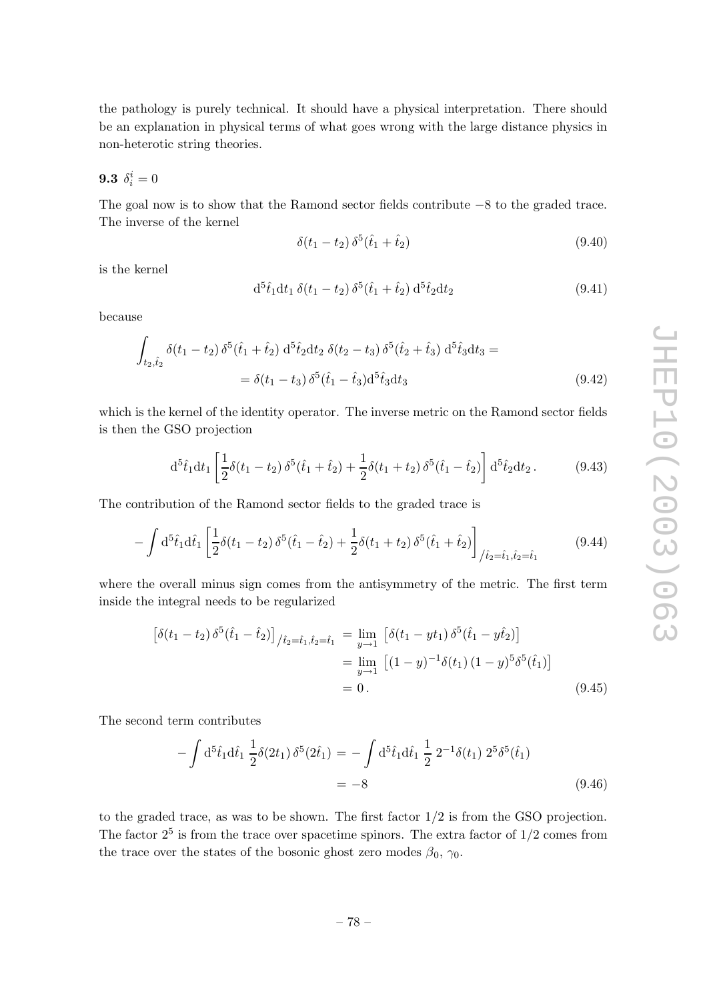the pathology is purely technical. It should hav e a physical interpretation. There should b e an explanation in physical terms of what goes wrong with the large distance physics in non-heterotic string theories.

# **9.3**  $\delta_i^i = 0$

The goal no w is to sho w that the Ramond sector fields contribute − 8 to the graded trace. The in verse of the kernel

$$
\delta(t_1 - t_2) \,\delta^5(\hat{t}_1 + \hat{t}_2) \tag{9.40}
$$

is the kernel

$$
d^5\hat{t}_1 dt_1 \,\delta(t_1 - t_2) \,\delta^5(\hat{t}_1 + \hat{t}_2) \,d^5\hat{t}_2 dt_2 \tag{9.41}
$$

because

$$
\int_{t_2,\hat{t}_2} \delta(t_1 - t_2) \, \delta^5(\hat{t}_1 + \hat{t}_2) \, \mathrm{d}^5 \hat{t}_2 \, \mathrm{d}t_2 \, \delta(t_2 - t_3) \, \delta^5(\hat{t}_2 + \hat{t}_3) \, \mathrm{d}^5 \hat{t}_3 \, \mathrm{d}t_3 =
$$
\n
$$
= \delta(t_1 - t_3) \, \delta^5(\hat{t}_1 - \hat{t}_3) \, \mathrm{d}^5 \hat{t}_3 \, \mathrm{d}t_3 \tag{9.42}
$$

which is the kernel of the identity operator. The inverse metric on the Ramond sector fields is then the GSO projection

$$
d^5\hat{t}_1 dt_1 \left[ \frac{1}{2} \delta(t_1 - t_2) \, \delta^5(\hat{t}_1 + \hat{t}_2) + \frac{1}{2} \delta(t_1 + t_2) \, \delta^5(\hat{t}_1 - \hat{t}_2) \right] d^5\hat{t}_2 dt_2 \,. \tag{9.43}
$$

The contribution of the Ramond sector fields to the graded trace is

$$
-\int d^5\hat{t}_1 d\hat{t}_1 \left[ \frac{1}{2} \delta(t_1 - t_2) \,\delta^5(\hat{t}_1 - \hat{t}_2) + \frac{1}{2} \delta(t_1 + t_2) \,\delta^5(\hat{t}_1 + \hat{t}_2) \right] / \hat{t}_2 = \hat{t}_1, \hat{t}_2 = \hat{t}_1} \tag{9.44}
$$

where the o verall minus sign comes from the antisymmetry of the metric. The first term inside the integral needs to b e regularized

$$
\begin{aligned}\n\left[\delta(t_1 - t_2)\,\delta^5(\hat{t}_1 - \hat{t}_2)\right]_{/\hat{t}_2 = \hat{t}_1, \hat{t}_2 = \hat{t}_1} &= \lim_{y \to 1} \left[\delta(t_1 - yt_1)\,\delta^5(\hat{t}_1 - y\hat{t}_2)\right] \\
&= \lim_{y \to 1} \left[ (1 - y)^{-1}\delta(t_1)\,(1 - y)^5\delta^5(\hat{t}_1) \right] \\
&= 0.\n\end{aligned} \tag{9.45}
$$

The second term contributes

$$
-\int d^5 \hat{t}_1 d\hat{t}_1 \frac{1}{2} \delta(2t_1) \delta^5(2\hat{t}_1) = -\int d^5 \hat{t}_1 d\hat{t}_1 \frac{1}{2} 2^{-1} \delta(t_1) 2^5 \delta^5(\hat{t}_1)
$$
  
= -8 (9.46)

to the graded trace, as was to b e shown. The first factor 1 / 2 is from the GSO projection. The factor  $2^5$  is from the trace over spacetime spinors. The extra factor of  $1/2$  comes from the trace over the states of the bosonic ghost zero modes  $\beta_0$ ,  $\gamma_0$ .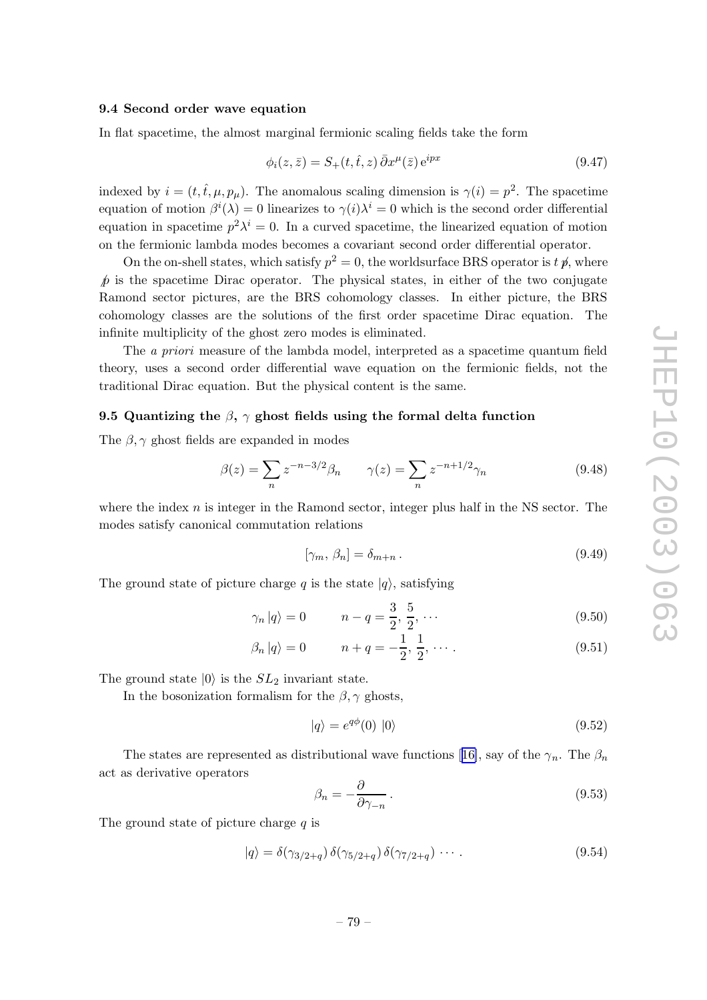#### <span id="page-79-0"></span>9.4 Second order w av e equation

In flat spacetime, the almost marginal fermionic scaling fields tak e the form

$$
\phi_i(z,\bar{z}) = S_+(t,\hat{t},z) \,\bar{\partial}x^\mu(\bar{z}) \,\mathrm{e}^{ipx} \tag{9.47}
$$

indexed by  $i = (t, \hat{t}, \mu, p_{\mu})$ . The anomalous scaling dimension is  $\gamma(i) = p^2$ . The spacetime equation of motion  $\beta^{i}(\lambda) = 0$  linearizes to  $\gamma(i)\lambda^{i} = 0$  which is the second order differential equation in spacetime  $p^2\lambda^i=0$ . In a curved spacetime, the linearized equation of motion on the fermionic lam bda modes becomes a co varian t second order differential operator.

On the on-shell states, which satisfy  $p^2 = 0$ , the worldsurface BRS operator is t  $\rlap{/}p$ , where  $\hat{p}$  is the spacetime Dirac operator. The physical states, in either of the two conjugate Ramond sector pictures, are the BRS cohomology classes. In either picture, the BRS cohomology classes are the solutions of the first order spacetime Dirac equation. The infinite multiplicit y of the ghost zero modes is eliminated.

The *a priori* measure of the lambda model, interpreted as a spacetime quantum field theory , uses a second order differential w av e equation on the fermionic fields, not the traditional Dirac equation. But the physical conten t is the same.

#### 9.5 Quantizing the  $\beta,\,\gamma$  ghost fields using the formal delta function

The  $\beta$ ,  $\gamma$  ghost fields are expanded in modes

$$
\beta(z) = \sum_{n} z^{-n-3/2} \beta_n \qquad \gamma(z) = \sum_{n} z^{-n+1/2} \gamma_n \tag{9.48}
$$

where the index  $n$  is integer in the Ramond sector, integer plus half in the NS sector. The modes satisfy canonical commutation relations

$$
[\gamma_m, \beta_n] = \delta_{m+n} \,. \tag{9.49}
$$

The ground state of picture charge q is the state  $|q\rangle$ , satisfying

$$
\gamma_n |q\rangle = 0
$$
  $n - q = \frac{3}{2}, \frac{5}{2}, \cdots$  (9.50)

$$
\beta_n |q\rangle = 0 \qquad n + q = -\frac{1}{2}, \frac{1}{2}, \cdots. \qquad (9.51)
$$

The ground state  $|0\rangle$  is the  $SL_2$  invariant state.

In the bosonization formalism for the  $\beta, \gamma$  ghosts,

$$
|q\rangle = e^{q\phi}(0) |0\rangle \tag{9.52}
$$

The states are represented as distributional wave functions [[16\]](#page-98-0), say of the  $\gamma_n$ . The  $\beta_n$ act as derivativ e operators

$$
\beta_n = -\frac{\partial}{\partial \gamma_{-n}}.\tag{9.53}
$$

The ground state of picture charge  $q$  is

$$
|q\rangle = \delta(\gamma_{3/2+q}) \,\delta(\gamma_{5/2+q}) \,\delta(\gamma_{7/2+q}) \,\cdots \,. \tag{9.54}
$$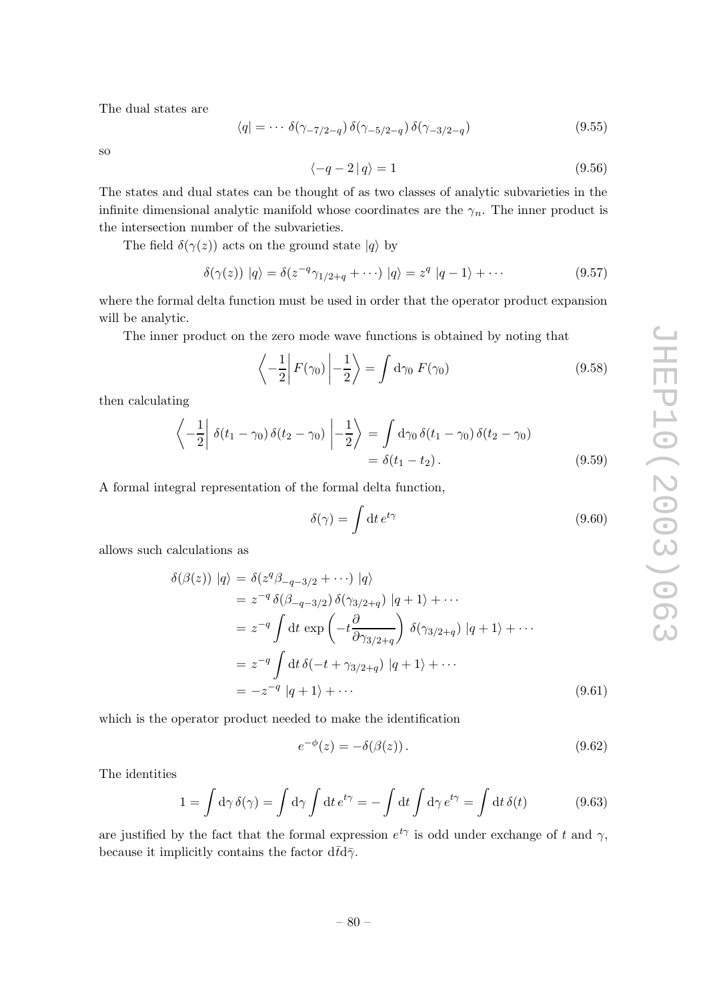The dual states are

$$
\langle q | = \cdots \delta(\gamma_{-7/2-q}) \, \delta(\gamma_{-5/2-q}) \, \delta(\gamma_{-3/2-q}) \tag{9.55}
$$

so

$$
\langle -q - 2 | q \rangle = 1 \tag{9.56}
$$

The states and dual states can b e though t of as t w o classes of analytic sub varieties in the infinite dimensional analytic manifold whose coordinates are the  $\gamma_n$ . The inner product is the intersection num ber of the sub varieties.

The field  $\delta(\gamma(z))$  acts on the ground state  $|q\rangle$  by

$$
\delta(\gamma(z)) |q\rangle = \delta(z^{-q}\gamma_{1/2+q} + \cdots) |q\rangle = z^q |q-1\rangle + \cdots
$$
\n(9.57)

where the formal delta function must b e used in order that the operator product expansion will b e analytic.

The inner product on the zero mode w av e functions is obtained b y noting that

$$
\left\langle -\frac{1}{2} \middle| F(\gamma_0) \middle| -\frac{1}{2} \right\rangle = \int d\gamma_0 \ F(\gamma_0) \tag{9.58}
$$

then calculating

$$
\left\langle -\frac{1}{2} \right| \delta(t_1 - \gamma_0) \delta(t_2 - \gamma_0) \left| -\frac{1}{2} \right\rangle = \int d\gamma_0 \delta(t_1 - \gamma_0) \delta(t_2 - \gamma_0)
$$
  
=  $\delta(t_1 - t_2)$ . (9.59)

A formal integral representation of the formal delta function,

$$
\delta(\gamma) = \int \mathrm{d}t \, e^{t\gamma} \tag{9.60}
$$

allows suc h calculations as

$$
\delta(\beta(z)) |q\rangle = \delta(z^q \beta_{-q-3/2} + \cdots) |q\rangle
$$
  
\n
$$
= z^{-q} \delta(\beta_{-q-3/2}) \delta(\gamma_{3/2+q}) |q+1\rangle + \cdots
$$
  
\n
$$
= z^{-q} \int dt \exp\left(-t \frac{\partial}{\partial \gamma_{3/2+q}}\right) \delta(\gamma_{3/2+q}) |q+1\rangle + \cdots
$$
  
\n
$$
= z^{-q} \int dt \delta(-t + \gamma_{3/2+q}) |q+1\rangle + \cdots
$$
  
\n
$$
= -z^{-q} |q+1\rangle + \cdots
$$
\n(9.61)

whic h is the operator product needed to mak e the identification

$$
e^{-\phi}(z) = -\delta(\beta(z)).\tag{9.62}
$$

The identities

$$
1 = \int d\gamma \,\delta(\gamma) = \int d\gamma \int dt \, e^{t\gamma} = -\int dt \int d\gamma \, e^{t\gamma} = \int dt \,\delta(t) \tag{9.63}
$$

are justified by the fact that the formal expression  $e^{t\gamma}$  is odd under exchange of t and  $\gamma$ , because it implicitly contains the factor  $d\bar{t}d\bar{\gamma}$ .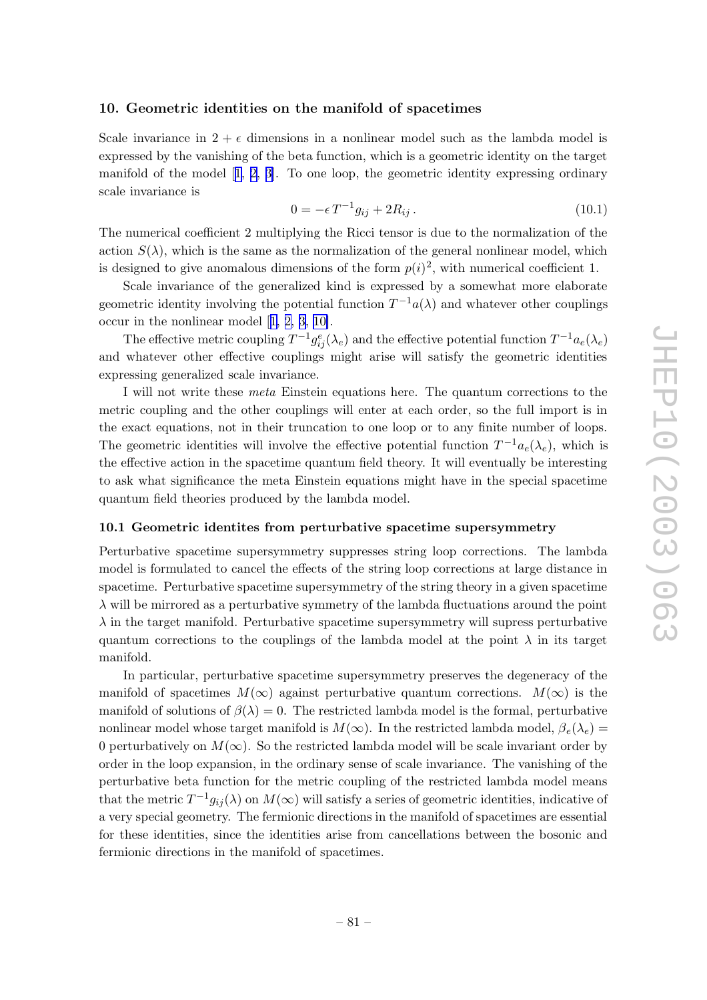#### 10. Geometric identities on the manifold of spacetimes

Scale invariance in  $2 + \epsilon$  dimensions in a nonlinear model such as the lambda model is expressed b y the vanishing of the beta function, whic h is a geometric identit y on the target manifold of the model [[1](#page-97-0), [2](#page-97-0), [3\]](#page-97-0). To one loop, the geometric identity expressing ordinary scale in variance is

$$
0 = -\epsilon T^{-1} g_{ij} + 2R_{ij} \,. \tag{10.1}
$$

The numerical coefficien t 2 multiplying the Ricci tensor is due to the normalization of the action  $S(\lambda)$ , which is the same as the normalization of the general nonlinear model, which is designed to give anomalous dimensions of the form  $p(i)^2$ , with numerical coefficient 1.

Scale in variance of the generalized kind is expressed b y a somewhat more elaborate geometric identity involving the potential function  $T^{-1}a(\lambda)$  and whatever other couplings occur in the nonlinear model  $[1, 2, 3, 10]$  $[1, 2, 3, 10]$  $[1, 2, 3, 10]$  $[1, 2, 3, 10]$  $[1, 2, 3, 10]$  $[1, 2, 3, 10]$  $[1, 2, 3, 10]$  $[1, 2, 3, 10]$ .

The effective metric coupling  $T^{-1}g_{ij}^e(\lambda_e)$  and the effective potential function  $T^{-1}a_e(\lambda_e)$ and whatever other effectiv e couplings migh t arise will satisfy the geometric identities expressing generalized scale in variance.

I will not write these meta Einstein equations here. The quantum corrections to the metric coupling and the other couplings will enter at eac h order, so the full import is in the exact equations, not in their truncation to one loop or to an y finite num ber of loops. The geometric identities will involve the effective potential function  $T^{-1}a_e(\lambda_e)$ , which is the effectiv e action in the spacetime quantum field theory . It will eventually b e interesting to ask what significance the meta Einstein equations migh t hav e in the special spacetime quantum field theories produced b y the lam bda model.

#### 10.1 Geometric identites from perturbativ e spacetime supersymmetry

Perturbative spacetime supersymmetry suppresses string loop corrections. The lambda model is formulated to cancel the effects of the string loop corrections at large distance in spacetime. Perturbativ e spacetime supersymmetry of the string theory in a given spacetime  $\lambda$  will be mirrored as a perturbative symmetry of the lambda fluctuations around the point  $\lambda$  in the target manifold. Perturbative spacetime supersymmetry will supress perturbative quantum corrections to the couplings of the lambda model at the point  $\lambda$  in its target manifold.

In particular, perturbativ e spacetime supersymmetry preserves the degeneracy of the manifold of spacetimes  $M(\infty)$  against perturbative quantum corrections.  $M(\infty)$  is the manifold of solutions of  $\beta(\lambda) = 0$ . The restricted lambda model is the formal, perturbative nonlinear model whose target manifold is  $M(\infty)$ . In the restricted lambda model,  $\beta_e(\lambda_e)$  = 0 perturbatively on  $M(\infty)$ . So the restricted lambda model will be scale invariant order by order in the loop expansion, in the ordinary sense of scale in variance. The vanishing of the perturbativ e beta function for the metric coupling of the restricted lam bda model means that the metric  $T^{-1}g_{ij}(\lambda)$  on  $M(\infty)$  will satisfy a series of geometric identities, indicative of a very special geometry . The fermionic directions in the manifold of spacetimes are essential for these identities, since the identities arise from cancellations bet ween the bosonic and fermionic directions in the manifold of spacetimes.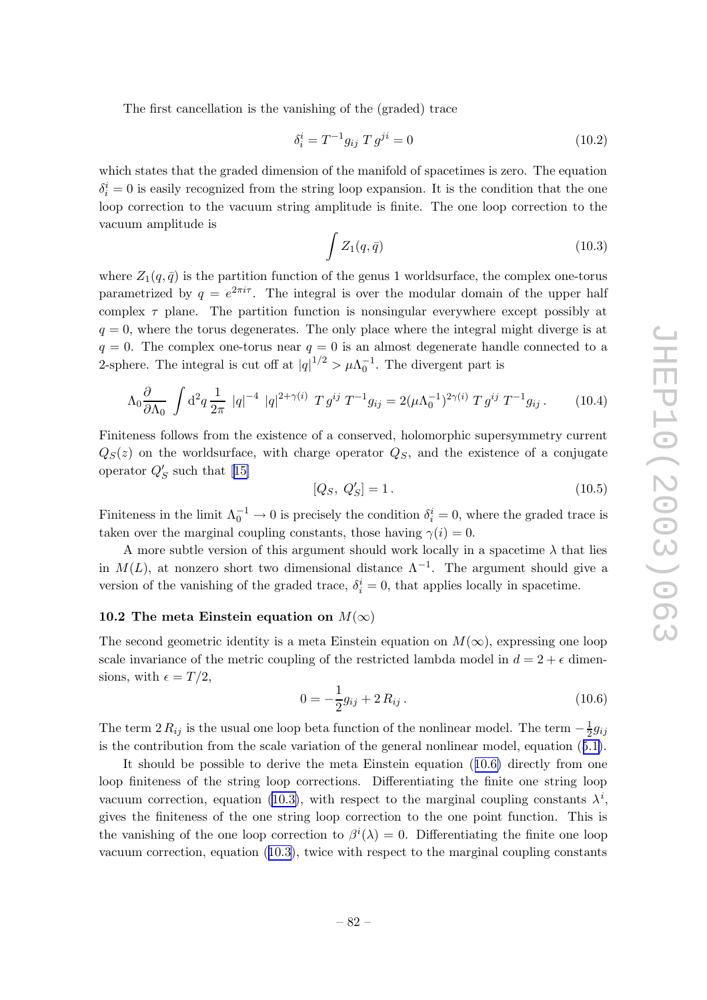<span id="page-82-0"></span>The first cancellation is the vanishing of the (graded) trace

$$
\delta_i^i = T^{-1} g_{ij} T g^{ji} = 0 \tag{10.2}
$$

whic h states that the graded dimension of the manifold of spacetimes is zero. The equation  $\delta_i^i = 0$  is easily recognized from the string loop expansion. It is the condition that the one loop correction to the vacuum string amplitude is finite. The one loop correction to the vacuum amplitude is

$$
\int Z_1(q,\bar{q})\tag{10.3}
$$

where  $Z_1(q, \bar{q})$  is the partition function of the genus 1 worldsurface, the complex one-torus parametrized by  $q = e^{2\pi i \tau}$ . The integral is over the modular domain of the upper half complex  $\tau$  plane. The partition function is nonsingular everywhere except possibly at  $q = 0$ , where the torus degenerates. The only place where the integral might diverge is at  $q = 0$ . The complex one-torus near  $q = 0$  is an almost degenerate handle connected to a 2-sphere. The integral is cut off at  $|q|^{1/2} > \mu \Lambda_0^{-1}$ . The divergent part is

$$
\Lambda_0 \frac{\partial}{\partial \Lambda_0} \int d^2 q \, \frac{1}{2\pi} \, |q|^{-4} \, |q|^{2+\gamma(i)} \, T \, g^{ij} \, T^{-1} g_{ij} = 2(\mu \Lambda_0^{-1})^{2\gamma(i)} \, T \, g^{ij} \, T^{-1} g_{ij} \,. \tag{10.4}
$$

Finiteness follows from the existence of a conserved, holomorphic supersymmetry current  $Q_S(z)$  on the worldsurface, with charge operator  $Q_S$ , and the existence of a conjugate operator  $Q'_S$  such that [[15](#page-98-0)]

$$
[Q_S, Q'_S] = 1.
$$
\n(10.5)

Finiteness in the limit  $\Lambda_0^{-1} \to 0$  is precisely the condition  $\delta_i^i = 0$ , where the graded trace is taken over the marginal coupling constants, those having  $\gamma(i) = 0$ .

A more subtle version of this argument should work locally in a spacetime  $\lambda$  that lies in  $M(L)$ , at nonzero short two dimensional distance  $\Lambda^{-1}$ . The argument should give a version of the vanishing of the graded trace,  $\delta_i^i = 0$ , that applies locally in spacetime.

### 10.2 The meta Einstein equation on  $M(\infty)$

The second geometric identity is a meta Einstein equation on  $M(\infty)$ , expressing one loop scale invariance of the metric coupling of the restricted lambda model in  $d = 2 + \epsilon$  dimensions, with  $\epsilon = T/2$ ,

$$
0 = -\frac{1}{2}g_{ij} + 2R_{ij} \,. \tag{10.6}
$$

The term  $2 R_{ij}$  is the usual one loop beta function of the nonlinear model. The term  $-\frac{1}{2}g_{ij}$ is the contribution from the scale variation of the general nonlinear model, equation ([5.1\)](#page-58-0).

It should be possible to derive the meta Einstein equation  $(10.6)$  directly from one loop finiteness of the string loop corrections. Differentiating the finite one string loop vacuum correction, equation (10.3), with respect to the marginal coupling constants  $\lambda^{i}$ , gives the finiteness of the one string loop correction to the one poin t function. This is the vanishing of the one loop correction to  $\beta^{i}(\lambda) = 0$ . Differentiating the finite one loop vacuum correction, equation (10.3), twice with respect to the marginal coupling constants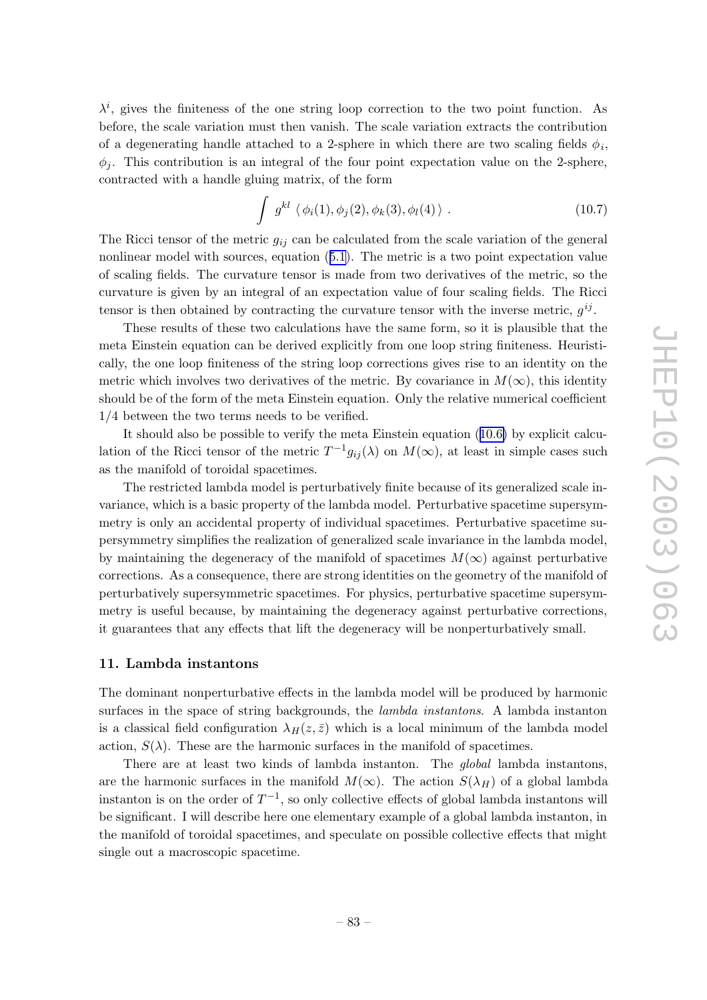$\lambda^{i}$ , gives the finiteness of the one string loop correction to the two point function. As before, the scale variation must then vanish. The scale variation extracts the contribution of a degenerating handle attached to a 2-sphere in which there are two scaling fields  $\phi_i$ ,  $\phi_j$ . This contribution is an integral of the four point expectation value on the 2-sphere, contracted with a handle gluing matrix, of the form

$$
\int g^{kl} \langle \phi_i(1), \phi_j(2), \phi_k(3), \phi_l(4) \rangle . \tag{10.7}
$$

The Ricci tensor of the metric  $g_{ij}$  can be calculated from the scale variation of the general nonlinear model with sources, equation  $(5.1)$  $(5.1)$ . The metric is a two point expectation value of scaling fields. The curvature tensor is made from t w o derivatives of the metric, so the curvature is given b y an integral of an expectation value of four scaling fields. The Ricci tensor is then obtained by contracting the curvature tensor with the inverse metric,  $g^{ij}$ .

These results of these t w o calculations hav e the same form, so it is plausible that the meta Einstein equation can b e derived explicitly from one loop string finiteness. Heuristically, the one loop finiteness of the string loop corrections gives rise to an identity on the metric which involves two derivatives of the metric. By covariance in  $M(\infty)$ , this identity should be of the form of the meta Einstein equation. Only the relative numerical coefficient 1 / 4 bet ween the t w o terms needs to b e verified.

It should also be possible to verify the meta Einstein equation ([10.6](#page-82-0)) by explicit calculation of the Ricci tensor of the metric  $T^{-1}g_{ij}(\lambda)$  on  $M(\infty)$ , at least in simple cases such as the manifold of toroidal spacetimes.

The restricted lam bda model is perturbatively finite because of its generalized scale invariance, which is a basic property of the lambda model. Perturbative spacetime supersymmetry is only an accidental property of individual spacetimes. Perturbative spacetime su persymmetry simplifies the realization of generalized scale invariance in the lambda model, by maintaining the degeneracy of the manifold of spacetimes  $M(\infty)$  against perturbative corrections. As a consequence, there are strong identities on the geometry of the manifold of perturbatively supersymmetric spacetimes. For physics, perturbativ e spacetime supersymmetry is useful because, by maintaining the degeneracy against perturbative corrections, it guarantees that an y effects that lift the degeneracy will b e nonperturbatively small.

# 11. Lam bda instantons

The dominan t nonperturbativ e effects in the lam bda model will b e produced b y harmonic surfaces in the space of string backgrounds, the *lambda instantons*. A lambda instanton is a classical field configuration  $\lambda_H(z,\bar{z})$  which is a local minimum of the lambda model action,  $S(\lambda)$ . These are the harmonic surfaces in the manifold of spacetimes.

There are at least two kinds of lambda instanton. The *global* lambda instantons, are the harmonic surfaces in the manifold  $M(\infty)$ . The action  $S(\lambda_H)$  of a global lambda instanton is on the order of  $T^{-1}$ , so only collective effects of global lambda instantons will be significant. I will describe here one elementary example of a global lambda instanton, in the manifold of toroidal spacetimes, and speculate on possible collectiv e effects that migh t single out a macroscopic spacetime.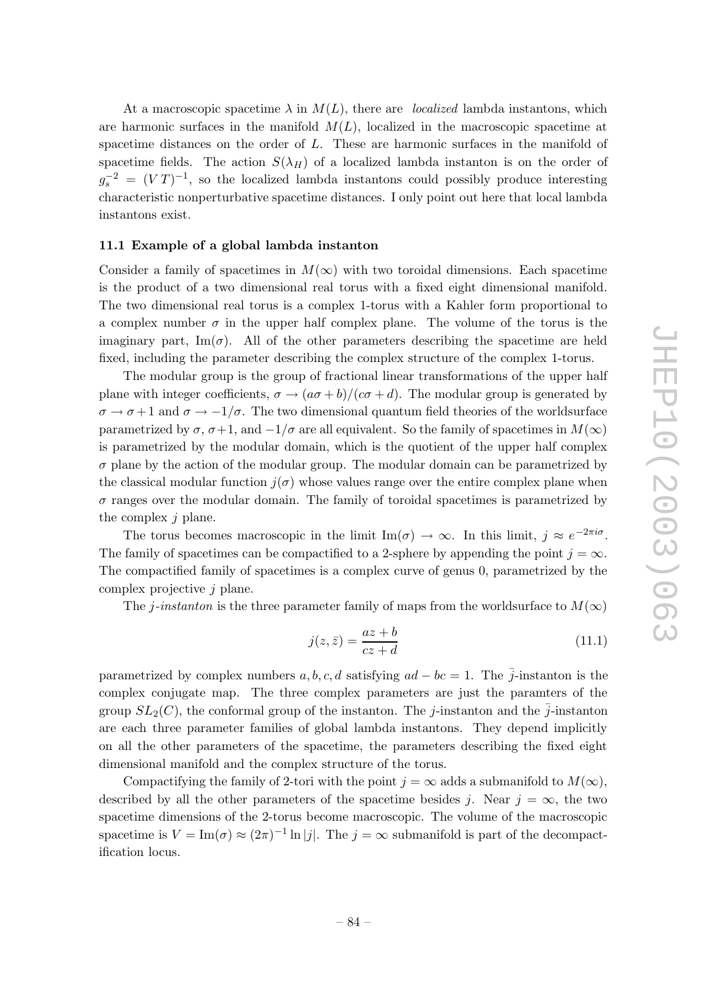At a macroscopic spacetime  $\lambda$  in  $M(L)$ , there are *localized* lambda instantons, which are harmonic surfaces in the manifold  $M(L)$ , localized in the macroscopic spacetime at spacetime distances on the order of L . These are harmonic surfaces in the manifold of spacetime fields. The action  $S(\lambda_H)$  of a localized lambda instanton is on the order of  $g_s^{-2} = (VT)^{-1}$ , so the localized lambda instantons could possibly produce interesting characteristic nonperturbativ e spacetime distances. I only poin t out here that local lam bda instantons exist.

#### 11.1 Example of a global lam bda instanton

Consider a family of spacetimes in  $M(\infty)$  with two toroidal dimensions. Each spacetime is the product of a t w o dimensional real torus with a fixed eigh t dimensional manifold. The t w o dimensional real torus is a complex 1-torus with a Kahler form proportional to a complex number  $\sigma$  in the upper half complex plane. The volume of the torus is the imaginary part,  $\text{Im}(\sigma)$ . All of the other parameters describing the spacetime are held fixed, including the parameter describing the complex structure of the complex 1-torus.

The modular group is the group of fractional linear transformations of the upper half plane with integer coefficients,  $\sigma \to (a\sigma + b)/(c\sigma + d)$ . The modular group is generated by  $\sigma \to \sigma + 1$  and  $\sigma \to -1/\sigma$ . The two dimensional quantum field theories of the worldsurface parametrized by  $\sigma$ ,  $\sigma$ +1, and  $-1/\sigma$  are all equivalent. So the family of spacetimes in  $M(\infty)$ is parametrized b y the modular domain, whic h is the quotien t of the upper half complex  $\sigma$  plane by the action of the modular group. The modular domain can be parametrized by the classical modular function  $j(\sigma)$  whose values range over the entire complex plane when  $\sigma$  ranges over the modular domain. The family of toroidal spacetimes is parametrized by the complex j plane.

The torus becomes macroscopic in the limit  $\text{Im}(\sigma) \to \infty$ . In this limit,  $j \approx e^{-2\pi i \sigma}$ . The family of spacetimes can be compactified to a 2-sphere by appending the point  $j = \infty$ . The compactified family of spacetimes is a complex curv e of genus 0, parametrized b y the complex projective j plane.

The *j*-instanton is the three parameter family of maps from the worldsurface to  $M(\infty)$ 

$$
j(z,\bar{z}) = \frac{az+b}{cz+d} \tag{11.1}
$$

parametrized by complex numbers  $a, b, c, d$  satisfying  $ad - bc = 1$ . The  $\overline{j}$ -instanton is the complex conjugate map. The three complex parameters are just the paramters of the group  $SL_2(C)$ , the conformal group of the instanton. The *j*-instanton and the  $\overline{j}$ -instanton are eac h three parameter families of global lam bda instantons. They depend implicitly on all the other parameters of the spacetime, the parameters describing the fixed eigh t dimensional manifold and the complex structure of the torus.

Compactifying the family of 2-tori with the point  $j = \infty$  adds a submanifold to  $M(\infty)$ , described by all the other parameters of the spacetime besides j. Near  $j = \infty$ , the two spacetime dimensions of the 2-torus become macroscopic. The volume of the macroscopic spacetime is  $V = \text{Im}(\sigma) \approx (2\pi)^{-1} \ln |j|$ . The  $j = \infty$  submanifold is part of the decompactification locus.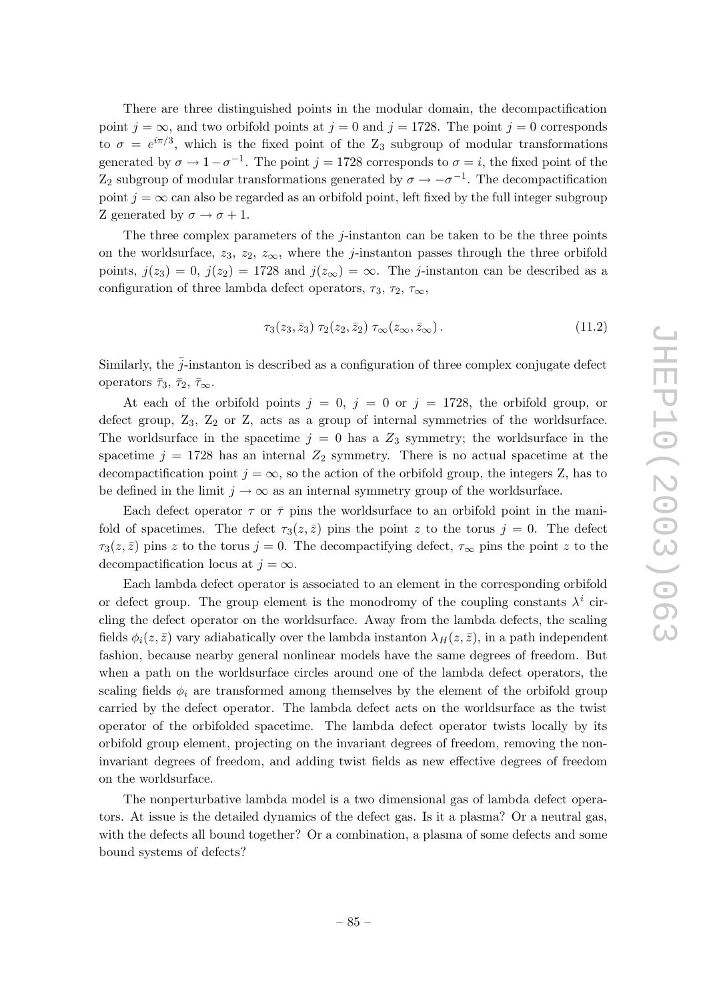There are three distinguished points in the modular domain, the decompactification point  $j = \infty$ , and two orbifold points at  $j = 0$  and  $j = 1728$ . The point  $j = 0$  corresponds to  $\sigma = e^{i\pi/3}$ , which is the fixed point of the Z<sub>3</sub> subgroup of modular transformations generated by  $\sigma \to 1-\sigma^{-1}$ . The point  $j=1728$  corresponds to  $\sigma=i$ , the fixed point of the  $Z_2$  subgroup of modular transformations generated by  $\sigma \to -\sigma^{-1}$ . The decompactification point  $j = \infty$  can also be regarded as an orbifold point, left fixed by the full integer subgroup Z generated by  $\sigma \to \sigma + 1$ .

The three complex parameters of the *j*-instanton can be taken to be the three points on the worldsurface,  $z_3$ ,  $z_2$ ,  $z_{\infty}$ , where the *j*-instanton passes through the three orbifold points,  $j(z_3) = 0$ ,  $j(z_2) = 1728$  and  $j(z_{\infty}) = \infty$ . The *j*-instanton can be described as a configuration of three lambda defect operators,  $\tau_3$ ,  $\tau_2$ ,  $\tau_{\infty}$ ,

$$
\tau_3(z_3, \bar{z}_3) \tau_2(z_2, \bar{z}_2) \tau_{\infty}(z_{\infty}, \bar{z}_{\infty}). \tag{11.2}
$$

Similarly, the  $\bar{j}$ -instanton is described as a configuration of three complex conjugate defect operators  $\bar{\tau}_3$ ,  $\bar{\tau}_2$ ,  $\bar{\tau}_{\infty}$ .

At each of the orbifold points  $j = 0$ ,  $j = 0$  or  $j = 1728$ , the orbifold group, or defect group,  $Z_3$ ,  $Z_2$  or Z, acts as a group of internal symmetries of the worldsurface. The worldsurface in the spacetime  $j = 0$  has a  $Z_3$  symmetry; the worldsurface in the spacetime  $j = 1728$  has an internal  $Z_2$  symmetry. There is no actual spacetime at the decompactification point  $j = \infty$ , so the action of the orbifold group, the integers Z, has to be defined in the limit  $j \to \infty$  as an internal symmetry group of the worldsurface.

Each defect operator  $\tau$  or  $\bar{\tau}$  pins the worldsurface to an orbifold point in the manifold of spacetimes. The defect  $\tau_3(z,\bar{z})$  pins the point z to the torus  $j=0$ . The defect  $\tau_3(z,\bar{z})$  pins z to the torus  $j = 0$ . The decompactifying defect,  $\tau_{\infty}$  pins the point z to the decompactification locus at  $j = \infty$ .

Each lambda defect operator is associated to an element in the corresponding orbifold or defect group. The group element is the monodromy of the coupling constants  $\lambda^i$  circling the defect operator on the worldsurface. Away from the lambda defects, the scaling fields  $\phi_i(z, \bar{z})$  vary adiabatically over the lambda instanton  $\lambda_H(z, \bar{z})$ , in a path independent fashion, because nearb y general nonlinear models hav e the same degrees of freedom. But when a path on the worldsurface circles around one of the lambda defect operators, the scaling fields  $\phi_i$  are transformed among themselves by the element of the orbifold group carried b y the defect operator. The lam bda defect acts on the worldsurface as the twist operator of the orbifolded spacetime. The lam bda defect operator twists locally b y its orbifold group element, projecting on the in varian t degrees of freedom, removing the noninvariant degrees of freedom, and adding twist fields as new effective degrees of freedom on the worldsurface.

The nonperturbativ e lam bda model is a t w o dimensional gas of lam bda defect operators. At issue is the detailed dynamics of the defect gas. Is it a plasma? Or a neutral gas, with the defects all bound together? Or a combination, a plasma of some defects and some bound systems of defects?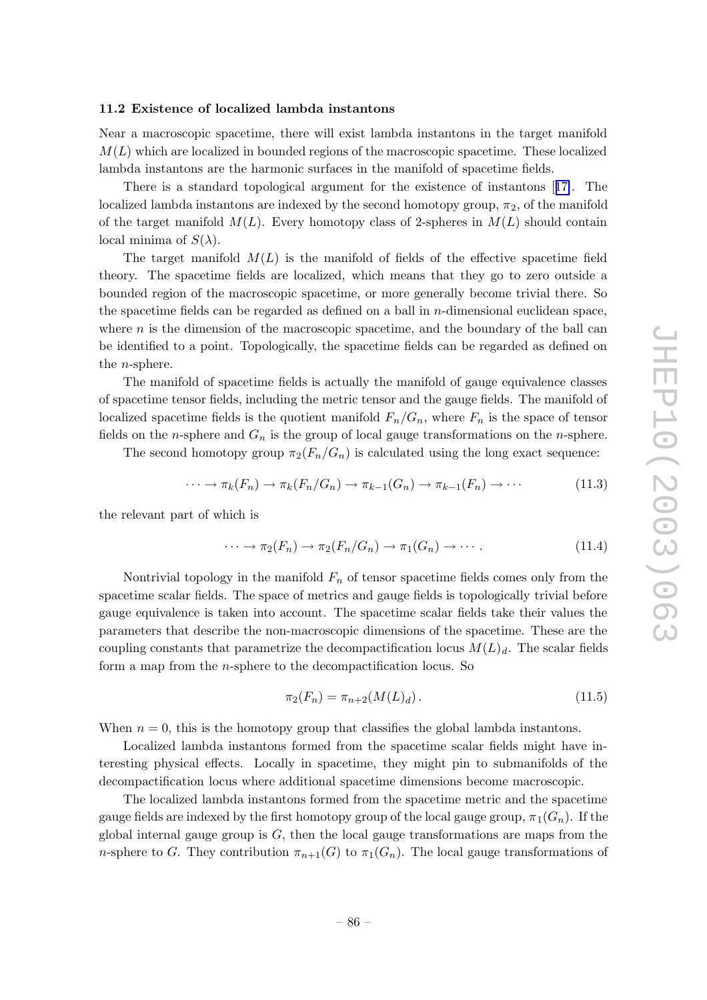#### 11.2 Existence of localized lam bda instantons

Near a macroscopic spacetime, there will exist lam bda instantons in the target manifold  $M(L)$  which are localized in bounded regions of the macroscopic spacetime. These localized lam bda instantons are the harmonic surfaces in the manifold of spacetime fields.

There is a standard topological argumen t for the existence of instantons [[17\]](#page-98-0). The localized lambda instantons are indexed by the second homotopy group,  $\pi_2$ , of the manifold of the target manifold  $M(L)$ . Every homotopy class of 2-spheres in  $M(L)$  should contain local minima of  $S(\lambda)$ .

The target manifold  $M(L)$  is the manifold of fields of the effective spacetime field theory . The spacetime fields are localized, whic h means that they go to zero outside a bounded region of the macroscopic spacetime, or more generally become trivial there. So the spacetime fields can b e regarded as defined on a ball in n-dimensional euclidean space, where  $n$  is the dimension of the macroscopic spacetime, and the boundary of the ball can b e identified to a point. Topologically , the spacetime fields can b e regarded as defined on the n-sphere.

The manifold of spacetime fields is actually the manifold of gauge equivalence classes of spacetime tensor fields, including the metric tensor and the gauge fields. The manifold of localized spacetime fields is the quotient manifold  $F_n/G_n$ , where  $F_n$  is the space of tensor fields on the *n*-sphere and  $G_n$  is the group of local gauge transformations on the *n*-sphere.

The second homotopy group  $\pi_2(F_n/G_n)$  is calculated using the long exact sequence:

$$
\cdots \to \pi_k(F_n) \to \pi_k(F_n/G_n) \to \pi_{k-1}(G_n) \to \pi_{k-1}(F_n) \to \cdots
$$
\n(11.3)

the relevan t part of whic h is

$$
\cdots \to \pi_2(F_n) \to \pi_2(F_n/G_n) \to \pi_1(G_n) \to \cdots.
$$
\n(11.4)

Nontrivial topology in the manifold  $F_n$  of tensor spacetime fields comes only from the spacetime scalar fields. The space of metrics and gauge fields is topologically trivial before gauge equivalence is taken into account. The spacetime scalar fields tak e their values the parameters that describe the non-macroscopic dimensions of the spacetime. These are the coupling constants that parametrize the decompactification locus  $M(L)<sub>d</sub>$ . The scalar fields form a map from the n-sphere to the decompactification locus. So

$$
\pi_2(F_n) = \pi_{n+2}(M(L)_d). \tag{11.5}
$$

When  $n = 0$ , this is the homotopy group that classifies the global lambda instantons.

Localized lambda instantons formed from the spacetime scalar fields might have interesting physical effects. Locally in spacetime, they might pin to submanifolds of the decompactification locus where additional spacetime dimensions become macroscopic.

The localized lam bda instantons formed from the spacetime metric and the spacetime gauge fields are indexed by the first homotopy group of the local gauge group,  $\pi_1(G_n)$ . If the global internal gauge group is  $G$ , then the local gauge transformations are maps from the *n*-sphere to G. They contribution  $\pi_{n+1}(G)$  to  $\pi_1(G_n)$ . The local gauge transformations of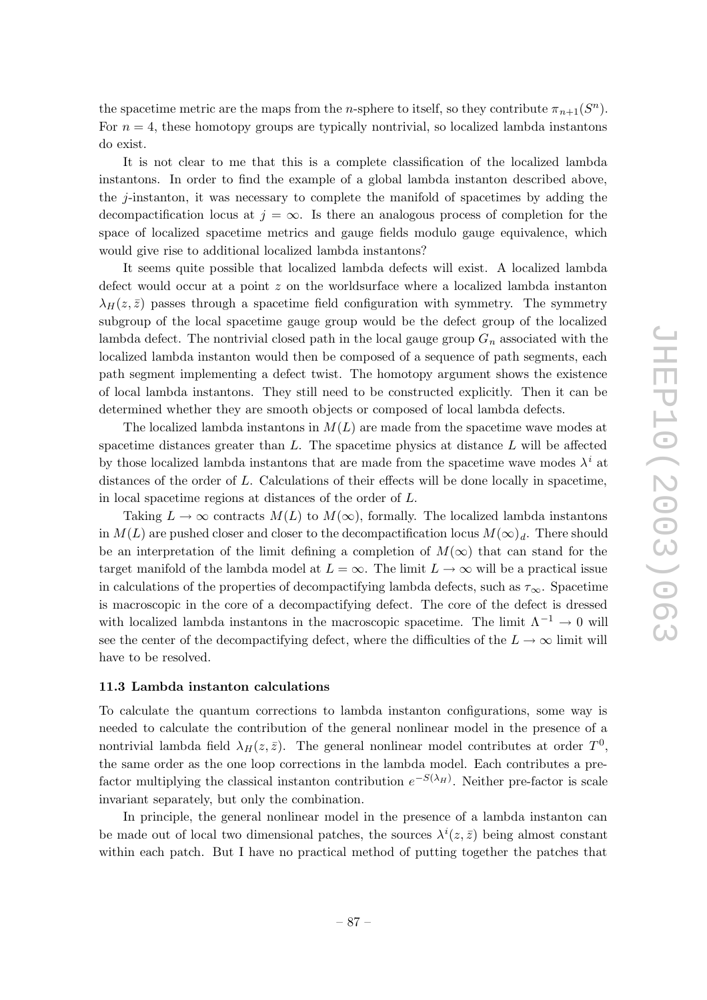the spacetime metric are the maps from the *n*-sphere to itself, so they contribute  $\pi_{n+1}(S^n)$ . For  $n = 4$ , these homotopy groups are typically nontrivial, so localized lambda instantons do exist.

It is not clear to me that this is a complete classification of the localized lam bda instantons. In order to find the example of a global lam bda instanton described ab o ve, the *j*-instanton, it was necessary to complete the manifold of spacetimes by adding the decompactification locus at  $j = \infty$ . Is there an analogous process of completion for the space of localized spacetime metrics and gauge fields modulo gauge equivalence, whic h would giv e rise to additional localized lam bda instantons?

It seems quite possible that localized lam bda defects will exist. A localized lam bda defect would occur at a point z on the worldsurface where a localized lambda instanton  $\lambda_H(z,\bar{z})$  passes through a spacetime field configuration with symmetry. The symmetry subgroup of the local spacetime gauge group would b e the defect group of the localized lambda defect. The nontrivial closed path in the local gauge group  $G_n$  associated with the localized lam bda instanton would then b e composed of a sequence of path segments, eac h path segmen t implementing a defect twist. The homotop y argumen t shows the existence of local lam bda instantons. They still need to b e constructed explicitly . Then it can b e determined whether they are smooth objects or composed of local lambda defects.

The localized lambda instantons in  $M(L)$  are made from the spacetime wave modes at spacetime distances greater than  $L$ . The spacetime physics at distance  $L$  will be affected by those localized lambda instantons that are made from the spacetime wave modes  $\lambda^{i}$  at distances of the order of L. Calculations of their effects will be done locally in spacetime, in local spacetime regions at distances of the order of L .

Taking  $L \to \infty$  contracts  $M(L)$  to  $M(\infty)$ , formally. The localized lambda instantons in  $M(L)$  are pushed closer and closer to the decompactification locus  $M(\infty)_d$ . There should be an interpretation of the limit defining a completion of  $M(\infty)$  that can stand for the target manifold of the lambda model at  $L = \infty$ . The limit  $L \to \infty$  will be a practical issue in calculations of the properties of decompactifying lambda defects, such as  $\tau_{\infty}$ . Spacetime is macroscopic in the core of a decompactifying defect. The core of the defect is dressed with localized lambda instantons in the macroscopic spacetime. The limit  $\Lambda^{-1} \to 0$  will see the center of the decompactifying defect, where the difficulties of the  $L \to \infty$  limit will hav e to b e resolved.

#### 11.3 Lam bda instanton calculations

To calculate the quantum corrections to lam bda instanton configurations, some w ay is needed to calculate the contribution of the general nonlinear model in the presence of a nontrivial lambda field  $\lambda_H(z,\bar{z})$ . The general nonlinear model contributes at order  $T^0$ , the same order as the one loop corrections in the lam bda model. Eac h contributes a prefactor multiplying the classical instanton contribution  $e^{-S(\lambda_H)}$ . Neither pre-factor is scale in varian t separately , but only the combination.

In principle, the general nonlinear model in the presence of a lambda instanton can be made out of local two dimensional patches, the sources  $\lambda^{i}(z,\bar{z})$  being almost constant within each patch. But I have no practical method of putting together the patches that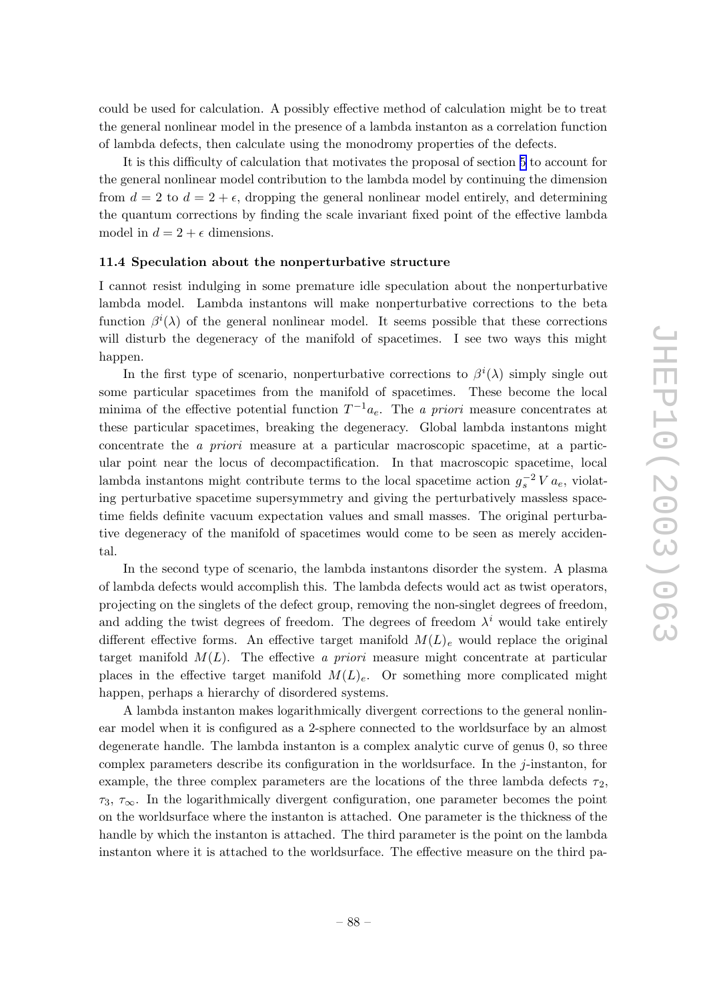could b e used for calculation. A possibly effectiv e metho d of calculation migh t b e to treat the general nonlinear model in the presence of a lam bda instanton as a correlation function of lam bda defects, then calculate using the monodrom y properties of the defects.

It is this difficulty of calculation that motivates the proposal of section [5](#page-58-0) to account for the general nonlinear model contribution to the lam bda model b y continuing the dimension from  $d = 2$  to  $d = 2 + \epsilon$ , dropping the general nonlinear model entirely, and determining the quantum corrections by finding the scale invariant fixed point of the effective lambda model in  $d = 2 + \epsilon$  dimensions.

#### 11.4 Speculation about the nonperturbativ e structure

I cannot resist indulging in some premature idle speculation about the nonperturbativ e lam bda model. Lam bda instantons will mak e nonperturbativ e corrections to the beta function  $\beta^i(\lambda)$  of the general nonlinear model. It seems possible that these corrections will disturb the degeneracy of the manifold of spacetimes. I see two ways this might happen.

In the first type of scenario, nonperturbative corrections to  $\beta^i(\lambda)$  simply single out some particular spacetimes from the manifold of spacetimes. These become the local minima of the effective potential function  $T^{-1}a_e$ . The *a priori* measure concentrates at these particular spacetimes, breaking the degeneracy . Global lam bda instantons migh t concentrate the *a priori* measure at a particular macroscopic spacetime, at a particular point near the locus of decompactification. In that macroscopic spacetime, local lambda instantons might contribute terms to the local spacetime action  $g_s^{-2} V a_e$ , violating perturbative spacetime supersymmetry and giving the perturbatively massless spacetime fields definite vacuum expectation values and small masses. The original perturbative degeneracy of the manifold of spacetimes would come to be seen as merely accidental.

In the second type of scenario, the lambda instantons disorder the system. A plasma of lam bda defects would accomplish this. The lam bda defects would act as twist operators, projecting on the singlets of the defect group, removing the non-singlet degrees of freedom, and adding the twist degrees of freedom. The degrees of freedom  $\lambda^i$  would take entirely different effective forms. An effective target manifold  $M(L)<sub>e</sub>$  would replace the original target manifold  $M(L)$ . The effective a priori measure might concentrate at particular places in the effective target manifold  $M(L)<sub>e</sub>$ . Or something more complicated might happen, perhaps a hierarc h y of disordered systems.

A lam bda instanton makes logarithmically divergen t corrections to the general nonlinear model when it is configured as a 2-sphere connected to the worldsurface by an almost degenerate handle. The lam bda instanton is a complex analytic curv e of genus 0, so three complex parameters describe its configuration in the worldsurface. In the *j*-instanton, for example, the three complex parameters are the locations of the three lambda defects  $\tau_2$ ,  $\tau_3, \tau_\infty$ . In the logarithmically divergent configuration, one parameter becomes the point on the worldsurface where the instanton is attached. One parameter is the thickness of the handle by which the instanton is attached. The third parameter is the point on the lambda instanton where it is attached to the worldsurface. The effectiv e measure on the third pa-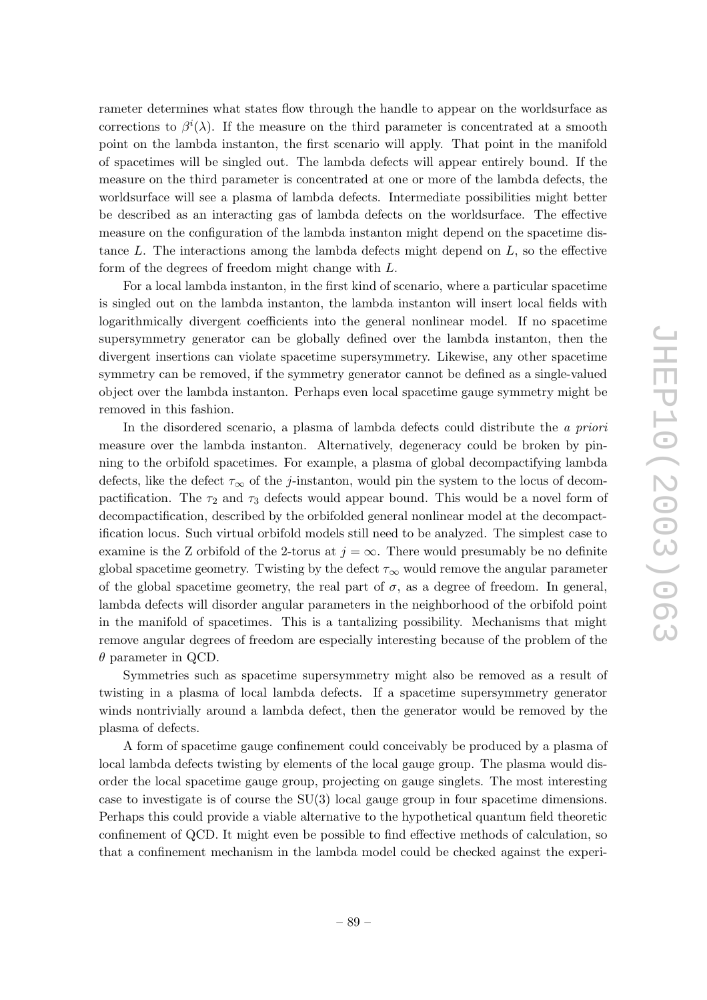rameter determines what states flo w through the handle to appear on the worldsurface as corrections to  $\beta^i(\lambda)$ . If the measure on the third parameter is concentrated at a smooth poin t on the lam bda instanton, the first scenario will apply . That poin t in the manifold of spacetimes will b e singled out. The lam bda defects will appear entirely bound. If the measure on the third parameter is concentrated at one or more of the lam bda defects, the worldsurface will see a plasma of lam bda defects. Intermediate possibilities migh t better be described as an interacting gas of lambda defects on the worldsurface. The effective measure on the configuration of the lam bda instanton migh t depend on the spacetime distance  $L$ . The interactions among the lambda defects might depend on  $L$ , so the effective form of the degrees of freedom might change with  $L$ .

For a local lam bda instanton, in the first kind of scenario, where a particular spacetime is singled out on the lam bda instanton, the lam bda instanton will insert local fields with logarithmically divergen t coefficients into the general nonlinear model. If no spacetime supersymmetry generator can b e globally defined o ver the lam bda instanton, then the divergen t insertions can violate spacetime supersymmetry . Likewise, an y other spacetime symmetry can be removed, if the symmetry generator cannot be defined as a single-valued object o ver the lam bda instanton. Perhaps even local spacetime gauge symmetry migh t b e remo ved in this fashion.

In the disordered scenario, a plasma of lambda defects could distribute the *a priori* measure over the lambda instanton. Alternatively, degeneracy could be broken by pinning to the orbifold spacetimes. For example, a plasma of global decompactifying lambda defects, like the defect  $\tau_{\infty}$  of the *j*-instanton, would pin the system to the locus of decompactification. The  $\tau_2$  and  $\tau_3$  defects would appear bound. This would be a novel form of decompactification, described b y the orbifolded general nonlinear model at the decompactification locus. Such virtual orbifold models still need to be analyzed. The simplest case to examine is the Z orbifold of the 2-torus at  $j = \infty$ . There would presumably be no definite global spacetime geometry. Twisting by the defect  $\tau_{\infty}$  would remove the angular parameter of the global spacetime geometry, the real part of  $\sigma$ , as a degree of freedom. In general, lam bda defects will disorder angular parameters in the neigh borho o d of the orbifold poin t in the manifold of spacetimes. This is a tantalizing possibility. Mechanisms that might remo v e angular degrees of freedom are especially interesting because of the problem of the  $\theta$  parameter in QCD.

Symmetries suc h as spacetime supersymmetry migh t also b e remo ved as a result of twisting in a plasma of local lam bda defects. If a spacetime supersymmetry generator winds nontrivially around a lambda defect, then the generator would be removed by the plasma of defects.

A form of spacetime gauge confinemen t could conceivably b e produced b y a plasma of local lam bda defects twisting b y elements of the local gauge group. The plasma would disorder the local spacetime gauge group, projecting on gauge singlets. The most interesting case to in vestigate is of course the SU(3) local gauge group in four spacetime dimensions. Perhaps this could provide a viable alternativ e to the hypothetical quantum field theoretic confinemen t of QCD. It migh t even b e possible to find effectiv e methods of calculation, so that a confinemen t mechanism in the lam bda model could b e chec ked against the experi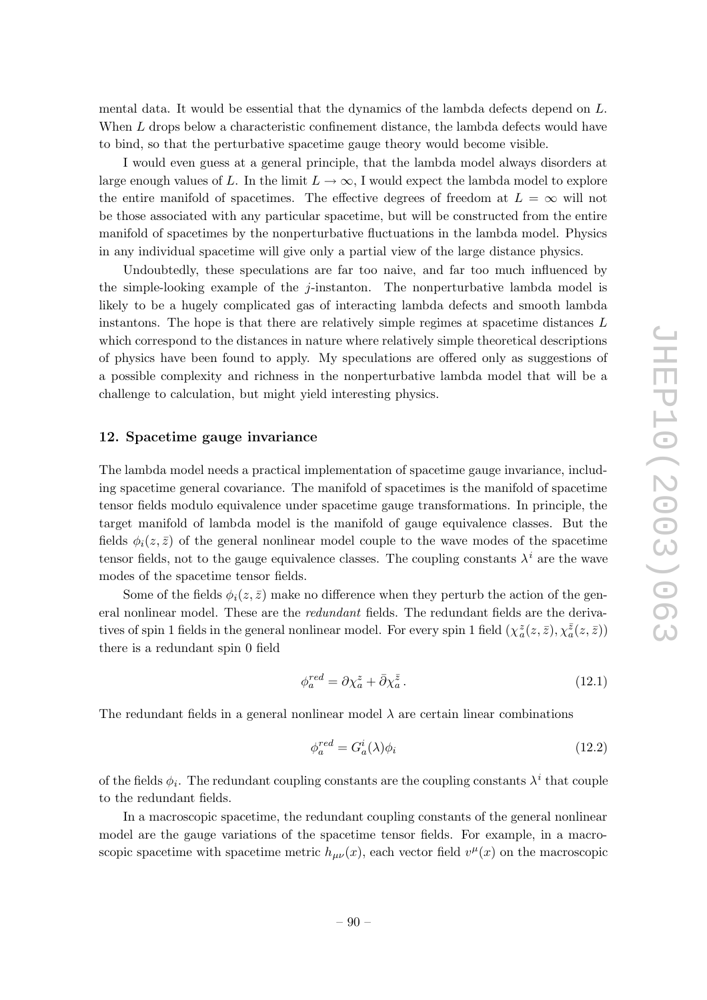mental data. It would be essential that the dynamics of the lambda defects depend on L. When L drops below a characteristic confinement distance, the lambda defects would have to bind, so that the perturbativ e spacetime gauge theory would become visible.

I would even guess at a general principle, that the lam bda model alw ays disorders at large enough values of L. In the limit  $L \to \infty$ , I would expect the lambda model to explore the entire manifold of spacetimes. The effective degrees of freedom at  $L = \infty$  will not b e those associated with an y particular spacetime, but will b e constructed from the entire manifold of spacetimes b y the nonperturbativ e fluctuations in the lam bda model. Physics in an y individual spacetime will giv e only a partial view of the large distance physics.

Undoubtedly, these speculations are far too naive, and far too much influenced by the simple-looking example of the *j*-instanton. The nonperturbative lambda model is likely to b e a hugely complicated gas of interacting lam bda defects and smooth lam bda instantons. The hop e is that there are relatively simple regimes at spacetime distances L whic h correspond to the distances in nature where relatively simple theoretical descriptions of physics hav e been found to apply . My speculations are offered only as suggestions of a possible complexity and richness in the nonperturbative lambda model that will be a challenge to calculation, but migh t yield interesting physics.

# 12. Spacetime gauge in variance

The lam bda model needs a practical implementation of spacetime gauge in variance, including spacetime general covariance. The manifold of spacetimes is the manifold of spacetime tensor fields modulo equivalence under spacetime gauge transformations. In principle, the target manifold of lam bda model is the manifold of gauge equivalence classes. But the fields  $\phi_i(z,\bar{z})$  of the general nonlinear model couple to the wave modes of the spacetime tensor fields, not to the gauge equivalence classes. The coupling constants  $\lambda^{i}$  are the wave modes of the spacetime tensor fields.

Some of the fields  $\phi_i(z,\bar{z})$  make no difference when they perturb the action of the general nonlinear model. These are the redundant fields. The redundant fields are the derivatives of spin 1 fields in the general nonlinear model. For every spin 1 field  $(\chi_a^z(z,\bar{z}), \chi_a^{\bar{z}}(z,\bar{z}))$ there is a redundan t spin 0 field

$$
\phi_a^{red} = \partial \chi_a^z + \bar{\partial} \chi_a^{\bar{z}}.
$$
\n(12.1)

The redundant fields in a general nonlinear model  $\lambda$  are certain linear combinations

$$
\phi_a^{red} = G_a^i(\lambda)\phi_i \tag{12.2}
$$

of the fields  $\phi_i$ . The redundant coupling constants are the coupling constants  $\lambda^i$  that couple to the redundan t fields.

In a macroscopic spacetime, the redundan t coupling constants of the general nonlinear model are the gauge variations of the spacetime tensor fields. For example, in a macroscopic spacetime with spacetime metric  $h_{\mu\nu}(x)$ , each vector field  $v^{\mu}(x)$  on the macroscopic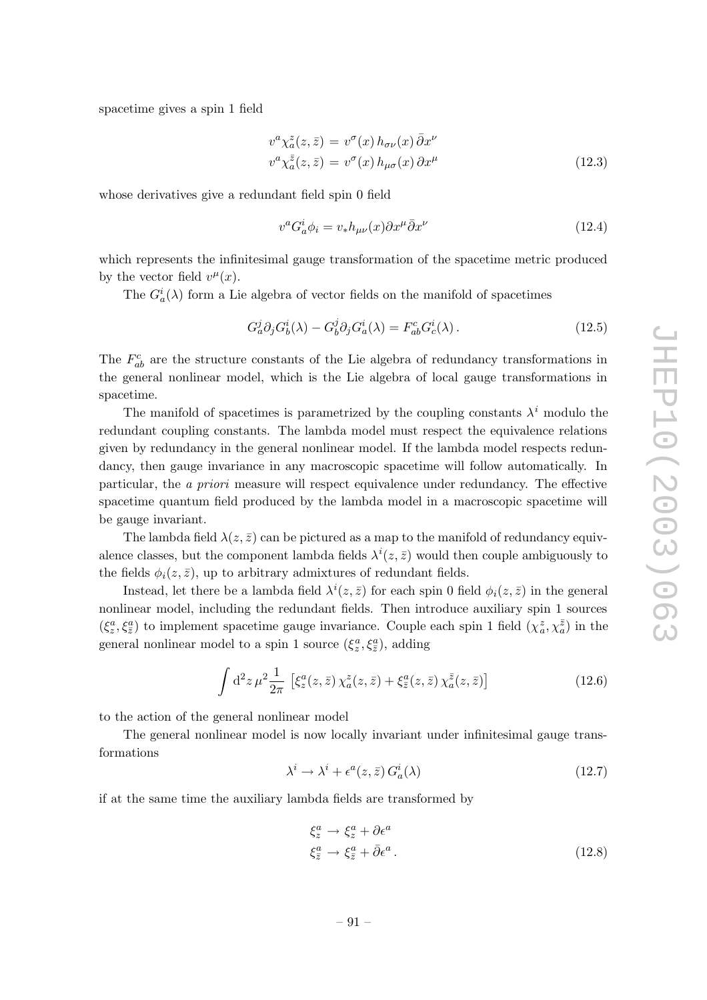spacetime gives a spin 1 field

$$
v^{a} \chi_{a}^{z}(z, \bar{z}) = v^{\sigma}(x) h_{\sigma\nu}(x) \bar{\partial}x^{\nu}
$$
  

$$
v^{a} \chi_{a}^{\bar{z}}(z, \bar{z}) = v^{\sigma}(x) h_{\mu\sigma}(x) \partial x^{\mu}
$$
 (12.3)

whose derivatives giv e a redundan t field spin 0 field

$$
v^{a}G_{a}^{i}\phi_{i} = v_{*}h_{\mu\nu}(x)\partial x^{\mu}\bar{\partial}x^{\nu}
$$
\n(12.4)

whic h represents the infinitesimal gauge transformation of the spacetime metric produced by the vector field  $v^{\mu}(x)$ .

The  $G_a^i(\lambda)$  form a Lie algebra of vector fields on the manifold of spacetimes

$$
G_a^j \partial_j G_b^i(\lambda) - G_b^j \partial_j G_a^i(\lambda) = F_{ab}^c G_c^i(\lambda).
$$
\n(12.5)

The  $F_{ab}^c$  are the structure constants of the Lie algebra of redundancy transformations in the general nonlinear model, whic h is the Lie algebra of local gauge transformations in spacetime.

The manifold of spacetimes is parametrized by the coupling constants  $\lambda^i$  modulo the redundan t coupling constants. The lam bda model must respect the equivalence relations given b y redundancy in the general nonlinear model. If the lam bda model respects redundancy, then gauge invariance in any macroscopic spacetime will follow automatically. In particular, the *a priori* measure will respect equivalence under redundancy. The effective spacetime quantum field produced b y the lam bda model in a macroscopic spacetime will b e gauge in variant.

The lambda field  $\lambda(z,\bar{z})$  can be pictured as a map to the manifold of redundancy equivalence classes, but the component lambda fields  $\lambda^{i}(z, \bar{z})$  would then couple ambiguously to the fields  $\phi_i(z, \bar{z})$ , up to arbitrary admixtures of redundant fields.

Instead, let there be a lambda field  $\lambda^{i}(z,\bar{z})$  for each spin 0 field  $\phi_{i}(z,\bar{z})$  in the general nonlinear model, including the redundan t fields. Then introduce auxiliary spin 1 sources  $(\xi_1^a, \xi_2^a)$  to implement spacetime gauge invariance. Couple each spin 1 field  $(\chi_a^z, \chi_a^{\bar{z}})$  in the general nonlinear model to a spin 1 source  $(\xi_z^a, \xi_{\overline{z}}^a)$ , adding

$$
\int d^2z \,\mu^2 \frac{1}{2\pi} \left[ \xi_z^a(z,\bar{z}) \,\chi_a^z(z,\bar{z}) + \xi_{\bar{z}}^a(z,\bar{z}) \,\chi_a^{\bar{z}}(z,\bar{z}) \right] \tag{12.6}
$$

to the action of the general nonlinear model

The general nonlinear model is no w locally in varian t under infinitesimal gauge transformations

$$
\lambda^i \to \lambda^i + \epsilon^a(z, \bar{z}) G_a^i(\lambda) \tag{12.7}
$$

if at the same time the auxiliary lam bda fields are transformed b y

$$
\xi_z^a \to \xi_z^a + \partial \epsilon^a
$$
  
\n
$$
\xi_{\bar{z}}^a \to \xi_{\bar{z}}^a + \bar{\partial} \epsilon^a.
$$
\n(12.8)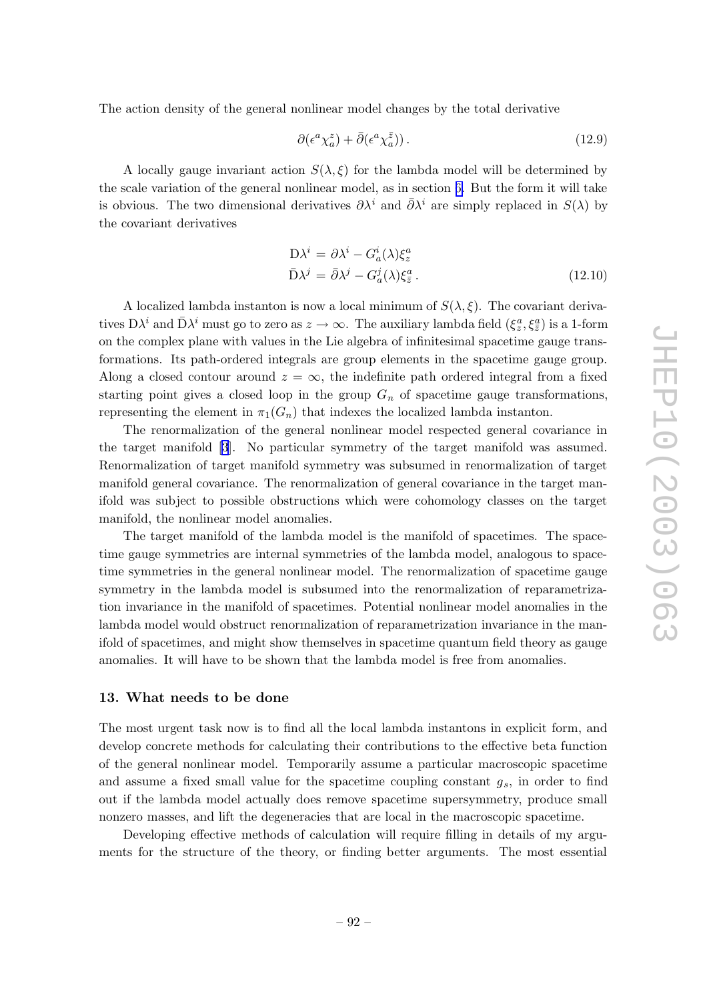The action density of the general nonlinear model changes by the total derivative

$$
\partial(\epsilon^a \chi_a^z) + \bar{\partial}(\epsilon^a \chi_a^{\bar{z}}). \tag{12.9}
$$

A locally gauge invariant action  $S(\lambda, \xi)$  for the lambda model will be determined by the scale variation of the general nonlinear model, as in section [6](#page-59-0) . But the form it will tak e is obvious. The two dimensional derivatives  $\partial \lambda^i$  and  $\bar{\partial} \lambda^i$  are simply replaced in  $S(\lambda)$  by the co varian t derivatives

$$
D\lambda^{i} = \partial \lambda^{i} - G_{a}^{i}(\lambda)\xi_{z}^{a}
$$
  
\n
$$
\bar{D}\lambda^{j} = \bar{\partial}\lambda^{j} - G_{a}^{j}(\lambda)\xi_{\bar{z}}^{a}.
$$
\n(12.10)

A localized lambda instanton is now a local minimum of  $S(\lambda, \xi)$ . The covariant derivatives  $D\lambda^i$  and  $\bar{D}\lambda^i$  must go to zero as  $z \to \infty$ . The auxiliary lambda field  $(\xi^a_z, \xi^a_{\bar{z}})$  is a 1-form on the complex plane with values in the Lie algebra of infinitesimal spacetime gauge transformations. Its path-ordered integrals are group elements in the spacetime gauge group. Along a closed contour around  $z = \infty$ , the indefinite path ordered integral from a fixed starting point gives a closed loop in the group  $G_n$  of spacetime gauge transformations, representing the element in  $\pi_1(G_n)$  that indexes the localized lambda instanton.

The renormalization of the general nonlinear model respected general co variance in the target manifold [[3](#page-97-0)]. No particular symmetry of the target manifold was assumed. Renormalization of target manifold symmetry was subsumed in renormalization of target manifold general co variance. The renormalization of general co variance in the target manifold was subject to possible obstructions which were cohomology classes on the target manifold, the nonlinear model anomalies.

The target manifold of the lam bda model is the manifold of spacetimes. The spacetime gauge symmetries are internal symmetries of the lambda model, analogous to spacetime symmetries in the general nonlinear model. The renormalization of spacetime gauge symmetry in the lam bda model is subsumed into the renormalization of reparametrization invariance in the manifold of spacetimes. Potential nonlinear model anomalies in the lam bda model would obstruct renormalization of reparametrization in variance in the manifold of spacetimes, and might show themselves in spacetime quantum field theory as gauge anomalies. It will hav e to b e shown that the lam bda model is free from anomalies.

# 13. What needs to b e done

The most urgen t task no w is to find all the local lam bda instantons in explicit form, and develop concrete methods for calculating their contributions to the effective beta function of the general nonlinear model. Temporarily assume a particular macroscopic spacetime and assume a fixed small value for the spacetime coupling constant  $g_s$ , in order to find out if the lambda model actually does remove spacetime supersymmetry, produce small nonzero masses, and lift the degeneracies that are local in the macroscopic spacetime.

Developing effective methods of calculation will require filling in details of my arguments for the structure of the theory, or finding better arguments. The most essential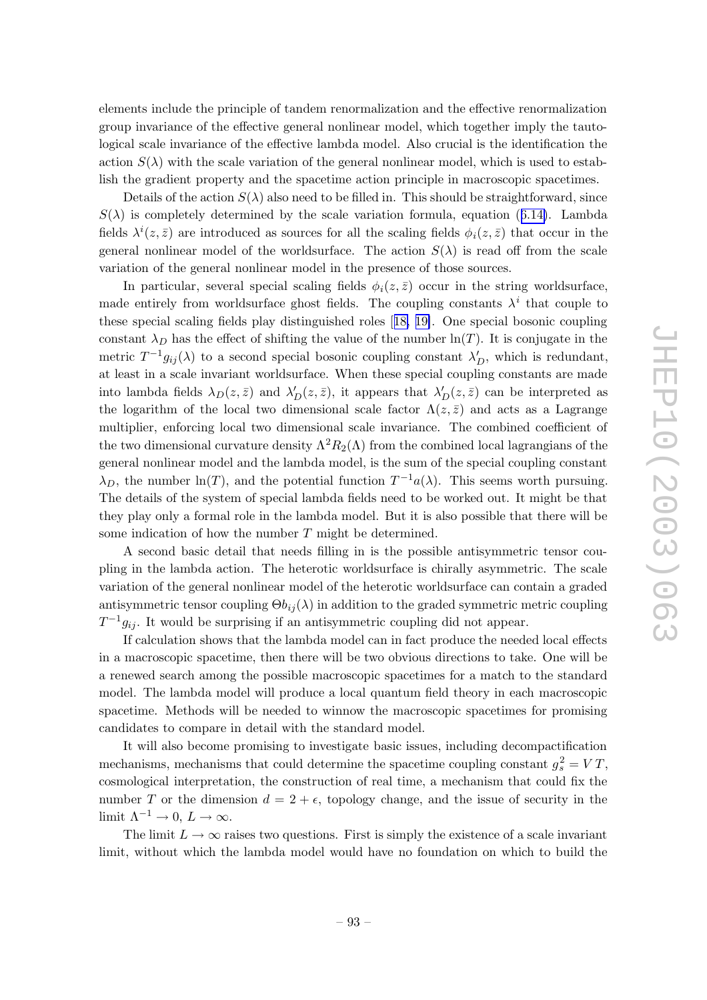elements include the principle of tandem renormalization and the effective renormalization group in variance of the effectiv e general nonlinear model, whic h together imply the tautological scale invariance of the effective lambda model. Also crucial is the identification the action  $S(\lambda)$  with the scale variation of the general nonlinear model, which is used to establish the gradient property and the spacetime action principle in macroscopic spacetimes.

Details of the action  $S(\lambda)$  also need to be filled in. This should be straightforward, since  $S(\lambda)$  is completely determined by the scale variation formula, equation ([6.14\)](#page-61-0). Lambda fields  $\lambda^{i}(z,\bar{z})$  are introduced as sources for all the scaling fields  $\phi_{i}(z,\bar{z})$  that occur in the general nonlinear model of the worldsurface. The action  $S(\lambda)$  is read off from the scale variation of the general nonlinear model in the presence of those sources.

In particular, several special scaling fields  $\phi_i(z,\bar{z})$  occur in the string worldsurface, made entirely from worldsurface ghost fields. The coupling constants  $\lambda^i$  that couple to these special scaling fields play distinguished roles [[18](#page-98-0) , [19\]](#page-98-0). One special bosonic coupling constant  $\lambda_D$  has the effect of shifting the value of the number  $\ln(T)$ . It is conjugate in the metric  $T^{-1}g_{ij}(\lambda)$  to a second special bosonic coupling constant  $\lambda'_D$ , which is redundant, at least in a scale in varian t worldsurface. When these special coupling constants are made into lambda fields  $\lambda_D(z,\bar{z})$  and  $\lambda'_D(z,\bar{z})$ , it appears that  $\lambda'_D(z,\bar{z})$  can be interpreted as the logarithm of the local two dimensional scale factor  $\Lambda(z,\bar{z})$  and acts as a Lagrange multiplier, enforcing local t w o dimensional scale in variance. The combined coefficien t of the two dimensional curvature density  $\Lambda^2 R_2(\Lambda)$  from the combined local lagrangians of the general nonlinear model and the lam bda model, is the sum of the special coupling constan t  $\lambda_D$ , the number  $\ln(T)$ , and the potential function  $T^{-1}a(\lambda)$ . This seems worth pursuing. The details of the system of special lambda fields need to be worked out. It might be that they play only a formal role in the lambda model. But it is also possible that there will be some indication of how the number  $T$  might be determined.

A second basic detail that needs filling in is the possible antisymmetric tensor coupling in the lambda action. The heterotic worldsurface is chirally asymmetric. The scale variation of the general nonlinear model of the heterotic worldsurface can contain a graded antisymmetric tensor coupling  $\Theta b_{ij}(\lambda)$  in addition to the graded symmetric metric coupling  $T^{-1}g_{ij}$ . It would be surprising if an antisymmetric coupling did not appear.

If calculation shows that the lam bda model can in fact produce the needed local effects in a macroscopic spacetime, then there will b e t w o obvious directions to take. One will b e a renewed searc h among the possible macroscopic spacetimes for a matc h to the standard model. The lam bda model will produce a local quantum field theory in eac h macroscopic spacetime. Methods will b e needed to winno w the macroscopic spacetimes for promising candidates to compare in detail with the standard model.

It will also become promising to in vestigate basic issues, including decompactification mechanisms, mechanisms that could determine the spacetime coupling constant  $g_s^2 = VT$ , cosmological interpretation, the construction of real time, a mechanism that could fix the number T or the dimension  $d = 2 + \epsilon$ , topology change, and the issue of security in the limit  $\Lambda^{-1} \to 0, L \to \infty$ .

The limit  $L \to \infty$  raises two questions. First is simply the existence of a scale invariant limit, without whic h the lam bda model would hav e no foundation on whic h to build the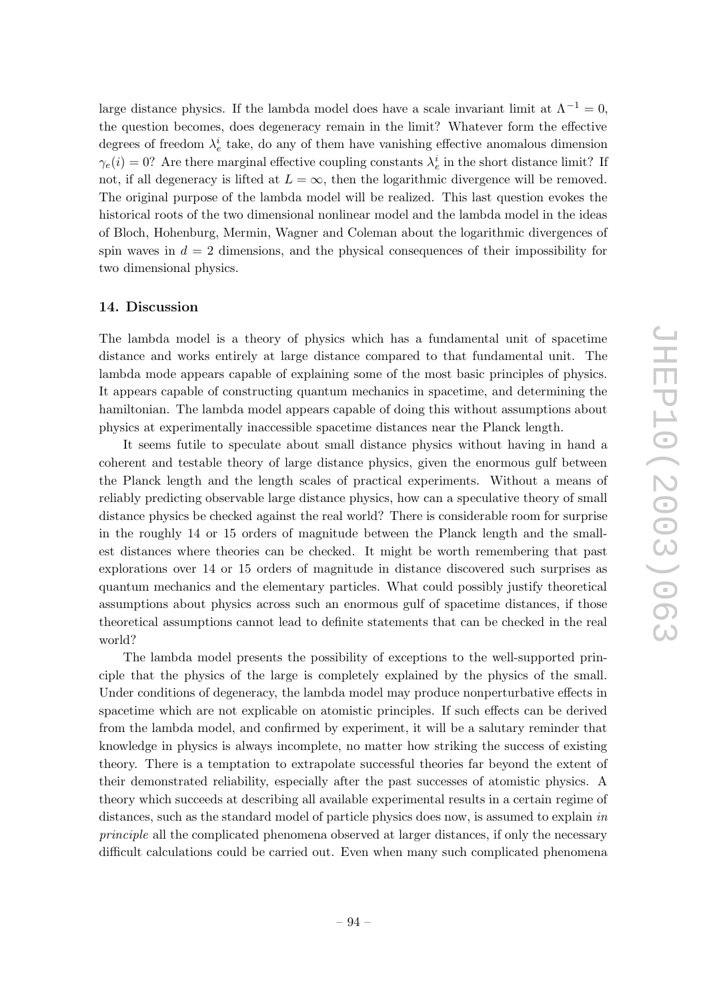large distance physics. If the lambda model does have a scale invariant limit at  $\Lambda^{-1} = 0$ , the question becomes, does degeneracy remain in the limit? Whatever form the effective degrees of freedom  $\lambda_e^i$  take, do any of them have vanishing effective anomalous dimension  $\gamma_e(i) = 0$ ? Are there marginal effective coupling constants  $\lambda_e^i$  in the short distance limit? If not, if all degeneracy is lifted at  $L = \infty$ , then the logarithmic divergence will be removed. The original purpose of the lam bda model will b e realized. This last question evokes the historical roots of the two dimensional nonlinear model and the lambda model in the ideas of Blo ch, Hohenburg, Mermin, Wagner and Coleman about the logarithmic divergences of spin waves in  $d = 2$  dimensions, and the physical consequences of their impossibility for t w o dimensional physics.

# 14. Discussion

The lam bda model is a theory of physics whic h has a fundamental unit of spacetime distance and works entirely at large distance compared to that fundamental unit. The lam bda mode appears capable of explaining some of the most basic principles of physics. It appears capable of constructing quantum mechanics in spacetime, and determining the hamiltonian. The lam bda model appears capable of doing this without assumptions about physics at experimentally inaccessible spacetime distances near the Planc k length.

It seems futile to speculate about small distance physics without having in hand a coheren t and testable theory of large distance physics, given the enormous gulf bet ween the Planc k length and the length scales of practical experiments. Without a means of reliably predicting observable large distance physics, ho w can a speculativ e theory of small distance physics b e chec ked against the real world? There is considerable room for surprise in the roughly 14 or 15 orders of magnitude bet ween the Planc k length and the smallest distances where theories can be checked. It might be worth remembering that past explorations o ver 14 or 15 orders of magnitude in distance disco vered suc h surprises as quantum mechanics and the elementary particles. What could possibly justify theoretical assumptions about physics across suc h an enormous gulf of spacetime distances, if those theoretical assumptions cannot lead to definite statements that can b e chec ked in the real world?

The lam bda model presents the possibilit y of exceptions to the well-supported principle that the physics of the large is completely explained by the physics of the small. Under conditions of degeneracy, the lambda model may produce nonperturbative effects in spacetime whic h are not explicable on atomistic principles. If suc h effects can b e derived from the lam bda model, and confirmed b y experiment, it will b e a salutary reminder that knowledge in physics is always incomplete, no matter how striking the success of existing theory . There is a temptation to extrapolate successful theories far beyond the exten t of their demonstrated reliabilit y , especially after the past successes of atomistic physics. A theory whic h succeeds at describing all available experimental results in a certain regime of distances, such as the standard model of particle physics does now, is assumed to explain in principle all the complicated phenomena observed at larger distances, if only the necessary difficult calculations could be carried out. Even when many such complicated phenomena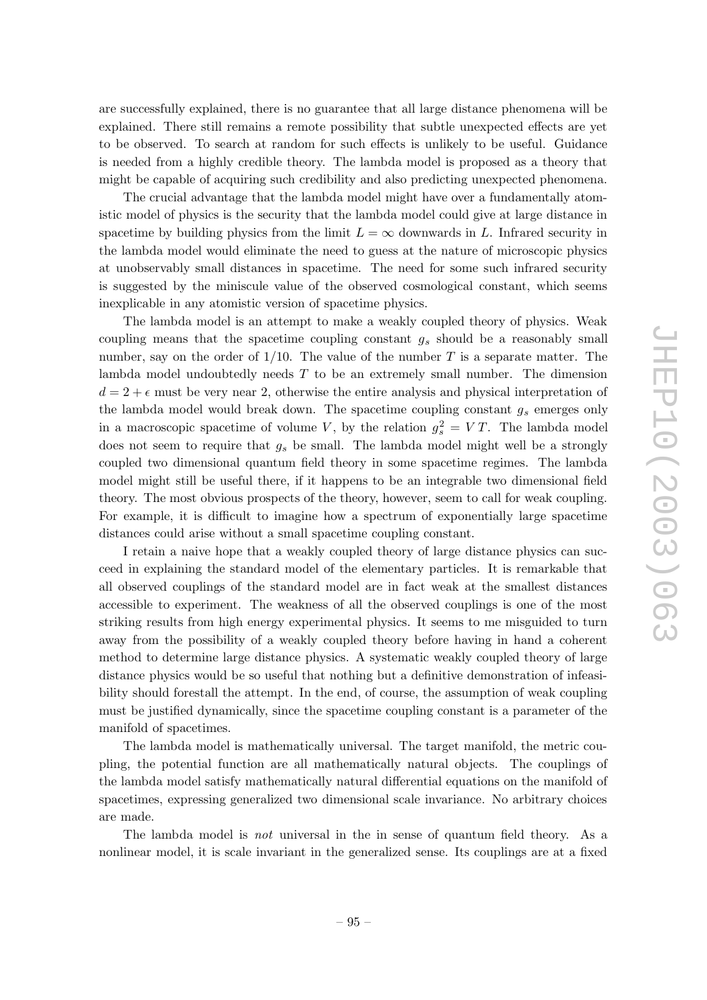are successfully explained, there is no guarantee that all large distance phenomena will b e explained. There still remains a remote possibility that subtle unexpected effects are yet to b e observed. To searc h at random for suc h effects is unlikely to b e useful. Guidance is needed from a highly credible theory . The lam bda model is proposed as a theory that migh t b e capable of acquiring suc h credibilit y and also predicting unexpected phenomena.

The crucial advantage that the lam bda model migh t hav e o ver a fundamentally atomistic model of physics is the security that the lambda model could give at large distance in spacetime by building physics from the limit  $L = \infty$  downwards in L. Infrared security in the lam bda model would eliminate the need to guess at the nature of microscopic physics at unobservably small distances in spacetime. The need for some suc h infrared securit y is suggested b y the miniscule value of the observed cosmological constant, whic h seems inexplicable in an y atomistic version of spacetime physics.

The lam bda model is an attempt to mak e a weakly coupled theory of physics. Weak coupling means that the spacetime coupling constant  $g_s$  should be a reasonably small number, say on the order of  $1/10$ . The value of the number T is a separate matter. The lambda model undoubtedly needs  $T$  to be an extremely small number. The dimension  $d = 2 + \epsilon$  must be very near 2, otherwise the entire analysis and physical interpretation of the lambda model would break down. The spacetime coupling constant  $g_s$  emerges only in a macroscopic spacetime of volume V, by the relation  $g_s^2 = VT$ . The lambda model does not seem to require that  $g_s$  be small. The lambda model might well be a strongly coupled t w o dimensional quantum field theory in some spacetime regimes. The lam bda model migh t still b e useful there, if it happens to b e an integrable t w o dimensional field theory. The most obvious prospects of the theory, however, seem to call for weak coupling. For example, it is difficult to imagine ho w a spectrum of exponentially large spacetime distances could arise without a small spacetime coupling constant.

I retain a naiv e hop e that a weakly coupled theory of large distance physics can succeed in explaining the standard model of the elementary particles. It is remarkable that all observed couplings of the standard model are in fact weak at the smallest distances accessible to experiment. The weakness of all the observed couplings is one of the most striking results from high energy experimental physics. It seems to me misguided to turn away from the possibility of a weakly coupled theory before having in hand a coherent metho d to determine large distance physics. A systematic weakly coupled theory of large distance physics would b e so useful that nothing but a definitiv e demonstration of infeasibility should forestall the attempt. In the end, of course, the assumption of weak coupling must be justified dynamically, since the spacetime coupling constant is a parameter of the manifold of spacetimes.

The lam bda model is mathematically universal. The target manifold, the metric coupling, the potential function are all mathematically natural objects. The couplings of the lam bda model satisfy mathematically natural differential equations on the manifold of spacetimes, expressing generalized t w o dimensional scale in variance. No arbitrary choices are made.

The lambda model is *not* universal in the in sense of quantum field theory. As a nonlinear model, it is scale invariant in the generalized sense. Its couplings are at a fixed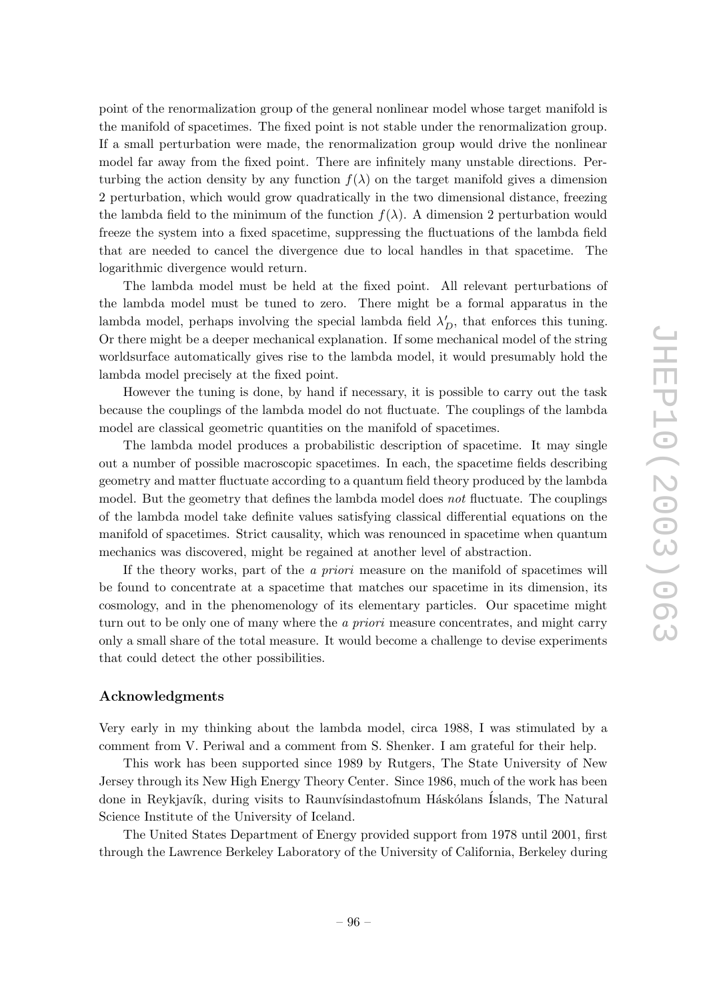poin t of the renormalization group of the general nonlinear model whose target manifold is the manifold of spacetimes. The fixed poin t is not stable under the renormalization group. If a small perturbation were made, the renormalization group would driv e the nonlinear model far away from the fixed point. There are infinitely many unstable directions. Perturbing the action density by any function  $f(\lambda)$  on the target manifold gives a dimension 2 perturbation, which would grow quadratically in the two dimensional distance, freezing the lambda field to the minimum of the function  $f(\lambda)$ . A dimension 2 perturbation would freeze the system into a fixed spacetime, suppressing the fluctuations of the lam bda field that are needed to cancel the divergence due to local handles in that spacetime. The logarithmic divergence would return.

The lam bda model must b e held at the fixed point. All relevan t perturbations of the lambda model must be tuned to zero. There might be a formal apparatus in the lambda model, perhaps involving the special lambda field  $\lambda'_D$ , that enforces this tuning. Or there migh t b e a deeper mechanical explanation. If some mechanical model of the string worldsurface automatically gives rise to the lam bda model, it would presumably hold the lam bda model precisely at the fixed point.

Ho wever the tuning is done, b y hand if necessary , it is possible to carry out the task because the couplings of the lam bda model do not fluctuate. The couplings of the lam bda model are classical geometric quantities on the manifold of spacetimes.

The lam bda model produces a probabilistic description of spacetime. It may single out a num ber of possible macroscopic spacetimes. In each, the spacetime fields describing geometry and matter fluctuate according to a quantum field theory produced b y the lam bda model. But the geometry that defines the lam bda model does not fluctuate. The couplings of the lam bda model tak e definite values satisfying classical differential equations on the manifold of spacetimes. Strict causalit y , whic h was renounced in spacetime when quantum mechanics was disco vered, migh t b e regained at another level of abstraction.

If the theory works, part of the a priori measure on the manifold of spacetimes will b e found to concentrate at a spacetime that matches our spacetime in its dimension, its cosmology , and in the phenomenology of its elementary particles. Our spacetime migh t turn out to be only one of many where the *a priori* measure concentrates, and might carry only a small share of the total measure. It would become a challenge to devise experiments that could detect the other possibilities.

# Acknowledgments

Very early in my thinking about the lam bda model, circa 1988, I was stimulated b y a commen t from V. Periwal and a commen t from S. Shenker. I am grateful for their help.

This work has been supported since 1989 b y Rutgers, The State Universit y of New Jersey through its New High Energy Theory Center. Since 1986, muc h of the work has been done in Reykjavík, during visits to Raunvísindastofnum Háskólans Íslands, The Natural Science Institute of the University of Iceland.

The United States Departmen t of Energy provided support from 1978 until 2001, first through the Lawrence Berkeley Laboratory of the Universit y of California, Berkeley during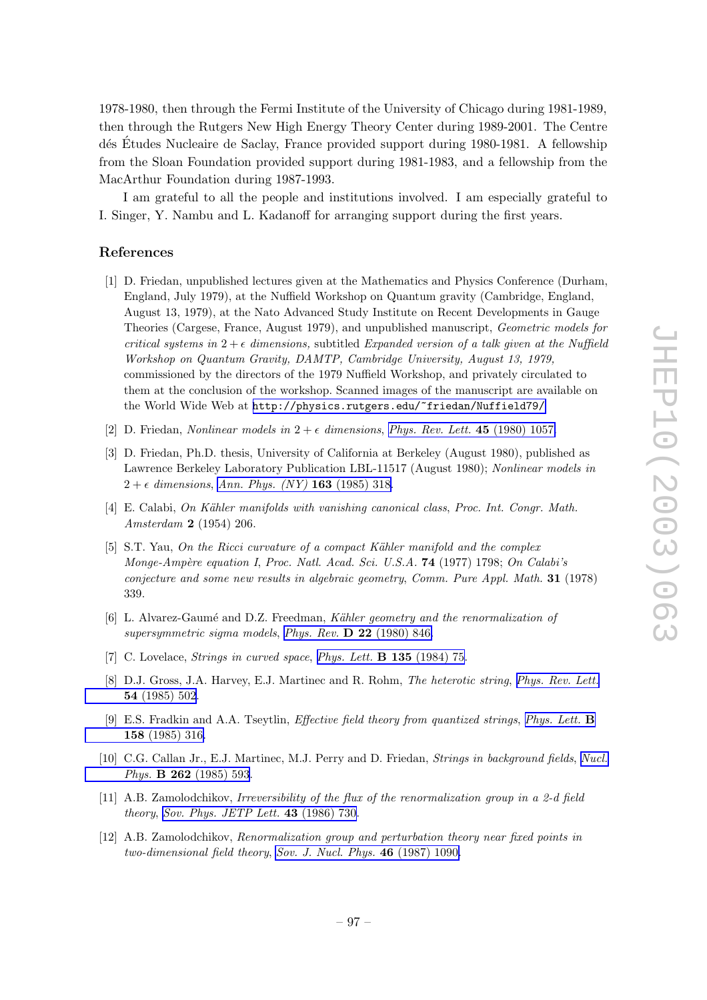<span id="page-97-0"></span>1978-1980, then through the Fermi Institute of the Universit y of Chicago during 1981-1989, then through the Rutgers New High Energy Theory Center during 1989-2001. The Centre dés Études Nucleaire de Saclay, France provided support during 1980-1981. A fellowship from the Sloan Foundation provided support during 1981-1983, and a fellowship from the MacArthur Foundation during 1987-1993.

I am grateful to all the people and institutions in volved. I am especially grateful to I. Singer, Y. Nambu and L. Kadanoff for arranging support during the first years.

### References

- [1] D. Friedan, unpublished lectures given at the Mathematics and Physics Conference (Durham, England, July 1979), at the Nuffield Workshop on Quantum gravit y (Cambridge, England, August 13, 1979), at the Nato Advanced Study Institute on Recen t Developments in Gauge Theories (Cargese, France, August 1979), and unpublished manuscript, *Geometric models for* critical systems in  $2 + \epsilon$  dimensions, subtitled Expanded version of a talk given at the Nuffield Workshop on Quantum Gravity, DAMTP, Cambridge University, August 13, 1979, commissioned b y the directors of the 1979 Nuffield Workshop, and privately circulated to them at the conclusion of the workshop. Scanned images of the manuscript are a vailable on the World Wide Web at <http://physics.rutgers.edu/~friedan/Nuffield79/>
- [2] D. Friedan, *Nonlinear models in*  $2 + \epsilon$  dimensions, *Phys. Rev. Lett.* **45** [\(1980\)](http://www-spires.slac.stanford.edu/spires/find/hep/www?j=PRLTA%2C45%2C1057) 1057.
- [3] D. Friedan, Ph.D. thesis, Universit y of California at Berkeley (August 1980), published as Lawrence Berkeley Laboratory Publication LBL-11517 (August 1980); Nonlinear models in  $2 + \epsilon$  dimensions, Ann. Phys. (NY) 163 [\(1985\)](http://www-spires.slac.stanford.edu/spires/find/hep/www?j=APNYA%2C163%2C318) 318.
- [4] E. Calabi, On Kähler manifolds with vanishing canonical class, Proc. Int. Congr. Math. Amsterdam **2** (1954) 206.
- $[5]$  S.T. Yau, On the Ricci curvature of a compact Kähler manifold and the complex Monge-Ampère equation I, Proc. Natl. Acad. Sci. U.S.A. 74 (1977) 1798; On Calabi's conjecture and some new results in algebraic geometry, Comm. Pure Appl. Math. 31 (1978) 339.
- [6] L. Alvarez-Gaumé and D.Z. Freedman, Kähler geometry and the renormalization of supersymmetric sigma models, Phys. Rev. D 22 [\(1980\)](http://www-spires.slac.stanford.edu/spires/find/hep/www?j=PHRVA%2CD22%2C846) 846.
- [7] C. Lovelace, *Strings in curved space*, *Phys. Lett.* **B 135** [\(1984\)](http://www-spires.slac.stanford.edu/spires/find/hep/www?j=PHLTA%2CB135%2C75) 75.
- [8] D.J. Gross, J.A. Harvey, E.J. Martinec and R. Rohm, The heterotic string, [Phys.](http://www-spires.slac.stanford.edu/spires/find/hep/www?j=PRLTA%2C54%2C502) Rev. Lett. 54 [\(1985\)](http://www-spires.slac.stanford.edu/spires/find/hep/www?j=PRLTA%2C54%2C502) 502 .
- [9] E.S. Fradkin and A.A. Tseytlin, *Effective field theory from quantized strings*, *[Phys.](http://www-spires.slac.stanford.edu/spires/find/hep/www?j=PHLTA%2CB158%2C316) Lett.* **B** 158 [\(1985\)](http://www-spires.slac.stanford.edu/spires/find/hep/www?j=PHLTA%2CB158%2C316) 316 .
- [10] C.G. Callan Jr., E.J. Martinec, M.J. Perry and D. Friedan, *Strings in background fields*, [Nucl.](http://www-spires.slac.stanford.edu/spires/find/hep/www?j=NUPHA%2CB262%2C593) Phys. **B 262** [\(1985\)](http://www-spires.slac.stanford.edu/spires/find/hep/www?j=NUPHA%2CB262%2C593) 593.
- [11] A.B. Zamolodchikov, Irreversibility of the flux of the renormalization group in a 2-d field theory, Sov. Phys. JETP Lett. **43** [\(1986\)](http://www-spires.slac.stanford.edu/spires/find/hep/www?j=JTPLA%2C43%2C730) 730.
- [12] A.B. Zamolodchikov, Renormalization group and perturbation theory near fixed points in two-dimensional field theory, Sov. J. Nucl. Phys. 46 [\(1987\)](http://www-spires.slac.stanford.edu/spires/find/hep/www?j=SJNCA%2C46%2C1090) 1090.